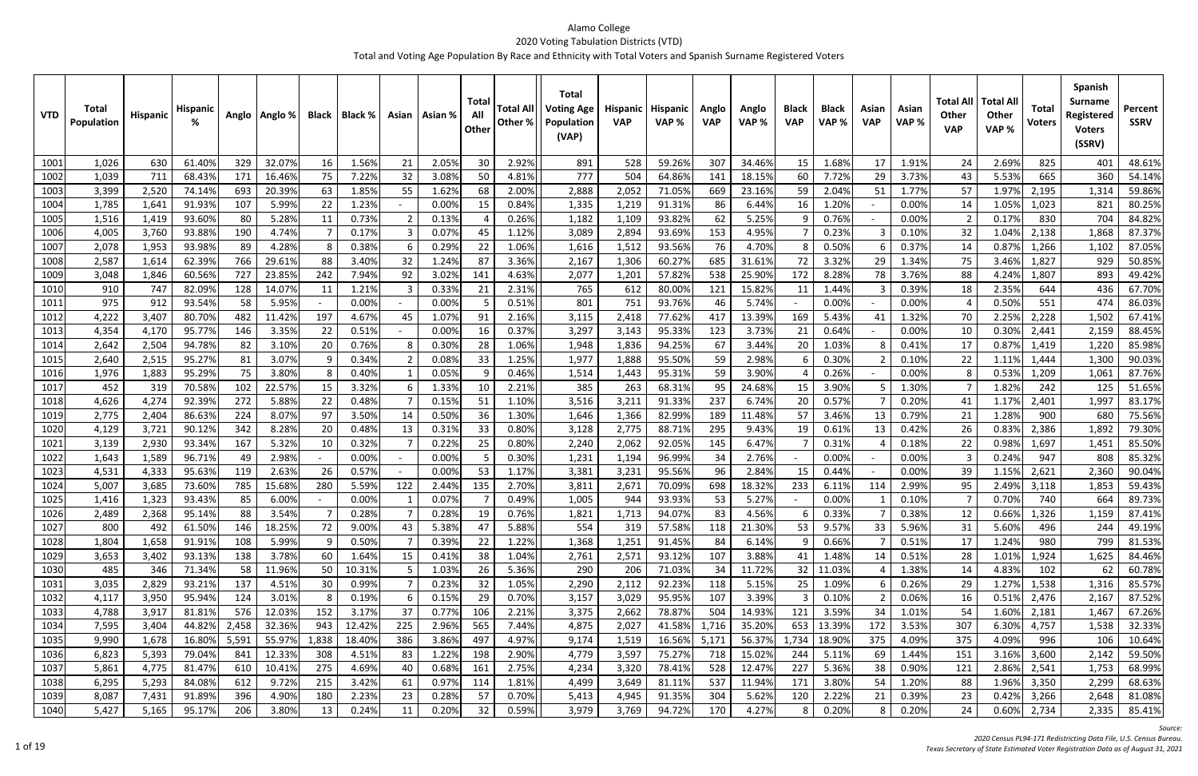| <b>VTD</b> | Total<br>Population | <b>Hispanic</b> | <b>Hispani</b> |       | Anglo   Anglo % |       | Black   Black % |     | Asian   Asian % | Total<br>All<br>Other | <b>Total Al</b><br>Other % | <b>Total</b><br><b>Voting Age</b><br>Population<br>(VAP) | <b>Hispanic</b><br><b>VAP</b> | <b>Hispanic</b><br>VAP% | Anglo<br><b>VAP</b> | Anglo<br>VAP % | <b>Black</b><br><b>VAP</b> | <b>Black</b><br>VAP% | Asian<br><b>VAP</b> | Asian<br>VAP% | Total All<br><b>Other</b><br><b>VAP</b> | <b>Total Al</b><br><b>Other</b><br>VAP% | Total<br><b>Voters</b> | <b>Spanish</b><br><b>Surname</b><br>Registered<br><b>Voters</b><br>(SSRV) | Percent<br><b>SSRV</b> |
|------------|---------------------|-----------------|----------------|-------|-----------------|-------|-----------------|-----|-----------------|-----------------------|----------------------------|----------------------------------------------------------|-------------------------------|-------------------------|---------------------|----------------|----------------------------|----------------------|---------------------|---------------|-----------------------------------------|-----------------------------------------|------------------------|---------------------------------------------------------------------------|------------------------|
| 1001       | 1,026               | 630             | 61.40%         | 329   | 32.07%          | 16    | 1.56%           | 21  | 2.059           | 30                    | 2.92%                      | 891                                                      | 528                           | 59.26%                  | 307                 | 34.46%         | 15                         | 1.68%                | 17                  | 1.91%         | 24                                      | 2.69%                                   | 825                    | 401                                                                       | 48.61%                 |
| 1002       | 1,039               | 711             | 68.43%         | 171   | 16.46%          | 75    | 7.22%           | 32  | 3.08%           | -50                   | 4.81%                      | 777                                                      | 504                           | 64.86%                  | 141                 | 18.15%         | 60                         | 7.72%                | 29                  | 3.73%         | 43                                      | 5.53%                                   | 665                    | 360                                                                       | 54.14%                 |
| 1003       | 3,399               | 2,520           | 74.149         | 693   | 20.39%          | 63    | 1.85%           | 55  | 1.62%           | 68                    | 2.00%                      | 2,888                                                    | 2,052                         | 71.05%                  | 669                 | 23.16%         | 59                         | 2.04%                | 51                  | 1.77%         | 57                                      | 1.97%                                   | 2,195                  | 1,314                                                                     | 59.86%                 |
| 1004       | 1,785               | 1,641           | 91.93%         | 107   | 5.99%           | 22    | 1.23%           |     | 0.00%           | 15                    | 0.84%                      | 1,335                                                    | 1,219                         | 91.31%                  | 86                  | 6.44%          | 16                         | 1.20%                |                     | 0.00%         | 14                                      | 1.05%                                   | 1,023                  | 821                                                                       | 80.25%                 |
| 1005       | 1,516               | 1,419           | 93.60%         | 80    | 5.28%           | 11    | 0.73%           |     | 0.13%           |                       | 0.26%                      | 1,182                                                    | 1,109                         | 93.82%                  | 62                  | 5.25%          | q                          | 0.76%                |                     | 0.00%         |                                         | 0.17%                                   | 830                    | 704                                                                       | 84.82%                 |
| 1006       | 4,005               | 3,760           | 93.889         | 190   | 4.74%           |       | 0.17%           |     | 0.079           | 45                    | 1.12%                      | 3,089                                                    | 2,894                         | 93.69%                  | 153                 | 4.95%          |                            | 0.23%                |                     | 0.10%         | 32                                      | 1.04%                                   | 2,138                  | 1,868                                                                     | 87.37%                 |
| 1007       | 2,078               | 1,953           | 93.98%         | 89    | 4.28%           | -8    | 0.38%           |     | 0.299           | 22                    | 1.06%                      | 1,616                                                    | 1,512                         | 93.56%                  | 76                  | 4.70%          | 8                          | 0.50%                |                     | 0.37%         | 14                                      | 0.87%                                   | 1,266                  | 1,102                                                                     | 87.05%                 |
| 1008       | 2,587               | 1,614           | 62.399         | 766   | 29.61%          | 88    | 3.40%           | 32  | 1.24%           | 87                    | 3.36%                      | 2,167                                                    | 1,306                         | 60.27%                  | 685                 | 31.61%         | 72                         | 3.32%                | 29                  | 1.34%         | 75                                      | 3.46%                                   | 1,827                  | 929                                                                       | 50.85%                 |
| 1009       | 3,048               | 1,846           | 60.569         | 727   | 23.85%          | 242   | 7.94%           | 92  | 3.02%           | 141                   | 4.63%                      | 2,077                                                    | 1,201                         | 57.829                  | 538                 | 25.90%         | 172                        | 8.28%                | 78                  | 3.76%         | 88                                      | 4.24%                                   | 1,807                  | 893                                                                       | 49.42%                 |
| 1010       | 910                 | 747             | 82.09%         | 128   | 14.07%          | 11    | 1.21%           |     | 0.33%           | 21                    | 2.31%                      | 765                                                      | 612                           | 80.00%                  | 121                 | 15.82%         | -11                        | 1.44%                |                     | 0.39%         | 18                                      | 2.35%                                   | 644                    | 436                                                                       | 67.70%                 |
| 1011       | 975                 | 912             | 93.54%         | 58    | 5.95%           |       | 0.00%           |     | 0.00%           |                       | 0.51%                      | 801                                                      | 751                           | 93.76%                  | 46                  | 5.74%          |                            | 0.00%                |                     | 0.00%         |                                         | 0.50%                                   | 551                    | 474                                                                       | 86.03%                 |
| 1012       | 4,222               | 3,407           | 80.70%         | 482   | 11.42%          | 197   | 4.67%           | 45  | 1.07%           | 91                    | 2.16%                      | 3,115                                                    | 2,418                         | 77.62%                  | 417                 | 13.39%         | 169                        | 5.43%                |                     | 1.32%         | 70                                      | 2.25%                                   | 2,228                  | 1,502                                                                     | 67.41%                 |
| 1013       | 4,354               | 4,170           | 95.77%         | 146   | 3.35%           | 22    | 0.51%           |     | 0.009           | 16                    | 0.37%                      | 3,297                                                    | 3,143                         | 95.33%                  | 123                 | 3.73%          | 21                         | 0.64%                |                     | 0.00%         | 10                                      | 0.30%                                   | 2,441                  | 2,159                                                                     | 88.45%                 |
| 1014       | 2,642               | 2,504           | 94.78%         | 82    | 3.10%           | 20    | 0.76%           |     | 0.309           | 28                    | 1.06%                      | 1,948                                                    | 1,836                         | 94.25%                  | 67                  | 3.44%          | 20                         | 1.03%                |                     | 0.41%         | 17                                      | 0.87%                                   | 1,419                  | 1,220                                                                     | 85.98%                 |
| 1015       | 2,640               | 2,515           | 95.27%         | 81    | 3.07%           | ٩     | 0.34%           |     | 0.08%           | 33                    | 1.25%                      | 1,977                                                    | 1,888                         | 95.50%                  | 59                  | 2.98%          |                            | 0.30%                |                     | 0.10%         | 22                                      | 1.11%                                   | 1,444                  | 1,300                                                                     | 90.03%                 |
| 1016       | 1,976               | 1,883           | 95.29%         | 75    | 3.80%           | -8    | 0.40%           |     | 0.05%           |                       | 0.46%                      | 1,514                                                    | 1,443                         | 95.31%                  | 59                  | 3.90%          |                            | 0.26%                |                     | 0.00%         |                                         | 0.53%                                   | 1,209                  | 1,061                                                                     | 87.76%                 |
| 1017       | 452                 | 319             | 70.58%         | 102   | 22.57%          | 15    | 3.32%           |     | 1.33%           | 10                    | 2.21%                      | 385                                                      | 263                           | 68.31%                  | 95                  | 24.68%         | 15                         | 3.90%                |                     | 1.30%         |                                         | 1.82%                                   | 242                    | 125                                                                       | 51.65%                 |
| 1018       | 4,626               | 4,274           | 92.39%         | 272   | 5.88%           | 22    | 0.48%           |     | 0.15%           | -51                   | 1.10%                      | 3,516                                                    | 3,211                         | 91.33%                  | 237                 | 6.74%          | 20                         | 0.57%                |                     | 0.20%         | 41                                      | 1.17%                                   | 2,401                  | 1,997                                                                     | 83.17%                 |
| 1019       | 2,775               | 2,404           | 86.63%         | 224   | 8.07%           | 97    | 3.50%           | 14  | 0.50%           | 36                    | 1.30%                      | 1,646                                                    | 1,366                         | 82.99%                  | 189                 | 11.48%         | 57                         | 3.46%                | 13                  | 0.79%         | 21                                      | 1.28%                                   | 900                    | 680                                                                       | 75.56%                 |
| 1020       | 4,129               | 3,721           | 90.12%         | 342   | 8.28%           | 20    | 0.48%           | 13  | 0.31%           | 33                    | 0.80%                      | 3,128                                                    | 2,775                         | 88.71%                  | 295                 | 9.43%          | 19                         | 0.61%                | 13                  | 0.42%         | 26                                      | 0.83%                                   | 2,386                  | 1,892                                                                     | 79.30%                 |
| 1021       | 3,139               | 2,930           | 93.34%         | 167   | 5.32%           | 10    | 0.32%           |     | 0.22%           | 25                    | 0.80%                      | 2,240                                                    | 2,062                         | 92.05%                  | 145                 | 6.47%          |                            | 0.31%                |                     | 0.18%         | 22                                      | 0.98%                                   | 1,697                  | 1,451                                                                     | 85.50%                 |
| 1022       | 1,643               | 1,589           | 96.71%         | 49    | 2.98%           |       | 0.00%           |     | 0.009           |                       | 0.30%                      | 1,231                                                    | 1,194                         | 96.99%                  | 34                  | 2.76%          |                            | 0.00%                |                     | 0.00%         |                                         | 0.24%                                   | 947                    | 808                                                                       | 85.32%                 |
| 1023       | 4,531               | 4,333           | 95.63%         | 119   | 2.63%           | 26    | 0.57%           |     | 0.00%           | 53                    | 1.17%                      | 3,381                                                    | 3,231                         | 95.56%                  | 96                  | 2.84%          | 15                         | 0.44%                |                     | 0.00%         | 39                                      | 1.15%                                   | 2,621                  | 2,360                                                                     | 90.04%                 |
| 1024       | 5,007               | 3,685           | 73.60%         | 785   | 15.68%          | 280   | 5.59%           | 122 | 2.44%           | 135                   | 2.70%                      | 3,811                                                    | 2,671                         | 70.09%                  | 698                 | 18.32%         | 233                        | 6.11%                | 114                 | 2.99%         | 95                                      | 2.49%                                   | 3,118                  | 1,853                                                                     | 59.43%                 |
| 1025       | 1,416               | 1,323           | 93.43%         | 85    | 6.00%           |       | 0.00%           |     | 0.07%           |                       | 0.49%                      | 1,005                                                    | 944                           | 93.93%                  | 53                  | 5.27%          |                            | 0.00%                |                     | 0.10%         |                                         | 0.70%                                   | 740                    | 664                                                                       | 89.73%                 |
| 1026       | 2,489               | 2,368           | 95.14%         | 88    | 3.54%           |       | 0.28%           |     | 0.28%           | 19                    | 0.76%                      | 1,821                                                    | 1,713                         | 94.07%                  | 83                  | 4.56%          | b                          | 0.33%                |                     | 0.38%         | 12                                      | 0.66%                                   | 1,326                  | 1,159                                                                     | 87.41%                 |
| 1027       | 800                 | 492             | 61.50%         | 146   | 18.25%          | 72    | 9.00%           | 43  | 5.38%           | 47                    | 5.88%                      | 554                                                      | 319                           | 57.58%                  | 118                 | 21.30%         | 53                         | 9.57%                | 33                  | 5.96%         | 31                                      | 5.60%                                   | 496                    | 244                                                                       | 49.19%                 |
| 1028       | 1,804               | 1,658           | 91.91%         | 108   | 5.99%           | -9    | 0.50%           |     | 0.39%           | 22                    | 1.22%                      | 1,368                                                    | 1,251                         | 91.45%                  | 84                  | 6.14%          | 9                          | 0.66%                |                     | 0.51%         | 17                                      | 1.24%                                   | 980                    | 799                                                                       | 81.53%                 |
| 1029       | 3,653               | 3,402           | 93.13%         | 138   | 3.78%           | 60    | 1.64%           | 15  | 0.41%           | 38                    | 1.04%                      | 2,761                                                    | 2,571                         | 93.12%                  | 107                 | 3.88%          | 41                         | 1.48%                | 14                  | 0.51%         | 28                                      | 1.01%                                   | 1,924                  | 1,625                                                                     | 84.46%                 |
| 1030       | 485                 | 346             | 71.34%         | 58    | 11.96%          | 50    | 10.31%          |     | 1.03%           | 26                    | 5.36%                      | 290                                                      | 206                           | 71.03%                  | 34                  | 11.72%         | 32                         | 11.03%               |                     | 1.38%         | 14                                      | 4.83%                                   | 102                    | 62                                                                        | 60.78%                 |
| 1031       | 3,035               | 2,829           | 93.21%         | 137   | 4.51%           | 30    | 0.99%           |     | 0.23%           | 32                    | 1.05%                      | 2,290                                                    | 2,112                         | 92.23%                  | 118                 | 5.15%          | 25                         | 1.09%                |                     | 0.26%         | 29                                      | 1.27%                                   | 1,538                  | 1,316                                                                     | 85.57%                 |
| 1032       | 4,117               | 3,950           | 95.94%         | 124   | 3.01%           | 8     | 0.19%           |     | 0.15%           | 29                    | 0.70%                      | 3,157                                                    | 3,029                         | 95.95%                  | 107                 | 3.39%          | 3                          | 0.10%                |                     | 0.06%         | 16                                      | 0.51%                                   | 2,476                  | 2,167                                                                     | 87.52%                 |
| 1033       | 4,788               | 3,917           | 81.81%         | 576   | 12.03%          | 152   | 3.17%           | 37  | 0.77%           | 106                   | 2.21%                      | 3,375                                                    | 2,662                         | 78.87%                  | 504                 | 14.93%         | 121                        | 3.59%                | 34                  | 1.01%         | 54                                      | 1.60%                                   | 2,181                  | 1,467                                                                     | 67.26%                 |
| 1034       | 7,595               | 3,404           | 44.82%         | 2,458 | 32.36%          | 943   | 12.42%          | 225 | 2.96%           | 565                   | 7.44%                      | 4,875                                                    | 2,027                         | 41.58%                  | 1,716               | 35.20%         | 653                        | 13.39%               | 172                 | 3.53%         | 307                                     | 6.30%                                   | 4,757                  | 1,538                                                                     | 32.33%                 |
| 1035       | 9,990               | 1,678           | 16.80%         | 5,591 | 55.97%          | 1,838 | 18.40%          | 386 | 3.86%           | 497                   | 4.97%                      | 9,174                                                    | 1,519                         | 16.56%                  | 5,171               | 56.37%         | 1,734                      | 18.90%               | 375                 | 4.09%         | 375                                     | 4.09%                                   | 996                    | 106                                                                       | 10.64%                 |
| 1036       | 6,823               | 5,393           | 79.04%         | 841   | 12.33%          | 308   | 4.51%           | 83  | 1.22%           | 198                   | 2.90%                      | 4,779                                                    | 3,597                         | 75.27%                  | 718                 | 15.02%         | 244                        | 5.11%                | 69                  | 1.44%         | 151                                     | 3.16%                                   | 3,600                  | 2,142                                                                     | 59.50%                 |
| 1037       | 5,861               | 4,775           | 81.47%         | 610   | 10.41%          | 275   | 4.69%           |     | 0.68%           | 161                   | 2.75%                      | 4,234                                                    | 3,320                         | 78.41%                  | 528                 | 12.47%         | 227                        | 5.36%                | 38                  | 0.90%         | 121                                     | 2.86%                                   | 2,541                  | 1,753                                                                     | 68.99%                 |
| 1038       | 6,295               | 5,293           | 84.08%         | 612   | 9.72%           | 215   | 3.42%           | 61  | 0.97%           | 114                   | 1.81%                      | 4,499                                                    | 3,649                         | 81.11%                  | 537                 | 11.94%         | 171                        | 3.80%                | 54                  | 1.20%         | 88                                      | 1.96%                                   | 3,350                  | 2,299                                                                     | 68.63%                 |
| 1039       | 8,087               | 7,431           | 91.89%         | 396   | 4.90%           | 180   | 2.23%           | 23  | 0.28%           | 57                    | 0.70%                      | 5,413                                                    | 4,945                         | 91.35%                  | 304                 | 5.62%          | 120                        | 2.22%                | 21                  | 0.39%         | 23                                      | 0.42%                                   | 3,266                  | 2,648                                                                     | 81.08%                 |
| 1040       | 5,427               | 5,165           | 95.17%         | 206   | 3.80%           | 13    | 0.24%           | 11  | 0.20%           | 32                    | 0.59%                      | 3,979                                                    | 3,769                         | 94.72%                  | 170                 | 4.27%          | 8                          | 0.20%                | 8                   | 0.20%         | 24                                      | 0.60%                                   | 2,734                  | 2,335                                                                     | 85.41%                 |

*Source:*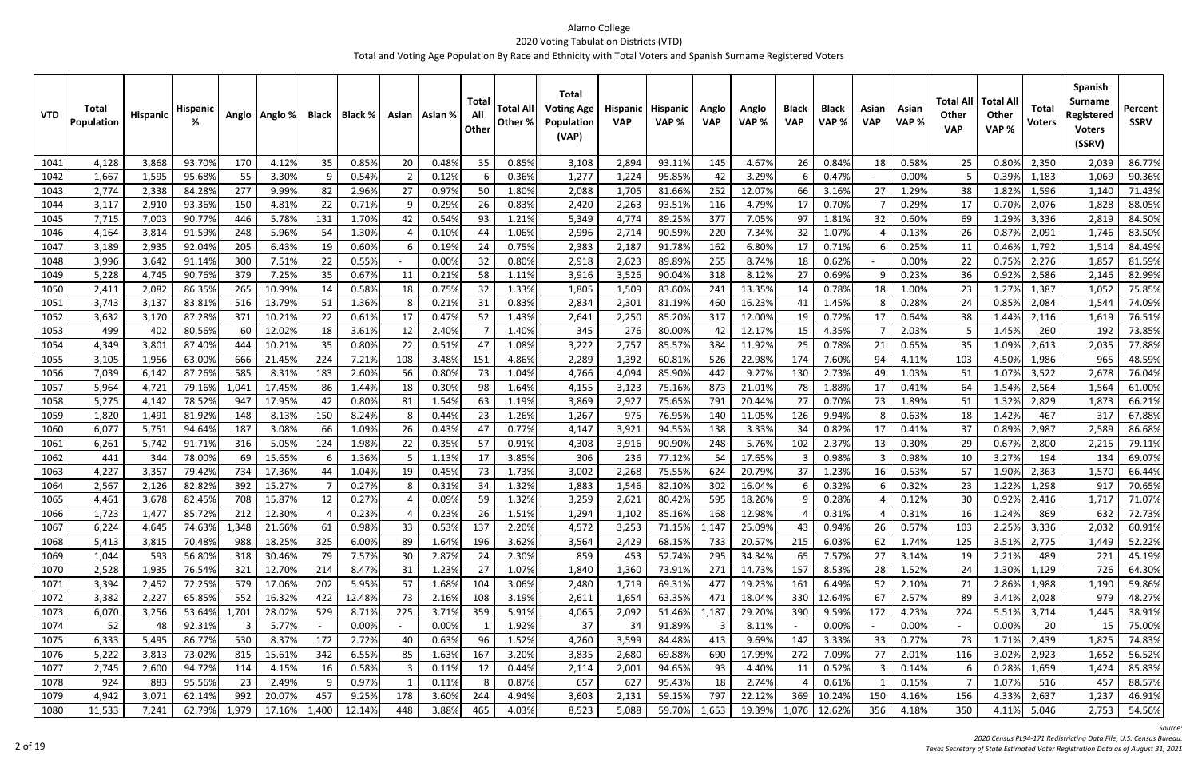| <b>VTD</b>   | Total<br><b>Population</b> | Hispanic       | Hispanic         |              | Anglo   Anglo % | Black     | Black %        |        | Asian   Asian % | Total<br>All<br>Other | <b>Total All</b><br>Other % | <b>Total</b><br><b>Voting Age</b><br>Population<br>(VAP) | Hispanic<br><b>VAP</b> | Hispanic<br>VAP% | Anglo<br><b>VAP</b> | Anglo<br>VAP%    | <b>Black</b><br><b>VAP</b> | <b>Black</b><br>VAP% | Asian<br><b>VAP</b> | Asian<br>VAP%  | Total All<br><b>Other</b><br><b>VAP</b> | <b>Total All</b><br><b>Other</b><br>VAP% | <b>Total</b><br>Voters | <b>Spanish</b><br><b>Surname</b><br>Registered<br><b>Voters</b><br>(SSRV) | Percent<br><b>SSRV</b> |
|--------------|----------------------------|----------------|------------------|--------------|-----------------|-----------|----------------|--------|-----------------|-----------------------|-----------------------------|----------------------------------------------------------|------------------------|------------------|---------------------|------------------|----------------------------|----------------------|---------------------|----------------|-----------------------------------------|------------------------------------------|------------------------|---------------------------------------------------------------------------|------------------------|
| 1041         | 4,128                      | 3,868          | 93.70%           | 170          | 4.12%           | 35        | 0.85%          | 20     | 0.48%           | 35                    | 0.85%                       | 3,108                                                    | 2,894                  | 93.11%           | 145                 | 4.67%            | 26                         | 0.84%                | 18                  | 0.58%          | 25                                      | 0.80%                                    | 2,350                  | 2,039                                                                     | 86.77%                 |
| 1042         | 1,667                      | 1,595          | 95.68%           | 55           | 3.30%           | -9        | 0.54%          |        | 0.12%           |                       | 0.36%                       | 1,277                                                    | 1,224                  | 95.85%           | 42                  | 3.29%            |                            | 0.47%                |                     | 0.00%          |                                         | 0.39%                                    | 1,183                  | 1,069                                                                     | 90.36%                 |
| 1043         | 2,774                      | 2,338          | 84.28%           | 277          | 9.99%           | 82        | 2.96%          | 27     | 0.97%           | 50                    | 1.80%                       | 2,088                                                    | 1,705                  | 81.66%           | 252                 | 12.07%           | 66                         | 3.169                | 27                  | 1.29%          | 38                                      | 1.82%                                    | 1,596                  | 1,140                                                                     | 71.43%                 |
| 1044         | 3,117                      | 2,910          | 93.36%           | 150          | 4.81%           | 22        | 0.71%          |        | 0.29%           | 26                    | 0.83%                       | 2,420                                                    | 2,263                  | 93.51%           | 116                 | 4.79%            | 17                         | 0.70%                |                     | 0.29%          | 17                                      | 0.70%                                    | 2,076                  | 1,828                                                                     | 88.05%                 |
| 1045         | 7,715                      | 7,003          | 90.77%           | 446          | 5.78%           | 131       | 1.70%          | 42     | 0.54%           | 93                    | 1.21%                       | 5,349                                                    | 4,774                  | 89.25%           | 377                 | 7.05%            | 97                         | 1.81%                | 32                  | 0.60%          | 69                                      | 1.29%                                    | 3,336                  | 2,819                                                                     | 84.50%                 |
| 1046         | 4,164                      | 3,814          | 91.59%           | 248          | 5.96%           | 54        | 1.30%          |        | 0.10%           | -44                   | 1.06%                       | 2,996                                                    | 2,714                  | 90.59%           | 220                 | 7.34%            | 32                         | 1.07%                |                     | 0.13%          | 26                                      | 0.87%                                    | 2,091                  | 1,746                                                                     | 83.50%                 |
| 1047         | 3,189                      | 2,935          | 92.04%           | 205          | 6.43%           | 19        | 0.60%          |        | 0.19%           | -24                   | 0.75%                       | 2,383                                                    | 2,187                  | 91.78%           | 162                 | 6.80%            | 17                         | 0.71%                |                     | 0.25%          | 11                                      | 0.46%                                    | 1,792                  | 1,514                                                                     | 84.49%                 |
| 1048         | 3,996                      | 3,642          | 91.14%           | 300          | 7.51%           | 22        | 0.55%          |        | 0.00%           | 32                    | 0.80%                       | 2,918                                                    | 2,623                  | 89.89%           | 255                 | 8.74%            | 18                         | 0.62%                |                     | 0.00%          | 22                                      | 0.75%                                    | 2,276                  | 1,857                                                                     | 81.59%                 |
| 1049         | 5,228                      | 4,745          | 90.76%           | 379          | 7.25%           | 35        | 0.67%          | -11    | 0.21%           | 58                    | 1.11%                       | 3,916                                                    | 3,526                  | 90.04%           | 318                 | 8.12%            | 27                         | 0.69%                |                     | 0.23%          | 36                                      | 0.92%                                    | 2,586                  | 2,146                                                                     | 82.99%                 |
| 1050         | 2,411                      | 2,082          | 86.35%           | 265          | 10.99%          | 14        | 0.58%          | 18     | 0.75%           | 32                    | 1.33%                       | 1,805                                                    | 1,509                  | 83.60%           | 241                 | 13.35%           | 14                         | 0.78%                | 18                  | 1.00%          | 23                                      | 1.27%                                    | 1,387                  | 1,052                                                                     | 75.85%                 |
| 1051         | 3,743                      | 3,137          | 83.819           | 516          | 13.79%          | 51        | 1.36%          |        | 0.21%           | -31                   | 0.83%                       | 2,834                                                    | 2,301                  | 81.19%           | 460                 | 16.23%           |                            | 1.45%                |                     | 0.289          | 24                                      | 0.85%                                    | 2,084                  | 1,544                                                                     | 74.09%                 |
| 1052         | 3,632                      | 3,170          | 87.289           | 371          | 10.21%          | 22        | 0.61%          | 17     | 0.47%           | 52                    | 1.43%                       | 2,641                                                    | 2,250                  | 85.20%           | 317                 | 12.00%           | 19                         | 0.72%                | 17                  | 0.64%          | 38                                      | 1.44%                                    | 2,116                  | 1,619                                                                     | 76.51%                 |
| 1053         | 499                        | 402            | 80.56%           | 60           | 12.02%          | 18        | 3.61%          | 12     | 2.40%           |                       | 1.40%                       | 345                                                      | 276                    | 80.00%           | 42                  | 12.17%           | 15                         | 4.35%                |                     | 2.03%          |                                         | 1.45%                                    | 260                    | 192                                                                       | 73.85%                 |
| 1054         | 4,349                      | 3,801          | 87.40%           | 444          | 10.21%          | 35        | 0.80%          | 22     | 0.51%           | 47                    | 1.08%                       | 3,222                                                    | 2,757                  | 85.57%           | 384                 | 11.92%           | 25                         | 0.78%                | 21                  | 0.65%          | 35                                      | 1.09%                                    | 2,613                  | 2,035                                                                     | 77.88%                 |
| 1055         | 3,105                      | 1,956          | 63.00%           | 666          | 21.45%          | 224       | 7.21%          | 108    | 3.48%           | 151                   | 4.86%                       | 2,289                                                    | 1,392                  | 60.81%           | 526                 | 22.98%           | 174                        | 7.60%                | 94                  | 4.11%          | 103                                     | 4.50%                                    | 1,986                  | 965                                                                       | 48.59%                 |
| 1056         | 7,039                      | 6,142<br>4,721 | 87.26%           | 585          | 8.31%<br>17.45% | 183<br>86 | 2.60%<br>1.44% | 56     | 0.80%           | 73                    | 1.04%                       | 4,766                                                    | 4,094                  | 85.90%           | 442<br>873          | 9.27%            | 130                        | 2.73%                | 49                  | 1.03%          | 51                                      | 1.07%<br>1.54%                           | 3,522                  | 2,678                                                                     | 76.04%<br>61.00%       |
| 1057         | 5,964<br>5,275             | 4,142          | 79.169<br>78.52% | 1,041<br>947 | 17.95%          | 42        | 0.80%          | 18     | 0.30%<br>1.54%  | 98<br>63              | 1.64%<br>1.19%              | 4,155                                                    | 3,123                  | 75.16%<br>75.65% | 791                 | 21.01%<br>20.44% | 78<br>27                   | 1.88%<br>0.70%       | 17                  | 0.41%<br>1.89% | 64                                      | 1.32%                                    | 2,564<br>2,829         | 1,564                                                                     | 66.21%                 |
| 1058<br>1059 | 1,820                      | 1,491          | 81.92%           | 148          | 8.13%           | 150       | 8.24%          | 81     | 0.44%           | 23                    | 1.26%                       | 3,869<br>1,267                                           | 2,927<br>975           | 76.95%           | 140                 | 11.05%           | 126                        | 9.94%                | 73                  | 0.63%          | 51<br>18                                | 1.42%                                    | 467                    | 1,873<br>317                                                              | 67.88%                 |
| 1060         | 6,077                      | 5,751          | 94.64%           | 187          | 3.08%           | 66        | 1.09%          | 26     | 0.43%           | 47                    | 0.77%                       | 4,147                                                    | 3,921                  | 94.55%           | 138                 | 3.33%            | 34                         | 0.82%                | 17                  | 0.41%          | 37                                      | 0.89%                                    | 2,987                  | 2,589                                                                     | 86.68%                 |
| 1061         | 6,261                      | 5,742          | 91.71%           | 316          | 5.05%           | 124       | 1.98%          | 22     | 0.35%           | -57                   | 0.91%                       | 4,308                                                    | 3,916                  | 90.90%           | 248                 | 5.76%            | 102                        | 2.37%                | 13                  | 0.30%          | 29                                      | 0.67%                                    | 2,800                  | 2,215                                                                     | 79.11%                 |
| 1062         | 441                        | 344            | 78.00%           | 69           | 15.65%          | -6        | 1.36%          |        | 1.139           |                       | 3.85%                       | 306                                                      | 236                    | 77.12%           | 54                  | 17.65%           |                            | 0.98%                |                     | 0.98%          | 10                                      | 3.27%                                    | 194                    | 134                                                                       | 69.07%                 |
| 1063         | 4,227                      | 3,357          | 79.42%           | 734          | 17.36%          | 44        | 1.04%          | 19     | 0.45%           | 73                    | 1.73%                       | 3,002                                                    | 2,268                  | 75.55%           | 624                 | 20.79%           | 37                         | 1.23%                | 16                  | 0.53%          | 57                                      | 1.90%                                    | 2,363                  | 1,570                                                                     | 66.44%                 |
| 1064         | 2,567                      | 2,126          | 82.82%           | 392          | 15.27%          |           | 0.27%          |        | 0.31%           | 34                    | 1.32%                       | 1,883                                                    | 1,546                  | 82.10%           | 302                 | 16.04%           |                            | 0.32%                |                     | 0.32%          | 23                                      | 1.22%                                    | 1,298                  | 917                                                                       | 70.65%                 |
| 1065         | 4,461                      | 3,678          | 82.45%           | 708          | 15.87%          | 12        | 0.27%          |        | 0.09%           | 59                    | 1.32%                       | 3,259                                                    | 2,621                  | 80.42%           | 595                 | 18.26%           |                            | 0.28%                |                     | 0.12%          | 30                                      | 0.92%                                    | 2,416                  | 1,717                                                                     | 71.07%                 |
| TOPP         | 1,723                      | 1,477          | 85.72%           | 212          | 12.30%          |           | 0.23%          |        | 0.23%           | 26                    | 1.51%                       | 1,294                                                    | 1,102                  | 85.16%           | 168                 | 12.98%           |                            | 0.31%                |                     | 0.31%          | 1b                                      | 1.24%                                    | 869                    | 63Z                                                                       | 72.73%                 |
| 1067         | 6,224                      | 4,645          | 74.63%           | 1,348        | 21.66%          | 61        | 0.98%          | 33     | 0.53%           | 137                   | 2.20%                       | 4,572                                                    | 3,253                  | 71.15%           | 1,147               | 25.09%           | 43                         | 0.94%                | 26                  | 0.57%          | 103                                     | 2.25%                                    | 3,336                  | 2,032                                                                     | 60.91%                 |
| 1068         | 5,413                      | 3,815          | 70.48%           | 988          | 18.25%          | 325       | 6.00%          | 89     | 1.64%           | 196                   | 3.62%                       | 3,564                                                    | 2,429                  | 68.15%           | 733                 | 20.57%           | 215                        | 6.03%                | 62                  | 1.74%          | 125                                     | 3.51%                                    | 2,775                  | 1,449                                                                     | 52.22%                 |
| 1069         | 1,044                      | 593            | 56.80%           | 318          | 30.46%          | 79        | 7.57%          | 30     | 2.87%           | 24                    | 2.30%                       | 859                                                      | 453                    | 52.74%           | 295                 | 34.34%           | 65                         | 7.57%                | 27                  | 3.14%          | 19                                      | 2.21%                                    | 489                    | 221                                                                       | 45.19%                 |
| 1070         | 2,528                      | 1,935          | 76.54%           | 321          | 12.70%          | 214       | 8.47%          | 31     | 1.23%           | 27                    | 1.07%                       | 1,840                                                    | 1,360                  | 73.91%           | 271                 | 14.73%           | 157                        | 8.53%                | 28                  | 1.52%          | 24                                      | 1.30%                                    | 1,129                  | 726                                                                       | 64.30%                 |
| 1071         | 3,394                      | 2,452          | 72.25%           | 579          | 17.06%          | 202       | 5.95%          | 57     | 1.68%           | 104                   | 3.06%                       | 2,480                                                    | 1,719                  | 69.31%           | 477                 | 19.23%           | 161                        | 6.49%                | 52                  | 2.10%          | 71                                      | 2.86%                                    | 1,988                  | 1,190                                                                     | 59.86%                 |
| 1072         | 3,382                      | 2,227          | 65.85%           | 552          | 16.32%          | 422       | 12.48%         | 73     | 2.16%           | 108                   | 3.19%                       | 2,611                                                    | 1,654                  | 63.35%           | 471                 | 18.04%           | 330                        | 12.64%               | 67                  | 2.57%          | 89                                      | 3.41%                                    | 2,028                  | 979                                                                       | 48.27%                 |
| 1073         | 6,070                      | 3,256          | 53.64%           | 1,701        | 28.02%          | 529       | 8.71%          | 225    | 3.71%           | 359                   | 5.91%                       | 4,065                                                    | 2,092                  | 51.46%           | 1,187               | 29.20%           | 390                        | 9.59%                | 172                 | 4.23%          | 224                                     | 5.51%                                    | 3,714                  | 1,445                                                                     | 38.91%                 |
| 1074         | 52                         | 48             | 92.31%           |              | 5.77%           |           | 0.00%          | $\sim$ | 0.00%           |                       | 1.92%                       | 37                                                       | 34                     | 91.89%           | 3                   | 8.11%            | $\overline{a}$             | 0.00%                |                     | 0.00%          | $\sim$                                  | 0.00%                                    | 20                     | 15                                                                        | 75.00%                 |
| 1075         | 6,333                      | 5,495          | 86.77%           | 530          | 8.37%           | 172       | 2.72%          | 40     | 0.63%           | 96                    | 1.52%                       | 4,260                                                    | 3,599                  | 84.48%           | 413                 | 9.69%            | 142                        | 3.33%                | 33                  | 0.77%          | 73                                      | 1.71%                                    | 2,439                  | 1,825                                                                     | 74.83%                 |
| 1076         | 5,222                      | 3,813          | 73.02%           | 815          | 15.61%          | 342       | 6.55%          | 85     | 1.63%           | 167                   | 3.20%                       | 3,835                                                    | 2,680                  | 69.88%           | 690                 | 17.99%           | 272                        | 7.09%                | 77                  | 2.01%          | 116                                     | 3.02%                                    | 2,923                  | 1,652                                                                     | 56.52%                 |
| 1077         | 2,745                      | 2,600          | 94.72%           | 114          | 4.15%           | 16        | 0.58%          |        | 0.11%           | 12                    | 0.44%                       | 2,114                                                    | 2,001                  | 94.65%           | 93                  | 4.40%            |                            | 0.52%                |                     | 0.14%          |                                         | 0.28%                                    | 1,659                  | 1,424                                                                     | 85.83%                 |
| 1078         | 924                        | 883            | 95.56%           | 23           | 2.49%           | 9         | 0.97%          |        | 0.11%           |                       | 0.87%                       | 657                                                      | 627                    | 95.43%           | 18                  | 2.74%            |                            | 0.61%                |                     | 0.15%          |                                         | 1.07%                                    | 516                    | 457                                                                       | 88.57%                 |
| 1079         | 4,942                      | 3,071          | 62.14%           | 992          | 20.07%          | 457       | 9.25%          | 178    | 3.60%           | 244                   | 4.94%                       | 3,603                                                    | 2,131                  | 59.15%           | 797                 | 22.12%           | 369                        | 10.24%               | 150                 | 4.16%          | 156                                     | 4.33%                                    | 2,637                  | 1,237                                                                     | 46.91%                 |
| 1080         | 11,533                     | 7,241          | 62.79%           | 1,979        | 17.16%          | 1,400     | 12.14%         | 448    | 3.88%           | 465                   | 4.03%                       | 8,523                                                    | 5,088                  | 59.70%           | 1,653               | 19.39%           | 1,076                      | 12.62%               | 356                 | 4.18%          | 350                                     | 4.11%                                    | 5,046                  | 2,753                                                                     | 54.56%                 |

*Source:*

*Census PL94‐171 Redistricting Data File, U.S. Census Bureau.*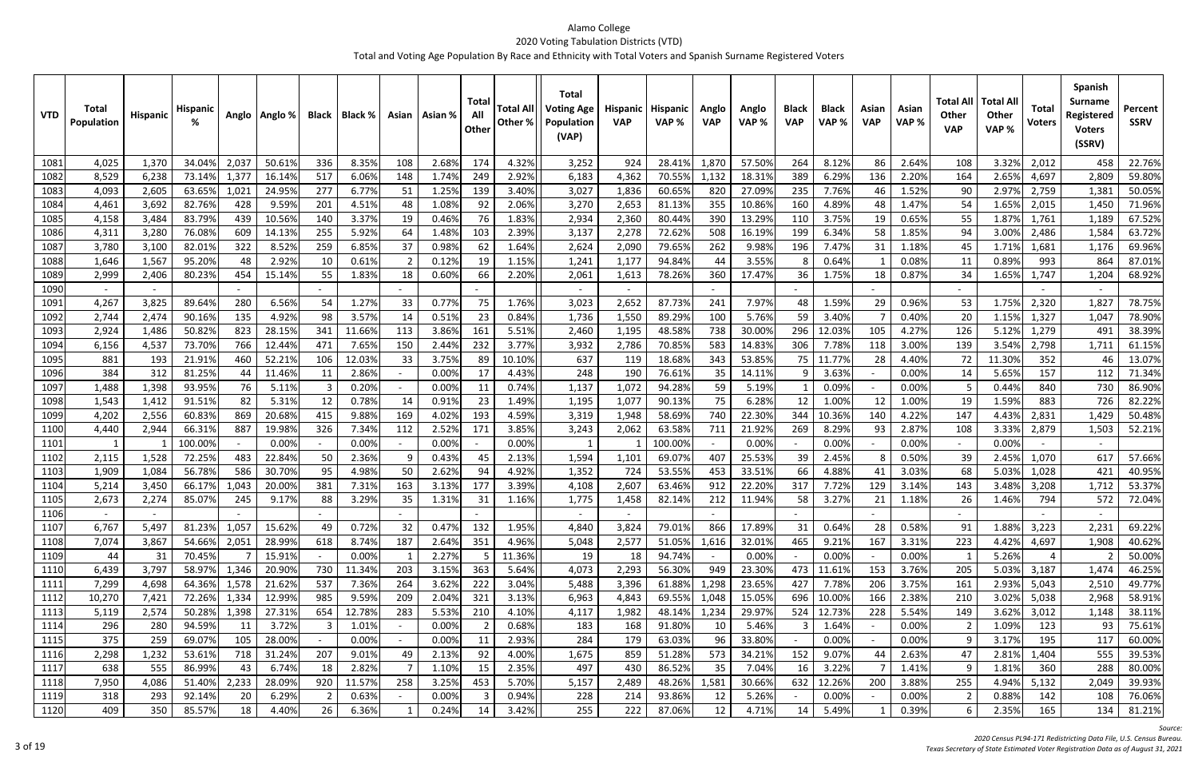| <b>VTD</b>   | <b>Total</b><br>Population | <b>Hispanic</b> | <b>Hispanic</b>  |            | Anglo   Anglo %  | <b>Black</b> | Black %        |        | Asian   Asian % | Total<br>All<br>Other | <b>Total All</b><br>Other % | <b>Total</b><br><b>Voting Age</b><br>Population<br>(VAP) | Hispanic<br><b>VAP</b> | <b>Hispanic</b><br>VAP% | Anglo<br><b>VAP</b> | Anglo<br>VAP %   | <b>Black</b><br><b>VAP</b> | <b>Black</b><br>VAP% | Asian<br><b>VAP</b> | Asian<br>VAP%  | Total All<br><b>Other</b><br><b>VAP</b> | <b>Total Al</b><br><b>Other</b><br>VAP% | <b>Total</b><br><b>Voters</b> | <b>Spanish</b><br><b>Surname</b><br>Registered<br><b>Voters</b><br>(SSRV) | Percent<br><b>SSRV</b> |
|--------------|----------------------------|-----------------|------------------|------------|------------------|--------------|----------------|--------|-----------------|-----------------------|-----------------------------|----------------------------------------------------------|------------------------|-------------------------|---------------------|------------------|----------------------------|----------------------|---------------------|----------------|-----------------------------------------|-----------------------------------------|-------------------------------|---------------------------------------------------------------------------|------------------------|
| 1081         | 4,025                      | 1,370           | 34.04%           | 2,03       | 50.61%           | 336          | 8.35%          | 108    | 2.68%           | 174                   | 4.32%                       | 3,252                                                    | 924                    | 28.41%                  | 1,870               | 57.50%           | 264                        | 8.12%                | 86                  | 2.64%          | 108                                     | 3.32%                                   | 2,012                         | 458                                                                       | 22.76%                 |
| 1082         | 8,529                      | 6,238           | 73.14%           | 1,377      | 16.14%           | 517          | 6.06%          | 148    | 1.74%           | 249                   | 2.92%                       | 6,183                                                    | 4,362                  | 70.55%                  | 1,132               | 18.31%           | 389                        | 6.29%                | 136                 | 2.20%          | 164                                     | 2.65%                                   | 4,697                         | 2,809                                                                     | 59.80%                 |
| 1083         | 4,093                      | 2,605           | 63.65%           | 1,02.      | 24.95%           | 277          | 6.77%          | 51     | 1.25%           | 139                   | 3.40%                       | 3,027                                                    | 1,836                  | 60.65%                  | 820                 | 27.09%           | 235                        | 7.76%                | 46                  | 1.52%          | 90                                      | 2.97%                                   | 2,759                         | 1,381                                                                     | 50.05%                 |
| 1084         | 4,461                      | 3,692           | 82.76%           | 428        | 9.59%            | 201          | 4.51%          | 48     | 1.08%           | 92                    | 2.06%                       | 3,270                                                    | 2,653                  | 81.13%                  | 355                 | 10.86%           | 160                        | 4.89%                | 48                  | 1.47%          | 54                                      | 1.65%                                   | 2,015                         | 1,450                                                                     | 71.96%                 |
| 1085         | 4,158                      | 3,484           | 83.79%           | 439        | 10.56%           | 140          | 3.37%          | 19     | 0.46%           | 76                    | 1.83%                       | 2,934                                                    | 2,360                  | 80.44%                  | 390                 | 13.29%           | 110                        | 3.75%                | 19                  | 0.65%          | 55                                      | 1.87%                                   | 1,761                         | 1,189                                                                     | 67.52%                 |
| 1086         | 4,311                      | 3,280           | 76.08%           | 609        | 14.13%           | 255          | 5.92%          | 64     | 1.48%           | 103                   | 2.39%                       | 3,137                                                    | 2,278                  | 72.62%                  | 508                 | 16.19%           | 199                        | 6.34%                | 58                  | 1.85%          | 94                                      | 3.00%                                   | 2,486                         | 1,584                                                                     | 63.72%                 |
| 1087         | 3,780                      | 3,100           | 82.01%           | 322        | 8.52%            | 259          | 6.85%          | 37     | 0.98%           | 62                    | 1.64%                       | 2,624                                                    | 2,090                  | 79.65%                  | 262                 | 9.98%            | 196                        | 7.47%                | 31                  | 1.18%          | 45                                      | 1.71%                                   | 1,681                         | 1,176                                                                     | 69.96%                 |
| 1088         | 1,646                      | 1,567           | 95.20%           | 48         | 2.92%            | 10           | 0.61%          |        | 0.12%           | -19                   | 1.15%                       | 1,241                                                    | 1,177                  | 94.84%                  | 44                  | 3.55%            |                            | 0.64%                |                     | 0.08%          | 11                                      | 0.89%                                   | 993                           | 864                                                                       | 87.01%                 |
| 1089         | 2,999                      | 2,406           | 80.23%           | 454        | 15.14%           | 55           | 1.83%          | 18     | 0.60%           | 66                    | 2.20%                       | 2,061                                                    | 1,613                  | 78.26%                  | 360                 | 17.47%           | 36                         | 1.75%                | 18                  | 0.87%          | 34                                      | 1.65%                                   | 1,747                         | 1,204                                                                     | 68.92%                 |
| 1090         |                            |                 |                  |            |                  |              |                |        |                 |                       |                             |                                                          |                        |                         |                     |                  |                            |                      |                     |                |                                         |                                         |                               |                                                                           |                        |
| 1091         | 4,267                      | 3,825           | 89.64%           | 280        | 6.56%            | 54           | 1.27%          | 33     | 0.77%           | 75                    | 1.76%                       | 3,023                                                    | 2,652                  | 87.73%                  | 241                 | 7.97%            | 48                         | 1.59%                | 29                  | 0.96%          | 53                                      | 1.75%                                   | 2,320                         | 1,827                                                                     | 78.75%                 |
| 1092         | 2,744                      | 2,474           | 90.169           | 135        | 4.92%            | 98           | 3.57%          | 14     | 0.51%           | 23                    | 0.84%                       | 1,736                                                    | 1,550                  | 89.29%                  | 100                 | 5.76%            | 59                         | 3.40%                |                     | 0.40%          | 20                                      | 1.15%                                   | 1,327                         | 1,047                                                                     | 78.90%                 |
| 1093         | 2,924                      | 1,486           | 50.82%           | 823        | 28.15%           | 341          | 11.66%         | 113    | 3.86%           | 161                   | 5.51%                       | 2,460                                                    | 1,195                  | 48.58%                  | 738                 | 30.00%           | 296                        | 12.03%               | 105                 | 4.27%          | 126                                     | 5.12%                                   | 1,279                         | 491                                                                       | 38.39%                 |
| 1094         | 6,156                      | 4,537           | 73.70%           | 766        | 12.44%           | 471          | 7.65%          | 150    | 2.44%           | 232                   | 3.77%                       | 3,932                                                    | 2,786                  | 70.85%                  | 583                 | 14.83%           | 306                        | 7.78%                | 118                 | 3.00%          | 139                                     | 3.54%                                   | 2,798                         | 1,71                                                                      | 61.15%                 |
| 1095         | 881                        | 193             | 21.91%           | 460        | 52.21%           | 106          | 12.03%         | 33     | 3.75%           | 89                    | 10.10%                      | 637                                                      | 119                    | 18.68%                  | 343                 | 53.85%           | 75                         | 11.77%               | 28                  | 4.40%          | 72                                      | 11.30%                                  | 352                           | 46                                                                        | 13.07%                 |
| 1096         | 384                        | 312             | 81.25%           | 44         | 11.46%           | 11           | 2.86%          | $\sim$ | 0.009           | 17                    | 4.43%                       | 248                                                      | 190                    | 76.61%                  | 35                  | 14.11%           |                            | 3.63%                |                     | 0.00%          | 14                                      | 5.65%                                   | 157                           | 112                                                                       | 71.34%                 |
| 1097         | 1,488                      | 1,398           | 93.95%           | 76         | 5.11%            | -3           | 0.20%          | $\sim$ | 0.009           | -11                   | 0.74%                       | 1,137                                                    | 1,072                  | 94.28%                  | 59                  | 5.19%            |                            | 0.09%                |                     | 0.00%          |                                         | 0.44%                                   | 840                           | 730                                                                       | 86.90%                 |
| 1098         | 1,543                      | 1,412           | 91.51%           | 82         | 5.31%            | 12           | 0.78%          | 14     | 0.91%           | 23                    | 1.49%                       | 1,195                                                    | 1,077                  | 90.13%                  | 75                  | 6.28%            | 12                         | 1.00%                | 12                  | 1.00%          | 19                                      | 1.59%                                   | 883                           | 726                                                                       | 82.22%                 |
| 1099         | 4,202                      | 2,556           | 60.83%           | 869        | 20.68%           | 415          | 9.88%          | 169    | 4.02%           | 193                   | 4.59%                       | 3,319                                                    | 1,948                  | 58.69%                  | 740                 | 22.30%           | 344                        | 10.369               | 140                 | 4.22%          | 147                                     | 4.43%                                   | 2,831                         | 1,429                                                                     | 50.48%                 |
| 1100         | 4,440                      | 2,944           | 66.31%           | 887        | 19.98%           | 326          | 7.34%          | 112    | 2.52%           | 171                   | 3.85%                       | 3,243                                                    | 2,062                  | 63.58%                  | 711                 | 21.92%           | 269                        | 8.29%                | 93                  | 2.87%          | 108                                     | 3.33%                                   | 2,879                         | 1,503                                                                     | 52.21%                 |
| 1101         |                            |                 | 100.00%          |            | 0.00%            |              | 0.00%          |        | 0.00%           |                       | 0.00%                       |                                                          |                        | 100.00%                 | 407                 | 0.00%            |                            | 0.00%                |                     | 0.00%          |                                         | 0.00%                                   |                               |                                                                           |                        |
| 1102<br>1103 | 2,115<br>1,909             | 1,528<br>1,084  | 72.259<br>56.78% | 483<br>586 | 22.84%<br>30.70% | 50<br>95     | 2.36%<br>4.98% | 50     | 0.43%<br>2.62%  | 45<br>94              | 2.13%<br>4.92%              | 1,594<br>1,352                                           | 1,101<br>724           | 69.07%<br>53.55%        | 453                 | 25.53%<br>33.51% | 39<br>66                   | 2.45%<br>4.88%       |                     | 0.50%<br>3.03% | 39<br>68                                | 2.45%<br>5.03%                          | 1,070<br>1,028                | 617<br>421                                                                | 57.66%<br>40.95%       |
| 1104         | 5,214                      | 3,450           | 66.17%           | 1,043      | 20.00%           | 381          | 7.31%          | 163    | 3.13%           | 177                   | 3.39%                       | 4,108                                                    | 2,607                  | 63.46%                  | 912                 | 22.20%           | 317                        | 7.72%                | 129                 | 3.14%          | 143                                     | 3.48%                                   | 3,208                         | 1,712                                                                     | 53.37%                 |
| 1105         | 2,673                      | 2,274           | 85.07%           | 245        | 9.17%            | 88           | 3.29%          | 35     | 1.31%           | -31                   | 1.16%                       | 1,775                                                    | 1,458                  | 82.14%                  | 212                 | 11.94%           | 58                         | 3.27%                | 21                  | 1.18%          | 26                                      | 1.46%                                   | 794                           | 572                                                                       | 72.04%                 |
| 110P         |                            |                 |                  |            |                  | $\sim$       |                | $\sim$ |                 | $\sim$                |                             | $\sim$                                                   | $\sim$                 |                         |                     |                  | $\overline{\phantom{a}}$   |                      |                     |                | $\overline{\phantom{0}}$                |                                         |                               |                                                                           |                        |
| 1107         | 6,767                      | 5,497           | 81.23%           | 1,057      | 15.62%           | 49           | 0.72%          | 32     | 0.47%           | 132                   | 1.95%                       | 4,840                                                    | 3,824                  | 79.01%                  | 866                 | 17.89%           | 31                         | 0.64%                | 28                  | 0.58%          | 91                                      | 1.88%                                   | 3,223                         | 2,231                                                                     | 69.22%                 |
| 1108         | 7,074                      | 3,867           | 54.66%           | 2,051      | 28.99%           | 618          | 8.74%          | 187    | 2.64%           | 351                   | 4.96%                       | 5,048                                                    | 2,577                  | 51.05%                  | 1,616               | 32.01%           | 465                        | 9.21%                | 167                 | 3.31%          | 223                                     | 4.42%                                   | 4,697                         | 1,908                                                                     | 40.62%                 |
| 1109         | 44                         | 31              | 70.45%           |            | 15.91%           | $\sim$       | 0.00%          |        | 2.27%           |                       | 11.36%                      | 19                                                       | 18                     | 94.74%                  | $\sim$              | 0.00%            | $\overline{a}$             | 0.00%                | $\overline{a}$      | 0.00%          |                                         | 5.26%                                   | 4                             |                                                                           | 50.00%                 |
| 1110         | 6,439                      | 3,797           | 58.97%           | 1,346      | 20.90%           | 730          | 11.34%         | 203    | 3.15%           | 363                   | 5.64%                       | 4,073                                                    | 2,293                  | 56.30%                  | 949                 | 23.30%           | 473                        | 11.61%               | 153                 | 3.76%          | 205                                     | 5.03%                                   | 3,187                         | 1,474                                                                     | 46.25%                 |
| 1111         | 7,299                      | 4,698           | 64.36%           | 1,578      | 21.62%           | 537          | 7.36%          | 264    | 3.62%           | 222                   | 3.04%                       | 5,488                                                    | 3,396                  | 61.88%                  | 1,298               | 23.65%           | 427                        | 7.78%                | 206                 | 3.75%          | 161                                     | 2.93%                                   | 5,043                         | 2,510                                                                     | 49.77%                 |
| 1112         | 10,270                     | 7,421           | 72.26%           | 1,334      | 12.99%           | 985          | 9.59%          | 209    | 2.04%           | 321                   | 3.13%                       | 6,963                                                    | 4,843                  | 69.55%                  | 1,048               | 15.05%           | 696                        | 10.00%               | 166                 | 2.38%          | 210                                     | 3.02%                                   | 5,038                         | 2,968                                                                     | 58.91%                 |
| 1113         | 5,119                      | 2,574           | 50.28%           | 1,398      | 27.31%           | 654          | 12.78%         | 283    | 5.53%           | 210                   | 4.10%                       | 4,117                                                    | 1,982                  | 48.14%                  | 1,234               | 29.97%           | 524                        | 12.73%               | 228                 | 5.54%          | 149                                     | 3.62%                                   | 3,012                         | 1,148                                                                     | 38.11%                 |
| 1114         | 296                        | 280             | 94.59%           | 11         | 3.72%            | -3           | 1.01%          | $\sim$ | 0.00%           |                       | 0.68%                       | 183                                                      | 168                    | 91.80%                  | 10                  | 5.46%            |                            | 1.64%                |                     | 0.00%          |                                         | 1.09%                                   | 123                           | 93                                                                        | 75.61%                 |
| 1115         | 375                        | 259             | 69.07%           | 105        | 28.00%           |              | 0.00%          | $\sim$ | 0.00%           | 11                    | 2.93%                       | 284                                                      | 179                    | 63.03%                  | 96                  | 33.80%           |                            | 0.00%                |                     | 0.00%          |                                         | 3.17%                                   | 195                           | 117                                                                       | 60.00%                 |
| 1116         | 2,298                      | 1,232           | 53.61%           | 718        | 31.24%           | 207          | 9.01%          | 49     | 2.13%           | 92                    | 4.00%                       | 1,675                                                    | 859                    | 51.28%                  | 573                 | 34.21%           | 152                        | 9.07%                | 44                  | 2.63%          | 47                                      | 2.81%                                   | 1,404                         | 555                                                                       | 39.53%                 |
| 1117         | 638                        | 555             | 86.99%           | 43         | 6.74%            | 18           | 2.82%          |        | 1.10%           | 15                    | 2.35%                       | 497                                                      | 430                    | 86.52%                  | 35                  | 7.04%            | 16                         | 3.22%                |                     | 1.41%          |                                         | 1.81%                                   | 360                           | 288                                                                       | 80.00%                 |
| 1118         | 7,950                      | 4,086           | 51.40%           | 2,233      | 28.09%           | 920          | 11.57%         | 258    | 3.25%           | 453                   | 5.70%                       | 5,157                                                    | 2,489                  | 48.26%                  | 1,581               | 30.66%           | 632                        | 12.26%               | 200                 | 3.88%          | 255                                     | 4.94%                                   | 5,132                         | 2,049                                                                     | 39.93%                 |
| 1119         | 318                        | 293             | 92.14%           | 20         | 6.29%            |              | 0.63%          | $\sim$ | 0.00%           |                       | 0.94%                       | 228                                                      | 214                    | 93.86%                  | 12                  | 5.26%            | $\overline{\phantom{a}}$   | 0.00%                |                     | 0.00%          |                                         | 0.88%                                   | 142                           | 108                                                                       | 76.06%                 |
| 1120         | 409                        | 350             | 85.57%           | 18         | 4.40%            | 26           | 6.36%          |        | 0.24%           | 14                    | 3.42%                       | 255                                                      | 222                    | 87.06%                  | 12                  | 4.71%            | 14                         | 5.49%                |                     | 0.39%          | 6                                       | 2.35%                                   | 165                           | 134                                                                       | 81.21%                 |

*Source:*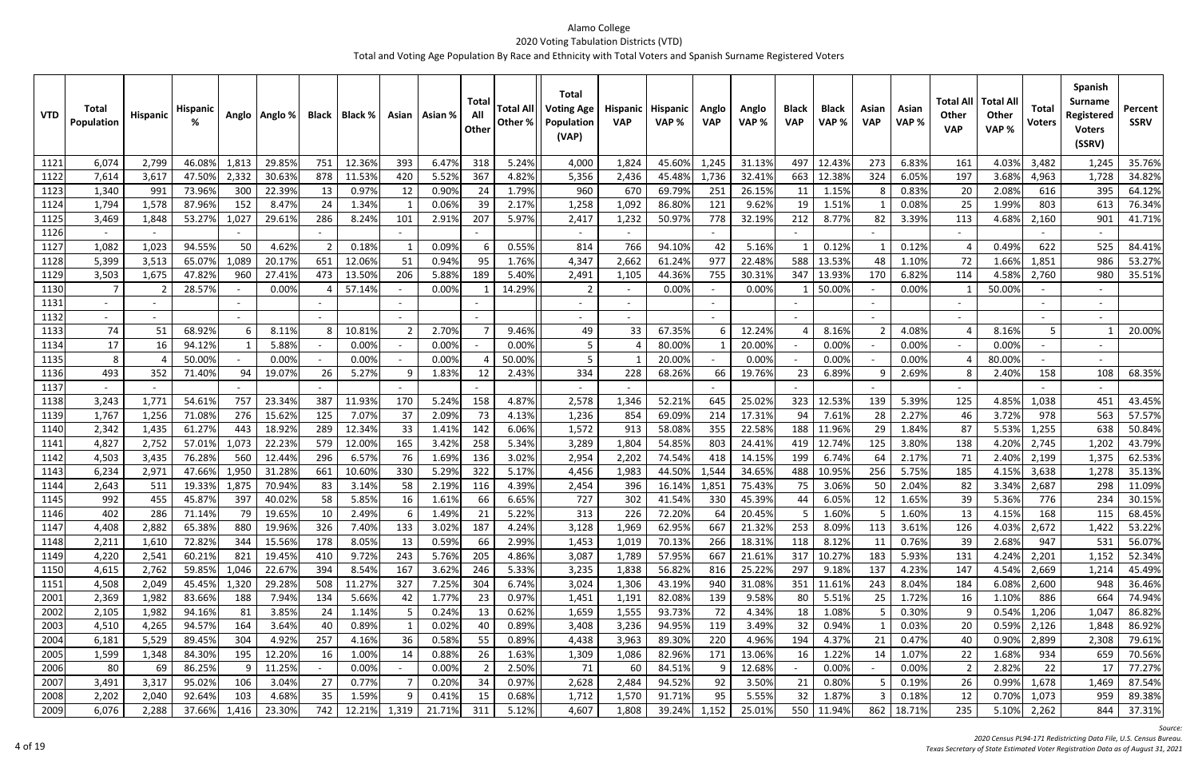| <b>VTD</b>   | <b>Total</b><br>Population | Hispanic     | Hispanic         |              | Anglo   Anglo %  |           | Black   Black % |          | Asian   Asian % | <b>Total</b><br>All<br>Other | <b>Total All</b><br>Other % | <b>Total</b><br><b>Voting Age</b><br>Population<br>(VAP) | <b>Hispanic</b><br><b>VAP</b> | <b>Hispanic</b><br>VAP% | Anglo<br><b>VAP</b> | Anglo<br>VAP %   | <b>Black</b><br><b>VAP</b> | <b>Black</b><br>VAP% | Asian<br><b>VAP</b> | Asian<br>VAP%  | <b>Total All</b><br>Other<br><b>VAP</b> | <b>Total Al</b><br>Other<br>VAP% | Total<br><b>Voters</b> | Spanish<br><b>Surname</b><br>Registered<br><b>Voters</b><br>(SSRV) | Percent<br><b>SSRV</b> |
|--------------|----------------------------|--------------|------------------|--------------|------------------|-----------|-----------------|----------|-----------------|------------------------------|-----------------------------|----------------------------------------------------------|-------------------------------|-------------------------|---------------------|------------------|----------------------------|----------------------|---------------------|----------------|-----------------------------------------|----------------------------------|------------------------|--------------------------------------------------------------------|------------------------|
| 1121         | 6,074                      | 2,799        | 46.08%           | 1,813        | 29.85%           | 751       | 12.36%          | 393      | 6.47%           | 318                          | 5.24%                       | 4,000                                                    | 1,824                         | 45.60%                  | 1,245               | 31.13%           | 497                        | 12.439               | 273                 | 6.83%          | 161                                     | 4.03%                            | 3,482                  | 1,245                                                              | 35.76%                 |
| 1122         | 7,614                      | 3,617        | 47.50%           | 2,332        | 30.63%           | 878       | 11.53%          | 420      | 5.529           | 367                          | 4.82%                       | 5,356                                                    | 2,436                         | 45.48%                  | 1,736               | 32.41%           | 663                        | 12.38%               | 324                 | 6.05%          | 197                                     | 3.68%                            | 4,963                  | 1,728                                                              | 34.82%                 |
| 1123         | 1,340                      | 991          | 73.96%           | 300          | 22.39%           | 13        | 0.97%           | 12       | 0.90%           | 24                           | 1.79%                       | 960                                                      | 670                           | 69.79%                  | 251                 | 26.15%           | 11                         | 1.15%                |                     | 0.83%          | 20                                      | 2.08%                            | 616                    | 395                                                                | 64.12%                 |
| 1124         | 1,794                      | 1,578        | 87.96%           | 152          | 8.47%            | 24        | 1.34%           |          | 0.069           | 39                           | 2.17%                       | 1,258                                                    | 1,092                         | 86.80%                  | 121                 | 9.62%            | 19                         | 1.51%                |                     | 0.08%          | 25                                      | 1.99%                            | 803                    | 613                                                                | 76.34%                 |
| 1125         | 3,469                      | 1,848        | 53.27%           | 1,027        | 29.61%           | 286       | 8.24%           | 101      | 2.91%           | 207                          | 5.97%                       | 2,417                                                    | 1,232                         | 50.97%                  | 778                 | 32.19%           | 212                        | 8.77%                | 82                  | 3.39%          | 113                                     | 4.68%                            | 2,160                  | 901                                                                | 41.71%                 |
| 1126         |                            |              |                  |              |                  |           |                 |          |                 |                              |                             | $\sim$                                                   |                               |                         |                     |                  |                            |                      |                     |                | $\sim$                                  |                                  |                        |                                                                    |                        |
| 1127         | 1,082                      | 1,023        | 94.55%           | 50           | 4.62%            | -2        | 0.18%           |          | 0.09%           | 6                            | 0.55%                       | 814                                                      | 766                           | 94.10%                  | 42                  | 5.16%            |                            | 0.12%                |                     | 0.12%          |                                         | 0.49%                            | 622                    | 525                                                                | 84.41%                 |
| 1128         | 5,399                      | 3,513        | 65.07%           | 1,089        | 20.17%           | 651       | 12.06%          | 51       | 0.94%           | 95                           | 1.76%                       | 4,347                                                    | 2,662                         | 61.24%                  | 977                 | 22.48%           | 588                        | 13.53%               | 48                  | 1.10%          | 72                                      | 1.66%                            | 1,851                  | 986                                                                | 53.27%                 |
| 1129         | 3,503                      | 1,675        | 47.82%           | 960          | 27.41%           | 473       | 13.50%          | 206      | 5.889           | 189                          | 5.40%                       | 2,491                                                    | 1,105                         | 44.36%                  | 755                 | 30.31%           | 347                        | 13.939               | 170                 | 6.82%          | 114                                     | 4.58%                            | 2,760                  | 980                                                                | 35.51%                 |
| 1130         | $\overline{7}$             |              | 28.57%           |              | 0.00%            |           | 57.14%          |          | 0.00%           |                              | 14.29%                      |                                                          |                               | 0.00%                   |                     | 0.00%            |                            | 50.00%               |                     | 0.00%          |                                         | 50.00%                           |                        |                                                                    |                        |
| 1131         |                            |              |                  |              |                  |           |                 |          |                 |                              |                             |                                                          |                               |                         |                     |                  |                            |                      |                     |                |                                         |                                  |                        |                                                                    |                        |
| 1132         |                            |              |                  |              |                  |           |                 |          |                 |                              |                             |                                                          |                               |                         |                     |                  |                            |                      |                     |                |                                         |                                  |                        |                                                                    |                        |
| 1133         | 74                         | 51           | 68.92%           |              | 8.11%            |           | 10.81%          |          | 2.70%           |                              | 9.46%                       | 49                                                       | 33                            | 67.35%                  |                     | 12.24%           |                            | 8.16%                |                     | 4.08%          |                                         | 8.16%                            | .5                     |                                                                    | 20.00%                 |
| 1134         | 17                         | 16           | 94.12%           | $\mathbf{1}$ | 5.88%            |           | 0.00%           |          | 0.00%           |                              | 0.00%                       |                                                          |                               | 80.00%                  |                     | 20.00%           |                            | 0.00%                |                     | 0.00%          | $\sim$                                  | 0.00%                            |                        |                                                                    |                        |
| 1135         | 8                          | - 4          | 50.00%           |              | 0.00%            |           | 0.00%           |          | 0.00%           |                              | 50.00%                      |                                                          |                               | 20.00%                  |                     | 0.00%            |                            | 0.00%                |                     | 0.00%          |                                         | 80.00%                           |                        |                                                                    |                        |
| 1136         | 493                        | 352          | 71.40%           | 94           | 19.07%           | 26        | 5.27%           | 9        | 1.83%           | 12                           | 2.43%                       | 334                                                      | 228                           | 68.26%                  | 66                  | 19.76%           | 23                         | 6.89%                |                     | 2.69%          |                                         | 2.40%                            | 158                    | 108                                                                | 68.35%                 |
| 1137         |                            |              |                  |              |                  |           |                 |          |                 |                              |                             |                                                          |                               |                         |                     |                  |                            |                      |                     |                |                                         |                                  |                        |                                                                    |                        |
| 1138         | 3,243                      | 1,771        | 54.61%           | 757          | 23.34%           | 387       | 11.93%          | 170      | 5.24%           | 158                          | 4.87%                       | 2,578                                                    | 1,346                         | 52.21%                  | 645                 | 25.02%           | 323                        | 12.53%               | 139                 | 5.39%          | 125                                     | 4.85%                            | 1,038                  | 451                                                                | 43.45%                 |
| 1139         | 1,767                      | 1,256        | 71.08%           | 276          | 15.62%           | 125       | 7.07%           | 37       | 2.09%           | 73                           | 4.13%                       | 1,236                                                    | 854                           | 69.09%                  | 214                 | 17.31%           | 94                         | 7.61%                | 28                  | 2.27%          | 46                                      | 3.72%                            | 978                    | 563                                                                | 57.57%                 |
| 1140         | 2,342                      | 1,435        | 61.27%           | 443          | 18.92%           | 289       | 12.34%          | 33       | 1.41%           | 142                          | 6.06%                       | 1,572                                                    | 913                           | 58.08%                  | 355                 | 22.58%           | 188                        | 11.96%               | 29                  | 1.84%          | 87                                      | 5.53%                            | 1,255                  | 638                                                                | 50.84%                 |
| 1141         | 4,827                      | 2,752        | 57.01%           | 1,073        | 22.23%           | 579       | 12.00%          | 165      | 3.42%           | 258                          | 5.34%                       | 3,289                                                    | 1,804                         | 54.85%                  | 803                 | 24.41%           | 419                        | 12.749               | 125                 | 3.80%          | 138                                     | 4.20%                            | 2,745                  | 1,202                                                              | 43.79%                 |
| 1142         | 4,503                      | 3,435        | 76.289           | 560          | 12.44%           | 296       | 6.57%           | 76       | 1.69%           | 136                          | 3.02%                       | 2,954                                                    | 2,202                         | 74.54%                  | 418                 | 14.15%           | 199                        | 6.749                | 64                  | 2.17%          | 71                                      | 2.40%                            | 2,199                  | 1,375                                                              | 62.53%                 |
| 1143         | 6,234                      | 2,971        | 47.66%           | 1,950        | 31.28%           | 661       | 10.60%          | 330      | 5.299           | 322                          | 5.17%                       | 4,456                                                    | 1,983                         | 44.50%                  | 1,544               | 34.65%           | 488                        | 10.95%               | 256                 | 5.75%          | 185                                     | 4.15%                            | 3,638                  | 1,278                                                              | 35.13%                 |
| 1144         | 2,643                      | 511          | 19.33%           | 1,875        | 70.94%           | 83        | 3.14%           | 58       | 2.199           | 116                          | 4.39%                       | 2,454                                                    | 396                           | 16.149                  | 1,851               | 75.43%           | 75                         | 3.06%                | 50                  | 2.04%          | 82                                      | 3.34%                            | 2,687                  | 298                                                                | 11.09%                 |
| 1145         | 992                        | 455          | 45.87%           | 397          | 40.02%           | 58        | 5.85%           | 16       | 1.61%           | 66                           | 6.65%                       | 727                                                      | 302                           | 41.54%                  | 330                 | 45.39%           | 44                         | 6.05%                | 12                  | 1.65%          | 39                                      | 5.36%                            | 776                    | 234                                                                | 30.15%                 |
| 1146         | 402<br>4,408               | 286<br>2,882 | 71.14%<br>65.38% | 79<br>880    | 19.65%<br>19.96% | 10<br>326 | 2.49%<br>7.40%  | b<br>133 | 1.49%<br>3.02%  | 21<br>187                    | 5.22%<br>4.24%              | 313<br>3,128                                             | 226                           | 72.20%<br>62.95%        | 64<br>667           | 20.45%<br>21.32% | э<br>253                   | 1.60%<br>8.09%       | כ<br>113            | 1.60%<br>3.61% | 13.                                     | 4.15%<br>4.03%                   | 168<br>2,672           | 115                                                                | 68.45%                 |
| 1147<br>1148 | 2,211                      | 1,610        | 72.82%           | 344          | 15.56%           | 178       | 8.05%           | 13       | 0.59%           | 66                           | 2.99%                       | 1,453                                                    | 1,969<br>1,019                | 70.13%                  | 266                 | 18.31%           | 118                        | 8.12%                | 11                  | 0.76%          | 126<br>39                               | 2.68%                            | 947                    | 1,422<br>531                                                       | 53.22%<br>56.07%       |
| 1149         | 4,220                      | 2,541        | 60.21%           | 821          | 19.45%           | 410       | 9.72%           | 243      | 5.76%           | 205                          | 4.86%                       | 3,087                                                    | 1,789                         | 57.95%                  | 667                 | 21.61%           | 317                        | 10.27%               | 183                 | 5.93%          | 131                                     | 4.24%                            | 2,201                  | 1,152                                                              | 52.34%                 |
| 1150         | 4,615                      | 2,762        | 59.85%           | 1,046        | 22.67%           | 394       | 8.54%           | 167      | 3.62%           | 246                          | 5.33%                       | 3,235                                                    | 1,838                         | 56.82%                  | 816                 | 25.22%           | 297                        | 9.18%                | 137                 | 4.23%          | 147                                     | 4.54%                            | 2,669                  | 1,214                                                              | 45.49%                 |
| 1151         | 4,508                      | 2,049        | 45.45%           | 1,320        | 29.28%           | 508       | 11.27%          | 327      | 7.25%           | 304                          | 6.74%                       | 3,024                                                    | 1,306                         | 43.19%                  | 940                 | 31.08%           | 351                        | 11.61%               | 243                 | 8.04%          | 184                                     | 6.08%                            | 2,600                  | 948                                                                | 36.46%                 |
| 2001         | 2,369                      | 1,982        | 83.66%           | 188          | 7.94%            | 134       | 5.66%           | 42       | 1.77%           | 23                           | 0.97%                       | 1,451                                                    | 1,191                         | 82.08%                  | 139                 | 9.58%            | 80                         | 5.51%                | 25                  | 1.72%          | 16                                      | 1.10%                            | 886                    | 664                                                                | 74.94%                 |
| 2002         | 2,105                      | 1,982        | 94.16%           | 81           | 3.85%            | 24        | 1.14%           |          | 0.24%           | 13                           | 0.62%                       | 1,659                                                    | 1,555                         | 93.73%                  | 72                  | 4.34%            | 18                         | 1.08%                |                     | 0.30%          |                                         | 0.54%                            | 1,206                  | 1,047                                                              | 86.82%                 |
| 2003         | 4,510                      | 4,265        | 94.57%           | 164          | 3.64%            | 40        | 0.89%           |          | 0.02%           | 40                           | 0.89%                       | 3,408                                                    | 3,236                         | 94.95%                  | 119                 | 3.49%            | 32                         | 0.94%                |                     | 0.03%          | 20                                      | 0.59%                            | 2,126                  | 1,848                                                              | 86.92%                 |
| 2004         | 6,181                      | 5,529        | 89.45%           | 304          | 4.92%            | 257       | 4.16%           | 36       | 0.58%           | 55                           | 0.89%                       | 4,438                                                    | 3,963                         | 89.30%                  | 220                 | 4.96%            | 194                        | 4.37%                | 21                  | 0.47%          | 40                                      | 0.90%                            | 2,899                  | 2,308                                                              | 79.61%                 |
| 2005         | 1,599                      | 1,348        | 84.30%           | 195          | 12.20%           | 16        | 1.00%           | 14       | 0.88%           | 26                           | 1.63%                       | 1,309                                                    | 1,086                         | 82.96%                  | 171                 | 13.06%           | 16                         | 1.22%                | 14                  | 1.07%          | 22                                      | 1.68%                            | 934                    | 659                                                                | 70.56%                 |
| 2006         | 80                         | 69           | 86.25%           | 9            | 11.25%           |           | 0.00%           |          | 0.00%           |                              | 2.50%                       | 71                                                       | 60                            | 84.51%                  | -9                  | 12.68%           | $\overline{\phantom{a}}$   | 0.00%                |                     | 0.00%          |                                         | 2.82%                            | 22                     | 17                                                                 | 77.27%                 |
| 2007         | 3,491                      | 3,317        | 95.02%           | 106          | 3.04%            | 27        | 0.77%           |          | 0.20%           | 34                           | 0.97%                       | 2,628                                                    | 2,484                         | 94.52%                  | 92                  | 3.50%            | 21                         | 0.80%                |                     | 0.19%          | 26                                      | 0.99%                            | 1,678                  | 1,469                                                              | 87.54%                 |
| 2008         | 2,202                      | 2,040        | 92.64%           | 103          | 4.68%            | 35        | 1.59%           |          | 0.41%           | 15                           | 0.68%                       | 1,712                                                    | 1,570                         | 91.71%                  | 95                  | 5.55%            | 32                         | 1.87%                |                     | 0.18%          | 12                                      | 0.70%                            | 1,073                  | 959                                                                | 89.38%                 |
| 2009         | 6,076                      | 2,288        | 37.66%           | 1,416        | 23.30%           | 742       | 12.21%          | 1,319    | 21.71%          | 311                          | 5.12%                       | 4,607                                                    | 1,808                         | 39.24%                  | 1,152               | 25.01%           | 550                        | 11.94%               | 862                 | 18.71%         | 235                                     | 5.10%                            | 2,262                  | 844                                                                | 37.31%                 |

*Source:*

*Census PL94‐171 Redistricting Data File, U.S. Census Bureau.*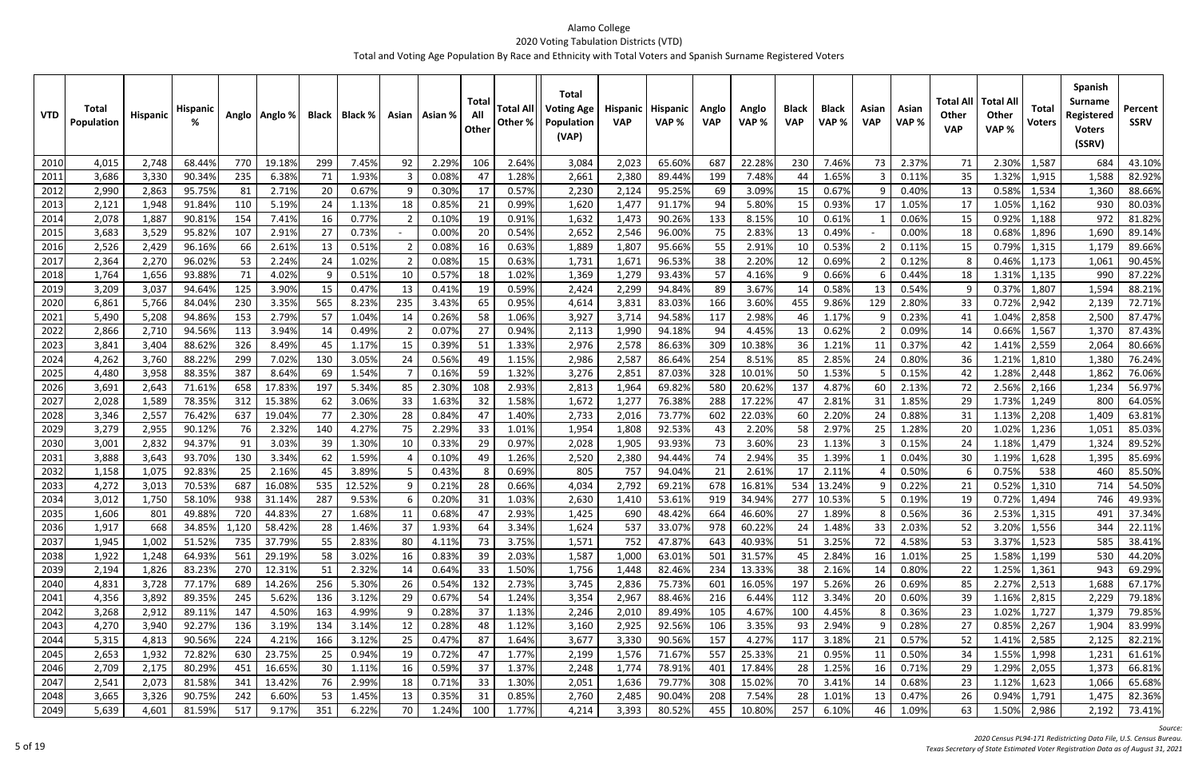| <b>VTD</b>    | Total<br><b>Population</b> | Hispanic       | <b>Hispanic</b>  |           | Anglo   Anglo % | <b>Black</b> | Black %         |          | Asian   Asian % | Tota<br>All<br>Other | <b>Total All</b><br>Other % | <b>Total</b><br><b>Voting Age</b><br>Population<br>(VAP) | <b>Hispanic</b><br><b>VAP</b> | Hispanic<br>VAP% | Anglo<br><b>VAP</b> | Anglo<br>VAP %  | <b>Black</b><br><b>VAP</b> | <b>Black</b><br>VAP% | Asian<br><b>VAP</b> | Asian<br>VAP % | Total Al<br><b>Other</b><br><b>VAP</b> | <b>Total All</b><br><b>Other</b><br>VAP% | <b>Total</b><br><b>Voters</b> | <b>Spanish</b><br><b>Surname</b><br>Registered<br><b>Voters</b><br>(SSRV) | Percent<br><b>SSRV</b> |
|---------------|----------------------------|----------------|------------------|-----------|-----------------|--------------|-----------------|----------|-----------------|----------------------|-----------------------------|----------------------------------------------------------|-------------------------------|------------------|---------------------|-----------------|----------------------------|----------------------|---------------------|----------------|----------------------------------------|------------------------------------------|-------------------------------|---------------------------------------------------------------------------|------------------------|
| 2010          | 4,015                      | 2,748          | 68.44%           | 770       | 19.18%          | 299          | 7.45%           | 92       | 2.29%           | 106                  | 2.64%                       | 3,084                                                    | 2,023                         | 65.60%           | 687                 | 22.28%          | 230                        | 7.46%                | 73                  | 2.37%          | 71                                     | 2.30%                                    | 1,587                         | 684                                                                       | 43.10%                 |
| 2011          | 3,686                      | 3,330          | 90.34%           | 235       | 6.38%           | 71           | 1.93%           |          | 0.08%           | -47                  | 1.28%                       | 2,661                                                    | 2,380                         | 89.44%           | 199                 | 7.48%           | 44                         | 1.65%                |                     | 0.11%          | 35                                     | 1.32%                                    | 1,915                         | 1,588                                                                     | 82.92%                 |
| 2012          | 2,990                      | 2,863          | 95.75%           | 81        | 2.71%           | 20           | 0.67%           |          | 0.30%           | -17                  | 0.57%                       | 2,230                                                    | 2,124                         | 95.25%           | 69                  | 3.09%           | 15                         | 0.67%                |                     | 0.40%          | 13                                     | 0.58%                                    | 1,534                         | 1,360                                                                     | 88.66%                 |
| 2013          | 2,121                      | 1,948          | 91.84%           | 110       | 5.19%           | 24           | 1.13%           | 18       | 0.85%           | -21                  | 0.99%                       | 1,620                                                    | 1,477                         | 91.17%           | 94                  | 5.80%           | 15                         | 0.93%                | 17                  | 1.05%          | 17                                     | 1.05%                                    | 1,162                         | 930                                                                       | 80.03%                 |
| 2014          | 2,078                      | 1,887          | 90.819           | 154       | 7.41%           | 16           | 0.77%           |          | 0.109           | -19                  | 0.91%                       | 1,632                                                    | 1,473                         | 90.26%           | 133                 | 8.15%           | 10                         | 0.61%                |                     | 0.06%          | 15                                     | 0.92%                                    | 1,188                         | 972                                                                       | 81.82%                 |
| 2015          | 3,683                      | 3,529          | 95.82%           | 107       | 2.91%           | 27           | 0.73%           |          | 0.00%           |                      | 0.54%                       | 2,652                                                    | 2,546                         | 96.00%           | 75                  | 2.83%           | 13                         | 0.49%                |                     | 0.00%          | 18                                     | 0.68%                                    | 1,896                         | 1,690                                                                     | 89.14%                 |
| 2016          | 2,526                      | 2,429          | 96.169           | 66        | 2.61%           | 13           | 0.51%           |          | 0.08%           | -16                  | 0.63%                       | 1,889                                                    | 1,807                         | 95.66%           | 55                  | 2.91%           | 10                         | 0.53%                |                     | 0.11%          | 15                                     | 0.79%                                    | 1,315                         | 1,179                                                                     | 89.66%                 |
| 2017          | 2,364                      | 2,270          | 96.02%           | 53        | 2.24%           | 24           | 1.02%           |          | 0.08%           | 15                   | 0.63%                       | 1,731                                                    | 1,671                         | 96.53%           | 38                  | 2.20%           | 12                         | 0.69%                |                     | 0.12%          |                                        | 0.46%                                    | 1,173                         | 1,061                                                                     | 90.45%                 |
| 2018          | 1,764                      | 1,656          | 93.88%           | 71        | 4.02%           | -9           | 0.51%           | 10       | 0.57%           | 18                   | 1.02%                       | 1,369                                                    | 1,279                         | 93.43%           | 57                  | 4.16%           |                            | 0.66%                |                     | 0.44%          | 18                                     | 1.31%                                    | 1,135                         | 990                                                                       | 87.22%                 |
| 2019          | 3,209                      | 3,037          | 94.64%           | 125       | 3.90%           | 15           | 0.47%           | 13       | 0.41%           | 19                   | 0.59%                       | 2,424                                                    | 2,299                         | 94.84%           | 89                  | 3.67%           | 14                         | 0.58%                | 13                  | 0.54%          |                                        | 0.37%                                    | 1,807                         | 1,594                                                                     | 88.21%                 |
| 2020          | 6,861                      | 5,766          | 84.04%           | 230       | 3.35%           | 565          | 8.23%           | 235      | 3.43%           | 65                   | 0.95%                       | 4,614                                                    | 3,831                         | 83.03%           | 166                 | 3.60%           | 455                        | 9.86%                | 129                 | 2.80%          | 33                                     | 0.72%                                    | 2,942                         | 2,139                                                                     | 72.71%                 |
| 2021          | 5,490                      | 5,208          | 94.869           | 153       | 2.79%           | 57           | 1.04%           | 14       | 0.26%           | 58                   | 1.06%                       | 3,927                                                    | 3,714                         | 94.58%           | 117                 | 2.98%           | 46                         | 1.17%                |                     | 0.23%          | 41                                     | 1.04%                                    | 2,858                         | 2,500                                                                     | 87.47%                 |
| 2022          | 2,866                      | 2,710          | 94.56%           | 113       | 3.94%           | 14           | 0.49%           |          | 0.07%           | 27                   | 0.94%                       | 2,113                                                    | 1,990                         | 94.18%           | 94                  | 4.45%           | 13                         | 0.62%                |                     | 0.09%          | 14                                     | 0.66%                                    | 1,567                         | 1,370                                                                     | 87.43%                 |
| 2023          | 3,841                      | 3,404          | 88.62%           | 326       | 8.49%           | 45           | 1.17%           | 15       | 0.39%           | 51                   | 1.33%                       | 2,976                                                    | 2,578                         | 86.63%           | 309                 | 10.38%          | 36                         | 1.21%                |                     | 0.37%          | 42                                     | 1.41%                                    | 2,559                         | 2,064                                                                     | 80.66%                 |
| 2024          | 4,262                      | 3,760          | 88.22%           | 299       | 7.02%           | 130          | 3.05%           | 24       | 0.56%           | 49                   | 1.15%                       | 2,986                                                    | 2,587                         | 86.64%           | 254                 | 8.51%           | 85                         | 2.85%                | 24                  | 0.80%          | 36                                     | 1.21%                                    | 1,810                         | 1,380                                                                     | 76.24%                 |
| 2025          | 4,480                      | 3,958          | 88.35%           | 387       | 8.64%           | 69           | 1.54%           |          | 0.16%           | -59                  | 1.32%                       | 3,276                                                    | 2,851                         | 87.03%           | 328                 | 10.01%          | 50                         | 1.53%                |                     | 0.15%          | 42                                     | 1.28%                                    | 2,448                         | 1,862                                                                     | 76.06%                 |
| 2026          | 3,691                      | 2,643          | 71.61%           | 658       | 17.83%          | 197          | 5.34%           | 85       | 2.30%           | 108                  | 2.93%                       | 2,813                                                    | 1,964                         | 69.82%           | 580                 | 20.62%          | 137                        | 4.87%                | 60                  | 2.13%          | 72                                     | 2.56%                                    | 2,166                         | 1,234                                                                     | 56.97%                 |
| 2027          | 2,028                      | 1,589          | 78.35%           | 312       | 15.38%          | 62           | 3.06%           | 33       | 1.63%           | 32                   | 1.58%                       | 1,672                                                    | 1,277                         | 76.38%           | 288                 | 17.22%          | 47                         | 2.81%                | 31                  | 1.85%          | 29                                     | 1.73%                                    | 1,249                         | 800                                                                       | 64.05%                 |
| 2028          | 3,346                      | 2,557          | 76.42%           | 637       | 19.04%          | 77           | 2.30%           | 28       | 0.84%           | 47                   | 1.40%                       | 2,733                                                    | 2,016                         | 73.77%           | 602                 | 22.03%          | 60                         | 2.20%                | 24                  | 0.88%          | 31                                     | 1.13%                                    | 2,208                         | 1,409                                                                     | 63.81%                 |
| 2029          | 3,279                      | 2,955          | 90.12%           | 76        | 2.32%           | 140          | 4.27%           | 75       | 2.29%           | 33                   | 1.01%                       | 1,954                                                    | 1,808                         | 92.53%           | 43                  | 2.20%           | 58                         | 2.97%                | 25                  | 1.28%          | 20                                     | 1.02%                                    | 1,236                         | 1,051                                                                     | 85.03%                 |
| 2030          | 3,001                      | 2,832          | 94.37%           | 91        | 3.03%           | 39           | 1.30%           | 10       | 0.33%           | -29                  | 0.97%                       | 2,028                                                    | 1,905                         | 93.93%           | 73                  | 3.60%           | 23                         | 1.13%                |                     | 0.15%          | 24                                     | 1.18%                                    | 1,479                         | 1,324                                                                     | 89.52%                 |
| 2031          | 3,888                      | 3,643          | 93.70%           | 130       | 3.34%           | 62           | 1.59%           |          | 0.10%           | 49                   | 1.26%                       | 2,520                                                    | 2,380                         | 94.44%           | 74                  | 2.94%           | 35                         | 1.39%                |                     | 0.04%          | 30                                     | 1.19%                                    | 1,628                         | 1,395                                                                     | 85.69%                 |
| 2032<br>2033  | 1,158<br>4,272             | 1,075<br>3,013 | 92.83%<br>70.53% | 25<br>687 | 2.16%<br>16.08% | 45<br>535    | 3.89%<br>12.52% |          | 0.43%<br>0.21%  | 28                   | 0.69%<br>0.66%              | 805<br>4,034                                             | 757<br>2,792                  | 94.04%<br>69.21% | 21<br>678           | 2.61%<br>16.81% | 17<br>534                  | 2.119<br>13.249      |                     | 0.50%<br>0.22% | 21                                     | 0.75%<br>0.52%                           | 538<br>1,310                  | 460<br>714                                                                | 85.50%<br>54.50%       |
| 2034          | 3,012                      | 1,750          | 58.10%           | 938       | 31.14%          | 287          | 9.53%           |          | 0.20%           | 31                   | 1.03%                       | 2,630                                                    | 1,410                         | 53.61%           | 919                 | 34.94%          | 277                        | 10.53%               |                     | 0.19%          | 19                                     | 0.72%                                    | 1,494                         | 746                                                                       | 49.93%                 |
|               | 1,606                      | 801            | 49.88%           | 720       | 44.83%          | 27           | 1.68%           |          | 0.68%           |                      | 2.93%                       | 1,425                                                    | 690                           | 48.42%           | 664                 | 46.60%          |                            | 1.89%                |                     | 0.56%          |                                        |                                          | 2.53% 1,315                   | 491                                                                       | 37.34%                 |
| 20351<br>2036 | 1,917                      | 668            | 34.85%           | 1,120     | 58.42%          | 28           | 1.46%           | 11<br>37 | 1.93%           | 47<br>64             | 3.34%                       | 1,624                                                    | 537                           | 33.07%           | 978                 | 60.22%          | $\mathcal{L}I$<br>24       | 1.48%                | 8<br>33             | 2.03%          | 36.<br>52                              | 3.20%                                    | 1,556                         | 344                                                                       | 22.11%                 |
| 2037          | 1,945                      | 1,002          | 51.52%           | 735       | 37.79%          | 55           | 2.83%           | 80       | 4.11%           | 73                   | 3.75%                       | 1,571                                                    | 752                           | 47.87%           | 643                 | 40.93%          | 51                         | 3.25%                | 72                  | 4.58%          | 53                                     | 3.37%                                    | 1,523                         | 585                                                                       | 38.41%                 |
| 2038          | 1,922                      | 1,248          | 64.93%           | 561       | 29.19%          | 58           | 3.02%           | 16       | 0.83%           | 39                   | 2.03%                       | 1,587                                                    | 1,000                         | 63.01%           | 501                 | 31.57%          | 45                         | 2.84%                | 16                  | 1.01%          | 25                                     | 1.58%                                    | 1,199                         | 530                                                                       | 44.20%                 |
| 2039          | 2,194                      | 1,826          | 83.23%           | 270       | 12.31%          | 51           | 2.32%           | 14       | 0.64%           | 33                   | 1.50%                       | 1,756                                                    | 1,448                         | 82.46%           | 234                 | 13.33%          | 38                         | 2.16%                | 14                  | 0.80%          | 22                                     | 1.25%                                    | 1,361                         | 943                                                                       | 69.29%                 |
| 2040          | 4,831                      | 3,728          | 77.17%           | 689       | 14.26%          | 256          | 5.30%           | 26       | 0.54%           | 132                  | 2.73%                       | 3,745                                                    | 2,836                         | 75.73%           | 601                 | 16.05%          | 197                        | 5.26%                | 26                  | 0.69%          | 85                                     | 2.27%                                    | 2,513                         | 1,688                                                                     | 67.17%                 |
| 2041          | 4,356                      | 3,892          | 89.35%           | 245       | 5.62%           | 136          | 3.12%           | 29       | 0.67%           | 54                   | 1.24%                       | 3,354                                                    | 2,967                         | 88.46%           | 216                 | 6.44%           | 112                        | 3.34%                | 20                  | 0.60%          | 39                                     | 1.16%                                    | 2,815                         | 2,229                                                                     | 79.18%                 |
| 2042          | 3,268                      | 2,912          | 89.11%           | 147       | 4.50%           | 163          | 4.99%           |          | 0.28%           | 37                   | 1.13%                       | 2,246                                                    | 2,010                         | 89.49%           | 105                 | 4.67%           | 100                        | 4.45%                |                     | 0.36%          | 23                                     | 1.02%                                    | 1,727                         | 1,379                                                                     | 79.85%                 |
| 2043          | 4,270                      | 3,940          | 92.27%           | 136       | 3.19%           | 134          | 3.14%           | 12       | 0.28%           | 48                   | 1.12%                       | 3,160                                                    | 2,925                         | 92.56%           | 106                 | 3.35%           |                            | 2.94%                |                     | 0.28%          | 27                                     | 0.85%                                    | 2,267                         | 1,904                                                                     | 83.99%                 |
| 2044          | 5,315                      | 4,813          | 90.56%           | 224       | 4.21%           | 166          | 3.12%           | 25       | 0.47%           | 87                   | 1.64%                       | 3,677                                                    | 3,330                         | 90.56%           | 157                 | 4.27%           | 117                        | 3.18%                | 21                  | 0.57%          | 52                                     | 1.41%                                    | 2,585                         | 2,125                                                                     | 82.21%                 |
| 2045          | 2,653                      | 1,932          | 72.82%           | 630       | 23.75%          | 25           | 0.94%           | 19       | 0.72%           | 47                   | 1.77%                       | 2,199                                                    | 1,576                         | 71.67%           | 557                 | 25.33%          | 21                         | 0.95%                | 11                  | 0.50%          | 34                                     | 1.55%                                    | 1,998                         | 1,231                                                                     | 61.61%                 |
| 2046          | 2,709                      | 2,175          | 80.29%           | 451       | 16.65%          | 30           | 1.11%           | 16       | 0.59%           | 37                   | 1.37%                       | 2,248                                                    | 1,774                         | 78.91%           | 401                 | 17.84%          | 28                         | 1.25%                | 16                  | 0.71%          | 29                                     | 1.29%                                    | 2,055                         | 1,373                                                                     | 66.81%                 |
| 2047          | 2,541                      | 2,073          | 81.58%           | 341       | 13.42%          | 76           | 2.99%           | 18       | 0.71%           | 33                   | 1.30%                       | 2,051                                                    | 1,636                         | 79.77%           | 308                 | 15.02%          | 70                         | 3.41%                | 14                  | 0.68%          | 23                                     | 1.12%                                    | 1,623                         | 1,066                                                                     | 65.68%                 |
| 2048          | 3,665                      | 3,326          | 90.75%           | 242       | 6.60%           | 53           | 1.45%           | 13       | 0.35%           | 31                   | 0.85%                       | 2,760                                                    | 2,485                         | 90.04%           | 208                 | 7.54%           | 28                         | 1.01%                | 13                  | 0.47%          | 26                                     | 0.94%                                    | 1,791                         | 1,475                                                                     | 82.36%                 |
| 2049          | 5,639                      | 4,601          | 81.59%           | 517       | 9.17%           | 351          | 6.22%           | 70       | 1.24%           | 100                  | 1.77%                       | 4,214                                                    | 3,393                         | 80.52%           | 455                 | 10.80%          | 257                        | 6.10%                | 46                  | 1.09%          | 63                                     | 1.50%                                    | 2,986                         | 2,192                                                                     | 73.41%                 |

*Source:*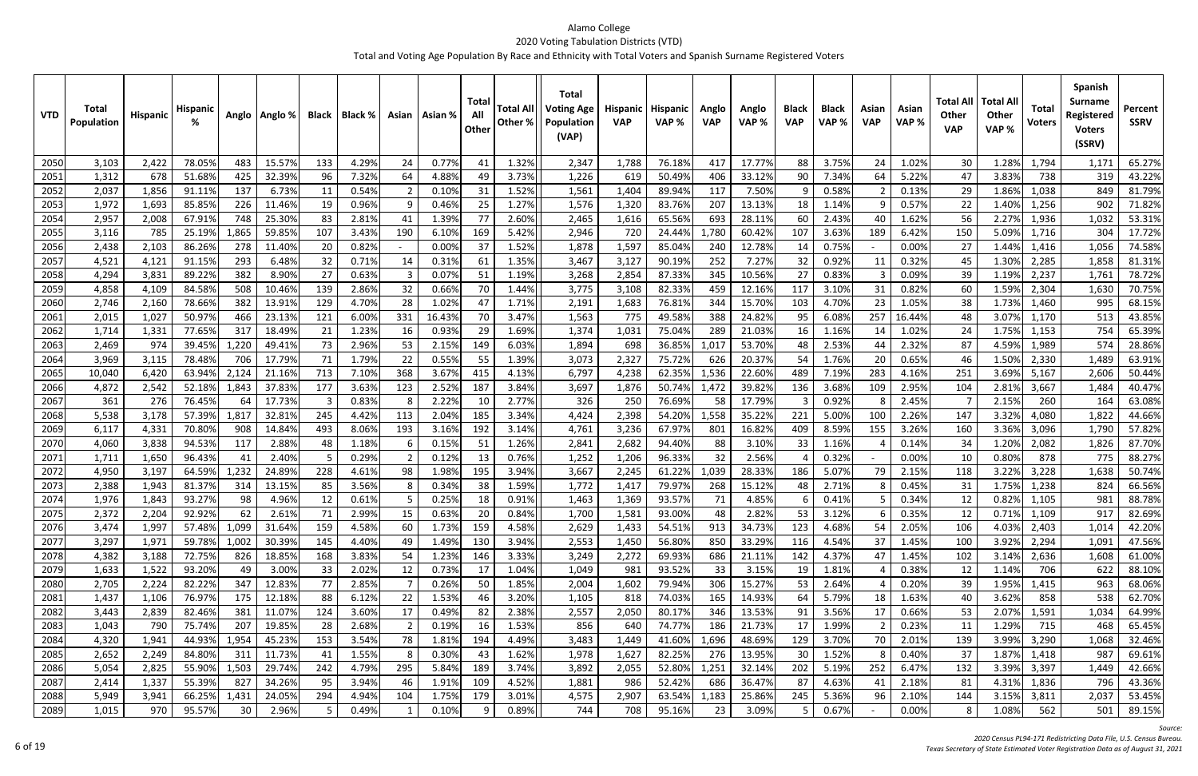| 15.57%<br>0.77%<br>1.32%<br>76.18%<br>17.77%<br>3.75%<br>1.02%<br>2050<br>3,103<br>2,422<br>78.059<br>483<br>133<br>4.29%<br>24<br>2,347<br>1,788<br>417<br>88<br>24<br>30<br>1.28%<br>1,794<br>41<br>3.73%<br>51.68%<br>96<br>4.88%<br>406<br>5.22%<br>3.83%<br>2051<br>1,312<br>678<br>425<br>32.39%<br>7.32%<br>1,226<br>619<br>50.49%<br>33.12%<br>90<br>7.34%<br>47<br>738<br>64<br>-49<br>64<br>2052<br>2,037<br>6.73%<br>11<br>0.54%<br>1.52%<br>1,404<br>89.94%<br>117<br>7.50%<br>0.58%<br>29<br>1.86%<br>1,856<br>91.119<br>137<br>0.10%<br>31<br>1,561<br>0.13%<br>1,038<br>q<br>2053<br>1,972<br>1,693<br>1.27%<br>1,320<br>83.76%<br>207<br>0.57%<br>22<br>85.859<br>226<br>11.46%<br>19<br>0.96%<br>0.469<br>25<br>1,576<br>13.13%<br>18<br>1.14%<br>1.40%<br>1,256<br>2.60%<br>2,957<br>67.91%<br>748<br>25.30%<br>83<br>2.81%<br>1.39%<br>77<br>65.56%<br>693<br>28.11%<br>2.43%<br>1.62%<br>56<br>2.27%<br>2054<br>2,008<br>2,465<br>1,616<br>60<br>1,936<br>41<br>107<br>150<br>2055<br>785<br>25.199<br>1,865<br>59.85%<br>3.43%<br>190<br>6.10%<br>169<br>5.42%<br>2,946<br>720<br>L,780<br>60.42%<br>107<br>3.63%<br>189<br>6.42%<br>5.09%<br>3,116<br>24.44%<br>1,716 | 65.27%<br>1,171<br>43.22%<br>319<br>81.79%<br>849<br>902<br>71.82%<br>53.31%<br>1,032<br>17.72%<br>304<br>1,056<br>74.58%<br>81.31%<br>1,858<br>1,761<br>78.72%<br>1,630<br>70.75%<br>68.15%<br>995 |
|---------------------------------------------------------------------------------------------------------------------------------------------------------------------------------------------------------------------------------------------------------------------------------------------------------------------------------------------------------------------------------------------------------------------------------------------------------------------------------------------------------------------------------------------------------------------------------------------------------------------------------------------------------------------------------------------------------------------------------------------------------------------------------------------------------------------------------------------------------------------------------------------------------------------------------------------------------------------------------------------------------------------------------------------------------------------------------------------------------------------------------------------------------------------------------------------|-----------------------------------------------------------------------------------------------------------------------------------------------------------------------------------------------------|
|                                                                                                                                                                                                                                                                                                                                                                                                                                                                                                                                                                                                                                                                                                                                                                                                                                                                                                                                                                                                                                                                                                                                                                                             |                                                                                                                                                                                                     |
|                                                                                                                                                                                                                                                                                                                                                                                                                                                                                                                                                                                                                                                                                                                                                                                                                                                                                                                                                                                                                                                                                                                                                                                             |                                                                                                                                                                                                     |
|                                                                                                                                                                                                                                                                                                                                                                                                                                                                                                                                                                                                                                                                                                                                                                                                                                                                                                                                                                                                                                                                                                                                                                                             |                                                                                                                                                                                                     |
|                                                                                                                                                                                                                                                                                                                                                                                                                                                                                                                                                                                                                                                                                                                                                                                                                                                                                                                                                                                                                                                                                                                                                                                             |                                                                                                                                                                                                     |
|                                                                                                                                                                                                                                                                                                                                                                                                                                                                                                                                                                                                                                                                                                                                                                                                                                                                                                                                                                                                                                                                                                                                                                                             |                                                                                                                                                                                                     |
|                                                                                                                                                                                                                                                                                                                                                                                                                                                                                                                                                                                                                                                                                                                                                                                                                                                                                                                                                                                                                                                                                                                                                                                             |                                                                                                                                                                                                     |
| 2,103<br>20<br>0.00%<br>1.52%<br>2056<br>86.26%<br>0.82%<br>1,878<br>1,597<br>85.04%<br>12.78%<br>0.75%<br>0.00%<br>27<br>2,438<br>278<br>11.40%<br>37<br>240<br>1.44%<br>1,416<br>14                                                                                                                                                                                                                                                                                                                                                                                                                                                                                                                                                                                                                                                                                                                                                                                                                                                                                                                                                                                                       |                                                                                                                                                                                                     |
| 32<br>2057<br>91.15%<br>1.35%<br>3,127<br>90.19%<br>252<br>7.27%<br>0.92%<br>0.32%<br>1.30%<br>4,521<br>4,121<br>293<br>6.48%<br>0.71%<br>0.31%<br>61<br>3,467<br>32<br>45<br>2,285<br>14<br>11                                                                                                                                                                                                                                                                                                                                                                                                                                                                                                                                                                                                                                                                                                                                                                                                                                                                                                                                                                                             |                                                                                                                                                                                                     |
| 89.22%<br>27<br>0.079<br>1.19%<br>345<br>10.56%<br>27<br>39<br>2058<br>4,294<br>3,831<br>382<br>8.90%<br>0.63%<br>3,268<br>2,854<br>87.33%<br>0.83%<br>0.09%<br>1.19%<br>51<br>2,237                                                                                                                                                                                                                                                                                                                                                                                                                                                                                                                                                                                                                                                                                                                                                                                                                                                                                                                                                                                                        |                                                                                                                                                                                                     |
| 139<br>2059<br>4,858<br>4,109<br>84.58%<br>508<br>10.46%<br>2.86%<br>32<br>0.66%<br>1.44%<br>3,775<br>3,108<br>82.33%<br>459<br>12.16%<br>117<br>3.10%<br>0.82%<br>60<br>1.59%<br>70<br>2,304<br>31                                                                                                                                                                                                                                                                                                                                                                                                                                                                                                                                                                                                                                                                                                                                                                                                                                                                                                                                                                                         |                                                                                                                                                                                                     |
| 78.669<br>382<br>129<br>28<br>1.02%<br>1.71%<br>1,683<br>15.70%<br>103<br>4.70%<br>38<br>1.73%<br>2060<br>2,746<br>2,160<br>13.91%<br>4.70%<br>47<br>2,191<br>76.81%<br>344<br>23<br>1.05%<br>1,460                                                                                                                                                                                                                                                                                                                                                                                                                                                                                                                                                                                                                                                                                                                                                                                                                                                                                                                                                                                         |                                                                                                                                                                                                     |
| 1,027<br>50.97%<br>121<br>16.43%<br>3.47%<br>775<br>49.58%<br>388<br>24.82%<br>3.07%<br>2061<br>2,015<br>23.13%<br>6.00%<br>331<br>1,563<br>6.08%<br>257<br>16.44%<br>466<br>-70<br>95<br>48<br>1,170                                                                                                                                                                                                                                                                                                                                                                                                                                                                                                                                                                                                                                                                                                                                                                                                                                                                                                                                                                                       | 43.85%<br>513                                                                                                                                                                                       |
| 289<br>2062<br>1,714<br>1,331<br>77.65%<br>317<br>18.49%<br>21<br>1.23%<br>0.93%<br>29<br>1.69%<br>1,374<br>1,031<br>75.04%<br>21.03%<br>1.16%<br>1.02%<br>24<br>1.75%<br>16<br>16<br>1,153<br>14                                                                                                                                                                                                                                                                                                                                                                                                                                                                                                                                                                                                                                                                                                                                                                                                                                                                                                                                                                                           | 65.39%<br>754                                                                                                                                                                                       |
| 2063<br>974<br>1,220<br>73<br>2.96%<br>2.15%<br>6.03%<br>36.85%<br>53.70%<br>2.53%<br>2.32%<br>4.59%<br>2,469<br>39.45%<br>49.41%<br>53<br>149<br>1,894<br>698<br>1,017<br>87<br>1,989<br>48<br>44                                                                                                                                                                                                                                                                                                                                                                                                                                                                                                                                                                                                                                                                                                                                                                                                                                                                                                                                                                                          | 574<br>28.86%                                                                                                                                                                                       |
| 3,115<br>78.48%<br>17.79%<br>71<br>1.79%<br>22<br>0.55%<br>55<br>1.39%<br>2,327<br>75.72%<br>1.76%<br>0.65%<br>1.50%<br>2064<br>3,969<br>706<br>3,073<br>626<br>20.37%<br>54<br>20<br>46<br>2,330                                                                                                                                                                                                                                                                                                                                                                                                                                                                                                                                                                                                                                                                                                                                                                                                                                                                                                                                                                                           | 63.91%<br>1,489                                                                                                                                                                                     |
| 2065<br>713<br>368<br>3.67%<br>4.13%<br>62.35%<br>22.60%<br>3.69%<br>6,420<br>63.94%<br>2,124<br>21.16%<br>7.10%<br>415<br>6,797<br>4,238<br>1,536<br>489<br>7.19%<br>283<br>4.16%<br>251<br>10,040<br>5,167                                                                                                                                                                                                                                                                                                                                                                                                                                                                                                                                                                                                                                                                                                                                                                                                                                                                                                                                                                                | 2,606<br>50.44%                                                                                                                                                                                     |
| 177<br>2.52%<br>3.84%<br>50.74%<br>39.82%<br>2.95%<br>2.81%<br>2066<br>4,872<br>2,542<br>52.18%<br>1,843<br>37.83%<br>3.63%<br>123<br>187<br>3,697<br>1,876<br>1,472<br>3.68%<br>109<br>104<br>136<br>3,667                                                                                                                                                                                                                                                                                                                                                                                                                                                                                                                                                                                                                                                                                                                                                                                                                                                                                                                                                                                 | 40.47%<br>1,484                                                                                                                                                                                     |
| 2.22%<br>2.77%<br>2067<br>361<br>276<br>76.45%<br>17.73%<br>0.83%<br>250<br>76.69%<br>58<br>17.79%<br>0.92%<br>-3<br>326<br>2.45%<br>2.15%<br>260<br>64<br>-10                                                                                                                                                                                                                                                                                                                                                                                                                                                                                                                                                                                                                                                                                                                                                                                                                                                                                                                                                                                                                              | 63.08%<br>164                                                                                                                                                                                       |
| 3,178<br>245<br>2.04%<br>3.34%<br>54.20%<br>1,558<br>2068<br>5,538<br>57.39%<br>1,81<br>32.81%<br>4.42%<br>113<br>185<br>4,424<br>2,398<br>35.22%<br>221<br>5.00%<br>100<br>2.26%<br>147<br>3.32%<br>4,080                                                                                                                                                                                                                                                                                                                                                                                                                                                                                                                                                                                                                                                                                                                                                                                                                                                                                                                                                                                  | 1,822<br>44.66%                                                                                                                                                                                     |
| 70.80%<br>493<br>8.06%<br>3.16%<br>192<br>3.14%<br>3,236<br>67.97%<br>801<br>16.82%<br>8.59%<br>3.26%<br>160<br>3.36%<br>2069<br>6,117<br>4,331<br>908<br>14.84%<br>193<br>4,761<br>409<br>155<br>3,096                                                                                                                                                                                                                                                                                                                                                                                                                                                                                                                                                                                                                                                                                                                                                                                                                                                                                                                                                                                     | 1,790<br>57.82%                                                                                                                                                                                     |
| 2070<br>94.53%<br>2.88%<br>48<br>1.26%<br>2,682<br>94.40%<br>3.10%<br>1.16%<br>1.20%<br>4,060<br>3,838<br>1.18%<br>0.15%<br>-51<br>2,841<br>88<br>33<br>0.14%<br>-34<br>2,082<br>117                                                                                                                                                                                                                                                                                                                                                                                                                                                                                                                                                                                                                                                                                                                                                                                                                                                                                                                                                                                                        | 1,826<br>87.70%                                                                                                                                                                                     |
| 32<br>2071<br>1,711<br>1,650<br>96.43%<br>2.40%<br>0.29%<br>0.12%<br>0.76%<br>1,252<br>1,206<br>96.33%<br>2.56%<br>0.32%<br>0.00%<br>10<br>0.80%<br>-5<br>13<br>878<br>41                                                                                                                                                                                                                                                                                                                                                                                                                                                                                                                                                                                                                                                                                                                                                                                                                                                                                                                                                                                                                   | 88.27%<br>775                                                                                                                                                                                       |
| 2072<br>3,197<br>64.59%<br>1,232<br>24.89%<br>228<br>1.98%<br>195<br>3.94%<br>61.22%<br>1,039<br>28.33%<br>186<br>5.07%<br>2.15%<br>3.22%<br>4,950<br>4.61%<br>98<br>3,667<br>2,245<br>79<br>118<br>3,228                                                                                                                                                                                                                                                                                                                                                                                                                                                                                                                                                                                                                                                                                                                                                                                                                                                                                                                                                                                   | 1,638<br>50.74%                                                                                                                                                                                     |
| 2073<br>2,388<br>1,943<br>81.37%<br>314<br>13.15%<br>85<br>3.56%<br>0.34%<br>38<br>1.59%<br>1,772<br>79.97%<br>268<br>15.12%<br>0.45%<br>31<br>1.75%<br>1,417<br>48<br>2.71%<br>1,238                                                                                                                                                                                                                                                                                                                                                                                                                                                                                                                                                                                                                                                                                                                                                                                                                                                                                                                                                                                                       | 824<br>66.56%                                                                                                                                                                                       |
| 2074<br>93.27%<br>12<br>93.57%<br>4.85%<br>0.82%<br>1,976<br>1,843<br>4.96%<br>0.25%<br>0.91%<br>1,369<br>71<br>0.34%<br>12<br>98<br>1,463<br>0.41%<br>0.61%<br>18<br>1,105<br>$\sim$ $\sim$ $\sim$                                                                                                                                                                                                                                                                                                                                                                                                                                                                                                                                                                                                                                                                                                                                                                                                                                                                                                                                                                                         | 88.78%<br>981                                                                                                                                                                                       |
| 2,372<br>0.84%<br>1,700<br>0.71%<br>2,204<br>0.63%<br>93.00%<br>2.82%<br>3.12%<br>12<br>92.92%<br>2.99%<br>20<br>1,581<br>0.35%<br>71<br>48<br>1,109<br>62<br>2.61%<br>15<br>53.<br>ь<br>20751                                                                                                                                                                                                                                                                                                                                                                                                                                                                                                                                                                                                                                                                                                                                                                                                                                                                                                                                                                                              | 82.69%<br>917                                                                                                                                                                                       |
| 2076<br>1,997<br>1,099<br>159<br>4.58%<br>1.73%<br>159<br>4.58%<br>2,629<br>1,433<br>913<br>34.73%<br>123<br>4.68%<br>2.05%<br>4.03%<br>3,474<br>57.48%<br>31.64%<br>60<br>54.51%<br>54<br>106<br>2,403<br>3.94%<br>145<br>4.40%<br>1.45%                                                                                                                                                                                                                                                                                                                                                                                                                                                                                                                                                                                                                                                                                                                                                                                                                                                                                                                                                   | 42.20%<br>1,014                                                                                                                                                                                     |
| 2077<br>3,297<br>59.78%<br>1,002<br>30.39%<br>1.49%<br>130<br>2,553<br>56.80%<br>850<br>33.29%<br>1,971<br>49<br>1,450<br>116<br>4.54%<br>37<br>100<br>3.92%<br>2,294<br>3.33%<br>2078<br>4,382<br>3,188<br>72.75%<br>826<br>18.85%<br>168<br>3.83%<br>1.23%<br>146<br>3,249<br>2,272<br>69.93%<br>686<br>21.11%<br>142<br>4.37%<br>1.45%<br>102<br>3.14%<br>47                                                                                                                                                                                                                                                                                                                                                                                                                                                                                                                                                                                                                                                                                                                                                                                                                             | 47.56%<br>1,091<br>61.00%<br>1,608                                                                                                                                                                  |
| 54<br>2,636<br>0.73%<br>1.04%<br>2079<br>1,633<br>93.20%<br>3.00%<br>33<br>2.02%<br>93.52%<br>33<br>3.15%<br>1.81%<br>0.38%<br>1.14%<br>1,522<br>49<br>17<br>1,049<br>981<br>19<br>12<br>706<br>12                                                                                                                                                                                                                                                                                                                                                                                                                                                                                                                                                                                                                                                                                                                                                                                                                                                                                                                                                                                          | 88.10%<br>622                                                                                                                                                                                       |
| 2080<br>2,705<br>2,224<br>82.22%<br>347<br>12.83%<br>77<br>2.85%<br>0.26%<br>50<br>1.85%<br>1,602<br>79.94%<br>306<br>15.27%<br>2.64%<br>0.20%<br>39<br>2,004<br>53<br>1.95%<br>1,415                                                                                                                                                                                                                                                                                                                                                                                                                                                                                                                                                                                                                                                                                                                                                                                                                                                                                                                                                                                                       | 963<br>68.06%                                                                                                                                                                                       |
| 2081<br>175<br>1.53%<br>3.20%<br>165<br>5.79%<br>3.62%<br>1,437<br>1,106<br>76.97%<br>12.18%<br>88<br>6.12%<br>22<br>46<br>74.03%<br>14.93%<br>64<br>1.63%<br>858<br>1,105<br>818<br>18<br>40                                                                                                                                                                                                                                                                                                                                                                                                                                                                                                                                                                                                                                                                                                                                                                                                                                                                                                                                                                                               | 62.70%<br>538                                                                                                                                                                                       |
| 2082<br>3,443<br>82.46%<br>381<br>124<br>3.60%<br>0.49%<br>82<br>2.38%<br>2,557<br>80.17%<br>346<br>3.56%<br>0.66%<br>53<br>2,839<br>11.07%<br>17<br>2,050<br>13.53%<br>91<br>17<br>2.07%<br>1,591                                                                                                                                                                                                                                                                                                                                                                                                                                                                                                                                                                                                                                                                                                                                                                                                                                                                                                                                                                                          | 64.99%<br>1,034                                                                                                                                                                                     |
| 1.53%<br>856<br>2083<br>1,043<br>790<br>75.74%<br>207<br>19.85%<br>28<br>2.68%<br>0.19%<br>16<br>640<br>74.77%<br>186<br>21.73%<br>17<br>1.99%<br>0.23%<br>11<br>1.29%<br>715                                                                                                                                                                                                                                                                                                                                                                                                                                                                                                                                                                                                                                                                                                                                                                                                                                                                                                                                                                                                               | 468<br>65.45%                                                                                                                                                                                       |
| 153<br>4.49%<br>1,696<br>3.70%<br>2084<br>4,320<br>1,941<br>44.93%<br>1,954<br>45.23%<br>3.54%<br>78<br>1.81%<br>194<br>3,483<br>41.60%<br>48.69%<br>129<br>2.01%<br>139<br>3.99%<br>3,290<br>1,449<br>70                                                                                                                                                                                                                                                                                                                                                                                                                                                                                                                                                                                                                                                                                                                                                                                                                                                                                                                                                                                   | 32.46%<br>1,068                                                                                                                                                                                     |
| 1.62%<br>2,652<br>84.80%<br>11.73%<br>1.55%<br>0.30%<br>82.25%<br>276<br>13.95%<br>1.52%<br>2085<br>2,249<br>311<br>43<br>1,978<br>1,627<br>30<br>0.40%<br>37<br>1.87%<br>1,418<br>41                                                                                                                                                                                                                                                                                                                                                                                                                                                                                                                                                                                                                                                                                                                                                                                                                                                                                                                                                                                                       | 69.61%<br>987                                                                                                                                                                                       |
| 3.74%<br>2086<br>5,054<br>2,825<br>55.90%<br>1,503<br>29.74%<br>242<br>4.79%<br>295<br>5.84%<br>189<br>3,892<br>52.80%<br>1,251<br>202<br>5.19%<br>252<br>6.47%<br>132<br>3.39%<br>3,397<br>2,055<br>32.14%                                                                                                                                                                                                                                                                                                                                                                                                                                                                                                                                                                                                                                                                                                                                                                                                                                                                                                                                                                                 | 42.66%<br>1,449                                                                                                                                                                                     |
| 4.52%<br>55.39%<br>34.26%<br>1.91%<br>109<br>52.42%<br>4.63%<br>2.18%<br>2087<br>2,414<br>1,337<br>827<br>95<br>3.94%<br>1,881<br>986<br>686<br>36.47%<br>87<br>81<br>4.31%<br>1,836<br>46<br>41                                                                                                                                                                                                                                                                                                                                                                                                                                                                                                                                                                                                                                                                                                                                                                                                                                                                                                                                                                                            | 43.36%<br>796                                                                                                                                                                                       |
| 3.01%<br>2088<br>294<br>1.75%<br>179<br>25.86%<br>5.36%<br>2.10%<br>5,949<br>3,941<br>66.25%<br>24.05%<br>104<br>4,575<br>2,907<br>63.54%<br>1,183<br>245<br>3.15%<br>1,431<br>4.94%<br>96<br>144<br>3,811                                                                                                                                                                                                                                                                                                                                                                                                                                                                                                                                                                                                                                                                                                                                                                                                                                                                                                                                                                                  | 2,037<br>53.45%                                                                                                                                                                                     |
| 0.10%<br>0.89%<br>2089<br>970<br>95.57%<br>30<br>2.96%<br>95.16%<br>23<br>3.09%<br>0.67%<br>0.00%<br>1.08%<br>1,015<br>5<br>0.49%<br>744<br>708<br>562                                                                                                                                                                                                                                                                                                                                                                                                                                                                                                                                                                                                                                                                                                                                                                                                                                                                                                                                                                                                                                      | 501<br>89.15%                                                                                                                                                                                       |

*Source:*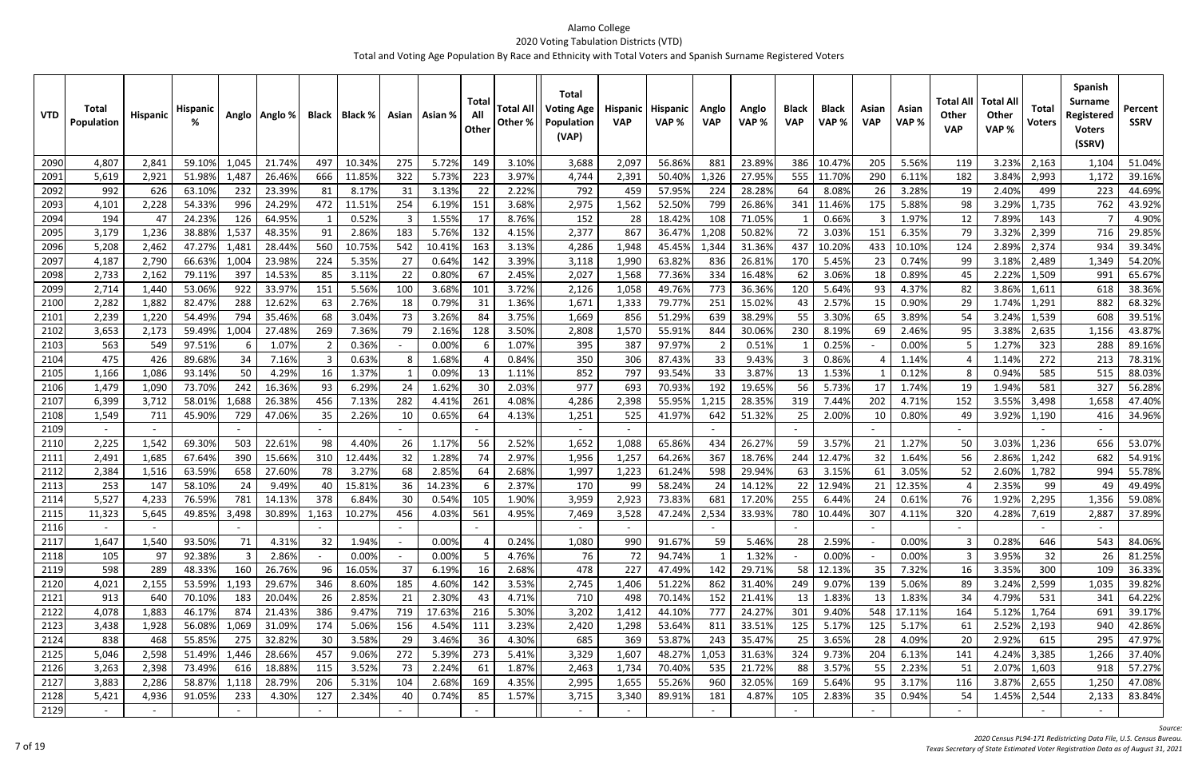| <b>VTD</b>   | Total<br><b>Population</b> | Hispanic     | Hispanic         |           | Anglo   Anglo %           | Black          | Black %         |          | Asian   Asian % | Total<br>All<br>Other | Other %        | <b>Total</b><br><b>Total All   Voting Age</b><br><b>Population</b><br>(VAP) | Hispanic<br><b>VAP</b> | <b>Hispanic</b><br>VAP% | Anglo<br><b>VAP</b> | Anglo<br>VAP %   | <b>Black</b><br><b>VAP</b> | <b>Black</b><br>VAP % | Asian<br><b>VAP</b> | Asian<br>VAP%   | Total Al<br>Other<br><b>VAP</b> | <b>Total All</b><br>Other<br>VAP% | <b>Total</b><br><b>Voters</b> | <b>Spanish</b><br><b>Surname</b><br>Registered<br><b>Voters</b><br>(SSRV) | Percent<br><b>SSRV</b> |
|--------------|----------------------------|--------------|------------------|-----------|---------------------------|----------------|-----------------|----------|-----------------|-----------------------|----------------|-----------------------------------------------------------------------------|------------------------|-------------------------|---------------------|------------------|----------------------------|-----------------------|---------------------|-----------------|---------------------------------|-----------------------------------|-------------------------------|---------------------------------------------------------------------------|------------------------|
| 2090         | 4,807                      | 2,841        | 59.10%           | 1,045     | 21.74%                    | 497            | 10.34%          | 275      | 5.72%           | 149                   | 3.10%          | 3,688                                                                       | 2,097                  | 56.86%                  | 881                 | 23.89%           | 386                        | 10.47%                | 205                 | 5.56%           | 119                             | 3.23%                             | 2,163                         | 1,104                                                                     | 51.04%                 |
| 2091         | 5,619                      | 2,921        | 51.98%           | 1,487     | 26.46%                    | 666            | 11.85%          | 322      | 5.73%           | 223                   | 3.97%          | 4,744                                                                       | 2,391                  | 50.40%                  | 1,326               | 27.95%           | 555                        | 11.70%                | 290                 | 6.11%           | 182                             | 3.84%                             | 2,993                         | 1,172                                                                     | 39.16%                 |
| 2092         | 992                        | 626          | 63.10%           | 232       | 23.39%                    | 81             | 8.17%           | 31       | 3.13%           | 22                    | 2.22%          | 792                                                                         | 459                    | 57.95%                  | 224                 | 28.28%           | 64                         | 8.08%                 | 26                  | 3.28%           | 19                              | 2.40%                             | 499                           | 223                                                                       | 44.69%                 |
| 2093         | 4,101                      | 2,228        | 54.33%           | 996       | 24.29%                    | 472            | 11.51%          | 254      | 6.19%           | 151                   | 3.68%          | 2,975                                                                       | 1,562                  | 52.50%                  | 799                 | 26.86%           | 341                        | 11.46%                | 175                 | 5.88%           | 98                              | 3.29%                             | 1,735                         | 762                                                                       | 43.92%                 |
| 2094         | 194                        | 47           | 24.23%           | 126       | 64.95%                    |                | 0.52%           |          | 1.55%           |                       | 8.76%          | 152                                                                         | 28                     | 18.42%                  | 108                 | 71.05%           |                            | 0.66%                 |                     | 1.97%           | 12                              | 7.89%                             | 143                           |                                                                           | 4.90%                  |
| 2095         | 3,179                      | 1,236        | 38.88%           | 1,537     | 48.35%                    | 91             | 2.86%           | 183      | 5.76%           | 132                   | 4.15%          | 2,377                                                                       | 867                    | 36.47%                  | 1,208               | 50.82%           | 72                         | 3.03%                 | 151                 | 6.35%           | 79                              | 3.32%                             | 2,399                         | 716                                                                       | 29.85%                 |
| 2096         | 5,208                      | 2,462        | 47.27%           | 1,481     | 28.44%                    | 560            | 10.75%          | 542      | 10.41%          | 163                   | 3.13%          | 4,286                                                                       | 1,948                  | 45.45%                  | 1,344               | 31.36%           | 437                        | 10.20%                | 433                 | 10.10%          | 124                             | 2.89%                             | 2,374                         | 934                                                                       | 39.34%                 |
| 2097         | 4,187                      | 2,790        | 66.63%           | 1,004     | 23.98%                    | 224            | 5.35%           | 27       | 0.64%           | 142                   | 3.39%          | 3,118                                                                       | 1,990                  | 63.82%                  | 836                 | 26.81%           | 170                        | 5.45%                 | 23                  | 0.74%           | 99                              | 3.18%                             | 2,489                         | 1,349                                                                     | 54.20%                 |
| 2098         | 2,733                      | 2,162        | 79.119           | 397       | 14.53%                    | 85             | 3.11%           | 22       | 0.80%           | 67                    | 2.45%          | 2,027                                                                       | 1,568                  | 77.36%                  | 334                 | 16.48%           | 62                         | 3.06%                 | 18                  | 0.89%           | 45                              | 2.22%                             | 1,509                         | 991                                                                       | 65.67%                 |
| 2099         | 2,714                      | 1,440        | 53.06%           | 922       | 33.97%                    | 151            | 5.56%           | 100      | 3.68%           | 101                   | 3.72%          | 2,126                                                                       | 1,058                  | 49.76%                  | 773                 | 36.36%           | 120                        | 5.64%                 | 93                  | 4.37%           | 82                              | 3.86%                             | 1,611                         | 618                                                                       | 38.36%                 |
| 2100         | 2,282                      | 1,882        | 82.47%           | 288       | 12.62%                    | 63             | 2.76%           | 18       | 0.79%           | 31                    | 1.36%          | 1,671                                                                       | 1,333                  | 79.77%                  | 251                 | 15.02%           |                            | 2.57%                 | 15                  | 0.90%           | 29                              | 1.74%                             | 1,291                         | 882                                                                       | 68.32%                 |
| 2101         | 2,239                      | 1,220        | 54.49%           | 794       | 35.46%                    | 68             | 3.04%           | 73       | 3.269           | -84                   | 3.75%          | 1,669                                                                       | 856                    | 51.29%                  | 639                 | 38.29%           | 55                         | 3.30%                 | 65                  | 3.89%           | 54                              | 3.24%                             | 1,539                         | 608                                                                       | 39.51%                 |
| 2102         | 3,653                      | 2,173        | 59.49%           | 1,004     | 27.48%                    | 269            | 7.36%           | 79       | 2.16%           | 128                   | 3.50%          | 2,808                                                                       | 1,570                  | 55.91%                  | 844                 | 30.06%           | 230                        | 8.19%                 | 69                  | 2.46%           | 95                              | 3.389                             | 2,635                         | 1,156                                                                     | 43.87%                 |
| 2103         | 563                        | 549          | 97.51%           |           | 1.07%                     | $\overline{2}$ | 0.36%           |          | 0.00%           | 6                     | 1.07%          | 395                                                                         | 387                    | 97.97%                  | $\overline{2}$      | 0.51%            |                            | 0.25%                 |                     | 0.00%           |                                 | 1.27%                             | 323                           | 288                                                                       | 89.16%                 |
| 2104         | 475                        | 426          | 89.68%           | 34        | 7.16%                     | 3              | 0.63%           |          | 1.68%           |                       | 0.84%          | 350                                                                         | 306                    | 87.43%                  | 33                  | 9.43%            |                            | 0.86%                 |                     | 1.14%           |                                 | 1.14%                             | 272                           | 213                                                                       | 78.31%                 |
| 2105         | 1,166                      | 1,086        | 93.14%           | 50        | 4.29%                     | 16             | 1.37%           |          | 0.09%           | -13                   | 1.11%          | 852                                                                         | 797                    | 93.54%                  | 33                  | 3.87%            | 13                         | 1.53%                 |                     | 0.12%           |                                 | 0.94%                             | 585                           | 515                                                                       | 88.03%                 |
| 2106         | 1,479                      | 1,090        | 73.70%           | 242       | 16.36%                    | 93             | 6.29%           | 24       | 1.62%           | 30                    | 2.03%          | 977                                                                         | 693                    | 70.93%                  | 192                 | 19.65%           | 56                         | 5.73%                 | 17                  | 1.74%           | 19                              | 1.94%                             | 581                           | 327                                                                       | 56.28%                 |
| 2107         | 6,399                      | 3,712        | 58.019           | 1,688     | 26.38%                    | 456            | 7.13%           | 282      | 4.41%           | 261                   | 4.08%          | 4,286                                                                       | 2,398                  | 55.95%                  | 1,215               | 28.35%           | 319                        | 7.44%                 | 202                 | 4.71%           | 152                             | 3.55%                             | 3,498                         | 1,658                                                                     | 47.40%                 |
| 2108         | 1,549                      | 711          | 45.90%           | 729       | 47.06%                    | 35             | 2.26%           | 10       | 0.65%           | 64                    | 4.13%          | 1,251                                                                       | 525                    | 41.97%                  | 642                 | 51.32%           | 25                         | 2.00%                 | 10                  | 0.80%           | 49                              | 3.92%                             | 1,190                         | 416                                                                       | 34.96%                 |
| 2109         |                            |              |                  |           |                           |                |                 |          |                 |                       |                | $\sim$                                                                      |                        |                         |                     |                  |                            |                       |                     |                 |                                 |                                   |                               |                                                                           |                        |
| 2110         | 2,225                      | 1,542        | 69.30%           | 503       | 22.61%                    | 98             | 4.40%           | -26      | 1.17%           | 56                    | 2.52%          | 1,652                                                                       | 1,088                  | 65.86%                  | 434                 | 26.27%           | 59                         | 3.57%                 | 21                  | 1.27%           | 50                              | 3.03%                             | 1,236                         | 656                                                                       | 53.07%                 |
| 2111         | 2,491                      | 1,685        | 67.64%           | 390       | 15.66%                    | 310            | 12.44%          | 32       | 1.289           | 74                    | 2.97%          | 1,956                                                                       | 1,257                  | 64.26%                  | 367                 | 18.76%           | 244                        | 12.47%                | 32                  | 1.64%           | 56                              | 2.86%                             | 1,242                         | 682                                                                       | 54.91%                 |
| 2112         | 2,384<br>253               | 1,516        | 63.59%           | 658       | 27.60%                    | 78             | 3.27%           | 68       | 2.85%<br>14.23% | 64                    | 2.68%<br>2.37% | 1,997<br>170                                                                | 1,223<br>-99           | 61.24%                  | 598                 | 29.94%           | 63                         | 3.15%<br>12.94%       | 61                  | 3.05%           | 52                              | 2.60%                             | 1,782                         | 994                                                                       | 55.78%<br>49.49%       |
| 2113<br>2114 | 5,527                      | 147<br>4,233 | 58.10%<br>76.59% | 24<br>781 | 9.49%<br>14.13%           | 40<br>378      | 15.81%<br>6.84% | 36<br>30 | 0.54%           | 105                   | 1.90%          | 3,959                                                                       | 2,923                  | 58.24%<br>73.83%        | 24<br>681           | 14.12%<br>17.20% | 22<br>255                  | 6.44%                 | 21<br>24            | 12.35%<br>0.61% | 76                              | 2.35%<br>1.92%                    | 99<br>2,295                   | 49<br>1,356                                                               | 59.08%                 |
|              | 11,323                     | 5,645        |                  |           | 49.85% 3,498 30.89% 1,163 |                | 10.27%          | 456      | 4.03%           |                       | 4.95%          | 7,469                                                                       |                        | 47.24% 2,534            |                     | 33.93%           |                            | 780 10.44%            | 307                 | 4.11%           | 320                             |                                   | 4.28% 7,619                   | 2,887                                                                     | 37.89%                 |
| 7112<br>2116 |                            |              |                  |           |                           |                |                 |          |                 | - 20T                 |                | $\sim$                                                                      | 3,528<br>$\sim$        |                         |                     |                  |                            |                       |                     |                 |                                 |                                   |                               |                                                                           |                        |
| 2117         | 1,647                      | 1,540        | 93.50%           | 71        | 4.31%                     | 32             | 1.94%           | $\sim$   | 0.00%           |                       | 0.24%          | 1,080                                                                       | 990                    | 91.67%                  | 59                  | 5.46%            | 28                         | 2.59%                 | $\overline{a}$      | 0.00%           |                                 | 0.28%                             | 646                           | 543                                                                       | 84.06%                 |
| 2118         | 105                        | 97           | 92.38%           | 3         | 2.86%                     |                | 0.00%           | $\sim$   | 0.00%           |                       | 4.76%          | 76                                                                          | 72                     | 94.74%                  |                     | 1.32%            | $\sim$                     | 0.00%                 |                     | 0.00%           |                                 | 3.95%                             | 32                            | 26                                                                        | 81.25%                 |
| 2119         | 598                        | 289          | 48.33%           | 160       | 26.76%                    | 96             | 16.05%          | 37       | 6.19%           | 16                    | 2.68%          | 478                                                                         | 227                    | 47.49%                  | 142                 | 29.71%           |                            | 58 12.13%             | 35                  | 7.32%           | 16                              | 3.35%                             | 300                           | 109                                                                       | 36.33%                 |
| 2120         | 4,021                      | 2,155        | 53.59%           | 1,193     | 29.67%                    | 346            | 8.60%           | 185      | 4.60%           | 142                   | 3.53%          | 2,745                                                                       | 1,406                  | 51.22%                  | 862                 | 31.40%           | 249                        | 9.07%                 | 139                 | 5.06%           | 89                              | 3.24%                             | 2,599                         | 1,035                                                                     | 39.82%                 |
| 2121         | 913                        | 640          | 70.10%           | 183       | 20.04%                    | 26             | 2.85%           | 21       | 2.30%           | 43                    | 4.71%          | 710                                                                         | 498                    | 70.14%                  | 152                 | 21.41%           | 13                         | 1.83%                 | 13                  | 1.83%           | 34                              | 4.79%                             | 531                           | 341                                                                       | 64.22%                 |
| 2122         | 4,078                      | 1,883        | 46.17%           | 874       | 21.43%                    | 386            | 9.47%           | 719      | 17.63%          | 216                   | 5.30%          | 3,202                                                                       | 1,412                  | 44.10%                  | 777                 | 24.27%           | 301                        | 9.40%                 | 548                 | 17.11%          | 164                             | 5.12%                             | 1,764                         | 691                                                                       | 39.17%                 |
| 2123         | 3,438                      | 1,928        | 56.08%           | 1,069     | 31.09%                    | 174            | 5.06%           | 156      | 4.54%           | 111                   | 3.23%          | 2,420                                                                       | 1,298                  | 53.64%                  | 811                 | 33.51%           | 125                        | 5.17%                 | 125                 | 5.17%           | 61                              | 2.52%                             | 2,193                         | 940                                                                       | 42.86%                 |
| 2124         | 838                        | 468          | 55.85%           | 275       | 32.82%                    | 30             | 3.58%           | 29       | 3.46%           | 36                    | 4.30%          | 685                                                                         | 369                    | 53.87%                  | 243                 | 35.47%           | 25                         | 3.65%                 | 28                  | 4.09%           | 20                              | 2.92%                             | 615                           | 295                                                                       | 47.97%                 |
| 2125         | 5,046                      | 2,598        | 51.49%           | 1,446     | 28.66%                    | 457            | 9.06%           | 272      | 5.39%           | 273                   | 5.41%          | 3,329                                                                       | 1,607                  | 48.27%                  | 1,053               | 31.63%           | 324                        | 9.73%                 | 204                 | 6.13%           | 141                             | 4.24%                             | 3,385                         | 1,266                                                                     | 37.40%                 |
| 2126         | 3,263                      | 2,398        | 73.49%           | 616       | 18.88%                    | 115            | 3.52%           | 73       | 2.24%           | 61                    | 1.87%          | 2,463                                                                       | 1,734                  | 70.40%                  | 535                 | 21.72%           | 88                         | 3.57%                 | 55                  | 2.23%           | 51                              | 2.07%                             | 1,603                         | 918                                                                       | 57.27%                 |
| 2127         | 3,883                      | 2,286        | 58.87%           | 1,118     | 28.79%                    | 206            | 5.31%           | 104      | 2.68%           | 169                   | 4.35%          | 2,995                                                                       | 1,655                  | 55.26%                  | 960                 | 32.05%           | 169                        | 5.64%                 | 95                  | 3.17%           | 116                             | 3.87%                             | 2,655                         | 1,250                                                                     | 47.08%                 |
| 2128         | 5,421                      | 4,936        | 91.05%           | 233       | 4.30%                     | 127            | 2.34%           | 40       | 0.74%           | 85                    | 1.57%          | 3,715                                                                       | 3,340                  | 89.91%                  | 181                 | 4.87%            | 105                        | 2.83%                 | 35                  | 0.94%           | 54                              | 1.45%                             | 2,544                         | 2,133                                                                     | 83.84%                 |
| 2129         |                            | $\sim$       |                  |           |                           | $\sim$         |                 | $\sim$   |                 | $\sim$                |                | $\sim$                                                                      | $\sim$                 |                         | $\sim$              |                  | $\overline{\phantom{a}}$   |                       |                     |                 | $\sim$                          |                                   |                               | $\sim$                                                                    |                        |

*Source:*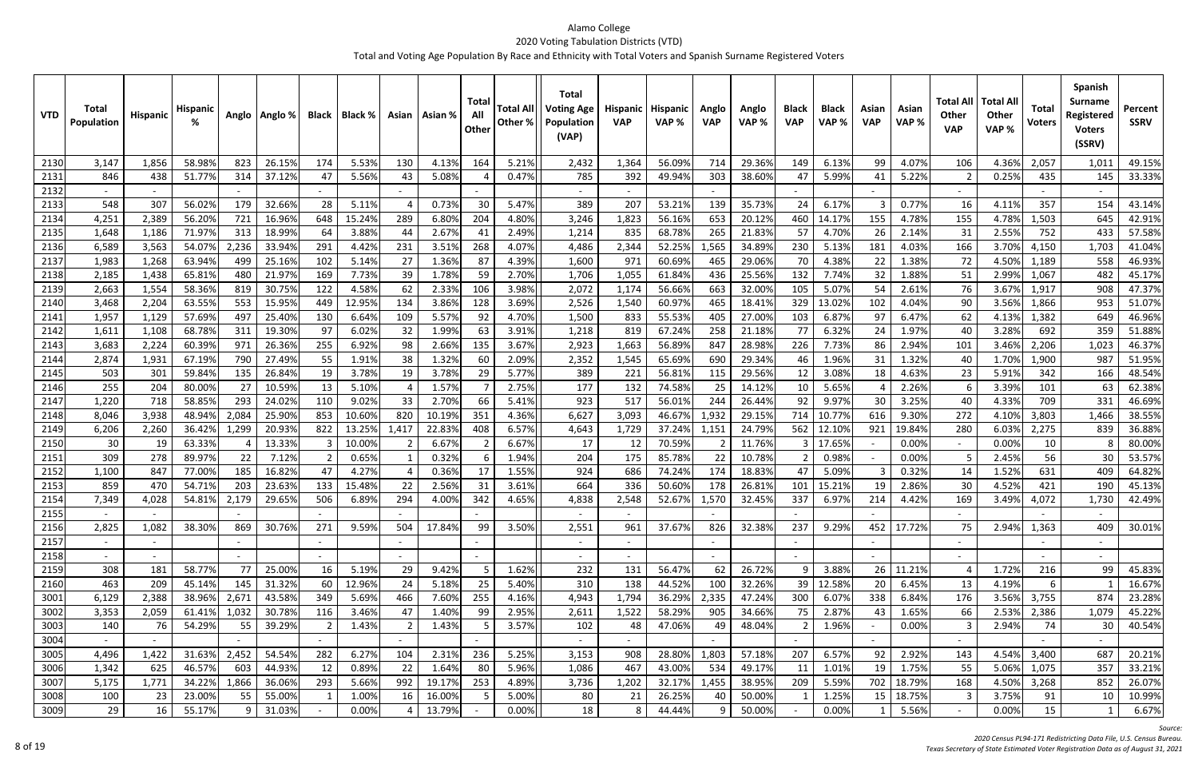| <b>VTD</b>   | <b>Total</b><br>Population | <b>Hispanic</b> | <b>Hispanic</b>  |              | Anglo   Anglo %  | <b>Black</b>   | Black %        |                          | Asian   Asian % | Tota<br>All<br>Other | <b>Total All</b><br>Other % | <b>Total</b><br><b>Voting Age</b><br>Population<br>(VAP) | Hispanic<br><b>VAP</b> | <b>Hispanic</b><br>VAP% | Anglo<br><b>VAP</b>      | Anglo<br>VAP %   | <b>Black</b><br><b>VAP</b> | <b>Black</b><br>VAP% | Asian<br><b>VAP</b> | Asian<br>VAP%  | Total All<br><b>Other</b><br><b>VAP</b> | <b>Total Al</b><br><b>Other</b><br>VAP% | <b>Total</b><br><b>Voters</b> | <b>Spanish</b><br><b>Surname</b><br>Registered<br><b>Voters</b><br>(SSRV) | Percent<br><b>SSRV</b> |
|--------------|----------------------------|-----------------|------------------|--------------|------------------|----------------|----------------|--------------------------|-----------------|----------------------|-----------------------------|----------------------------------------------------------|------------------------|-------------------------|--------------------------|------------------|----------------------------|----------------------|---------------------|----------------|-----------------------------------------|-----------------------------------------|-------------------------------|---------------------------------------------------------------------------|------------------------|
| 2130         | 3,147                      | 1,856           | 58.98%           | 823          | 26.15%           | 174            | 5.53%          | 130                      | 4.13%           | 164                  | 5.21%                       | 2,432                                                    | 1,364                  | 56.09%                  | 714                      | 29.36%           | 149                        | 6.13%                | 99                  | 4.07%          | 106                                     | 4.36%                                   | 2,057                         | 1,01.                                                                     | 49.15%                 |
| 2131         | 846                        | 438             | 51.77%           | 314          | 37.12%           | 47             | 5.56%          | 43                       | 5.08%           |                      | 0.47%                       | 785                                                      | 392                    | 49.94%                  | 303                      | 38.60%           | 47                         | 5.99%                | 41                  | 5.22%          |                                         | 0.25%                                   | 435                           | 145                                                                       | 33.33%                 |
| 2132         |                            |                 |                  |              |                  |                |                | $\sim$                   |                 |                      |                             | $\overline{\phantom{a}}$                                 |                        |                         |                          |                  |                            |                      |                     |                |                                         |                                         |                               |                                                                           |                        |
| 2133         | 548                        | 307             | 56.02%           | 179          | 32.66%           | 28             | 5.11%          |                          | 0.73%           | 30                   | 5.47%                       | 389                                                      | 207                    | 53.21%                  | 139                      | 35.73%           | 24                         | 6.17%                |                     | 0.77%          | 16                                      | 4.11%                                   | 357                           | 154                                                                       | 43.14%                 |
| 2134         | 4,251                      | 2,389           | 56.209           | 721          | 16.96%           | 648            | 15.24%         | 289                      | 6.809           | 204                  | 4.80%                       | 3,246                                                    | 1,823                  | 56.16%                  | 653                      | 20.12%           | 460                        | 14.179               | 155                 | 4.78%          | 155                                     | 4.78%                                   | 1,503                         | 645                                                                       | 42.91%                 |
| 2135         | 1,648                      | 1,186           | 71.97%           | 313          | 18.99%           | 64             | 3.88%          | 44                       | 2.67%           | 41                   | 2.49%                       | 1,214                                                    | 835                    | 68.78%                  | 265                      | 21.83%           | 57                         | 4.70%                | 26                  | 2.14%          | 31                                      | 2.55%                                   | 752                           | 433                                                                       | 57.58%                 |
| 2136         | 6,589                      | 3,563           | 54.07%           | 2,236        | 33.94%           | 291            | 4.42%          | 231                      | 3.51%           | 268                  | 4.07%                       | 4,486                                                    | 2,344                  | 52.25%                  | 1,565                    | 34.89%           | 230                        | 5.13%                | 181                 | 4.03%          | 166                                     | 3.70%                                   | 4,150                         | 1,703                                                                     | 41.04%                 |
| 2137         | 1,983                      | 1,268           | 63.94%           | 499          | 25.16%           | 102            | 5.14%          | 27                       | 1.36%           | -87                  | 4.39%                       | 1,600                                                    | 971                    | 60.69%                  | 465                      | 29.06%           | 70                         | 4.38%                | 22                  | 1.38%          | 72                                      | 4.50%                                   | 1,189                         | 558                                                                       | 46.93%                 |
| 2138         | 2,185                      | 1,438           | 65.819           | 480          | 21.97%           | 169            | 7.73%          | 39                       | 1.78%           | 59                   | 2.70%                       | 1,706                                                    | 1,055                  | 61.84%                  | 436                      | 25.56%           | 132                        | 7.74%                | 32                  | 1.88%          | 51                                      | 2.99%                                   | 1,067                         | 482                                                                       | 45.17%                 |
| 2139         | 2,663                      | 1,554           | 58.369           | 819          | 30.75%           | 122            | 4.58%          | 62                       | 2.33%           | 106                  | 3.98%                       | 2,072                                                    | 1,174                  | 56.66%                  | 663                      | 32.00%           | 105                        | 5.07%                | 54                  | 2.61%          | 76                                      | 3.67%                                   | 1,917                         | 908                                                                       | 47.37%                 |
| 2140         | 3,468                      | 2,204           | 63.55%           | 553          | 15.95%           | 449            | 12.95%         | 134                      | 3.86%           | 128                  | 3.69%                       | 2,526                                                    | 1,540                  | 60.97%                  | 465                      | 18.41%           | 329                        | 13.02%               | 102                 | 4.04%          | 90                                      | 3.56%                                   | 1,866                         | 953                                                                       | 51.07%                 |
| 2141         | 1,957                      | 1,129           | 57.699           | 497          | 25.40%           | 130            | 6.64%          | 109                      | 5.57%           | 92                   | 4.70%                       | 1,500                                                    | 833                    | 55.53%                  | 405                      | 27.00%           | 103                        | 6.87%                | 97                  | 6.47%          | 62                                      | 4.13%                                   | 1,382                         | 649                                                                       | 46.96%                 |
| 2142         | 1,611                      | 1,108           | 68.78%           | 311          | 19.30%           | 97             | 6.02%          | 32                       | 1.99%           | 63                   | 3.91%                       | 1,218                                                    | 819                    | 67.24%                  | 258                      | 21.18%           | 77                         | 6.32%                | 24                  | 1.97%          | 40                                      | 3.28%                                   | 692                           | 359                                                                       | 51.88%                 |
| 2143         | 3,683                      | 2,224           | 60.39%           | 971          | 26.36%           | 255            | 6.92%          | 98                       | 2.66%           | 135                  | 3.67%                       | 2,923                                                    | 1,663                  | 56.89%                  | 847                      | 28.98%           | 226                        | 7.73%                | 86                  | 2.94%          | 101                                     | 3.46%                                   | 2,206                         | 1,023                                                                     | 46.37%                 |
| 2144         | 2,874                      | 1,931           | 67.19%           | 790          | 27.49%           | 55             | 1.91%          | 38                       | 1.32%           | 60                   | 2.09%                       | 2,352                                                    | 1,545                  | 65.69%                  | 690                      | 29.34%           | 46                         | 1.96%                | 31                  | 1.32%          | 40                                      | 1.70%                                   | 1,900                         | 987                                                                       | 51.95%                 |
| 2145         | 503                        | 301             | 59.84%           | 135          | 26.84%           | 19             | 3.78%          | 19                       | 3.78%           | -29                  | 5.77%                       | 389                                                      | 221                    | 56.81%                  | 115                      | 29.56%           | 12                         | 3.08%                | 18                  | 4.63%          | 23                                      | 5.91%                                   | 342                           | 166                                                                       | 48.54%                 |
| 2146         | 255                        | 204             | 80.00%           | 27           | 10.59%           | 13             | 5.10%          |                          | 1.57%           |                      | 2.75%                       | 177                                                      | 132                    | 74.58%                  | 25                       | 14.12%           | 10                         | 5.65%                |                     | 2.26%          |                                         | 3.39%                                   | 101                           | 63                                                                        | 62.38%                 |
| 2147         | 1,220                      | 718             | 58.85%           | 293          | 24.02%           | 110            | 9.02%          | 33                       | 2.70%           | 66                   | 5.41%                       | 923                                                      | 517                    | 56.01%                  | 244                      | 26.44%           | 92                         | 9.97%                | 30                  | 3.25%          | 40                                      | 4.33%                                   | 709                           | 331                                                                       | 46.69%                 |
| 2148         | 8,046                      | 3,938           | 48.94%           | 2,084        | 25.90%           | 853            | 10.60%         | 820                      | 10.19%          | 351                  | 4.36%                       | 6,627                                                    | 3,093                  | 46.67%                  | 1,932                    | 29.15%           | 714                        | 10.77%               | 616                 | 9.30%          | 272                                     | 4.10%                                   | 3,803                         | 1,466                                                                     | 38.55%                 |
| 2149         | 6,206                      | 2,260           | 36.42%           | 1,299        | 20.93%           | 822            | 13.25%         | 1,417                    | 22.83%          | 408                  | 6.57%                       | 4,643                                                    | 1,729                  | 37.24%                  | 1,151                    | 24.79%           | 562                        | 12.109               | 921                 | 19.84%         | 280                                     | 6.03%                                   | 2,275                         | 839                                                                       | 36.88%                 |
| 2150         | 30                         | 19              | 63.33%           |              | 13.33%           |                | 10.00%         |                          | 6.67%           |                      | 6.67%                       | 17                                                       | 12                     | 70.59%                  |                          | 11.76%           |                            | 17.65%               |                     | 0.00%          |                                         | 0.00%                                   | 10                            |                                                                           | 80.00%                 |
| 2151         | 309                        | 278             | 89.97%           | 22           | 7.12%            | $\overline{2}$ | 0.65%          |                          | 0.32%           |                      | 1.94%                       | 204                                                      | 175                    | 85.78%                  | 22                       | 10.78%           |                            | 0.98%                |                     | 0.00%          |                                         | 2.45%                                   | 56                            | 30                                                                        | 53.57%                 |
| 2152         | 1,100                      | 847             | 77.009           | 185          | 16.82%           | 47             | 4.27%          |                          | 0.369           | 17                   | 1.55%                       | 924                                                      | 686                    | 74.24%                  | 174                      | 18.83%           | 47                         | 5.09%                |                     | 0.32%          | 14                                      | 1.52%                                   | 631                           | 409                                                                       | 64.82%                 |
| 2153         | 859                        | 470             | 54.71%           | 203          | 23.63%           | 133            | 15.48%         | 22                       | 2.56%           | 31                   | 3.61%                       | 664                                                      | 336                    | 50.60%                  | 178                      | 26.81%           | 101                        | 15.21%               | 19                  | 2.86%          | 30                                      | 4.52%                                   | 421                           | 190                                                                       | 45.13%                 |
| 2154         | 7,349                      | 4,028           | 54.81%           | 2,179        | 29.65%           | 506            | 6.89%          | 294                      | 4.00%           | 342                  | 4.65%                       | 4,838                                                    | 2,548                  | 52.67%                  | 1,570                    | 32.45%           | 337                        | 6.97%                | 214                 | 4.42%          | 169                                     | 3.49%                                   | 4,072                         | 1,730                                                                     | 42.49%                 |
| 21551        |                            |                 |                  |              |                  |                |                | $\sim$                   |                 |                      |                             | $\sim$                                                   | $\sim$                 |                         |                          |                  |                            |                      |                     |                | $\overline{a}$                          |                                         |                               |                                                                           |                        |
| 2156         | 2,825                      | 1,082           | 38.30%           | 869          | 30.76%           | 271            | 9.59%          | 504                      | 17.84%          | 99                   | 3.50%                       | 2,551                                                    | 961                    | 37.67%                  | 826                      | 32.38%           | 237                        | 9.29%                | 452                 | 17.72%         | 75                                      | 2.94%                                   | 1,363                         | 409                                                                       | 30.01%                 |
| 2157         |                            |                 |                  |              |                  |                |                | $\overline{\phantom{0}}$ |                 |                      |                             | $\overline{\phantom{a}}$                                 |                        |                         |                          |                  |                            |                      |                     |                | $\sim$                                  |                                         |                               |                                                                           |                        |
| 2158         | $\sim$                     |                 |                  |              |                  | $\sim$         |                | $\sim$                   |                 | $\sim$               |                             | $\sim$                                                   | $\sim$                 |                         | $\overline{\phantom{a}}$ |                  | $\overline{\phantom{a}}$   |                      |                     |                | $\sim$                                  |                                         |                               |                                                                           |                        |
| 2159         | 308                        | 181             | 58.77%           | 77           | 25.00%           | 16             | 5.19%          | 29                       | 9.42%           |                      | 1.62%                       | 232                                                      | 131                    | 56.47%                  | 62                       | 26.72%           | q                          | 3.88%                | 26                  | 11.21%         |                                         | 1.72%                                   | 216                           | 99                                                                        | 45.83%                 |
| 2160         | 463                        | 209             | 45.14%           | 145          | 31.32%           | 60             | 12.96%         | 24                       | 5.18%           | 25                   | 5.40%                       | 310                                                      | 138                    | 44.52%                  | 100                      | 32.26%           | 39                         | 12.58%               | 20                  | 6.45%          | 13                                      | 4.19%                                   | 6                             |                                                                           | 16.67%                 |
| 3001         | 6,129                      | 2,388           | 38.96%           | 2,671        | 43.58%           | 349            | 5.69%          | 466                      | 7.60%           | 255                  | 4.16%                       | 4,943                                                    | 1,794                  | 36.29%                  | 2,335                    | 47.24%           | 300                        | 6.07%                | 338                 | 6.84%          | 176                                     | 3.56%                                   | 3,755                         | 874                                                                       | 23.28%                 |
| 3002         | 3,353                      | 2,059           | 61.41%           | 1,032        | 30.78%           | 116            | 3.46%          | 47                       | 1.40%           | 99                   | 2.95%                       | 2,611                                                    | 1,522                  | 58.29%                  | 905                      | 34.66%           | 75                         | 2.87%                | 43                  | 1.65%          | 66                                      | 2.53%                                   | 2,386                         | 1,079                                                                     | 45.22%                 |
| 3003         | 140                        | 76              | 54.29%           |              | 39.29%           |                | 1.43%          |                          | 1.43%           |                      | 3.57%                       | 102                                                      | 48                     | 47.06%                  | 49                       | 48.04%           |                            | 1.96%                |                     | 0.00%          |                                         | 2.94%                                   | 74                            | 30                                                                        | 40.54%                 |
| 3004         |                            |                 |                  |              |                  |                |                |                          |                 |                      |                             |                                                          |                        |                         |                          |                  |                            |                      |                     |                | $\sim$                                  |                                         |                               |                                                                           |                        |
| 3005<br>3006 | 4,496<br>1,342             | 1,422<br>625    | 31.63%<br>46.57% | 2,452<br>603 | 54.54%<br>44.93% | 282<br>12      | 6.27%<br>0.89% | 104<br>22                | 2.31%<br>1.64%  | 236<br>80            | 5.25%<br>5.96%              | 3,153<br>1,086                                           | 908<br>467             | 28.80%<br>43.00%        | 1,803<br>534             | 57.18%<br>49.17% | 207<br>11                  | 6.57%<br>1.01%       | 92<br>19            | 2.92%<br>1.75% | 143<br>55                               | 4.54%<br>5.06%                          | 3,400<br>1,075                | 687<br>357                                                                | 20.21%<br>33.21%       |
| 3007         | 5,175                      | 1,771           | 34.22%           | 1,866        | 36.06%           | 293            | 5.66%          | 992                      | 19.17%          | 253                  | 4.89%                       |                                                          |                        | 32.17%                  | 1,455                    | 38.95%           | 209                        | 5.59%                | 702                 | 18.79%         | 168                                     | 4.50%                                   | 3,268                         | 852                                                                       | 26.07%                 |
| 3008         | 100                        |                 | 23.00%           | 55           | 55.00%           |                | 1.00%          | 16                       | 16.00%          |                      | 5.00%                       | 3,736<br>80                                              | 1,202<br>21            | 26.25%                  | 40                       | 50.00%           |                            | 1.25%                |                     | 18.75%         | 3                                       | 3.75%                                   | 91                            |                                                                           | 10.99%                 |
| 3009         | 29                         | 23<br>16        | 55.17%           | 9            | 31.03%           |                | 0.00%          |                          | 13.79%          |                      | 0.00%                       | 18                                                       | 8                      | 44.44%                  | 9                        | 50.00%           |                            | 0.00%                | 15                  | 5.56%          |                                         | 0.00%                                   | 15                            | 10                                                                        | 6.67%                  |
|              |                            |                 |                  |              |                  |                |                |                          |                 |                      |                             |                                                          |                        |                         |                          |                  |                            |                      |                     |                |                                         |                                         |                               |                                                                           |                        |

*Source:*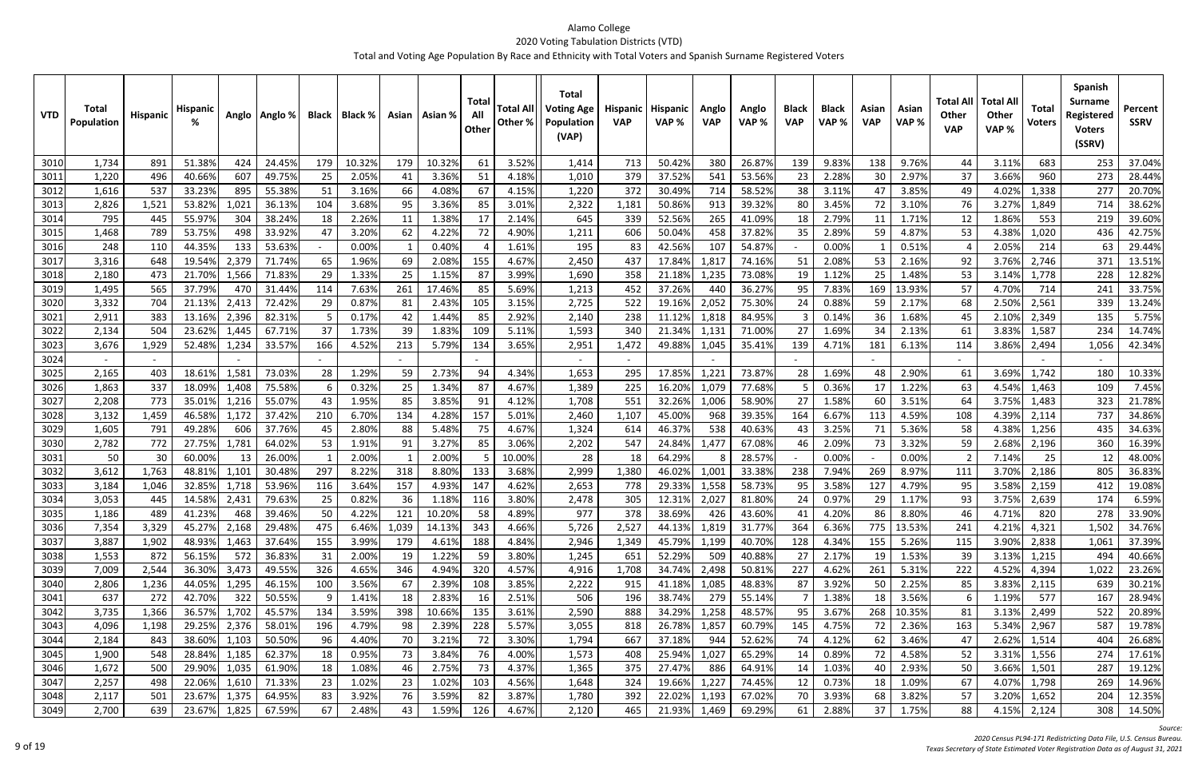| <b>VTD</b>   | Total<br>Population | <b>Hispanic</b> | <b>Hispani</b>   |              | Anglo   Anglo %  |           | Black   Black % |           | Asian   Asian % | Total<br>All<br>Other | <b>Total Al</b><br>Other % | <b>Total</b><br><b>Voting Age</b><br>Population<br>(VAP) | Hispanic<br><b>VAP</b> | <b>Hispanic</b><br>VAP% | Anglo<br><b>VAP</b> | Anglo<br>VAP %   | <b>Black</b><br><b>VAP</b> | <b>Black</b><br>VAP% | Asian<br><b>VAP</b> | Asian<br>VAP%  | Total All<br><b>Other</b><br><b>VAP</b> | <b>Total Al</b><br><b>Other</b><br>VAP% | Total<br><b>Voters</b> | <b>Spanish</b><br><b>Surname</b><br>Registered<br><b>Voters</b><br>(SSRV) | Percent<br><b>SSRV</b> |
|--------------|---------------------|-----------------|------------------|--------------|------------------|-----------|-----------------|-----------|-----------------|-----------------------|----------------------------|----------------------------------------------------------|------------------------|-------------------------|---------------------|------------------|----------------------------|----------------------|---------------------|----------------|-----------------------------------------|-----------------------------------------|------------------------|---------------------------------------------------------------------------|------------------------|
| 3010         | 1,734               | 891             | 51.389           | 424          | 24.45%           | 179       | 10.32%          | 179       | 10.32%          | 61                    | 3.52%                      | 1,414                                                    | 713                    | 50.42%                  | 380                 | 26.87%           | 139                        | 9.83%                | 138                 | 9.76%          | 44                                      | 3.11%                                   | 683                    | 253                                                                       | 37.04%                 |
| 3011         | 1,220               | 496             | 40.669           | 607          | 49.75%           | 25        | 2.05%           | 41        | 3.36%           | -51                   | 4.18%                      | 1,010                                                    | 379                    | 37.52%                  | 541                 | 53.56%           | 23                         | 2.28%                | 30                  | 2.97%          | 37                                      | 3.66%                                   | 960                    | 273                                                                       | 28.44%                 |
| 3012         | 1,616               | 537             | 33.23%           | 895          | 55.38%           | 51        | 3.16%           | 66        | 4.08%           | 67                    | 4.15%                      | 1,220                                                    | 372                    | 30.49%                  | 714                 | 58.52%           | 38                         | 3.11%                |                     | 3.85%          | 49                                      | 4.02%                                   | 1,338                  | 277                                                                       | 20.70%                 |
| 3013         | 2,826               | 1,521           | 53.829           | 1,021        | 36.139           | 104       | 3.68%           | 95        | 3.36%           | 85                    | 3.01%                      | 2,322                                                    | 1,181                  | 50.869                  | 913                 | 39.32%           | 80                         | 3.45%                | 72                  | 3.10%          | 76                                      | 3.27%                                   | 1,849                  | 714                                                                       | 38.62%                 |
| 3014         | 795                 | 445             | 55.97%           | 304          | 38.24%           | 18        | 2.26%           | 11        | 1.38%           | 17                    | 2.14%                      | 645                                                      | 339                    | 52.56%                  | 265                 | 41.09%           | 18                         | 2.79%                | 11                  | 1.71%          | 12                                      | 1.86%                                   | 553                    | 219                                                                       | 39.60%                 |
| 3015         | 1,468               | 789             | 53.75%           | 498          | 33.92%           | 47        | 3.20%           | 62        | 4.22%           | 72                    | 4.90%                      | 1,211                                                    | 606                    | 50.04%                  | 458                 | 37.82%           | 35                         | 2.89%                | 59                  | 4.87%          | 53                                      | 4.38%                                   | 1,020                  | 436                                                                       | 42.75%                 |
| 3016         | 248                 | 110             | 44.35%           | 133          | 53.63%           |           | 0.00%           |           | 0.40%           |                       | 1.61%                      | 195                                                      | 83                     | 42.56%                  | 107                 | 54.87%           |                            | 0.00%                |                     | 0.51%          |                                         | 2.05%                                   | 214                    | 63                                                                        | 29.44%                 |
| 3017         | 3,316               | 648             | 19.54%           | 2,379        | 71.74%           | 65        | 1.96%           | 69        | 2.08%           | 155                   | 4.67%                      | 2,450                                                    | 437                    | 17.849                  | 1,817               | 74.16%           | 51                         | 2.08%                | 53                  | 2.16%          | 92                                      | 3.76%                                   | 2,746                  | 371                                                                       | 13.51%                 |
| 3018         | 2,180               | 473             | 21.70%           | 1,566        | 71.83%           | 29        | 1.33%           | 25        | 1.159           | 87                    | 3.99%                      | 1,690                                                    | 358                    | 21.189                  | 1,235               | 73.08%           | 19                         | 1.12%                | 25                  | 1.48%          | 53                                      | 3.14%                                   | 1,778                  | 228                                                                       | 12.82%                 |
| 3019         | 1,495               | 565             | 37.79%           | 470          | 31.44%           | 114       | 7.63%           | 261       | 17.46%          | 85                    | 5.69%                      | 1,213                                                    | 452                    | 37.26%                  | 440                 | 36.27%           | 95                         | 7.83%                | 169                 | 13.93%         | 57                                      | 4.70%                                   | 714                    | 241                                                                       | 33.75%                 |
| 3020         | 3,332               | 704             | 21.13%           | 2,413        | 72.42%           | 29        | 0.87%           | 81        | 2.439           | 105                   | 3.15%                      | 2,725                                                    | 522                    | 19.16%                  | 2,052               | 75.30%           | 24                         | 0.88%                | 59                  | 2.17%          | 68                                      | 2.50%                                   | 2,561                  | 339                                                                       | 13.24%                 |
| 3021         | 2,911               | 383             | 13.16%           | 2,396        | 82.31%           | -5        | 0.17%           | 42        | 1.449           | 85                    | 2.92%                      | 2,140                                                    | 238                    | 11.129                  | 1,818               | 84.95%           |                            | 0.149                | 36                  | 1.68%          | 45                                      | 2.10%                                   | 2,349                  | 135                                                                       | 5.75%                  |
| 3022         | 2,134               | 504             | 23.62%           | 1,445        | 67.71%           | 37        | 1.73%           | 39        | 1.83%           | 109                   | 5.11%                      | 1,593                                                    | 340                    | 21.349                  | 1,131               | 71.00%           | 27                         | 1.69%                | 34                  | 2.13%          | 61                                      | 3.83%                                   | 1,587                  | 234                                                                       | 14.74%                 |
| 3023         | 3,676               | 1,929           | 52.48%           | 1,234        | 33.57%           | 166       | 4.52%           | 213       | 5.79%           | 134                   | 3.65%                      | 2,951                                                    | 1,472                  | 49.889                  | 1,045               | 35.41%           | 139                        | 4.71%                | 181                 | 6.13%          | 114                                     | 3.86%                                   | 2,494                  | 1,056                                                                     | 42.34%                 |
| 3024         |                     |                 |                  |              |                  |           |                 |           |                 |                       |                            | $\sim$                                                   |                        |                         |                     |                  |                            |                      |                     |                |                                         |                                         |                        |                                                                           |                        |
| 3025         | 2,165               | 403             | 18.61%           | 1,581        | 73.03%           | 28        | 1.29%           | 59        | 2.73%           | 94                    | 4.34%                      | 1,653                                                    | 295                    | 17.85%                  | 1,221               | 73.87%           | 28                         | 1.69%                |                     | 2.90%          | 61                                      | 3.69%                                   | 1,742                  | 180                                                                       | 10.33%                 |
| 3026         | 1,863               | 337             | 18.09%           | 1,408        | 75.58%           | -6        | 0.32%           | 25        | 1.34%           | 87                    | 4.67%                      | 1,389                                                    | 225                    | 16.209                  | 1,079               | 77.68%           |                            | 0.36%                | 17                  | 1.22%          | 63                                      | 4.54%                                   | 1,463                  | 109                                                                       | 7.45%                  |
| 3027         | 2,208               | 773             | 35.01%           | 1,216        | 55.079           | 43        | 1.95%           | 85        | 3.85%           | 91                    | 4.12%                      | 1,708                                                    | 551                    | 32.269                  | 1,006               | 58.90%           | 27                         | 1.58%                | 60                  | 3.51%          | 64                                      | 3.75%                                   | 1,483                  | 323<br>737                                                                | 21.78%                 |
| 3028<br>3029 | 3,132<br>1,605      | 1,459<br>791    | 46.58%<br>49.28% | 1,172<br>606 | 37.42%<br>37.76% | 210<br>45 | 6.70%<br>2.80%  | 134<br>88 | 4.28%<br>5.48%  | 157<br>75             | 5.01%<br>4.67%             | 2,460<br>1,324                                           | 1,107<br>614           | 45.00%<br>46.37%        | 968<br>538          | 39.35%<br>40.63% | 164<br>43                  | 6.67%<br>3.25%       | 113<br>71           | 4.59%<br>5.36% | 108<br>58                               | 4.39%<br>4.38%                          | 2,114<br>1,256         | 435                                                                       | 34.86%<br>34.63%       |
| 3030         | 2,782               | 772             | 27.75%           | 1,781        | 64.02%           | 53        | 1.91%           | 91        | 3.27%           | 85                    | 3.06%                      | 2,202                                                    | 547                    | 24.84%                  | 1,477               | 67.08%           | 46                         | 2.09%                | 73                  | 3.32%          | 59                                      | 2.68%                                   | 2,196                  | 360                                                                       | 16.39%                 |
| 3031         | 50                  | 30              | 60.00%           | -13          | 26.00%           |           | 2.00%           |           | 2.009           |                       | 10.00%                     | 28                                                       | 18                     | 64.29%                  |                     | 28.57%           |                            | 0.00%                |                     | 0.00%          |                                         | 7.14%                                   | 25                     | 12                                                                        | 48.00%                 |
| 3032         | 3,612               | 1,763           | 48.81%           | 1,101        | 30.48%           | 297       | 8.22%           | 318       | 8.80%           | 133                   | 3.68%                      | 2,999                                                    | 1,380                  | 46.02%                  | 1,001               | 33.38%           | 238                        | 7.94%                | 269                 | 8.97%          | 111                                     | 3.70%                                   | 2,186                  | 805                                                                       | 36.83%                 |
| 3033         | 3,184               | 1,046           | 32.85%           | 1,718        | 53.96%           | 116       | 3.64%           | 157       | 4.93%           | 147                   | 4.62%                      | 2,653                                                    | 778                    | 29.33%                  | 1,558               | 58.73%           | 95                         | 3.58%                | 127                 | 4.79%          | 95                                      | 3.58%                                   | 2,159                  | 412                                                                       | 19.08%                 |
| 3034         | 3,053               | 445             | 14.58%           | 2,431        | 79.63%           | 25        | 0.82%           | 36        | 1.189           | 116                   | 3.80%                      | 2,478                                                    | 305                    | 12.31%                  | 2,027               | 81.80%           | 24                         | 0.97%                | 29                  | 1.17%          | 93                                      | 3.75%                                   | 2,639                  | 174                                                                       | 6.59%                  |
| 3035         | 1,186               | 489             | 41.23%           | 468          | 39.46%           | 50        | 4.22%           | 121       | 10.20%          | 58                    | 4.89%                      | 977                                                      | 378                    | 38.69%                  | 426                 | 43.60%           | 41                         | 4.20%                | 86                  | 8.80%          | 46                                      | 4.71%                                   | 820                    | 278                                                                       | 33.90%                 |
| 3036         | 7,354               | 3,329           | 45.27%           | 2,168        | 29.48%           | 475       | 6.46%           | 1,039     | 14.13%          | 343                   | 4.66%                      | 5,726                                                    | 2,527                  | 44.13%                  | 1,819               | 31.77%           | 364                        | 6.36%                | 775                 | 13.53%         | 241                                     | 4.21%                                   | 4,321                  | 1,502                                                                     | 34.76%                 |
| 3037         | 3,887               | 1,902           | 48.93%           | 1,463        | 37.64%           | 155       | 3.99%           | 179       | 4.61%           | 188                   | 4.84%                      | 2,946                                                    | 1,349                  | 45.79%                  | 1,199               | 40.70%           | 128                        | 4.34%                | 155                 | 5.26%          | 115                                     | 3.90%                                   | 2,838                  | 1,061                                                                     | 37.39%                 |
| 3038         | 1,553               | 872             | 56.15%           | 572          | 36.83%           | 31        | 2.00%           | 19        | 1.22%           | 59                    | 3.80%                      | 1,245                                                    | 651                    | 52.29%                  | 509                 | 40.88%           | 27                         | 2.17%                | 19                  | 1.53%          | 39                                      | 3.13%                                   | 1,215                  | 494                                                                       | 40.66%                 |
| 3039         | 7,009               | 2,544           | 36.30%           | 3,473        | 49.55%           | 326       | 4.65%           | 346       | 4.94%           | 320                   | 4.57%                      | 4,916                                                    | 1,708                  | 34.74%                  | 2,498               | 50.81%           | 227                        | 4.62%                | 261                 | 5.31%          | 222                                     | 4.52%                                   | 4,394                  | 1,022                                                                     | 23.26%                 |
| 3040         | 2,806               | 1,236           | 44.05%           | 1,295        | 46.15%           | 100       | 3.56%           | 67        | 2.39%           | 108                   | 3.85%                      | 2,222                                                    | 915                    | 41.18%                  | 1,085               | 48.83%           | 87                         | 3.92%                | 50                  | 2.25%          | 85                                      | 3.83%                                   | 2,115                  | 639                                                                       | 30.21%                 |
| 3041         | 637                 | 272             | 42.70%           | 322          | 50.55%           | -9        | 1.41%           | 18        | 2.83%           | 16                    | 2.51%                      | 506                                                      | 196                    | 38.74%                  | 279                 | 55.14%           |                            | 1.38%                | 18                  | 3.56%          |                                         | 1.19%                                   | 577                    | 167                                                                       | 28.94%                 |
| 3042         | 3,735               | 1,366           | 36.57%           | 1,702        | 45.57%           | 134       | 3.59%           | 398       | 10.66%          | 135                   | 3.61%                      | 2,590                                                    | 888                    | 34.29%                  | 1,258               | 48.57%           | 95                         | 3.67%                | 268                 | 10.35%         | 81                                      | 3.13%                                   | 2,499                  | 522                                                                       | 20.89%                 |
| 3043         | 4,096               | 1,198           | 29.25%           | 2,376        | 58.01%           | 196       | 4.79%           | 98        | 2.39%           | 228                   | 5.57%                      | 3,055                                                    | 818                    | 26.78%                  | 1,857               | 60.79%           | 145                        | 4.75%                | 72                  | 2.36%          | 163                                     | 5.34%                                   | 2,967                  | 587                                                                       | 19.78%                 |
| 3044         | 2,184               | 843             | 38.60%           | 1,103        | 50.50%           | 96        | 4.40%           | 70        | 3.21%           | 72                    | 3.30%                      | 1,794                                                    | 667                    | 37.18%                  | 944                 | 52.62%           | 74                         | 4.12%                | 62                  | 3.46%          | 47                                      | 2.62%                                   | 1,514                  | 404                                                                       | 26.68%                 |
| 3045         | 1,900               | 548             | 28.84%           | 1,185        | 62.37%           | 18        | 0.95%           | 73        | 3.84%           | 76                    | 4.00%                      | 1,573                                                    | 408                    | 25.94%                  | 1,027               | 65.29%           | 14                         | 0.89%                | 72                  | 4.58%          | 52                                      | 3.31%                                   | 1,556                  | 274                                                                       | 17.61%                 |
| 3046         | 1,672               | 500             | 29.90%           | 1,035        | 61.90%           | 18        | 1.08%           | 46        | 2.75%           | 73                    | 4.37%                      | 1,365                                                    | 375                    | 27.47%                  | 886                 | 64.91%           | 14                         | 1.03%                | 40                  | 2.93%          | 50                                      | 3.66%                                   | 1,501                  | 287                                                                       | 19.12%                 |
| 3047         | 2,257               | 498             | 22.06%           | 1,610        | 71.33%           | 23        | 1.02%           | 23        | 1.02%           | 103                   | 4.56%                      | 1,648                                                    | 324                    | 19.66%                  | 1,227               | 74.45%           | 12                         | 0.73%                | 18                  | 1.09%          | 67                                      | 4.07%                                   | 1,798                  | 269                                                                       | 14.96%                 |
| 3048         | 2,117               | 501             | 23.67%           | 1,375        | 64.95%           | 83        | 3.92%           | 76        | 3.59%           | 82                    | 3.87%                      | 1,780                                                    | 392                    | 22.02%                  | 1,193               | 67.02%           | 70                         | 3.93%                | 68                  | 3.82%          | 57                                      | 3.20%                                   | 1,652                  | 204                                                                       | 12.35%                 |
| 3049         | 2,700               | 639             | 23.67%           | 1,825        | 67.59%           | 67        | 2.48%           | 43        | 1.59%           | 126                   | 4.67%                      | 2,120                                                    | 465                    | 21.93%                  | 1,469               | 69.29%           | 61                         | 2.88%                | 37                  | 1.75%          | 88                                      | 4.15%                                   | 2,124                  | 308                                                                       | 14.50%                 |

*Source:*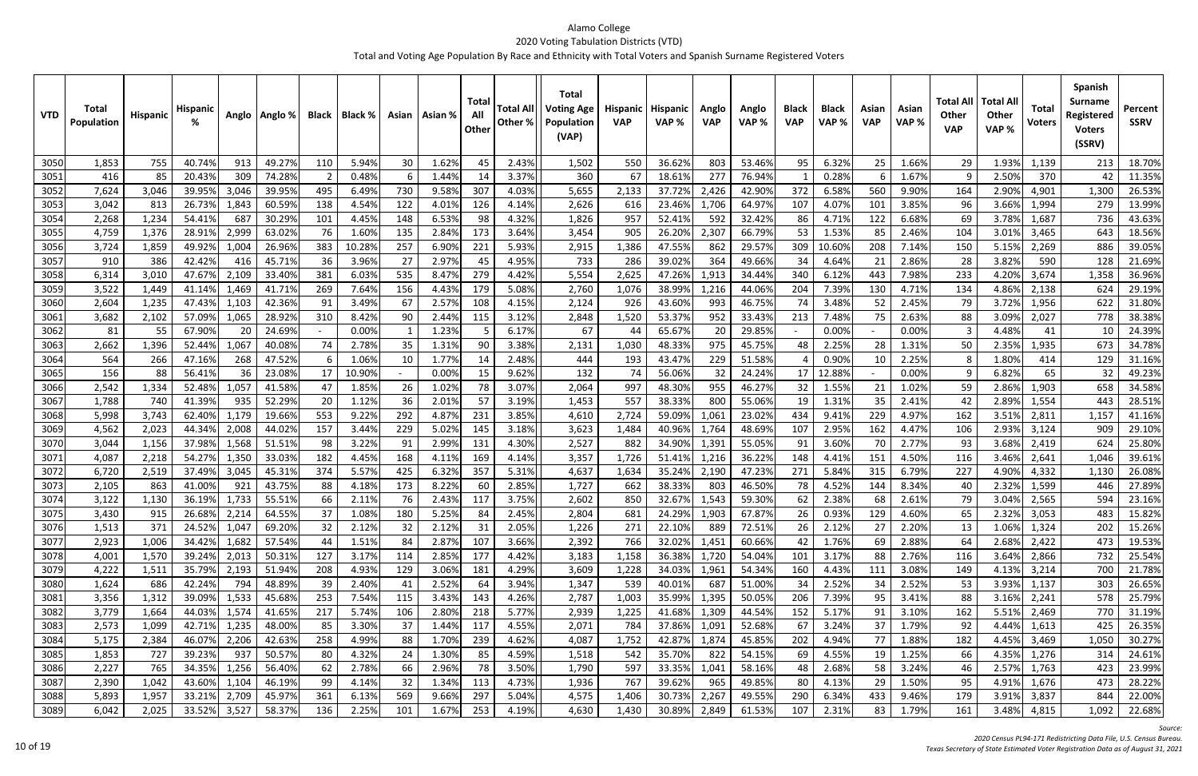| <b>VTD</b>    | Total<br>Population | <b>Hispanic</b> | <b>Hispani</b>   |                | Anglo   Anglo %  |            | Black   Black % |            | Asian   Asian % | Total<br>All<br>Other | <b>Total All</b><br>Other % | <b>Total</b><br><b>Voting Age</b><br>Population<br>(VAP) | <b>Hispanic</b><br><b>VAP</b> | <b>Hispanic</b><br>VAP% | Anglo<br><b>VAP</b> | Anglo<br>VAP %   | <b>Black</b><br><b>VAP</b> | <b>Black</b><br>VAP% | Asian<br><b>VAP</b> | Asian<br>VAP%  | Total All<br><b>Other</b><br><b>VAP</b> | <b>Total All</b><br><b>Other</b><br>VAP% | Total<br><b>Voters</b> | <b>Spanish</b><br><b>Surname</b><br>Registered<br><b>Voters</b><br>(SSRV) | Percent<br><b>SSRV</b> |
|---------------|---------------------|-----------------|------------------|----------------|------------------|------------|-----------------|------------|-----------------|-----------------------|-----------------------------|----------------------------------------------------------|-------------------------------|-------------------------|---------------------|------------------|----------------------------|----------------------|---------------------|----------------|-----------------------------------------|------------------------------------------|------------------------|---------------------------------------------------------------------------|------------------------|
| 3050          | 1,853               | 755             | 40.749           | 913            | 49.27%           | 110        | 5.94%           | 30         | 1.62%           | 45                    | 2.43%                       | 1,502                                                    | 550                           | 36.62%                  | 803                 | 53.46%           | 95                         | 6.32%                | 25                  | 1.66%          | 29                                      | 1.93%                                    | 1,139                  | 213                                                                       | 18.70%                 |
| 3051          | 416                 | 85              | 20.43%           | 309            | 74.28%           | - 2        | 0.48%           |            | 1.449           | -14                   | 3.37%                       | 360                                                      | -67                           | 18.61%                  | 277                 | 76.94%           |                            | 0.28%                |                     | 1.67%          |                                         | 2.50%                                    | 370                    | 42                                                                        | 11.35%                 |
| 3052          | 7,624               | 3,046           | 39.95%           | 3,046          | 39.95%           | 495        | 6.49%           | 730        | 9.58%           | 307                   | 4.03%                       | 5,655                                                    | 2,133                         | 37.729                  | 2,426               | 42.90%           | 372                        | 6.58%                | 560                 | 9.90%          | 164                                     | 2.90%                                    | 4,901                  | 1,300                                                                     | 26.53%                 |
| 3053          | 3,042               | 813             | 26.73%           | 1,843          | 60.59%           | 138        | 4.54%           | 122        | 4.01%           | 126                   | 4.14%                       | 2,626                                                    | 616                           | 23.469                  | 1,706               | 64.97%           | 107                        | 4.07%                | 101                 | 3.85%          | 96                                      | 3.66%                                    | 1,994                  | 279                                                                       | 13.99%                 |
| 3054          | 2,268               | 1,234           | 54.41%           | 687            | 30.29%           | 101        | 4.45%           | 148        | 6.53%           | 98                    | 4.32%                       | 1,826                                                    | 957                           | 52.41%                  | 592                 | 32.42%           | 86                         | 4.71%                | 122                 | 6.68%          | 69                                      | 3.78%                                    | 1,687                  | 736                                                                       | 43.63%                 |
| 3055          | 4,759               | 1,376           | 28.91%           | 2,999          | 63.02%           | 76         | 1.60%           | 135        | 2.84%           | 173                   | 3.64%                       | 3,454                                                    | 905                           | 26.209                  | 2,307               | 66.79%           | 53                         | 1.53%                | 85                  | 2.46%          | 104                                     | 3.01%                                    | 3,465                  | 643                                                                       | 18.56%                 |
| 3056          | 3,724               | 1,859           | 49.92%           | 1,004          | 26.96%           | 383        | 10.28%          | 257        | 6.90%           | 221                   | 5.93%                       | 2,915                                                    | 1,386                         | 47.55%                  | 862                 | 29.57%           | 309                        | 10.60%               | 208                 | 7.14%          | 150                                     | 5.15%                                    | 2,269                  | 886                                                                       | 39.05%                 |
| 3057          | 910                 | 386             | 42.42%           | 416            | 45.71%           | 36         | 3.96%           | -27        | 2.97%           | 45                    | 4.95%                       | 733                                                      | 286                           | 39.02%                  | 364                 | 49.66%           | 34                         | 4.64%                | 21                  | 2.86%          | 28                                      | 3.82%                                    | 590                    | 128                                                                       | 21.69%                 |
| 3058          | 6,314               | 3,010           | 47.67%           | 2,109          | 33.40%           | 381        | 6.03%           | 535        | 8.479           | 279                   | 4.42%                       | 5,554                                                    | 2,625                         | 47.269                  | 1,913               | 34.44%           | 340                        | 6.129                | 443                 | 7.98%          | 233                                     | 4.20%                                    | 3,674                  | 1,358                                                                     | 36.96%                 |
| 3059          | 3,522               | 1,449           | 41.14%           | 1,469          | 41.71%           | 269        | 7.64%           | 156        | 4.43%           | 179                   | 5.08%                       | 2,760                                                    | 1,076                         | 38.99%                  | 1,216               | 44.06%           | 204                        | 7.39%                | 130                 | 4.71%          | 134                                     | 4.86%                                    | 2,138                  | 624                                                                       | 29.19%                 |
| 3060          | 2,604               | 1,235           | 47.43%           | 1,103          | 42.36%           | 91         | 3.49%           | 67         | 2.57%           | 108                   | 4.15%                       | 2,124                                                    | 926                           | 43.60%                  | 993                 | 46.75%           | 74                         | 3.48%                | 52                  | 2.45%          | 79                                      | 3.72%                                    | 1,956                  | 622                                                                       | 31.80%                 |
| 3061          | 3,682               | 2,102           | 57.09%           | 1,065          | 28.92%           | 310        | 8.42%           | 90         | 2.449           | 115                   | 3.12%                       | 2,848                                                    | 1,520                         | 53.379                  | 952                 | 33.43%           | 213                        | 7.48%                | 75                  | 2.63%          | 88                                      | 3.09%                                    | 2,027                  | 778                                                                       | 38.38%                 |
| 3062          | 81                  | 55              | 67.90%           | 20             | 24.69%           |            | 0.00%           |            | 1.23%           |                       | 6.17%                       | 67                                                       | 44                            | 65.67%                  | 20                  | 29.85%           |                            | 0.00%                |                     | 0.00%          |                                         | 4.48%                                    | 41                     | 10                                                                        | 24.39%                 |
| 3063          | 2,662               | 1,396           | 52.44%           | 1,067          | 40.08%           | 74         | 2.78%           | 35         | 1.31%           | 90                    | 3.38%                       | 2,131                                                    | 1,030                         | 48.33%                  | 975                 | 45.75%           | 48                         | 2.25%                | 28                  | 1.31%          | 50                                      | 2.35%                                    | 1,935                  | 673                                                                       | 34.78%                 |
| 3064          | 564                 | 266             | 47.16%           | 268            | 47.52%           | -6         | 1.06%           | 10         | 1.77%           | -14                   | 2.48%                       | 444                                                      | 193                           | 43.47%                  | 229                 | 51.58%           |                            | 0.90%                | 10                  | 2.25%          |                                         | 1.80%                                    | 414                    | 129                                                                       | 31.16%                 |
| 3065          | 156                 | 88              | 56.41%           | 36             | 23.08%           | 17         | 10.90%          |            | 0.009           | -15                   | 9.62%                       | 132                                                      | 74                            | 56.06%                  | 32                  | 24.24%           | 17                         | 12.88%               |                     | 0.00%          |                                         | 6.82%                                    | 65                     | 32                                                                        | 49.23%                 |
| 3066          | 2,542               | 1,334           | 52.489           | 1,057          | 41.58%           | 47         | 1.85%           | 26         | 1.02%           | 78                    | 3.07%                       | 2,064                                                    | 997                           | 48.30%                  | 955                 | 46.27%           | 32                         | 1.55%                | 21                  | 1.02%          | 59                                      | 2.86%                                    | 1,903                  | 658                                                                       | 34.58%                 |
| 3067          | 1,788               | 740             | 41.39%           | 935            | 52.29%           | 20         | 1.12%           | 36         | 2.01%           | 57                    | 3.19%                       | 1,453                                                    | 557                           | 38.33%                  | 800                 | 55.06%           | 19                         | 1.31%                | 35                  | 2.41%          | 42                                      | 2.89%                                    | 1,554                  | 443                                                                       | 28.51%                 |
| 3068          | 5,998               | 3,743           | 62.40%           | 1,179          | 19.66%           | 553        | 9.22%           | 292        | 4.87%           | 231                   | 3.85%                       | 4,610                                                    | 2,724                         | 59.09%                  | 1,061               | 23.02%           | 434                        | 9.41%                | 229                 | 4.97%          | 162                                     | 3.51%                                    | 2,811                  | 1,157                                                                     | 41.16%                 |
| 3069          | 4,562               | 2,023           | 44.34%           | 2,008          | 44.02%           | 157        | 3.44%           | 229        | 5.02%           | 145                   | 3.18%                       | 3,623                                                    | 1,484                         | 40.96%                  | 1,764               | 48.69%           | 107                        | 2.95%                | 162                 | 4.47%          | 106                                     | 2.93%                                    | 3,124                  | 909                                                                       | 29.10%                 |
| 3070          | 3,044               | 1,156           | 37.98%           | 1,568          | 51.51%           | 98         | 3.22%           | -91        | 2.99%           | 131                   | 4.30%                       | 2,527                                                    | 882                           | 34.90%                  | 1,391               | 55.05%           | 91                         | 3.60%                | 70                  | 2.77%          | 93                                      | 3.68%                                    | 2,419                  | 624                                                                       | 25.80%                 |
| 3071<br>3072  | 4,087<br>6,720      | 2,218           | 54.27%<br>37.49% | 1,350<br>3,045 | 33.03%           | 182<br>374 | 4.45%<br>5.57%  | 168<br>425 | 4.11%<br>6.32%  | 169<br>357            | 4.14%<br>5.31%              | 3,357<br>4,637                                           | 1,726                         | 51.41%<br>35.24%        | 1,216<br>2,190      | 36.22%<br>47.23% | 148<br>271                 | 4.41%<br>5.84%       | 151<br>315          | 4.50%<br>6.79% | 116<br>227                              | 3.46%<br>4.90%                           | 2,641<br>4,332         | 1,046                                                                     | 39.61%<br>26.08%       |
| 3073          | 2,105               | 2,519<br>863    | 41.00%           | 921            | 45.31%<br>43.75% | 88         | 4.18%           | 173        | 8.229           | -60                   | 2.85%                       | 1,727                                                    | 1,634<br>662                  | 38.33%                  | 803                 | 46.50%           | 78                         | 4.52%                | 144                 | 8.34%          | 40                                      | 2.32%                                    | 1,599                  | 1,130<br>446                                                              | 27.89%                 |
| 3074          | 3,122               | 1,130           | 36.19%           | 1,733          | 55.51%           | 66         | 2.11%           | 76         | 2.43%           | 117                   | 3.75%                       | 2,602                                                    | 850                           | 32.67%                  | 1,543               | 59.30%           | 62                         | 2.38%                | 68                  | 2.61%          | 79                                      | 3.04%                                    | 2,565                  | 594                                                                       | 23.16%                 |
|               | 3,430               | 915             | 26.68%           | 2,214          | 64.55%           |            | 1.08%           | 180        | 5.25%           | 84                    | 2.45%                       | 2,804                                                    | 681                           | 24.29%                  | 1,903               | 67.87%           | 26                         | 0.93%                | 129                 | 4.60%          |                                         | 2.32%                                    | 3,053                  | 483                                                                       | 15.82%                 |
| 30751<br>3076 | 1,513               | 371             | 24.52%           | 1,047          | 69.20%           | 37<br>32   | 2.12%           | 32         | 2.12%           | 31                    | 2.05%                       | 1,226                                                    | 271                           | 22.10%                  | 889                 | 72.51%           | 26                         | 2.12%                | 27                  | 2.20%          | כס<br>13                                | 1.06%                                    | 1,324                  | 202                                                                       | 15.26%                 |
| 3077          | 2,923               | 1,006           | 34.42%           | 1,682          | 57.54%           | 44         | 1.51%           | 84         | 2.87%           | 107                   | 3.66%                       | 2,392                                                    | 766                           | 32.02%                  | 1,451               | 60.66%           | 42                         | 1.76%                | 69                  | 2.88%          | 64                                      | 2.68%                                    | 2,422                  | 473                                                                       | 19.53%                 |
| 3078          | 4,001               | 1,570           | 39.24%           | 2,013          | 50.31%           | 127        | 3.17%           | 114        | 2.85%           | 177                   | 4.42%                       | 3,183                                                    | 1,158                         | 36.38%                  | 1,720               | 54.04%           | 101                        | 3.17%                | 88                  | 2.76%          | 116                                     | 3.64%                                    | 2,866                  | 732                                                                       | 25.54%                 |
| 3079          | 4,222               | 1,511           | 35.79%           | 2,193          | 51.94%           | 208        | 4.93%           | 129        | 3.06%           | 181                   | 4.29%                       | 3,609                                                    | 1,228                         | 34.03%                  | 1,961               | 54.34%           | 160                        | 4.43%                | 111                 | 3.08%          | 149                                     | 4.13%                                    | 3,214                  | 700                                                                       | 21.78%                 |
| 3080          | 1,624               | 686             | 42.24%           | 794            | 48.89%           | 39         | 2.40%           | 41         | 2.52%           | 64                    | 3.94%                       | 1,347                                                    | 539                           | 40.01%                  | 687                 | 51.00%           | 34                         | 2.52%                | 34                  | 2.52%          | 53                                      | 3.93%                                    | 1,137                  | 303                                                                       | 26.65%                 |
| 3081          | 3,356               | 1,312           | 39.09%           | 1,533          | 45.68%           | 253        | 7.54%           | 115        | 3.43%           | 143                   | 4.26%                       | 2,787                                                    | 1,003                         | 35.99%                  | 1,395               | 50.05%           | 206                        | 7.39%                | 95                  | 3.41%          | 88                                      | 3.16%                                    | 2,241                  | 578                                                                       | 25.79%                 |
| 3082          | 3,779               | 1,664           | 44.03%           | 1,574          | 41.65%           | 217        | 5.74%           | 106        | 2.80%           | 218                   | 5.77%                       | 2,939                                                    | 1,225                         | 41.68%                  | 1,309               | 44.54%           | 152                        | 5.17%                | 91                  | 3.10%          | 162                                     | 5.51%                                    | 2,469                  | 770                                                                       | 31.19%                 |
| 3083          | 2,573               | 1,099           | 42.71%           | 1,235          | 48.00%           | 85         | 3.30%           | 37         | 1.44%           | 117                   | 4.55%                       | 2,071                                                    | 784                           | 37.86%                  | 1,091               | 52.68%           | 67                         | 3.24%                | 37                  | 1.79%          | 92                                      | 4.44%                                    | 1,613                  | 425                                                                       | 26.35%                 |
| 3084          | 5,175               | 2,384           | 46.07%           | 2,206          | 42.63%           | 258        | 4.99%           | 88         | 1.70%           | 239                   | 4.62%                       | 4,087                                                    | 1,752                         | 42.87%                  | 1,874               | 45.85%           | 202                        | 4.94%                | 77                  | 1.88%          | 182                                     | 4.45%                                    | 3,469                  | 1,050                                                                     | 30.27%                 |
| 3085          | 1,853               | 727             | 39.23%           | 937            | 50.57%           | 80         | 4.32%           | 24         | 1.30%           | 85                    | 4.59%                       | 1,518                                                    | 542                           | 35.70%                  | 822                 | 54.15%           | 69                         | 4.55%                | 19                  | 1.25%          | 66                                      | 4.35%                                    | 1,276                  | 314                                                                       | 24.61%                 |
| 3086          | 2,227               | 765             | 34.35%           | 1,256          | 56.40%           | 62         | 2.78%           | 66         | 2.96%           | 78                    | 3.50%                       | 1,790                                                    | 597                           | 33.35%                  | 1,041               | 58.16%           | 48                         | 2.68%                | 58                  | 3.24%          | 46                                      | 2.57%                                    | 1,763                  | 423                                                                       | 23.99%                 |
| 3087          | 2,390               | 1,042           | 43.60%           | 1,104          | 46.19%           | 99         | 4.14%           | 32         | 1.34%           | 113                   | 4.73%                       | 1,936                                                    | 767                           | 39.62%                  | 965                 | 49.85%           | 80                         | 4.13%                | 29                  | 1.50%          | 95                                      | 4.91%                                    | 1,676                  | 473                                                                       | 28.22%                 |
| 3088          | 5,893               | 1,957           | 33.21%           | 2,709          | 45.97%           | 361        | 6.13%           | 569        | 9.66%           | 297                   | 5.04%                       | 4,575                                                    | 1,406                         | 30.73%                  | 2,267               | 49.55%           | 290                        | 6.34%                | 433                 | 9.46%          | 179                                     | 3.91%                                    | 3,837                  | 844                                                                       | 22.00%                 |
| 3089          | 6,042               | 2,025           | 33.52%           | 3,527          | 58.37%           | 136        | 2.25%           | 101        | 1.67%           | 253                   | 4.19%                       | 4,630                                                    | 1,430                         | 30.89%                  | 2,849               | 61.53%           | 107                        | 2.31%                | 83                  | 1.79%          | 161                                     | 3.48%                                    | 4,815                  | 1,092                                                                     | 22.68%                 |

*Source:*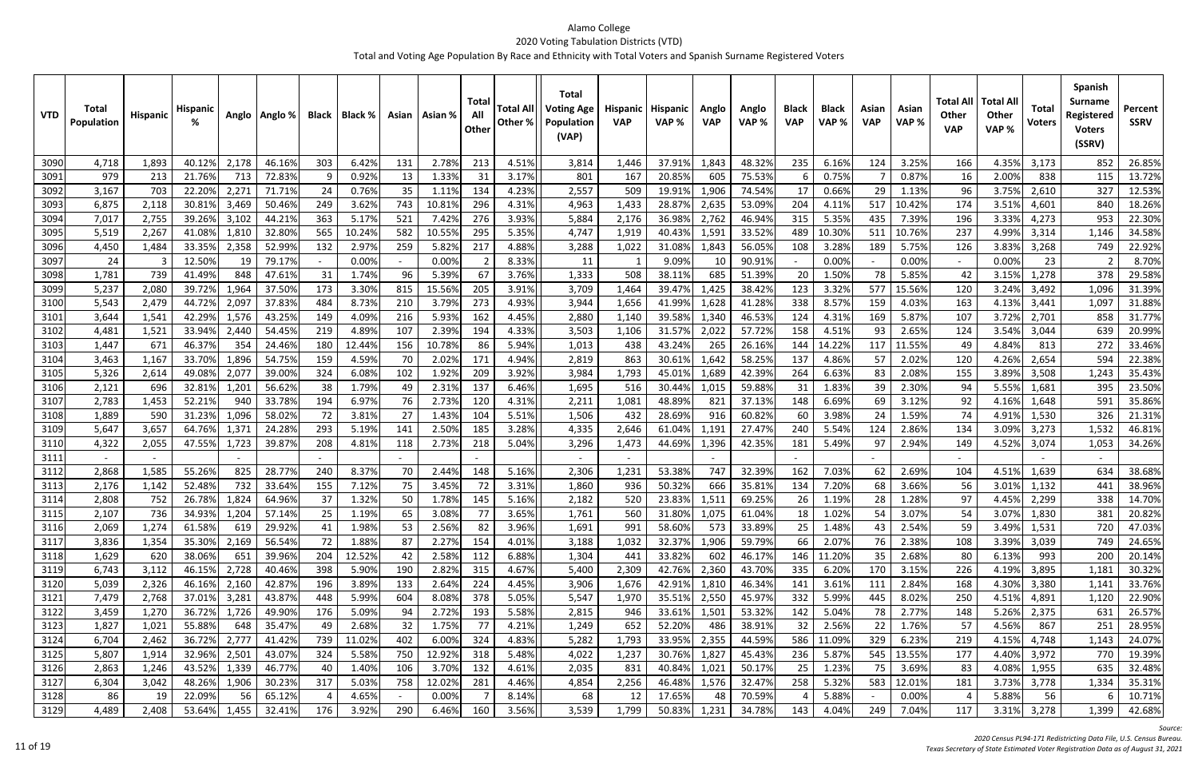| 213<br>4.51%<br>3090<br>4,718<br>1,893<br>40.12%<br>2,178<br>46.16%<br>303<br>6.42%<br>131<br>2.78%<br>37.91%<br>1,843<br>48.32%<br>235<br>6.16%<br>124<br>3.25%<br>4.35%<br>3,173<br>852<br>26.85%<br>3,814<br>1,446<br>166<br>21.76%<br>72.83%<br>1.33%<br>3.17%<br>605<br>0.87%<br>2.00%<br>3091<br>979<br>213<br>713<br>-9<br>0.92%<br>13<br>31<br>801<br>167<br>20.85%<br>75.53%<br>0.75%<br>16<br>838<br>115<br>13.72%<br>4.23%<br>327<br>3092<br>3,167<br>703<br>22.20%<br>2,27<br>24<br>0.76%<br>35<br>1.11%<br>134<br>2,557<br>509<br>19.91%<br>1,906<br>74.54%<br>0.66%<br>3.75%<br>12.53%<br>71.71%<br>17<br>29<br>1.13%<br>96<br>2,610<br>3093<br>249<br>743<br>10.819<br>296<br>4.31%<br>28.87%<br>2,635<br>204<br>3.51%<br>18.26%<br>6,875<br>2,118<br>30.81%<br>3,469<br>50.46%<br>3.62%<br>4,963<br>1,433<br>53.09%<br>517<br>10.42%<br>174<br>840<br>4.119<br>4,601<br>363<br>276<br>3.93%<br>953<br>22.30%<br>7,017<br>2,755<br>39.26%<br>3,102<br>44.21%<br>521<br>7.42%<br>36.98%<br>2,762<br>46.94%<br>315<br>5.35%<br>7.39%<br>196<br>3.33%<br>3094<br>5.17%<br>5,884<br>2,176<br>435<br>4,273<br>565<br>582<br>295<br>237<br>3095<br>5,519<br>2,267<br>41.08%<br>1,810<br>32.80%<br>10.24%<br>10.55%<br>5.35%<br>4,747<br>40.43%<br>1,591<br>33.52%<br>489<br>10.30%<br>511<br>10.76%<br>4.99%<br>1,146<br>34.58%<br>1,919<br>3,314<br>132<br>4.88%<br>22.92%<br>3096<br>33.35%<br>52.99%<br>2.97%<br>259<br>5.82%<br>217<br>3,288<br>1,022<br>31.08%<br>1,843<br>56.05%<br>3.28%<br>5.75%<br>3.83%<br>749<br>4,450<br>1,484<br>2,358<br>108<br>189<br>126<br>3,268<br>3097<br>24<br>12.50%<br>79.17%<br>0.00%<br>8.33%<br>0.00%<br>0.00%<br>8.70%<br>0.00%<br>11<br>9.09%<br>10<br>90.91%<br>0.00%<br>23<br>-3<br>19<br>$\sim$<br>739<br>3.76%<br>685<br>378<br>29.58%<br>3098<br>1,781<br>41.49%<br>848<br>47.61%<br>31<br>1.74%<br>96<br>5.399<br>67<br>1,333<br>508<br>38.11%<br>51.39%<br>20<br>1.50%<br>78<br>5.85%<br>1,278<br>42<br>3.15%<br>173<br>205<br>3.91%<br>1,096<br>3099<br>5,237<br>2,080<br>39.72%<br>1,964<br>37.50%<br>3.30%<br>815<br>15.56%<br>3,709<br>39.47%<br>1,425<br>38.42%<br>123<br>3.32%<br>577<br>15.56%<br>120<br>3.24%<br>31.39%<br>1,464<br>3,492<br>273<br>4.93%<br>44.72%<br>2,097<br>37.83%<br>484<br>210<br>3.79%<br>1,628<br>338<br>8.57%<br>4.03%<br>1,097<br>31.88%<br>3100<br>5,543<br>2,479<br>8.73%<br>3,944<br>1,656<br>41.99%<br>41.28%<br>159<br>163<br>4.13%<br>3,441<br>42.29%<br>43.25%<br>149<br>5.93%<br>4.45%<br>39.58%<br>46.53%<br>5.87%<br>3.72%<br>31.77%<br>3101<br>3,644<br>1,541<br>1,576<br>4.09%<br>216<br>162<br>2,880<br>1,340<br>4.31%<br>169<br>107<br>2,701<br>858<br>1,140<br>124<br>219<br>2.39%<br>4.33%<br>20.99%<br>1,521<br>33.94%<br>2,440<br>54.45%<br>4.89%<br>107<br>194<br>3,503<br>31.57%<br>2,022<br>57.72%<br>158<br>4.51%<br>2.65%<br>3.54%<br>639<br>3102<br>4,481<br>1,106<br>93<br>124<br>3,044<br>671<br>46.37%<br>180<br>10.789<br>5.94%<br>265<br>26.16%<br>14.229<br>272<br>33.46%<br>1,447<br>354<br>24.46%<br>12.44%<br>156<br>86<br>1,013<br>438<br>43.24%<br>144<br>117<br>11.55%<br>4.84%<br>3103<br>49<br>813<br>1,167<br>33.70%<br>1,896<br>54.75%<br>159<br>70<br>2.02%<br>171<br>4.94%<br>30.61%<br>1,642<br>58.25%<br>137<br>4.86%<br>2.02%<br>4.26%<br>594<br>22.38%<br>3104<br>3,463<br>4.59%<br>2,819<br>863<br>57<br>120<br>2,654<br>3.92%<br>324<br>102<br>1.92%<br>209<br>1,689<br>2.08%<br>3.89%<br>1,243<br>35.43%<br>5,326<br>49.08%<br>2,07<br>39.00%<br>6.08%<br>3,984<br>1,793<br>45.01%<br>42.39%<br>264<br>6.63%<br>155<br>3105<br>2,614<br>83<br>3,508<br>38<br>1.79%<br>2.31%<br>5.55%<br>395<br>23.50%<br>3106<br>2,121<br>696<br>32.81%<br>1,201<br>56.62%<br>137<br>6.46%<br>1,695<br>516<br>30.44%<br>1,015<br>59.88%<br>1.83%<br>39<br>2.30%<br>94<br>49<br>31<br>1,681<br>35.86%<br>2,783<br>52.21%<br>940<br>33.78%<br>194<br>6.97%<br>76<br>2.73%<br>120<br>4.31%<br>48.89%<br>37.13%<br>6.69%<br>3.12%<br>92<br>4.16%<br>591<br>3107<br>1,453<br>2,211<br>1,081<br>821<br>148<br>69<br>1,648<br>1,096<br>72<br>1.43%<br>5.51%<br>326<br>3108<br>1,889<br>590<br>31.23%<br>58.02%<br>3.81%<br>27<br>104<br>1,506<br>432<br>28.69%<br>916<br>60.82%<br>60<br>3.98%<br>24<br>1.59%<br>74<br>4.91%<br>21.31%<br>1,530<br>293<br>2.50%<br>3.28%<br>3,657<br>64.76%<br>24.28%<br>141<br>185<br>2,646<br>240<br>2.86%<br>3.09%<br>1,532<br>46.81%<br>3109<br>5,647<br>1,37<br>5.19%<br>4,335<br>61.04%<br>1,191<br>27.47%<br>5.54%<br>124<br>134<br>3,273<br>4,322<br>47.55%<br>39.87%<br>208<br>2.73%<br>5.04%<br>3,296<br>44.69%<br>1,396<br>42.35%<br>5.49%<br>2.94%<br>4.52%<br>34.26%<br>3110<br>2,055<br>1,723<br>4.81%<br>118<br>218<br>1,473<br>181<br>149<br>3,074<br>1,053<br>97<br>3111<br>28.77%<br>2.69%<br>2,868<br>1,585<br>55.26%<br>825<br>240<br>8.37%<br>70<br>2.44%<br>148<br>5.16%<br>2,306<br>53.38%<br>747<br>32.39%<br>7.03%<br>104<br>38.68%<br>3112<br>1,231<br>162<br>62<br>4.51%<br>1,639<br>634<br>52.48%<br>732<br>155<br>75<br>3.45%<br>72<br>3.31%<br>50.32%<br>666<br>35.81%<br>7.20%<br>3.66%<br>3.01%<br>38.96%<br>3113<br>2,176<br>1,142<br>33.64%<br>7.12%<br>1,860<br>936<br>134<br>68<br>56<br>1,132<br>441<br>2,808<br>752<br>26.78%<br>37<br>1.78%<br>5.16%<br>69.25%<br>338<br>1,824<br>64.96%<br>1.32%<br>50<br>2,182<br>520<br>23.83%<br>1.19%<br>1.28%<br>97<br>4.45%<br>14.70%<br>3114<br>145<br>1,511<br>26<br>28<br>2,299<br>$\neg \neg$<br>20.82%<br>1,761<br>3.07%<br>381<br>2,107<br>34.93%<br>1,204<br>1.02%<br>57.14%<br>25<br>1.19%<br>3.08%<br>31.80%<br>61.04%<br>3.07%<br>1,830<br>1,075<br>18<br>$3.65\%$<br>54<br>65<br>560<br>54<br>3115<br>736<br>$\prime\prime$<br>1,274<br>1.98%<br>2.56%<br>82<br>3.96%<br>573<br>25<br>720<br>47.03%<br>3116<br>2,069<br>61.58%<br>29.92%<br>41<br>53<br>1,691<br>991<br>58.60%<br>33.89%<br>1.48%<br>43<br>2.54%<br>3.49%<br>1,531<br>619<br>59<br>3,836<br>2,169<br>72<br>2.27%<br>154<br>4.01%<br>32.37%<br>1,906<br>59.79%<br>66<br>2.07%<br>76<br>2.38%<br>3117<br>1,354<br>35.30%<br>56.54%<br>1.88%<br>87<br>3,188<br>1,032<br>108<br>3.39%<br>3,039<br>749<br>24.65%<br>6.88%<br>3118<br>1,629<br>620<br>38.06%<br>39.96%<br>204<br>12.52%<br>2.58%<br>112<br>1,304<br>33.82%<br>602<br>46.17%<br>146<br>11.20%<br>35<br>2.68%<br>6.13%<br>993<br>200<br>20.14%<br>651<br>42<br>441<br>80<br>4.67%<br>2,360<br>6,743<br>3,112<br>46.15%<br>40.46%<br>398<br>5.90%<br>190<br>2.82%<br>315<br>42.76%<br>43.70%<br>335<br>6.20%<br>170<br>3,895<br>30.32%<br>3119<br>2,728<br>5,400<br>2,309<br>3.15%<br>226<br>4.19%<br>1,181<br>5,039<br>2,326<br>46.16%<br>2,160<br>42.87%<br>3.89%<br>133<br>2.64%<br>224<br>4.45%<br>3,906<br>46.34%<br>3.61%<br>2.84%<br>4.30%<br>33.76%<br>3120<br>196<br>1,676<br>42.91%<br>1,810<br>141<br>111<br>168<br>3,380<br>1,141<br>2,768<br>3,281<br>43.87%<br>5.99%<br>8.08%<br>378<br>5.05%<br>2,550<br>45.97%<br>5.99%<br>22.90%<br>3121<br>7,479<br>37.01%<br>448<br>5,547<br>1,970<br>35.51%<br>332<br>8.02%<br>250<br>604<br>445<br>4.51%<br>4,891<br>1,120<br>3,459<br>1,270<br>36.72%<br>1,726<br>176<br>5.09%<br>2.72%<br>193<br>5.58%<br>33.61%<br>1,501<br>53.32%<br>5.04%<br>78<br>2.77%<br>26.57%<br>3122<br>49.90%<br>94<br>2,815<br>946<br>142<br>5.26%<br>2,375<br>631<br>148<br>4.21%<br>55.88%<br>3123<br>1,827<br>1,021<br>35.47%<br>49<br>2.68%<br>32<br>1.75%<br>77<br>1,249<br>652<br>52.20%<br>486<br>38.91%<br>32<br>2.56%<br>22<br>1.76%<br>4.56%<br>867<br>251<br>28.95%<br>648<br>57<br>36.72%<br>739<br>4.83%<br>2,355<br>6,704<br>2,462<br>2,777<br>41.42%<br>11.02%<br>402<br>6.00%<br>324<br>5,282<br>1,793<br>33.95%<br>44.59%<br>586<br>11.09%<br>329<br>6.23%<br>4.15%<br>4,748<br>24.07%<br>3124<br>219<br>1,143<br>12.92%<br>5.48%<br>5,807<br>32.96%<br>2,501<br>750<br>318<br>30.76%<br>45.43%<br>236<br>545<br>19.39%<br>3125<br>1,914<br>43.07%<br>324<br>5.58%<br>4,022<br>1,237<br>1,827<br>5.87%<br>13.55%<br>177<br>4.40%<br>3,972<br>770<br>4.61%<br>2,863<br>43.52%<br>1,339<br>46.77%<br>1.40%<br>106<br>3.70%<br>132<br>40.84%<br>1,021<br>50.17%<br>25<br>1.23%<br>75<br>3.69%<br>4.08%<br>635<br>32.48%<br>3126<br>1,246<br>40<br>2,035<br>831<br>83<br>1,955<br>48.26%<br>1,906<br>317<br>12.02%<br>281<br>4.46%<br>1,576<br>5.32%<br>12.01%<br>3127<br>6,304<br>3,042<br>30.23%<br>5.03%<br>758<br>4,854<br>2,256<br>46.48%<br>32.47%<br>258<br>583<br>3.73%<br>3,778<br>1,334<br>35.31%<br>181<br>86<br>22.09%<br>0.00%<br>8.14%<br>17.65%<br>70.59%<br>5.88%<br>0.00%<br>5.88%<br>56<br>3128<br>65.12%<br>4.65%<br>68<br>48<br>10.71%<br>-19<br>-12<br>$\sim$ | <b>VTD</b> | <b>Total</b><br>Population | <b>Hispanic</b> | <b>Hispanic</b> |       | Anglo   Anglo % | <b>Black</b> | Black % |     | Asian   Asian % | Tota<br>All<br>Other | <b>Total All</b><br>Other % | <b>Total</b><br><b>Voting Age</b><br>Population<br>(VAP) | Hispanic<br><b>VAP</b> | <b>Hispanic</b><br>VAP% | Anglo<br><b>VAP</b> | Anglo<br>VAP % | <b>Black</b><br><b>VAP</b> | <b>Black</b><br>VAP% | Asian<br><b>VAP</b> | Asian<br>VAP% | Total All<br><b>Other</b><br><b>VAP</b> | <b>Total Al</b><br><b>Other</b><br>VAP% | <b>Total</b><br><b>Voters</b> | <b>Spanish</b><br><b>Surname</b><br>Registered<br><b>Voters</b><br>(SSRV) | Percent<br><b>SSRV</b> |
|----------------------------------------------------------------------------------------------------------------------------------------------------------------------------------------------------------------------------------------------------------------------------------------------------------------------------------------------------------------------------------------------------------------------------------------------------------------------------------------------------------------------------------------------------------------------------------------------------------------------------------------------------------------------------------------------------------------------------------------------------------------------------------------------------------------------------------------------------------------------------------------------------------------------------------------------------------------------------------------------------------------------------------------------------------------------------------------------------------------------------------------------------------------------------------------------------------------------------------------------------------------------------------------------------------------------------------------------------------------------------------------------------------------------------------------------------------------------------------------------------------------------------------------------------------------------------------------------------------------------------------------------------------------------------------------------------------------------------------------------------------------------------------------------------------------------------------------------------------------------------------------------------------------------------------------------------------------------------------------------------------------------------------------------------------------------------------------------------------------------------------------------------------------------------------------------------------------------------------------------------------------------------------------------------------------------------------------------------------------------------------------------------------------------------------------------------------------------------------------------------------------------------------------------------------------------------------------------------------------------------------------------------------------------------------------------------------------------------------------------------------------------------------------------------------------------------------------------------------------------------------------------------------------------------------------------------------------------------------------------------------------------------------------------------------------------------------------------------------------------------------------------------------------------------------------------------------------------------------------------------------------------------------------------------------------------------------------------------------------------------------------------------------------------------------------------------------------------------------------------------------------------------------------------------------------------------------------------------------------------------------------------------------------------------------------------------------------------------------------------------------------------------------------------------------------------------------------------------------------------------------------------------------------------------------------------------------------------------------------------------------------------------------------------------------------------------------------------------------------------------------------------------------------------------------------------------------------------------------------------------------------------------------------------------------------------------------------------------------------------------------------------------------------------------------------------------------------------------------------------------------------------------------------------------------------------------------------------------------------------------------------------------------------------------------------------------------------------------------------------------------------------------------------------------------------------------------------------------------------------------------------------------------------------------------------------------------------------------------------------------------------------------------------------------------------------------------------------------------------------------------------------------------------------------------------------------------------------------------------------------------------------------------------------------------------------------------------------------------------------------------------------------------------------------------------------------------------------------------------------------------------------------------------------------------------------------------------------------------------------------------------------------------------------------------------------------------------------------------------------------------------------------------------------------------------------------------------------------------------------------------------------------------------------------------------------------------------------------------------------------------------------------------------------------------------------------------------------------------------------------------------------------------------------------------------------------------------------------------------------------------------------------------------------------------------------------------------------------------------------------------------------------------------------------------------------------------------------------------------------------------------------------------------------------------------------------------------------------------------------------------------------------------------------------------------------------------------------------------------------------------------------------------------------------------------------------------------------------------------------------------------------------------------------------------------------------------------------------------------------------------------------------------------------------------------------------------------------------------------------------------------------------------------------------------------------------------------------------------------------------------------------------------------------------------------------------------------------------------------------------------------------------------------------------------------------------------------------------------------------------------------------------------------------------------------------------------------------------------------------------------------------------------------------------------------------------------------------------------------------------------------------------------------------------------------------------------------------------------------------------------------------------------------------------------------------------------------------------------------------------------------------------------------------------------------------------------------------------------------------------------------------------------------------------------------------------------------------------------------------------------------------------------------------------------------------------------------------------------------------------------------------------------------------------------------------------------------------------------------------------------------------------------------------------------------------------------------------------------|------------|----------------------------|-----------------|-----------------|-------|-----------------|--------------|---------|-----|-----------------|----------------------|-----------------------------|----------------------------------------------------------|------------------------|-------------------------|---------------------|----------------|----------------------------|----------------------|---------------------|---------------|-----------------------------------------|-----------------------------------------|-------------------------------|---------------------------------------------------------------------------|------------------------|
|                                                                                                                                                                                                                                                                                                                                                                                                                                                                                                                                                                                                                                                                                                                                                                                                                                                                                                                                                                                                                                                                                                                                                                                                                                                                                                                                                                                                                                                                                                                                                                                                                                                                                                                                                                                                                                                                                                                                                                                                                                                                                                                                                                                                                                                                                                                                                                                                                                                                                                                                                                                                                                                                                                                                                                                                                                                                                                                                                                                                                                                                                                                                                                                                                                                                                                                                                                                                                                                                                                                                                                                                                                                                                                                                                                                                                                                                                                                                                                                                                                                                                                                                                                                                                                                                                                                                                                                                                                                                                                                                                                                                                                                                                                                                                                                                                                                                                                                                                                                                                                                                                                                                                                                                                                                                                                                                                                                                                                                                                                                                                                                                                                                                                                                                                                                                                                                                                                                                                                                                                                                                                                                                                                                                                                                                                                                                                                                                                                                                                                                                                                                                                                                                                                                                                                                                                                                                                                                                                                                                                                                                                                                                                                                                                                                                                                                                                                                                                                                                                                                                                                                                                                                                                                                                                                                                                                                                                                                                                                                                                                                                                                                                                                                                                                                                                                                                                                                                                                                                                                                                                                                                          |            |                            |                 |                 |       |                 |              |         |     |                 |                      |                             |                                                          |                        |                         |                     |                |                            |                      |                     |               |                                         |                                         |                               |                                                                           |                        |
|                                                                                                                                                                                                                                                                                                                                                                                                                                                                                                                                                                                                                                                                                                                                                                                                                                                                                                                                                                                                                                                                                                                                                                                                                                                                                                                                                                                                                                                                                                                                                                                                                                                                                                                                                                                                                                                                                                                                                                                                                                                                                                                                                                                                                                                                                                                                                                                                                                                                                                                                                                                                                                                                                                                                                                                                                                                                                                                                                                                                                                                                                                                                                                                                                                                                                                                                                                                                                                                                                                                                                                                                                                                                                                                                                                                                                                                                                                                                                                                                                                                                                                                                                                                                                                                                                                                                                                                                                                                                                                                                                                                                                                                                                                                                                                                                                                                                                                                                                                                                                                                                                                                                                                                                                                                                                                                                                                                                                                                                                                                                                                                                                                                                                                                                                                                                                                                                                                                                                                                                                                                                                                                                                                                                                                                                                                                                                                                                                                                                                                                                                                                                                                                                                                                                                                                                                                                                                                                                                                                                                                                                                                                                                                                                                                                                                                                                                                                                                                                                                                                                                                                                                                                                                                                                                                                                                                                                                                                                                                                                                                                                                                                                                                                                                                                                                                                                                                                                                                                                                                                                                                                                          |            |                            |                 |                 |       |                 |              |         |     |                 |                      |                             |                                                          |                        |                         |                     |                |                            |                      |                     |               |                                         |                                         |                               |                                                                           |                        |
|                                                                                                                                                                                                                                                                                                                                                                                                                                                                                                                                                                                                                                                                                                                                                                                                                                                                                                                                                                                                                                                                                                                                                                                                                                                                                                                                                                                                                                                                                                                                                                                                                                                                                                                                                                                                                                                                                                                                                                                                                                                                                                                                                                                                                                                                                                                                                                                                                                                                                                                                                                                                                                                                                                                                                                                                                                                                                                                                                                                                                                                                                                                                                                                                                                                                                                                                                                                                                                                                                                                                                                                                                                                                                                                                                                                                                                                                                                                                                                                                                                                                                                                                                                                                                                                                                                                                                                                                                                                                                                                                                                                                                                                                                                                                                                                                                                                                                                                                                                                                                                                                                                                                                                                                                                                                                                                                                                                                                                                                                                                                                                                                                                                                                                                                                                                                                                                                                                                                                                                                                                                                                                                                                                                                                                                                                                                                                                                                                                                                                                                                                                                                                                                                                                                                                                                                                                                                                                                                                                                                                                                                                                                                                                                                                                                                                                                                                                                                                                                                                                                                                                                                                                                                                                                                                                                                                                                                                                                                                                                                                                                                                                                                                                                                                                                                                                                                                                                                                                                                                                                                                                                                          |            |                            |                 |                 |       |                 |              |         |     |                 |                      |                             |                                                          |                        |                         |                     |                |                            |                      |                     |               |                                         |                                         |                               |                                                                           |                        |
|                                                                                                                                                                                                                                                                                                                                                                                                                                                                                                                                                                                                                                                                                                                                                                                                                                                                                                                                                                                                                                                                                                                                                                                                                                                                                                                                                                                                                                                                                                                                                                                                                                                                                                                                                                                                                                                                                                                                                                                                                                                                                                                                                                                                                                                                                                                                                                                                                                                                                                                                                                                                                                                                                                                                                                                                                                                                                                                                                                                                                                                                                                                                                                                                                                                                                                                                                                                                                                                                                                                                                                                                                                                                                                                                                                                                                                                                                                                                                                                                                                                                                                                                                                                                                                                                                                                                                                                                                                                                                                                                                                                                                                                                                                                                                                                                                                                                                                                                                                                                                                                                                                                                                                                                                                                                                                                                                                                                                                                                                                                                                                                                                                                                                                                                                                                                                                                                                                                                                                                                                                                                                                                                                                                                                                                                                                                                                                                                                                                                                                                                                                                                                                                                                                                                                                                                                                                                                                                                                                                                                                                                                                                                                                                                                                                                                                                                                                                                                                                                                                                                                                                                                                                                                                                                                                                                                                                                                                                                                                                                                                                                                                                                                                                                                                                                                                                                                                                                                                                                                                                                                                                                          |            |                            |                 |                 |       |                 |              |         |     |                 |                      |                             |                                                          |                        |                         |                     |                |                            |                      |                     |               |                                         |                                         |                               |                                                                           |                        |
|                                                                                                                                                                                                                                                                                                                                                                                                                                                                                                                                                                                                                                                                                                                                                                                                                                                                                                                                                                                                                                                                                                                                                                                                                                                                                                                                                                                                                                                                                                                                                                                                                                                                                                                                                                                                                                                                                                                                                                                                                                                                                                                                                                                                                                                                                                                                                                                                                                                                                                                                                                                                                                                                                                                                                                                                                                                                                                                                                                                                                                                                                                                                                                                                                                                                                                                                                                                                                                                                                                                                                                                                                                                                                                                                                                                                                                                                                                                                                                                                                                                                                                                                                                                                                                                                                                                                                                                                                                                                                                                                                                                                                                                                                                                                                                                                                                                                                                                                                                                                                                                                                                                                                                                                                                                                                                                                                                                                                                                                                                                                                                                                                                                                                                                                                                                                                                                                                                                                                                                                                                                                                                                                                                                                                                                                                                                                                                                                                                                                                                                                                                                                                                                                                                                                                                                                                                                                                                                                                                                                                                                                                                                                                                                                                                                                                                                                                                                                                                                                                                                                                                                                                                                                                                                                                                                                                                                                                                                                                                                                                                                                                                                                                                                                                                                                                                                                                                                                                                                                                                                                                                                                          |            |                            |                 |                 |       |                 |              |         |     |                 |                      |                             |                                                          |                        |                         |                     |                |                            |                      |                     |               |                                         |                                         |                               |                                                                           |                        |
|                                                                                                                                                                                                                                                                                                                                                                                                                                                                                                                                                                                                                                                                                                                                                                                                                                                                                                                                                                                                                                                                                                                                                                                                                                                                                                                                                                                                                                                                                                                                                                                                                                                                                                                                                                                                                                                                                                                                                                                                                                                                                                                                                                                                                                                                                                                                                                                                                                                                                                                                                                                                                                                                                                                                                                                                                                                                                                                                                                                                                                                                                                                                                                                                                                                                                                                                                                                                                                                                                                                                                                                                                                                                                                                                                                                                                                                                                                                                                                                                                                                                                                                                                                                                                                                                                                                                                                                                                                                                                                                                                                                                                                                                                                                                                                                                                                                                                                                                                                                                                                                                                                                                                                                                                                                                                                                                                                                                                                                                                                                                                                                                                                                                                                                                                                                                                                                                                                                                                                                                                                                                                                                                                                                                                                                                                                                                                                                                                                                                                                                                                                                                                                                                                                                                                                                                                                                                                                                                                                                                                                                                                                                                                                                                                                                                                                                                                                                                                                                                                                                                                                                                                                                                                                                                                                                                                                                                                                                                                                                                                                                                                                                                                                                                                                                                                                                                                                                                                                                                                                                                                                                                          |            |                            |                 |                 |       |                 |              |         |     |                 |                      |                             |                                                          |                        |                         |                     |                |                            |                      |                     |               |                                         |                                         |                               |                                                                           |                        |
|                                                                                                                                                                                                                                                                                                                                                                                                                                                                                                                                                                                                                                                                                                                                                                                                                                                                                                                                                                                                                                                                                                                                                                                                                                                                                                                                                                                                                                                                                                                                                                                                                                                                                                                                                                                                                                                                                                                                                                                                                                                                                                                                                                                                                                                                                                                                                                                                                                                                                                                                                                                                                                                                                                                                                                                                                                                                                                                                                                                                                                                                                                                                                                                                                                                                                                                                                                                                                                                                                                                                                                                                                                                                                                                                                                                                                                                                                                                                                                                                                                                                                                                                                                                                                                                                                                                                                                                                                                                                                                                                                                                                                                                                                                                                                                                                                                                                                                                                                                                                                                                                                                                                                                                                                                                                                                                                                                                                                                                                                                                                                                                                                                                                                                                                                                                                                                                                                                                                                                                                                                                                                                                                                                                                                                                                                                                                                                                                                                                                                                                                                                                                                                                                                                                                                                                                                                                                                                                                                                                                                                                                                                                                                                                                                                                                                                                                                                                                                                                                                                                                                                                                                                                                                                                                                                                                                                                                                                                                                                                                                                                                                                                                                                                                                                                                                                                                                                                                                                                                                                                                                                                                          |            |                            |                 |                 |       |                 |              |         |     |                 |                      |                             |                                                          |                        |                         |                     |                |                            |                      |                     |               |                                         |                                         |                               |                                                                           |                        |
|                                                                                                                                                                                                                                                                                                                                                                                                                                                                                                                                                                                                                                                                                                                                                                                                                                                                                                                                                                                                                                                                                                                                                                                                                                                                                                                                                                                                                                                                                                                                                                                                                                                                                                                                                                                                                                                                                                                                                                                                                                                                                                                                                                                                                                                                                                                                                                                                                                                                                                                                                                                                                                                                                                                                                                                                                                                                                                                                                                                                                                                                                                                                                                                                                                                                                                                                                                                                                                                                                                                                                                                                                                                                                                                                                                                                                                                                                                                                                                                                                                                                                                                                                                                                                                                                                                                                                                                                                                                                                                                                                                                                                                                                                                                                                                                                                                                                                                                                                                                                                                                                                                                                                                                                                                                                                                                                                                                                                                                                                                                                                                                                                                                                                                                                                                                                                                                                                                                                                                                                                                                                                                                                                                                                                                                                                                                                                                                                                                                                                                                                                                                                                                                                                                                                                                                                                                                                                                                                                                                                                                                                                                                                                                                                                                                                                                                                                                                                                                                                                                                                                                                                                                                                                                                                                                                                                                                                                                                                                                                                                                                                                                                                                                                                                                                                                                                                                                                                                                                                                                                                                                                                          |            |                            |                 |                 |       |                 |              |         |     |                 |                      |                             |                                                          |                        |                         |                     |                |                            |                      |                     |               |                                         |                                         |                               |                                                                           |                        |
|                                                                                                                                                                                                                                                                                                                                                                                                                                                                                                                                                                                                                                                                                                                                                                                                                                                                                                                                                                                                                                                                                                                                                                                                                                                                                                                                                                                                                                                                                                                                                                                                                                                                                                                                                                                                                                                                                                                                                                                                                                                                                                                                                                                                                                                                                                                                                                                                                                                                                                                                                                                                                                                                                                                                                                                                                                                                                                                                                                                                                                                                                                                                                                                                                                                                                                                                                                                                                                                                                                                                                                                                                                                                                                                                                                                                                                                                                                                                                                                                                                                                                                                                                                                                                                                                                                                                                                                                                                                                                                                                                                                                                                                                                                                                                                                                                                                                                                                                                                                                                                                                                                                                                                                                                                                                                                                                                                                                                                                                                                                                                                                                                                                                                                                                                                                                                                                                                                                                                                                                                                                                                                                                                                                                                                                                                                                                                                                                                                                                                                                                                                                                                                                                                                                                                                                                                                                                                                                                                                                                                                                                                                                                                                                                                                                                                                                                                                                                                                                                                                                                                                                                                                                                                                                                                                                                                                                                                                                                                                                                                                                                                                                                                                                                                                                                                                                                                                                                                                                                                                                                                                                                          |            |                            |                 |                 |       |                 |              |         |     |                 |                      |                             |                                                          |                        |                         |                     |                |                            |                      |                     |               |                                         |                                         |                               |                                                                           |                        |
|                                                                                                                                                                                                                                                                                                                                                                                                                                                                                                                                                                                                                                                                                                                                                                                                                                                                                                                                                                                                                                                                                                                                                                                                                                                                                                                                                                                                                                                                                                                                                                                                                                                                                                                                                                                                                                                                                                                                                                                                                                                                                                                                                                                                                                                                                                                                                                                                                                                                                                                                                                                                                                                                                                                                                                                                                                                                                                                                                                                                                                                                                                                                                                                                                                                                                                                                                                                                                                                                                                                                                                                                                                                                                                                                                                                                                                                                                                                                                                                                                                                                                                                                                                                                                                                                                                                                                                                                                                                                                                                                                                                                                                                                                                                                                                                                                                                                                                                                                                                                                                                                                                                                                                                                                                                                                                                                                                                                                                                                                                                                                                                                                                                                                                                                                                                                                                                                                                                                                                                                                                                                                                                                                                                                                                                                                                                                                                                                                                                                                                                                                                                                                                                                                                                                                                                                                                                                                                                                                                                                                                                                                                                                                                                                                                                                                                                                                                                                                                                                                                                                                                                                                                                                                                                                                                                                                                                                                                                                                                                                                                                                                                                                                                                                                                                                                                                                                                                                                                                                                                                                                                                                          |            |                            |                 |                 |       |                 |              |         |     |                 |                      |                             |                                                          |                        |                         |                     |                |                            |                      |                     |               |                                         |                                         |                               |                                                                           |                        |
|                                                                                                                                                                                                                                                                                                                                                                                                                                                                                                                                                                                                                                                                                                                                                                                                                                                                                                                                                                                                                                                                                                                                                                                                                                                                                                                                                                                                                                                                                                                                                                                                                                                                                                                                                                                                                                                                                                                                                                                                                                                                                                                                                                                                                                                                                                                                                                                                                                                                                                                                                                                                                                                                                                                                                                                                                                                                                                                                                                                                                                                                                                                                                                                                                                                                                                                                                                                                                                                                                                                                                                                                                                                                                                                                                                                                                                                                                                                                                                                                                                                                                                                                                                                                                                                                                                                                                                                                                                                                                                                                                                                                                                                                                                                                                                                                                                                                                                                                                                                                                                                                                                                                                                                                                                                                                                                                                                                                                                                                                                                                                                                                                                                                                                                                                                                                                                                                                                                                                                                                                                                                                                                                                                                                                                                                                                                                                                                                                                                                                                                                                                                                                                                                                                                                                                                                                                                                                                                                                                                                                                                                                                                                                                                                                                                                                                                                                                                                                                                                                                                                                                                                                                                                                                                                                                                                                                                                                                                                                                                                                                                                                                                                                                                                                                                                                                                                                                                                                                                                                                                                                                                                          |            |                            |                 |                 |       |                 |              |         |     |                 |                      |                             |                                                          |                        |                         |                     |                |                            |                      |                     |               |                                         |                                         |                               |                                                                           |                        |
|                                                                                                                                                                                                                                                                                                                                                                                                                                                                                                                                                                                                                                                                                                                                                                                                                                                                                                                                                                                                                                                                                                                                                                                                                                                                                                                                                                                                                                                                                                                                                                                                                                                                                                                                                                                                                                                                                                                                                                                                                                                                                                                                                                                                                                                                                                                                                                                                                                                                                                                                                                                                                                                                                                                                                                                                                                                                                                                                                                                                                                                                                                                                                                                                                                                                                                                                                                                                                                                                                                                                                                                                                                                                                                                                                                                                                                                                                                                                                                                                                                                                                                                                                                                                                                                                                                                                                                                                                                                                                                                                                                                                                                                                                                                                                                                                                                                                                                                                                                                                                                                                                                                                                                                                                                                                                                                                                                                                                                                                                                                                                                                                                                                                                                                                                                                                                                                                                                                                                                                                                                                                                                                                                                                                                                                                                                                                                                                                                                                                                                                                                                                                                                                                                                                                                                                                                                                                                                                                                                                                                                                                                                                                                                                                                                                                                                                                                                                                                                                                                                                                                                                                                                                                                                                                                                                                                                                                                                                                                                                                                                                                                                                                                                                                                                                                                                                                                                                                                                                                                                                                                                                                          |            |                            |                 |                 |       |                 |              |         |     |                 |                      |                             |                                                          |                        |                         |                     |                |                            |                      |                     |               |                                         |                                         |                               |                                                                           |                        |
|                                                                                                                                                                                                                                                                                                                                                                                                                                                                                                                                                                                                                                                                                                                                                                                                                                                                                                                                                                                                                                                                                                                                                                                                                                                                                                                                                                                                                                                                                                                                                                                                                                                                                                                                                                                                                                                                                                                                                                                                                                                                                                                                                                                                                                                                                                                                                                                                                                                                                                                                                                                                                                                                                                                                                                                                                                                                                                                                                                                                                                                                                                                                                                                                                                                                                                                                                                                                                                                                                                                                                                                                                                                                                                                                                                                                                                                                                                                                                                                                                                                                                                                                                                                                                                                                                                                                                                                                                                                                                                                                                                                                                                                                                                                                                                                                                                                                                                                                                                                                                                                                                                                                                                                                                                                                                                                                                                                                                                                                                                                                                                                                                                                                                                                                                                                                                                                                                                                                                                                                                                                                                                                                                                                                                                                                                                                                                                                                                                                                                                                                                                                                                                                                                                                                                                                                                                                                                                                                                                                                                                                                                                                                                                                                                                                                                                                                                                                                                                                                                                                                                                                                                                                                                                                                                                                                                                                                                                                                                                                                                                                                                                                                                                                                                                                                                                                                                                                                                                                                                                                                                                                                          |            |                            |                 |                 |       |                 |              |         |     |                 |                      |                             |                                                          |                        |                         |                     |                |                            |                      |                     |               |                                         |                                         |                               |                                                                           |                        |
|                                                                                                                                                                                                                                                                                                                                                                                                                                                                                                                                                                                                                                                                                                                                                                                                                                                                                                                                                                                                                                                                                                                                                                                                                                                                                                                                                                                                                                                                                                                                                                                                                                                                                                                                                                                                                                                                                                                                                                                                                                                                                                                                                                                                                                                                                                                                                                                                                                                                                                                                                                                                                                                                                                                                                                                                                                                                                                                                                                                                                                                                                                                                                                                                                                                                                                                                                                                                                                                                                                                                                                                                                                                                                                                                                                                                                                                                                                                                                                                                                                                                                                                                                                                                                                                                                                                                                                                                                                                                                                                                                                                                                                                                                                                                                                                                                                                                                                                                                                                                                                                                                                                                                                                                                                                                                                                                                                                                                                                                                                                                                                                                                                                                                                                                                                                                                                                                                                                                                                                                                                                                                                                                                                                                                                                                                                                                                                                                                                                                                                                                                                                                                                                                                                                                                                                                                                                                                                                                                                                                                                                                                                                                                                                                                                                                                                                                                                                                                                                                                                                                                                                                                                                                                                                                                                                                                                                                                                                                                                                                                                                                                                                                                                                                                                                                                                                                                                                                                                                                                                                                                                                                          |            |                            |                 |                 |       |                 |              |         |     |                 |                      |                             |                                                          |                        |                         |                     |                |                            |                      |                     |               |                                         |                                         |                               |                                                                           |                        |
|                                                                                                                                                                                                                                                                                                                                                                                                                                                                                                                                                                                                                                                                                                                                                                                                                                                                                                                                                                                                                                                                                                                                                                                                                                                                                                                                                                                                                                                                                                                                                                                                                                                                                                                                                                                                                                                                                                                                                                                                                                                                                                                                                                                                                                                                                                                                                                                                                                                                                                                                                                                                                                                                                                                                                                                                                                                                                                                                                                                                                                                                                                                                                                                                                                                                                                                                                                                                                                                                                                                                                                                                                                                                                                                                                                                                                                                                                                                                                                                                                                                                                                                                                                                                                                                                                                                                                                                                                                                                                                                                                                                                                                                                                                                                                                                                                                                                                                                                                                                                                                                                                                                                                                                                                                                                                                                                                                                                                                                                                                                                                                                                                                                                                                                                                                                                                                                                                                                                                                                                                                                                                                                                                                                                                                                                                                                                                                                                                                                                                                                                                                                                                                                                                                                                                                                                                                                                                                                                                                                                                                                                                                                                                                                                                                                                                                                                                                                                                                                                                                                                                                                                                                                                                                                                                                                                                                                                                                                                                                                                                                                                                                                                                                                                                                                                                                                                                                                                                                                                                                                                                                                                          |            |                            |                 |                 |       |                 |              |         |     |                 |                      |                             |                                                          |                        |                         |                     |                |                            |                      |                     |               |                                         |                                         |                               |                                                                           |                        |
|                                                                                                                                                                                                                                                                                                                                                                                                                                                                                                                                                                                                                                                                                                                                                                                                                                                                                                                                                                                                                                                                                                                                                                                                                                                                                                                                                                                                                                                                                                                                                                                                                                                                                                                                                                                                                                                                                                                                                                                                                                                                                                                                                                                                                                                                                                                                                                                                                                                                                                                                                                                                                                                                                                                                                                                                                                                                                                                                                                                                                                                                                                                                                                                                                                                                                                                                                                                                                                                                                                                                                                                                                                                                                                                                                                                                                                                                                                                                                                                                                                                                                                                                                                                                                                                                                                                                                                                                                                                                                                                                                                                                                                                                                                                                                                                                                                                                                                                                                                                                                                                                                                                                                                                                                                                                                                                                                                                                                                                                                                                                                                                                                                                                                                                                                                                                                                                                                                                                                                                                                                                                                                                                                                                                                                                                                                                                                                                                                                                                                                                                                                                                                                                                                                                                                                                                                                                                                                                                                                                                                                                                                                                                                                                                                                                                                                                                                                                                                                                                                                                                                                                                                                                                                                                                                                                                                                                                                                                                                                                                                                                                                                                                                                                                                                                                                                                                                                                                                                                                                                                                                                                                          |            |                            |                 |                 |       |                 |              |         |     |                 |                      |                             |                                                          |                        |                         |                     |                |                            |                      |                     |               |                                         |                                         |                               |                                                                           |                        |
|                                                                                                                                                                                                                                                                                                                                                                                                                                                                                                                                                                                                                                                                                                                                                                                                                                                                                                                                                                                                                                                                                                                                                                                                                                                                                                                                                                                                                                                                                                                                                                                                                                                                                                                                                                                                                                                                                                                                                                                                                                                                                                                                                                                                                                                                                                                                                                                                                                                                                                                                                                                                                                                                                                                                                                                                                                                                                                                                                                                                                                                                                                                                                                                                                                                                                                                                                                                                                                                                                                                                                                                                                                                                                                                                                                                                                                                                                                                                                                                                                                                                                                                                                                                                                                                                                                                                                                                                                                                                                                                                                                                                                                                                                                                                                                                                                                                                                                                                                                                                                                                                                                                                                                                                                                                                                                                                                                                                                                                                                                                                                                                                                                                                                                                                                                                                                                                                                                                                                                                                                                                                                                                                                                                                                                                                                                                                                                                                                                                                                                                                                                                                                                                                                                                                                                                                                                                                                                                                                                                                                                                                                                                                                                                                                                                                                                                                                                                                                                                                                                                                                                                                                                                                                                                                                                                                                                                                                                                                                                                                                                                                                                                                                                                                                                                                                                                                                                                                                                                                                                                                                                                                          |            |                            |                 |                 |       |                 |              |         |     |                 |                      |                             |                                                          |                        |                         |                     |                |                            |                      |                     |               |                                         |                                         |                               |                                                                           |                        |
|                                                                                                                                                                                                                                                                                                                                                                                                                                                                                                                                                                                                                                                                                                                                                                                                                                                                                                                                                                                                                                                                                                                                                                                                                                                                                                                                                                                                                                                                                                                                                                                                                                                                                                                                                                                                                                                                                                                                                                                                                                                                                                                                                                                                                                                                                                                                                                                                                                                                                                                                                                                                                                                                                                                                                                                                                                                                                                                                                                                                                                                                                                                                                                                                                                                                                                                                                                                                                                                                                                                                                                                                                                                                                                                                                                                                                                                                                                                                                                                                                                                                                                                                                                                                                                                                                                                                                                                                                                                                                                                                                                                                                                                                                                                                                                                                                                                                                                                                                                                                                                                                                                                                                                                                                                                                                                                                                                                                                                                                                                                                                                                                                                                                                                                                                                                                                                                                                                                                                                                                                                                                                                                                                                                                                                                                                                                                                                                                                                                                                                                                                                                                                                                                                                                                                                                                                                                                                                                                                                                                                                                                                                                                                                                                                                                                                                                                                                                                                                                                                                                                                                                                                                                                                                                                                                                                                                                                                                                                                                                                                                                                                                                                                                                                                                                                                                                                                                                                                                                                                                                                                                                                          |            |                            |                 |                 |       |                 |              |         |     |                 |                      |                             |                                                          |                        |                         |                     |                |                            |                      |                     |               |                                         |                                         |                               |                                                                           |                        |
|                                                                                                                                                                                                                                                                                                                                                                                                                                                                                                                                                                                                                                                                                                                                                                                                                                                                                                                                                                                                                                                                                                                                                                                                                                                                                                                                                                                                                                                                                                                                                                                                                                                                                                                                                                                                                                                                                                                                                                                                                                                                                                                                                                                                                                                                                                                                                                                                                                                                                                                                                                                                                                                                                                                                                                                                                                                                                                                                                                                                                                                                                                                                                                                                                                                                                                                                                                                                                                                                                                                                                                                                                                                                                                                                                                                                                                                                                                                                                                                                                                                                                                                                                                                                                                                                                                                                                                                                                                                                                                                                                                                                                                                                                                                                                                                                                                                                                                                                                                                                                                                                                                                                                                                                                                                                                                                                                                                                                                                                                                                                                                                                                                                                                                                                                                                                                                                                                                                                                                                                                                                                                                                                                                                                                                                                                                                                                                                                                                                                                                                                                                                                                                                                                                                                                                                                                                                                                                                                                                                                                                                                                                                                                                                                                                                                                                                                                                                                                                                                                                                                                                                                                                                                                                                                                                                                                                                                                                                                                                                                                                                                                                                                                                                                                                                                                                                                                                                                                                                                                                                                                                                                          |            |                            |                 |                 |       |                 |              |         |     |                 |                      |                             |                                                          |                        |                         |                     |                |                            |                      |                     |               |                                         |                                         |                               |                                                                           |                        |
|                                                                                                                                                                                                                                                                                                                                                                                                                                                                                                                                                                                                                                                                                                                                                                                                                                                                                                                                                                                                                                                                                                                                                                                                                                                                                                                                                                                                                                                                                                                                                                                                                                                                                                                                                                                                                                                                                                                                                                                                                                                                                                                                                                                                                                                                                                                                                                                                                                                                                                                                                                                                                                                                                                                                                                                                                                                                                                                                                                                                                                                                                                                                                                                                                                                                                                                                                                                                                                                                                                                                                                                                                                                                                                                                                                                                                                                                                                                                                                                                                                                                                                                                                                                                                                                                                                                                                                                                                                                                                                                                                                                                                                                                                                                                                                                                                                                                                                                                                                                                                                                                                                                                                                                                                                                                                                                                                                                                                                                                                                                                                                                                                                                                                                                                                                                                                                                                                                                                                                                                                                                                                                                                                                                                                                                                                                                                                                                                                                                                                                                                                                                                                                                                                                                                                                                                                                                                                                                                                                                                                                                                                                                                                                                                                                                                                                                                                                                                                                                                                                                                                                                                                                                                                                                                                                                                                                                                                                                                                                                                                                                                                                                                                                                                                                                                                                                                                                                                                                                                                                                                                                                                          |            |                            |                 |                 |       |                 |              |         |     |                 |                      |                             |                                                          |                        |                         |                     |                |                            |                      |                     |               |                                         |                                         |                               |                                                                           |                        |
|                                                                                                                                                                                                                                                                                                                                                                                                                                                                                                                                                                                                                                                                                                                                                                                                                                                                                                                                                                                                                                                                                                                                                                                                                                                                                                                                                                                                                                                                                                                                                                                                                                                                                                                                                                                                                                                                                                                                                                                                                                                                                                                                                                                                                                                                                                                                                                                                                                                                                                                                                                                                                                                                                                                                                                                                                                                                                                                                                                                                                                                                                                                                                                                                                                                                                                                                                                                                                                                                                                                                                                                                                                                                                                                                                                                                                                                                                                                                                                                                                                                                                                                                                                                                                                                                                                                                                                                                                                                                                                                                                                                                                                                                                                                                                                                                                                                                                                                                                                                                                                                                                                                                                                                                                                                                                                                                                                                                                                                                                                                                                                                                                                                                                                                                                                                                                                                                                                                                                                                                                                                                                                                                                                                                                                                                                                                                                                                                                                                                                                                                                                                                                                                                                                                                                                                                                                                                                                                                                                                                                                                                                                                                                                                                                                                                                                                                                                                                                                                                                                                                                                                                                                                                                                                                                                                                                                                                                                                                                                                                                                                                                                                                                                                                                                                                                                                                                                                                                                                                                                                                                                                                          |            |                            |                 |                 |       |                 |              |         |     |                 |                      |                             |                                                          |                        |                         |                     |                |                            |                      |                     |               |                                         |                                         |                               |                                                                           |                        |
|                                                                                                                                                                                                                                                                                                                                                                                                                                                                                                                                                                                                                                                                                                                                                                                                                                                                                                                                                                                                                                                                                                                                                                                                                                                                                                                                                                                                                                                                                                                                                                                                                                                                                                                                                                                                                                                                                                                                                                                                                                                                                                                                                                                                                                                                                                                                                                                                                                                                                                                                                                                                                                                                                                                                                                                                                                                                                                                                                                                                                                                                                                                                                                                                                                                                                                                                                                                                                                                                                                                                                                                                                                                                                                                                                                                                                                                                                                                                                                                                                                                                                                                                                                                                                                                                                                                                                                                                                                                                                                                                                                                                                                                                                                                                                                                                                                                                                                                                                                                                                                                                                                                                                                                                                                                                                                                                                                                                                                                                                                                                                                                                                                                                                                                                                                                                                                                                                                                                                                                                                                                                                                                                                                                                                                                                                                                                                                                                                                                                                                                                                                                                                                                                                                                                                                                                                                                                                                                                                                                                                                                                                                                                                                                                                                                                                                                                                                                                                                                                                                                                                                                                                                                                                                                                                                                                                                                                                                                                                                                                                                                                                                                                                                                                                                                                                                                                                                                                                                                                                                                                                                                                          |            |                            |                 |                 |       |                 |              |         |     |                 |                      |                             |                                                          |                        |                         |                     |                |                            |                      |                     |               |                                         |                                         |                               |                                                                           |                        |
|                                                                                                                                                                                                                                                                                                                                                                                                                                                                                                                                                                                                                                                                                                                                                                                                                                                                                                                                                                                                                                                                                                                                                                                                                                                                                                                                                                                                                                                                                                                                                                                                                                                                                                                                                                                                                                                                                                                                                                                                                                                                                                                                                                                                                                                                                                                                                                                                                                                                                                                                                                                                                                                                                                                                                                                                                                                                                                                                                                                                                                                                                                                                                                                                                                                                                                                                                                                                                                                                                                                                                                                                                                                                                                                                                                                                                                                                                                                                                                                                                                                                                                                                                                                                                                                                                                                                                                                                                                                                                                                                                                                                                                                                                                                                                                                                                                                                                                                                                                                                                                                                                                                                                                                                                                                                                                                                                                                                                                                                                                                                                                                                                                                                                                                                                                                                                                                                                                                                                                                                                                                                                                                                                                                                                                                                                                                                                                                                                                                                                                                                                                                                                                                                                                                                                                                                                                                                                                                                                                                                                                                                                                                                                                                                                                                                                                                                                                                                                                                                                                                                                                                                                                                                                                                                                                                                                                                                                                                                                                                                                                                                                                                                                                                                                                                                                                                                                                                                                                                                                                                                                                                                          |            |                            |                 |                 |       |                 |              |         |     |                 |                      |                             |                                                          |                        |                         |                     |                |                            |                      |                     |               |                                         |                                         |                               |                                                                           |                        |
|                                                                                                                                                                                                                                                                                                                                                                                                                                                                                                                                                                                                                                                                                                                                                                                                                                                                                                                                                                                                                                                                                                                                                                                                                                                                                                                                                                                                                                                                                                                                                                                                                                                                                                                                                                                                                                                                                                                                                                                                                                                                                                                                                                                                                                                                                                                                                                                                                                                                                                                                                                                                                                                                                                                                                                                                                                                                                                                                                                                                                                                                                                                                                                                                                                                                                                                                                                                                                                                                                                                                                                                                                                                                                                                                                                                                                                                                                                                                                                                                                                                                                                                                                                                                                                                                                                                                                                                                                                                                                                                                                                                                                                                                                                                                                                                                                                                                                                                                                                                                                                                                                                                                                                                                                                                                                                                                                                                                                                                                                                                                                                                                                                                                                                                                                                                                                                                                                                                                                                                                                                                                                                                                                                                                                                                                                                                                                                                                                                                                                                                                                                                                                                                                                                                                                                                                                                                                                                                                                                                                                                                                                                                                                                                                                                                                                                                                                                                                                                                                                                                                                                                                                                                                                                                                                                                                                                                                                                                                                                                                                                                                                                                                                                                                                                                                                                                                                                                                                                                                                                                                                                                                          |            |                            |                 |                 |       |                 |              |         |     |                 |                      |                             |                                                          |                        |                         |                     |                |                            |                      |                     |               |                                         |                                         |                               |                                                                           |                        |
|                                                                                                                                                                                                                                                                                                                                                                                                                                                                                                                                                                                                                                                                                                                                                                                                                                                                                                                                                                                                                                                                                                                                                                                                                                                                                                                                                                                                                                                                                                                                                                                                                                                                                                                                                                                                                                                                                                                                                                                                                                                                                                                                                                                                                                                                                                                                                                                                                                                                                                                                                                                                                                                                                                                                                                                                                                                                                                                                                                                                                                                                                                                                                                                                                                                                                                                                                                                                                                                                                                                                                                                                                                                                                                                                                                                                                                                                                                                                                                                                                                                                                                                                                                                                                                                                                                                                                                                                                                                                                                                                                                                                                                                                                                                                                                                                                                                                                                                                                                                                                                                                                                                                                                                                                                                                                                                                                                                                                                                                                                                                                                                                                                                                                                                                                                                                                                                                                                                                                                                                                                                                                                                                                                                                                                                                                                                                                                                                                                                                                                                                                                                                                                                                                                                                                                                                                                                                                                                                                                                                                                                                                                                                                                                                                                                                                                                                                                                                                                                                                                                                                                                                                                                                                                                                                                                                                                                                                                                                                                                                                                                                                                                                                                                                                                                                                                                                                                                                                                                                                                                                                                                                          |            |                            |                 |                 |       |                 |              |         |     |                 |                      |                             |                                                          |                        |                         |                     |                |                            |                      |                     |               |                                         |                                         |                               |                                                                           |                        |
|                                                                                                                                                                                                                                                                                                                                                                                                                                                                                                                                                                                                                                                                                                                                                                                                                                                                                                                                                                                                                                                                                                                                                                                                                                                                                                                                                                                                                                                                                                                                                                                                                                                                                                                                                                                                                                                                                                                                                                                                                                                                                                                                                                                                                                                                                                                                                                                                                                                                                                                                                                                                                                                                                                                                                                                                                                                                                                                                                                                                                                                                                                                                                                                                                                                                                                                                                                                                                                                                                                                                                                                                                                                                                                                                                                                                                                                                                                                                                                                                                                                                                                                                                                                                                                                                                                                                                                                                                                                                                                                                                                                                                                                                                                                                                                                                                                                                                                                                                                                                                                                                                                                                                                                                                                                                                                                                                                                                                                                                                                                                                                                                                                                                                                                                                                                                                                                                                                                                                                                                                                                                                                                                                                                                                                                                                                                                                                                                                                                                                                                                                                                                                                                                                                                                                                                                                                                                                                                                                                                                                                                                                                                                                                                                                                                                                                                                                                                                                                                                                                                                                                                                                                                                                                                                                                                                                                                                                                                                                                                                                                                                                                                                                                                                                                                                                                                                                                                                                                                                                                                                                                                                          |            |                            |                 |                 |       |                 |              |         |     |                 |                      |                             |                                                          |                        |                         |                     |                |                            |                      |                     |               |                                         |                                         |                               |                                                                           |                        |
|                                                                                                                                                                                                                                                                                                                                                                                                                                                                                                                                                                                                                                                                                                                                                                                                                                                                                                                                                                                                                                                                                                                                                                                                                                                                                                                                                                                                                                                                                                                                                                                                                                                                                                                                                                                                                                                                                                                                                                                                                                                                                                                                                                                                                                                                                                                                                                                                                                                                                                                                                                                                                                                                                                                                                                                                                                                                                                                                                                                                                                                                                                                                                                                                                                                                                                                                                                                                                                                                                                                                                                                                                                                                                                                                                                                                                                                                                                                                                                                                                                                                                                                                                                                                                                                                                                                                                                                                                                                                                                                                                                                                                                                                                                                                                                                                                                                                                                                                                                                                                                                                                                                                                                                                                                                                                                                                                                                                                                                                                                                                                                                                                                                                                                                                                                                                                                                                                                                                                                                                                                                                                                                                                                                                                                                                                                                                                                                                                                                                                                                                                                                                                                                                                                                                                                                                                                                                                                                                                                                                                                                                                                                                                                                                                                                                                                                                                                                                                                                                                                                                                                                                                                                                                                                                                                                                                                                                                                                                                                                                                                                                                                                                                                                                                                                                                                                                                                                                                                                                                                                                                                                                          |            |                            |                 |                 |       |                 |              |         |     |                 |                      |                             |                                                          |                        |                         |                     |                |                            |                      |                     |               |                                         |                                         |                               |                                                                           |                        |
|                                                                                                                                                                                                                                                                                                                                                                                                                                                                                                                                                                                                                                                                                                                                                                                                                                                                                                                                                                                                                                                                                                                                                                                                                                                                                                                                                                                                                                                                                                                                                                                                                                                                                                                                                                                                                                                                                                                                                                                                                                                                                                                                                                                                                                                                                                                                                                                                                                                                                                                                                                                                                                                                                                                                                                                                                                                                                                                                                                                                                                                                                                                                                                                                                                                                                                                                                                                                                                                                                                                                                                                                                                                                                                                                                                                                                                                                                                                                                                                                                                                                                                                                                                                                                                                                                                                                                                                                                                                                                                                                                                                                                                                                                                                                                                                                                                                                                                                                                                                                                                                                                                                                                                                                                                                                                                                                                                                                                                                                                                                                                                                                                                                                                                                                                                                                                                                                                                                                                                                                                                                                                                                                                                                                                                                                                                                                                                                                                                                                                                                                                                                                                                                                                                                                                                                                                                                                                                                                                                                                                                                                                                                                                                                                                                                                                                                                                                                                                                                                                                                                                                                                                                                                                                                                                                                                                                                                                                                                                                                                                                                                                                                                                                                                                                                                                                                                                                                                                                                                                                                                                                                                          |            |                            |                 |                 |       |                 |              |         |     |                 |                      |                             |                                                          |                        |                         |                     |                |                            |                      |                     |               |                                         |                                         |                               |                                                                           |                        |
|                                                                                                                                                                                                                                                                                                                                                                                                                                                                                                                                                                                                                                                                                                                                                                                                                                                                                                                                                                                                                                                                                                                                                                                                                                                                                                                                                                                                                                                                                                                                                                                                                                                                                                                                                                                                                                                                                                                                                                                                                                                                                                                                                                                                                                                                                                                                                                                                                                                                                                                                                                                                                                                                                                                                                                                                                                                                                                                                                                                                                                                                                                                                                                                                                                                                                                                                                                                                                                                                                                                                                                                                                                                                                                                                                                                                                                                                                                                                                                                                                                                                                                                                                                                                                                                                                                                                                                                                                                                                                                                                                                                                                                                                                                                                                                                                                                                                                                                                                                                                                                                                                                                                                                                                                                                                                                                                                                                                                                                                                                                                                                                                                                                                                                                                                                                                                                                                                                                                                                                                                                                                                                                                                                                                                                                                                                                                                                                                                                                                                                                                                                                                                                                                                                                                                                                                                                                                                                                                                                                                                                                                                                                                                                                                                                                                                                                                                                                                                                                                                                                                                                                                                                                                                                                                                                                                                                                                                                                                                                                                                                                                                                                                                                                                                                                                                                                                                                                                                                                                                                                                                                                                          |            |                            |                 |                 |       |                 |              |         |     |                 |                      |                             |                                                          |                        |                         |                     |                |                            |                      |                     |               |                                         |                                         |                               |                                                                           |                        |
|                                                                                                                                                                                                                                                                                                                                                                                                                                                                                                                                                                                                                                                                                                                                                                                                                                                                                                                                                                                                                                                                                                                                                                                                                                                                                                                                                                                                                                                                                                                                                                                                                                                                                                                                                                                                                                                                                                                                                                                                                                                                                                                                                                                                                                                                                                                                                                                                                                                                                                                                                                                                                                                                                                                                                                                                                                                                                                                                                                                                                                                                                                                                                                                                                                                                                                                                                                                                                                                                                                                                                                                                                                                                                                                                                                                                                                                                                                                                                                                                                                                                                                                                                                                                                                                                                                                                                                                                                                                                                                                                                                                                                                                                                                                                                                                                                                                                                                                                                                                                                                                                                                                                                                                                                                                                                                                                                                                                                                                                                                                                                                                                                                                                                                                                                                                                                                                                                                                                                                                                                                                                                                                                                                                                                                                                                                                                                                                                                                                                                                                                                                                                                                                                                                                                                                                                                                                                                                                                                                                                                                                                                                                                                                                                                                                                                                                                                                                                                                                                                                                                                                                                                                                                                                                                                                                                                                                                                                                                                                                                                                                                                                                                                                                                                                                                                                                                                                                                                                                                                                                                                                                                          |            |                            |                 |                 |       |                 |              |         |     |                 |                      |                             |                                                          |                        |                         |                     |                |                            |                      |                     |               |                                         |                                         |                               |                                                                           |                        |
|                                                                                                                                                                                                                                                                                                                                                                                                                                                                                                                                                                                                                                                                                                                                                                                                                                                                                                                                                                                                                                                                                                                                                                                                                                                                                                                                                                                                                                                                                                                                                                                                                                                                                                                                                                                                                                                                                                                                                                                                                                                                                                                                                                                                                                                                                                                                                                                                                                                                                                                                                                                                                                                                                                                                                                                                                                                                                                                                                                                                                                                                                                                                                                                                                                                                                                                                                                                                                                                                                                                                                                                                                                                                                                                                                                                                                                                                                                                                                                                                                                                                                                                                                                                                                                                                                                                                                                                                                                                                                                                                                                                                                                                                                                                                                                                                                                                                                                                                                                                                                                                                                                                                                                                                                                                                                                                                                                                                                                                                                                                                                                                                                                                                                                                                                                                                                                                                                                                                                                                                                                                                                                                                                                                                                                                                                                                                                                                                                                                                                                                                                                                                                                                                                                                                                                                                                                                                                                                                                                                                                                                                                                                                                                                                                                                                                                                                                                                                                                                                                                                                                                                                                                                                                                                                                                                                                                                                                                                                                                                                                                                                                                                                                                                                                                                                                                                                                                                                                                                                                                                                                                                                          |            |                            |                 |                 |       |                 |              |         |     |                 |                      |                             |                                                          |                        |                         |                     |                |                            |                      |                     |               |                                         |                                         |                               |                                                                           |                        |
|                                                                                                                                                                                                                                                                                                                                                                                                                                                                                                                                                                                                                                                                                                                                                                                                                                                                                                                                                                                                                                                                                                                                                                                                                                                                                                                                                                                                                                                                                                                                                                                                                                                                                                                                                                                                                                                                                                                                                                                                                                                                                                                                                                                                                                                                                                                                                                                                                                                                                                                                                                                                                                                                                                                                                                                                                                                                                                                                                                                                                                                                                                                                                                                                                                                                                                                                                                                                                                                                                                                                                                                                                                                                                                                                                                                                                                                                                                                                                                                                                                                                                                                                                                                                                                                                                                                                                                                                                                                                                                                                                                                                                                                                                                                                                                                                                                                                                                                                                                                                                                                                                                                                                                                                                                                                                                                                                                                                                                                                                                                                                                                                                                                                                                                                                                                                                                                                                                                                                                                                                                                                                                                                                                                                                                                                                                                                                                                                                                                                                                                                                                                                                                                                                                                                                                                                                                                                                                                                                                                                                                                                                                                                                                                                                                                                                                                                                                                                                                                                                                                                                                                                                                                                                                                                                                                                                                                                                                                                                                                                                                                                                                                                                                                                                                                                                                                                                                                                                                                                                                                                                                                                          |            |                            |                 |                 |       |                 |              |         |     |                 |                      |                             |                                                          |                        |                         |                     |                |                            |                      |                     |               |                                         |                                         |                               |                                                                           |                        |
|                                                                                                                                                                                                                                                                                                                                                                                                                                                                                                                                                                                                                                                                                                                                                                                                                                                                                                                                                                                                                                                                                                                                                                                                                                                                                                                                                                                                                                                                                                                                                                                                                                                                                                                                                                                                                                                                                                                                                                                                                                                                                                                                                                                                                                                                                                                                                                                                                                                                                                                                                                                                                                                                                                                                                                                                                                                                                                                                                                                                                                                                                                                                                                                                                                                                                                                                                                                                                                                                                                                                                                                                                                                                                                                                                                                                                                                                                                                                                                                                                                                                                                                                                                                                                                                                                                                                                                                                                                                                                                                                                                                                                                                                                                                                                                                                                                                                                                                                                                                                                                                                                                                                                                                                                                                                                                                                                                                                                                                                                                                                                                                                                                                                                                                                                                                                                                                                                                                                                                                                                                                                                                                                                                                                                                                                                                                                                                                                                                                                                                                                                                                                                                                                                                                                                                                                                                                                                                                                                                                                                                                                                                                                                                                                                                                                                                                                                                                                                                                                                                                                                                                                                                                                                                                                                                                                                                                                                                                                                                                                                                                                                                                                                                                                                                                                                                                                                                                                                                                                                                                                                                                                          |            |                            |                 |                 |       |                 |              |         |     |                 |                      |                             |                                                          |                        |                         |                     |                |                            |                      |                     |               |                                         |                                         |                               |                                                                           |                        |
|                                                                                                                                                                                                                                                                                                                                                                                                                                                                                                                                                                                                                                                                                                                                                                                                                                                                                                                                                                                                                                                                                                                                                                                                                                                                                                                                                                                                                                                                                                                                                                                                                                                                                                                                                                                                                                                                                                                                                                                                                                                                                                                                                                                                                                                                                                                                                                                                                                                                                                                                                                                                                                                                                                                                                                                                                                                                                                                                                                                                                                                                                                                                                                                                                                                                                                                                                                                                                                                                                                                                                                                                                                                                                                                                                                                                                                                                                                                                                                                                                                                                                                                                                                                                                                                                                                                                                                                                                                                                                                                                                                                                                                                                                                                                                                                                                                                                                                                                                                                                                                                                                                                                                                                                                                                                                                                                                                                                                                                                                                                                                                                                                                                                                                                                                                                                                                                                                                                                                                                                                                                                                                                                                                                                                                                                                                                                                                                                                                                                                                                                                                                                                                                                                                                                                                                                                                                                                                                                                                                                                                                                                                                                                                                                                                                                                                                                                                                                                                                                                                                                                                                                                                                                                                                                                                                                                                                                                                                                                                                                                                                                                                                                                                                                                                                                                                                                                                                                                                                                                                                                                                                                          |            |                            |                 |                 |       |                 |              |         |     |                 |                      |                             |                                                          |                        |                         |                     |                |                            |                      |                     |               |                                         |                                         |                               |                                                                           |                        |
|                                                                                                                                                                                                                                                                                                                                                                                                                                                                                                                                                                                                                                                                                                                                                                                                                                                                                                                                                                                                                                                                                                                                                                                                                                                                                                                                                                                                                                                                                                                                                                                                                                                                                                                                                                                                                                                                                                                                                                                                                                                                                                                                                                                                                                                                                                                                                                                                                                                                                                                                                                                                                                                                                                                                                                                                                                                                                                                                                                                                                                                                                                                                                                                                                                                                                                                                                                                                                                                                                                                                                                                                                                                                                                                                                                                                                                                                                                                                                                                                                                                                                                                                                                                                                                                                                                                                                                                                                                                                                                                                                                                                                                                                                                                                                                                                                                                                                                                                                                                                                                                                                                                                                                                                                                                                                                                                                                                                                                                                                                                                                                                                                                                                                                                                                                                                                                                                                                                                                                                                                                                                                                                                                                                                                                                                                                                                                                                                                                                                                                                                                                                                                                                                                                                                                                                                                                                                                                                                                                                                                                                                                                                                                                                                                                                                                                                                                                                                                                                                                                                                                                                                                                                                                                                                                                                                                                                                                                                                                                                                                                                                                                                                                                                                                                                                                                                                                                                                                                                                                                                                                                                                          |            |                            |                 |                 |       |                 |              |         |     |                 |                      |                             |                                                          |                        |                         |                     |                |                            |                      |                     |               |                                         |                                         |                               |                                                                           |                        |
|                                                                                                                                                                                                                                                                                                                                                                                                                                                                                                                                                                                                                                                                                                                                                                                                                                                                                                                                                                                                                                                                                                                                                                                                                                                                                                                                                                                                                                                                                                                                                                                                                                                                                                                                                                                                                                                                                                                                                                                                                                                                                                                                                                                                                                                                                                                                                                                                                                                                                                                                                                                                                                                                                                                                                                                                                                                                                                                                                                                                                                                                                                                                                                                                                                                                                                                                                                                                                                                                                                                                                                                                                                                                                                                                                                                                                                                                                                                                                                                                                                                                                                                                                                                                                                                                                                                                                                                                                                                                                                                                                                                                                                                                                                                                                                                                                                                                                                                                                                                                                                                                                                                                                                                                                                                                                                                                                                                                                                                                                                                                                                                                                                                                                                                                                                                                                                                                                                                                                                                                                                                                                                                                                                                                                                                                                                                                                                                                                                                                                                                                                                                                                                                                                                                                                                                                                                                                                                                                                                                                                                                                                                                                                                                                                                                                                                                                                                                                                                                                                                                                                                                                                                                                                                                                                                                                                                                                                                                                                                                                                                                                                                                                                                                                                                                                                                                                                                                                                                                                                                                                                                                                          |            |                            |                 |                 |       |                 |              |         |     |                 |                      |                             |                                                          |                        |                         |                     |                |                            |                      |                     |               |                                         |                                         |                               |                                                                           |                        |
|                                                                                                                                                                                                                                                                                                                                                                                                                                                                                                                                                                                                                                                                                                                                                                                                                                                                                                                                                                                                                                                                                                                                                                                                                                                                                                                                                                                                                                                                                                                                                                                                                                                                                                                                                                                                                                                                                                                                                                                                                                                                                                                                                                                                                                                                                                                                                                                                                                                                                                                                                                                                                                                                                                                                                                                                                                                                                                                                                                                                                                                                                                                                                                                                                                                                                                                                                                                                                                                                                                                                                                                                                                                                                                                                                                                                                                                                                                                                                                                                                                                                                                                                                                                                                                                                                                                                                                                                                                                                                                                                                                                                                                                                                                                                                                                                                                                                                                                                                                                                                                                                                                                                                                                                                                                                                                                                                                                                                                                                                                                                                                                                                                                                                                                                                                                                                                                                                                                                                                                                                                                                                                                                                                                                                                                                                                                                                                                                                                                                                                                                                                                                                                                                                                                                                                                                                                                                                                                                                                                                                                                                                                                                                                                                                                                                                                                                                                                                                                                                                                                                                                                                                                                                                                                                                                                                                                                                                                                                                                                                                                                                                                                                                                                                                                                                                                                                                                                                                                                                                                                                                                                                          |            |                            |                 |                 |       |                 |              |         |     |                 |                      |                             |                                                          |                        |                         |                     |                |                            |                      |                     |               |                                         |                                         |                               |                                                                           |                        |
|                                                                                                                                                                                                                                                                                                                                                                                                                                                                                                                                                                                                                                                                                                                                                                                                                                                                                                                                                                                                                                                                                                                                                                                                                                                                                                                                                                                                                                                                                                                                                                                                                                                                                                                                                                                                                                                                                                                                                                                                                                                                                                                                                                                                                                                                                                                                                                                                                                                                                                                                                                                                                                                                                                                                                                                                                                                                                                                                                                                                                                                                                                                                                                                                                                                                                                                                                                                                                                                                                                                                                                                                                                                                                                                                                                                                                                                                                                                                                                                                                                                                                                                                                                                                                                                                                                                                                                                                                                                                                                                                                                                                                                                                                                                                                                                                                                                                                                                                                                                                                                                                                                                                                                                                                                                                                                                                                                                                                                                                                                                                                                                                                                                                                                                                                                                                                                                                                                                                                                                                                                                                                                                                                                                                                                                                                                                                                                                                                                                                                                                                                                                                                                                                                                                                                                                                                                                                                                                                                                                                                                                                                                                                                                                                                                                                                                                                                                                                                                                                                                                                                                                                                                                                                                                                                                                                                                                                                                                                                                                                                                                                                                                                                                                                                                                                                                                                                                                                                                                                                                                                                                                                          |            |                            |                 |                 |       |                 |              |         |     |                 |                      |                             |                                                          |                        |                         |                     |                |                            |                      |                     |               |                                         |                                         |                               |                                                                           |                        |
|                                                                                                                                                                                                                                                                                                                                                                                                                                                                                                                                                                                                                                                                                                                                                                                                                                                                                                                                                                                                                                                                                                                                                                                                                                                                                                                                                                                                                                                                                                                                                                                                                                                                                                                                                                                                                                                                                                                                                                                                                                                                                                                                                                                                                                                                                                                                                                                                                                                                                                                                                                                                                                                                                                                                                                                                                                                                                                                                                                                                                                                                                                                                                                                                                                                                                                                                                                                                                                                                                                                                                                                                                                                                                                                                                                                                                                                                                                                                                                                                                                                                                                                                                                                                                                                                                                                                                                                                                                                                                                                                                                                                                                                                                                                                                                                                                                                                                                                                                                                                                                                                                                                                                                                                                                                                                                                                                                                                                                                                                                                                                                                                                                                                                                                                                                                                                                                                                                                                                                                                                                                                                                                                                                                                                                                                                                                                                                                                                                                                                                                                                                                                                                                                                                                                                                                                                                                                                                                                                                                                                                                                                                                                                                                                                                                                                                                                                                                                                                                                                                                                                                                                                                                                                                                                                                                                                                                                                                                                                                                                                                                                                                                                                                                                                                                                                                                                                                                                                                                                                                                                                                                                          | 3129       | 4,489                      | 2,408           | 53.64%          | 1,455 | 32.41%          | 176          | 3.92%   | 290 | 6.46%           | 160                  | 3.56%                       | 3,539                                                    | 1,799                  | 50.83%                  | 1,231               | 34.78%         | 143                        | 4.04%                | 249                 | 7.04%         | 117                                     | 3.31%                                   | 3,278                         | 1,399                                                                     | 42.68%                 |

*Source:*

*Census PL94‐171 Redistricting Data File, U.S. Census Bureau.*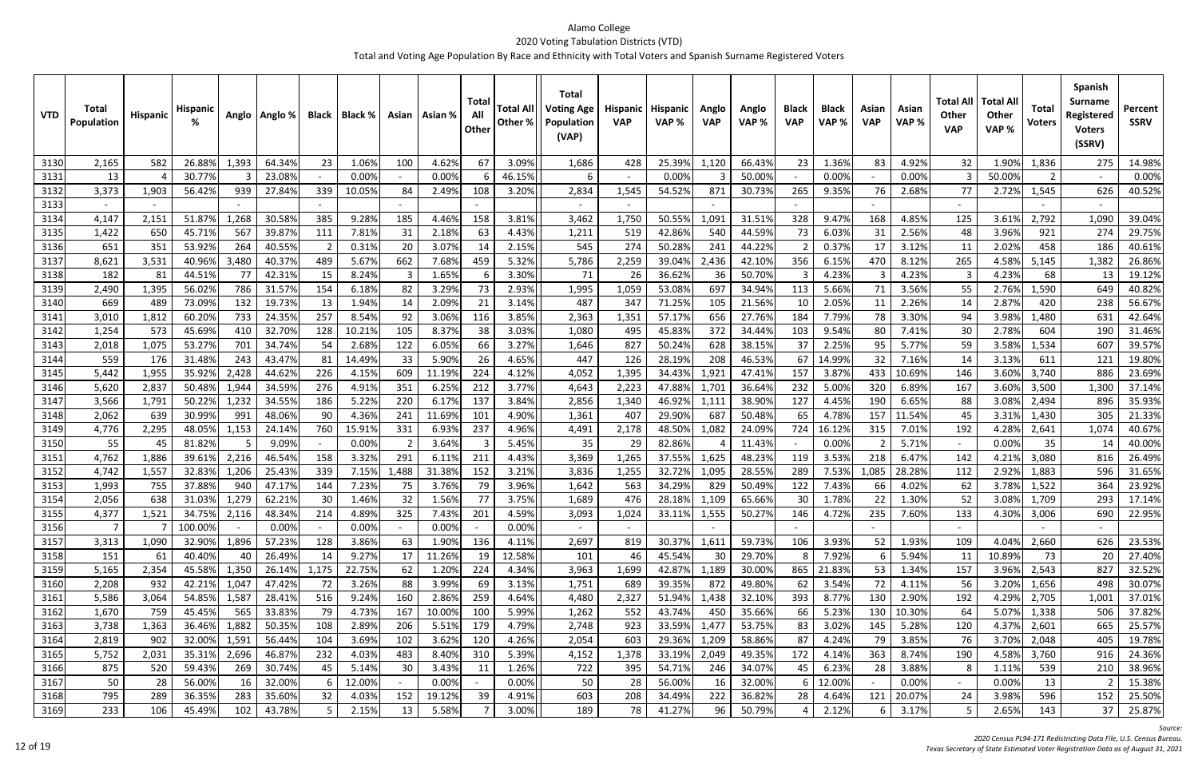| <b>VTD</b> | <b>Total</b><br>Population | <b>Hispanic</b> | <b>Hispanic</b> |       | Anglo   Anglo % | <b>Black</b> | Black % |        | Asian   Asian % | Tota<br>All<br>Other | <b>Total All</b><br>Other % | <b>Total</b><br><b>Voting Age</b><br>Population<br>(VAP) | Hispanic<br><b>VAP</b> | <b>Hispanic</b><br>VAP% | Anglo<br><b>VAP</b> | Anglo<br>VAP % | <b>Black</b><br><b>VAP</b> | <b>Black</b><br>VAP% | Asian<br><b>VAP</b> | Asian<br>VAP% | Total All<br><b>Other</b><br><b>VAP</b> | <b>Total Al</b><br><b>Other</b><br>VAP% | <b>Total</b><br><b>Voters</b> | <b>Spanish</b><br><b>Surname</b><br>Registered<br><b>Voters</b><br>(SSRV) | Percent<br><b>SSRV</b> |
|------------|----------------------------|-----------------|-----------------|-------|-----------------|--------------|---------|--------|-----------------|----------------------|-----------------------------|----------------------------------------------------------|------------------------|-------------------------|---------------------|----------------|----------------------------|----------------------|---------------------|---------------|-----------------------------------------|-----------------------------------------|-------------------------------|---------------------------------------------------------------------------|------------------------|
| 3130       | 2,165                      | 582             | 26.88%          | 1,393 | 64.34%          | 23           | 1.06%   | 100    | 4.62%           | 67                   | 3.09%                       | 1,686                                                    | 428                    | 25.39%                  | 1,120               | 66.43%         | 23                         | 1.36%                | 83                  | 4.92%         | 32                                      | 1.90%                                   | 1,836                         | 275                                                                       | 14.98%                 |
| 3131       | 13                         |                 | 30.77%          |       | 23.08%          |              | 0.00%   |        | 0.00%           |                      | 46.15%                      |                                                          |                        | 0.00%                   |                     | 50.00%         |                            | 0.00%                |                     | 0.00%         |                                         | 50.00%                                  | 2                             |                                                                           | 0.00%                  |
| 3132       | 3,373                      | 1,903           | 56.42%          | 939   | 27.84%          | 339          | 10.05%  | -84    | 2.49%           | 108                  | 3.20%                       | 2,834                                                    | 1,545                  | 54.52%                  | 871                 | 30.73%         | 265                        | 9.35%                | 76                  | 2.68%         | 77                                      | 2.72%                                   | 1,545                         | 626                                                                       | 40.52%                 |
| 3133       |                            |                 |                 |       |                 |              |         |        |                 |                      |                             | $\sim$                                                   |                        |                         |                     |                |                            |                      |                     |               |                                         |                                         |                               |                                                                           |                        |
| 3134       | 4,147                      | 2,151           | 51.87%          | 1,268 | 30.58%          | 385          | 9.28%   | 185    | 4.46%           | 158                  | 3.81%                       | 3,462                                                    | 1,750                  | 50.55%                  | 1,091               | 31.51%         | 328                        | 9.47%                | 168                 | 4.85%         | 125                                     | 3.61%                                   | 2,792                         | 1,090                                                                     | 39.04%                 |
| 3135       | 1,422                      | 650             | 45.71%          | 567   | 39.87%          | 111          | 7.81%   | 31     | 2.18%           | 63                   | 4.43%                       | 1,211                                                    | 519                    | 42.86%                  | 540                 | 44.59%         | 73                         | 6.03%                | 31                  | 2.56%         | 48                                      | 3.96%                                   | 921                           | 274                                                                       | 29.75%                 |
| 3136       | 651                        | 351             | 53.92%          | 264   | 40.55%          | 2            | 0.31%   | 20     | 3.07%           | -14                  | 2.15%                       | 545                                                      | 274                    | 50.28%                  | 241                 | 44.22%         |                            | 0.37%                | 17                  | 3.12%         | 11                                      | 2.02%                                   | 458                           | 186                                                                       | 40.61%                 |
| 3137       | 8,621                      | 3,531           | 40.96%          | 3,480 | 40.37%          | 489          | 5.67%   | 662    | 7.68%           | 459                  | 5.32%                       | 5,786                                                    | 2,259                  | 39.04%                  | 2,436               | 42.10%         | 356                        | 6.15%                | 470                 | 8.12%         | 265                                     | 4.58%                                   | 5,145                         | 1,382                                                                     | 26.86%                 |
| 3138       | 182                        | 81              | 44.51%          | 77    | 42.31%          | 15           | 8.24%   |        | 1.65%           |                      | 3.30%                       | 71                                                       | 26                     | 36.62%                  | 36                  | 50.70%         |                            | 4.23%                |                     | 4.23%         |                                         | 4.23%                                   | 68                            | 13                                                                        | 19.12%                 |
| 3139       | 2,490                      | 1,395           | 56.02%          | 786   | 31.57%          | 154          | 6.18%   | 82     | 3.29%           | 73                   | 2.93%                       | 1,995                                                    | 1,059                  | 53.08%                  | 697                 | 34.94%         | 113                        | 5.66%                | 71                  | 3.56%         | 55                                      | 2.76%                                   | 1,590                         | 649                                                                       | 40.82%                 |
| 3140       | 669                        | 489             | 73.09%          | 132   | 19.73%          | 13           | 1.94%   | 14     | 2.09%           | -21                  | 3.14%                       | 487                                                      | 347                    | 71.25%                  | 105                 | 21.56%         | 10                         | 2.05%                | 11                  | 2.26%         | 14                                      | 2.87%                                   | 420                           | 238                                                                       | 56.67%                 |
| 3141       | 3,010                      | 1,812           | 60.209          | 733   | 24.35%          | 257          | 8.54%   | 92     | 3.06%           | 116                  | 3.85%                       | 2,363                                                    | 1,351                  | 57.17%                  | 656                 | 27.76%         | 184                        | 7.79%                | 78                  | 3.30%         | 94                                      | 3.98%                                   | 1,480                         | 631                                                                       | 42.64%                 |
| 3142       | 1,254                      | 573             | 45.69%          | 410   | 32.70%          | 128          | 10.21%  | 105    | 8.37%           | 38                   | 3.03%                       | 1,080                                                    | 495                    | 45.83%                  | 372                 | 34.44%         | 103                        | 9.54%                | 80                  | 7.41%         | 30                                      | 2.78%                                   | 604                           | 190                                                                       | 31.46%                 |
| 3143       | 2,018                      | 1,075           | 53.27%          | 701   | 34.74%          | 54           | 2.68%   | 122    | 6.05%           | 66                   | 3.27%                       | 1,646                                                    | 827                    | 50.24%                  | 628                 | 38.15%         | 37                         | 2.25%                | 95                  | 5.77%         | 59                                      | 3.58%                                   | 1,534                         | 607                                                                       | 39.57%                 |
| 3144       | 559                        | 176             | 31.48%          | 243   | 43.47%          | 81           | 14.49%  | 33     | 5.90%           | 26                   | 4.65%                       | 447                                                      | 126                    | 28.19%                  | 208                 | 46.53%         | 67                         | 14.99%               | 32                  | 7.16%         | 14                                      | 3.13%                                   | 611                           | 121                                                                       | 19.80%                 |
| 3145       | 5,442                      | 1,955           | 35.92%          | 2,428 | 44.62%          | 226          | 4.15%   | 609    | 11.19%          | 224                  | 4.12%                       | 4,052                                                    | 1,395                  | 34.43%                  | 1,921               | 47.41%         | 157                        | 3.87%                | 433                 | 10.69%        | 146                                     | 3.60%                                   | 3,740                         | 886                                                                       | 23.69%                 |
| 3146       | 5,620                      | 2,837           | 50.48%          | 1,944 | 34.59%          | 276          | 4.91%   | 351    | 6.259           | 212                  | 3.77%                       | 4,643                                                    | 2,223                  | 47.88%                  | 1,701               | 36.64%         | 232                        | 5.00%                | 320                 | 6.89%         | 167                                     | 3.60%                                   | 3,500                         | 1,300                                                                     | 37.14%                 |
| 3147       | 3,566                      | 1,791           | 50.22%          | 1,232 | 34.55%          | 186          | 5.22%   | 220    | 6.17%           | 137                  | 3.84%                       | 2,856                                                    | 1,340                  | 46.92%                  | 1,111               | 38.90%         | 127                        | 4.45%                | 190                 | 6.65%         | 88                                      | 3.08%                                   | 2,494                         | 896                                                                       | 35.93%                 |
| 3148       | 2,062                      | 639             | 30.99%          | 991   | 48.06%          | 90           | 4.36%   | 241    | 11.69%          | 101                  | 4.90%                       | 1,361                                                    | 407                    | 29.90%                  | 687                 | 50.48%         | 65                         | 4.78%                | 157                 | 11.54%        | 45                                      | 3.31%                                   | 1,430                         | 305                                                                       | 21.33%                 |
| 3149       | 4,776                      | 2,295           | 48.05%          | 1,153 | 24.14%          | 760          | 15.91%  | 331    | 6.93%           | 237                  | 4.96%                       | 4,491                                                    | 2,178                  | 48.50%                  | 1,082               | 24.09%         | 724                        | 16.12%               | 315                 | 7.01%         | 192                                     | 4.28%                                   | 2,641                         | 1,074                                                                     | 40.67%                 |
| 3150       | 55                         | 45              | 81.82%          |       | 9.09%           |              | 0.00%   |        | 3.64%           |                      | 5.45%                       | 35                                                       | 29                     | 82.86%                  |                     | 11.43%         |                            | 0.00%                |                     | 5.71%         |                                         | 0.00%                                   | 35                            | 14                                                                        | 40.00%                 |
| 3151       | 4,762                      | 1,886           | 39.61%          | 2,216 | 46.54%          | 158          | 3.32%   | 291    | 6.11%           | 211                  | 4.43%                       | 3,369                                                    | 1,265                  | 37.55%                  | 1,625               | 48.23%         | 119                        | 3.53%                | 218                 | 6.47%         | 142                                     | 4.21%                                   | 3,080                         | 816                                                                       | 26.49%                 |
| 3152       | 4,742                      | 1,557           | 32.83%          | 1,206 | 25.43%          | 339          | 7.15%   | 1,488  | 31.389          | 152                  | 3.21%                       | 3,836                                                    | 1,255                  | 32.72%                  | 1,095               | 28.55%         | 289                        | 7.53%                | 1,085               | 28.289        | 112                                     | 2.92%                                   | 1,883                         | 596                                                                       | 31.65%                 |
| 3153       | 1,993                      | 755             | 37.88%          | 94C   | 47.17%          | 144          | 7.23%   | 75     | 3.76%           | 79                   | 3.96%                       | 1,642                                                    | 563                    | 34.29%                  | 829                 | 50.49%         | 122                        | 7.43%                | 66                  | 4.02%         | 62                                      | 3.78%                                   | 1,522                         | 364                                                                       | 23.92%                 |
| 3154       | 2,056                      | 638             | 31.03%          | 1,279 | 62.21%          | 30           | 1.46%   | 32     | 1.56%           | 77                   | 3.75%                       | 1,689                                                    | 476                    | 28.18%                  | 1,109               | 65.66%         | 30                         | 1.78%                | 22                  | 1.30%         | 52                                      | 3.08%                                   | 1,709                         | 293                                                                       | 17.14%                 |
| 31551      | 4,377                      | 1,521           | 34.75% 2,116    |       | 48.34%          | 214          | 4.89%   | 325    | 7.43%           | 201                  | 4.59%                       | 3,093                                                    | 1,024                  | 33.11%                  | 1,555               | 50.27%         | 146                        | 4.72%                | 235                 | 7.60%         | 133                                     |                                         | 4.30% 3,006                   | 690                                                                       | 22.95%                 |
| 3156       | $\overline{7}$             |                 | 100.00%         |       | 0.00%           |              | 0.00%   |        | 0.00%           |                      | 0.00%                       | $\sim$                                                   | $\sim$                 |                         |                     |                |                            |                      |                     |               | $\sim$                                  |                                         |                               |                                                                           |                        |
| 3157       | 3,313                      | 1,090           | 32.90%          | 1,896 | 57.23%          | 128          | 3.86%   | 63     | 1.90%           | 136                  | 4.11%                       | 2,697                                                    | 819                    | 30.37%                  | 1,611               | 59.73%         | 106                        | 3.93%                | 52                  | 1.93%         | 109                                     | 4.04%                                   | 2,660                         | 626                                                                       | 23.53%                 |
| 3158       | 151                        | 61              | 40.40%          |       | 26.49%          | 14           | 9.27%   | 17     | 11.26%          | 19                   | 12.58%                      | 101                                                      | 46                     | 45.54%                  | 30                  | 29.70%         | 8                          | 7.92%                |                     | 5.94%         | 11                                      | 10.89%                                  | 73                            | 20                                                                        | 27.40%                 |
| 3159       | 5,165                      | 2,354           | 45.58%          | 1,350 | 26.14%          | 1,175        | 22.75%  | 62     | 1.20%           | 224                  | 4.34%                       | 3,963                                                    | 1,699                  | 42.87%                  | 1,189               | 30.00%         |                            | 865 21.83%           | 53                  | 1.34%         | 157                                     | 3.96%                                   | 2,543                         | 827                                                                       | 32.52%                 |
| 3160       | 2,208                      | 932             | 42.21%          | 1,047 | 47.42%          | 72           | 3.26%   | 88     | 3.99%           | 69                   | 3.13%                       | 1,751                                                    | 689                    | 39.35%                  | 872                 | 49.80%         | 62                         | 3.54%                | 72                  | 4.11%         | 56                                      | 3.20%                                   | 1,656                         | 498                                                                       | 30.07%                 |
| 3161       | 5,586                      | 3,064           | 54.85%          | 1,587 | 28.41%          | 516          | 9.24%   | 160    | 2.86%           | 259                  | 4.64%                       | 4,480                                                    | 2,327                  | 51.94%                  | 1,438               | 32.10%         | 393                        | 8.77%                | 130                 | 2.90%         | 192                                     | 4.29%                                   | 2,705                         | 1,001                                                                     | 37.01%                 |
| 3162       | 1,670                      | 759             | 45.45%          | 565   | 33.83%          | 79           | 4.73%   | 167    | 10.00%          | 100                  | 5.99%                       | 1,262                                                    | 552                    | 43.74%                  | 450                 | 35.66%         | 66                         | 5.23%                | 130                 | 10.30%        | 64                                      | 5.07%                                   | 1,338                         | 506                                                                       | 37.82%                 |
| 3163       | 3,738                      | 1,363           | 36.46%          | 1,882 | 50.35%          | 108          | 2.89%   | 206    | 5.51%           | 179                  | 4.79%                       | 2,748                                                    | 923                    | 33.59%                  | 1,477               | 53.75%         | 83                         | 3.02%                | 145                 | 5.28%         | 120                                     | 4.37%                                   | 2,601                         | 665                                                                       | 25.57%                 |
| 3164       | 2,819                      | 902             | 32.00%          | 1,591 | 56.44%          | 104          | 3.69%   | 102    | 3.62%           | 120                  | 4.26%                       | 2,054                                                    | 603                    | 29.36%                  | 1,209               | 58.86%         | 87                         | 4.24%                | 79                  | 3.85%         | 76                                      | 3.70%                                   | 2,048                         | 405                                                                       | 19.78%                 |
| 3165       | 5,752                      | 2,031           | 35.31%          | 2,696 | 46.87%          | 232          | 4.03%   | 483    | 8.40%           | 310                  | 5.39%                       | 4,152                                                    | 1,378                  | 33.19%                  | 2,049               | 49.35%         | 172                        | 4.14%                | 363                 | 8.74%         | 190                                     | 4.58%                                   | 3,760                         | 916                                                                       | 24.36%                 |
| 3166       | 875                        | 520             | 59.43%          | 269   | 30.74%          | 45           | 5.14%   | 30     | 3.43%           | 11                   | 1.26%                       | 722                                                      | 395                    | 54.71%                  | 246                 | 34.07%         | 45                         | 6.23%                | 28                  | 3.88%         | 8                                       | 1.11%                                   | 539                           | 210                                                                       | 38.96%                 |
| 3167       | 50                         | 28              | 56.00%          | 16    | 32.00%          |              | 12.00%  | $\sim$ | 0.00%           |                      | 0.00%                       | 50                                                       | 28                     | 56.00%                  | 16                  | 32.00%         |                            | 12.00%               |                     | 0.00%         | $\sim$                                  | 0.00%                                   | 13                            |                                                                           | 15.38%                 |
| 3168       | 795                        | 289             | 36.35%          | 283   | 35.60%          | 32           | 4.03%   | 152    | 19.12%          | 39                   | 4.91%                       | 603                                                      | 208                    | 34.49%                  | 222                 | 36.82%         | 28                         | 4.64%                | 121                 | 20.07%        | 24                                      | 3.98%                                   | 596                           | 152                                                                       | 25.50%                 |
| 3169       | 233                        | 106             | 45.49%          | 102   | 43.78%          | 5            | 2.15%   | 13     | 5.58%           |                      | 3.00%                       | 189                                                      | 78                     | 41.27%                  | 96                  | 50.79%         |                            | 2.12%                | $6 \mid$            | 3.17%         |                                         | 2.65%                                   | 143                           | 37                                                                        | 25.87%                 |

*Source:*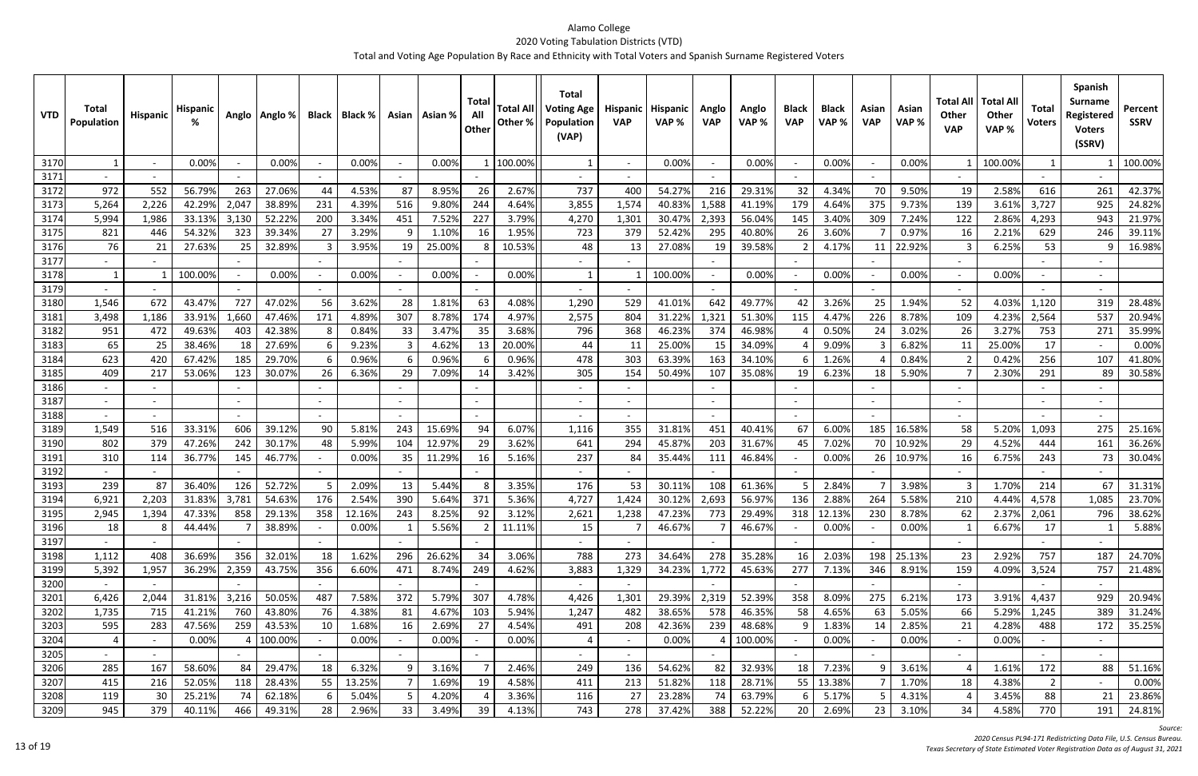| <b>VTD</b>   | Total<br><b>Population</b> | Hispanic | <b>Hispanio</b> |       | Anglo   Anglo % |     | Black   Black % |                          | Asian   Asian % | Total<br>All<br>Other | <b>Total All</b><br>Other % | <b>Total</b><br><b>Voting Age</b><br>Population<br>(VAP) | <b>Hispanic</b><br><b>VAP</b>   | <b>Hispanic</b><br>VAP% | Anglo<br><b>VAP</b>      | Anglo<br>VAP% | <b>Black</b><br><b>VAP</b> | <b>Black</b><br>VAP % | Asian<br><b>VAP</b> | Asian<br>VAP % | <b>Total All</b><br>Other<br><b>VAP</b> | <b>Total All</b><br>Other<br>VAP% | <b>Total</b><br><b>Voters</b> | Spanish<br>Surname<br>Registered<br><b>Voters</b><br>(SSRV) | Percent<br><b>SSRV</b> |
|--------------|----------------------------|----------|-----------------|-------|-----------------|-----|-----------------|--------------------------|-----------------|-----------------------|-----------------------------|----------------------------------------------------------|---------------------------------|-------------------------|--------------------------|---------------|----------------------------|-----------------------|---------------------|----------------|-----------------------------------------|-----------------------------------|-------------------------------|-------------------------------------------------------------|------------------------|
| 3170         | $\mathbf{1}$               |          | 0.00%           |       | 0.00%           |     | 0.00%           | $\overline{\phantom{a}}$ | 0.00%           |                       | 100.00%                     |                                                          | $\overline{\phantom{a}}$        | 0.00%                   |                          | 0.00%         |                            | 0.00%                 |                     | 0.00%          |                                         | 100.00%                           | $\mathbf{1}$                  |                                                             | 100.00%                |
| 3171         |                            |          |                 |       |                 |     |                 |                          |                 |                       |                             |                                                          |                                 |                         |                          |               |                            |                       |                     |                |                                         |                                   |                               |                                                             |                        |
| 3172         | 972                        | 552      | 56.79%          | 263   | 27.06%          | 44  | 4.53%           | 87                       | 8.95%           | 26                    | 2.67%                       | 737                                                      | 40C                             | 54.27%                  | 216                      | 29.31%        | 32                         | 4.34%                 | 70                  | 9.50%          | 19                                      | 2.58%                             | 616                           | 261                                                         | 42.37%                 |
| 3173         | 5,264                      | 2,226    | 42.29%          | 2,047 | 38.89%          | 231 | 4.39%           | 516                      | 9.809           | 244                   | 4.64%                       | 3,855                                                    | 1,574                           | 40.83%                  | 1,588                    | 41.19%        | 179                        | 4.64%                 | 375                 | 9.73%          | 139                                     | 3.61%                             | 3,727                         | 925                                                         | 24.82%                 |
| 3174         | 5,994                      | 1,986    | 33.13%          | 3,130 | 52.22%          | 200 | 3.34%           | 451                      | 7.52%           | 227                   | 3.79%                       | 4,270                                                    | 1,301                           | 30.47%                  | 2,393                    | 56.04%        | 145                        | 3.40%                 | 309                 | 7.24%          | 122                                     | 2.86%                             | 4,293                         | 943                                                         | 21.97%                 |
| 3175         | 821                        | 446      | 54.32%          | 323   | 39.34%          | 27  | 3.29%           | q                        | 1.109           | 16                    | 1.95%                       | 723                                                      | 379                             | 52.42%                  | 295                      | 40.80%        | 26                         | 3.60%                 |                     | 0.97%          | 16                                      | 2.21%                             | 629                           | 246                                                         | 39.11%                 |
| 3176         | 76                         | 21       | 27.63%          | 25    | 32.89%          |     | 3.95%           | 19                       | 25.00%          |                       | 10.53%                      | 48                                                       | 13                              | 27.08%                  | 19                       | 39.58%        | 2                          | 4.17%                 | 11                  | 22.92%         |                                         | 6.25%                             | 53                            |                                                             | 16.98%                 |
| 3177         |                            |          |                 |       |                 |     |                 |                          |                 |                       |                             |                                                          |                                 |                         |                          |               |                            |                       |                     |                |                                         |                                   |                               |                                                             |                        |
| 3178         | $\mathbf{1}$               |          | 100.00%         |       | 0.00%           |     | 0.00%           | $\sim$                   | 0.00%           |                       | 0.00%                       |                                                          |                                 | 100.00%                 |                          | 0.00%         |                            | 0.00%                 |                     | 0.00%          | $\sim$                                  | 0.00%                             |                               |                                                             |                        |
| 3179         |                            |          |                 |       |                 |     |                 |                          |                 |                       |                             |                                                          |                                 |                         |                          |               |                            |                       |                     |                |                                         |                                   |                               |                                                             |                        |
| 3180         | 1,546                      | 672      | 43.47%          | 727   | 47.02%          | 56  | 3.62%           | 28                       | 1.81%           | 63                    | 4.08%                       | 1,290                                                    | 529                             | 41.01%                  | 642                      | 49.77%        | 42                         | 3.26%                 | 25                  | 1.94%          | 52                                      | 4.03%                             | 1,120                         | 319                                                         | 28.48%                 |
| 3181         | 3,498                      | 1,186    | 33.91%          | 1,660 | 47.46%          | 171 | 4.89%           | 307                      | 8.78%           | 174                   | 4.97%                       | 2,575                                                    | 804                             | 31.22%                  | 1,321                    | 51.30%        | 115                        | 4.47%                 | 226                 | 8.78%          | 109                                     | 4.23%                             | 2,564                         | 537                                                         | 20.94%                 |
| 3182         | 951                        | 472      | 49.63%          | 403   | 42.38%          | -8  | 0.84%           | 33                       | 3.47%           | 35                    | 3.68%                       | 796                                                      | 368                             | 46.23%                  | 374                      | 46.98%        |                            | 0.50%                 | 24                  | 3.02%          | 26                                      | 3.27%                             | 753                           | 271                                                         | 35.99%                 |
| 3183         | 65                         | 25       | 38.469          | 18    | 27.69%          | -6  | 9.23%           |                          | 4.62%           | 13                    | 20.00%                      | 44                                                       | 11                              | 25.00%                  | 15                       | 34.09%        |                            | 9.09%                 |                     | 6.82%          | 11                                      | 25.00%                            | 17                            |                                                             | 0.00%                  |
| 3184         | 623<br>409                 | 420      | 67.42%          | 185   | 29.70%          | -6  | 0.96%           |                          | 0.96%<br>7.09%  |                       | 0.96%                       | 478                                                      | 303                             | 63.39%                  | 163<br>107               | 34.10%        |                            | 1.26%<br>6.23%        |                     | 0.84%          |                                         | 0.42%                             | 256                           | 107                                                         | 41.80%                 |
| 3185<br>3186 |                            | 217      | 53.06%          | 123   | 30.07%          | 26  | 6.36%           | 29                       |                 | 14                    | 3.42%                       | 305<br>$\overline{\phantom{a}}$                          | 154<br>$\overline{\phantom{a}}$ | 50.49%                  |                          | 35.08%        | 19                         |                       | 18                  | 5.90%          |                                         | 2.30%                             | 291                           | 89                                                          | 30.58%                 |
| 3187         |                            |          |                 |       |                 |     |                 | $\sim$                   |                 |                       |                             | $\overline{\phantom{a}}$                                 |                                 |                         |                          |               |                            |                       |                     |                |                                         |                                   |                               |                                                             |                        |
| 3188         |                            |          |                 |       |                 |     |                 |                          |                 |                       |                             |                                                          | $\overline{\phantom{a}}$        |                         |                          |               |                            |                       |                     |                |                                         |                                   |                               |                                                             |                        |
| 3189         | 1,549                      | 516      | 33.31%          | 606   | 39.12%          | 90  | 5.81%           | 243                      | 15.69%          | 94                    | 6.07%                       | 1,116                                                    | 355                             | 31.81%                  | 451                      | 40.41%        | 67                         | 6.00%                 | 185                 | 16.58%         | 58                                      | 5.20%                             | 1,093                         | 275                                                         | 25.16%                 |
| 3190         | 802                        | 379      | 47.269          | 242   | 30.17%          | 48  | 5.99%           | 104                      | 12.97%          | 29                    | 3.62%                       | 641                                                      | 294                             | 45.87%                  | 203                      | 31.67%        | 45                         | 7.02%                 | 70                  | 10.92%         | 29                                      | 4.52%                             | 444                           | 161                                                         | 36.26%                 |
| 3191         | 310                        | 114      | 36.77%          | 145   | 46.77%          |     | 0.00%           | 35                       | 11.299          | 16                    | 5.16%                       | 237                                                      | 84                              | 35.44%                  | 111                      | 46.84%        |                            | 0.00%                 | 26                  | 10.97%         | 16                                      | 6.75%                             | 243                           | 73                                                          | 30.04%                 |
| 3192         |                            |          |                 |       |                 |     |                 |                          |                 |                       |                             | $\overline{\phantom{a}}$                                 |                                 |                         |                          |               |                            |                       |                     |                |                                         |                                   |                               |                                                             |                        |
| 3193         | 239                        | 87       | 36.40%          | 126   | 52.72%          | -5  | 2.09%           | 13                       | 5.44%           | 8                     | 3.35%                       | 176                                                      | 53                              | 30.11%                  | 108                      | 61.36%        |                            | 2.84%                 |                     | 3.98%          |                                         | 1.70%                             | 214                           | 67                                                          | 31.31%                 |
| 3194         | 6,921                      | 2,203    | 31.83%          | 3,781 | 54.63%          | 176 | 2.54%           | 390                      | 5.64%           | 371                   | 5.36%                       | 4,727                                                    | 1,424                           | 30.12%                  | 2,693                    | 56.97%        | 136                        | 2.88%                 | 264                 | 5.58%          | 210                                     | 4.44%                             | 4,578                         | 1,085                                                       | 23.70%                 |
| 3195         | 2,945                      | 1,394    | 47.33%          | 858   | 29.13%          | 358 | 12.16%          | 243                      | 8.25%           | 92                    | 3.12%                       | 2,621                                                    | 1,238                           | 47.23%                  | 773                      | 29.49%        |                            | 318 12.13%            | 230                 | 8.78%          | 62                                      | 2.37%                             | 2,061                         | 796                                                         | 38.62%                 |
| 3196         | 18                         | 8        | 44.44%          |       | 38.89%          |     | 0.00%           |                          | 5.56%           | $\overline{2}$        | 11.11%                      | 15                                                       |                                 | 46.67%                  | $\overline{7}$           | 46.67%        |                            | 0.00%                 |                     | 0.00%          |                                         | 6.67%                             | 17                            |                                                             | 5.88%                  |
| 3197         |                            |          |                 |       |                 |     |                 |                          |                 |                       |                             |                                                          |                                 |                         |                          |               |                            |                       |                     |                |                                         |                                   |                               |                                                             |                        |
| 3198         | 1,112                      | 408      | 36.69%          | 356   | 32.01%          | 18  | 1.62%           | 296                      | 26.62%          | 34                    | 3.06%                       | 788                                                      | 273                             | 34.64%                  | 278                      | 35.28%        | 16                         | 2.03%                 | 198                 | 25.13%         | 23                                      | 2.92%                             | 757                           | 187                                                         | 24.70%                 |
| 3199         | 5,392                      | 1,957    | 36.29%          | 2,359 | 43.75%          | 356 | 6.60%           | 471                      | 8.74%           | 249                   | 4.62%                       | 3,883                                                    | 1,329                           | 34.23%                  | 1,772                    | 45.63%        | 277                        | 7.13%                 | 346                 | 8.91%          | 159                                     | 4.09%                             | 3,524                         | 757                                                         | 21.48%                 |
| 3200         | $\sim$                     | $\sim$   |                 |       |                 |     |                 |                          |                 |                       |                             | $\sim$                                                   | $\sim$                          |                         | $\overline{\phantom{a}}$ |               |                            |                       |                     |                | $\sim$                                  |                                   |                               |                                                             |                        |
| 3201         | 6,426                      | 2,044    | 31.81%          | 3,216 | 50.05%          | 487 | 7.58%           | 372                      | 5.79%           | 307                   | 4.78%                       | 4,426                                                    | 1,301                           | 29.39%                  | 2,319                    | 52.39%        | 358                        | 8.09%                 | 275                 | 6.21%          | 173                                     | 3.91%                             | 4,437                         | 929                                                         | 20.94%                 |
| 3202         | 1,735                      | 715      | 41.21%          | 760   | 43.80%          | 76  | 4.38%           | 81                       | 4.67%           | 103                   | 5.94%                       | 1,247                                                    | 482                             | 38.65%                  | 578                      | 46.35%        | 58                         | 4.65%                 | 63                  | 5.05%          | 66                                      | 5.29%                             | 1,245                         | 389                                                         | 31.24%                 |
| 3203         | 595                        | 283      | 47.56%          | 259   | 43.53%          | 10  | 1.68%           | 16                       | 2.69%           | 27                    | 4.54%                       | 491                                                      | 208                             | 42.36%                  | 239                      | 48.68%        | 9                          | 1.83%                 | 14                  | 2.85%          | 21                                      | 4.28%                             | 488                           | 172                                                         | 35.25%                 |
| 3204         | 4                          | $\sim$   | 0.00%           |       | 100.00%         |     | 0.00%           | $\sim$                   | 0.00%           |                       | 0.00%                       |                                                          | $\sim$                          | 0.00%                   |                          | 100.00%       |                            | 0.00%                 |                     | 0.00%          | $\sim$                                  | 0.00%                             |                               |                                                             |                        |
| 3205         | $\sim$                     |          |                 |       |                 |     |                 | $\sim$                   |                 |                       |                             | $\sim$                                                   | $\sim$                          |                         |                          |               |                            |                       |                     |                | $\sim$                                  |                                   |                               |                                                             |                        |
| 3206         | 285                        | 167      | 58.60%          | 84    | 29.47%          | 18  | 6.32%           |                          | 3.16%           |                       | 2.46%                       | 249                                                      | 136                             | 54.62%                  | 82                       | 32.93%        | 18                         | 7.23%                 | q                   | 3.61%          |                                         | 1.61%                             | 172                           | 88                                                          | 51.16%                 |
| 3207         | 415                        | 216      | 52.05%          | 118   | 28.43%          | 55  | 13.25%          |                          | 1.69%           | 19                    | 4.58%                       | 411                                                      | 213                             | 51.82%                  | 118                      | 28.71%        |                            | 55 13.38%             |                     | 1.70%          | 18                                      | 4.38%                             | $\overline{2}$                |                                                             | 0.00%                  |
| 3208         | 119                        | 30       | 25.21%          | 74    | 62.18%          | -6  | 5.04%           |                          | 4.20%           |                       | 3.36%                       | 116                                                      | 27                              | 23.28%                  | 74                       | 63.79%        | 6                          | 5.17%                 |                     | 4.31%          |                                         | 3.45%                             | 88                            | 21                                                          | 23.86%                 |
| 3209         | 945                        | 379      | 40.11%          | 466   | 49.31%          | 28  | 2.96%           | 33                       | 3.49%           | 39                    | 4.13%                       | 743                                                      | 278                             | 37.42%                  | 388                      | 52.22%        | 20 <sup>1</sup>            | 2.69%                 | 23                  | 3.10%          | 34                                      | 4.58%                             | 770                           | 191                                                         | 24.81%                 |

*Source:*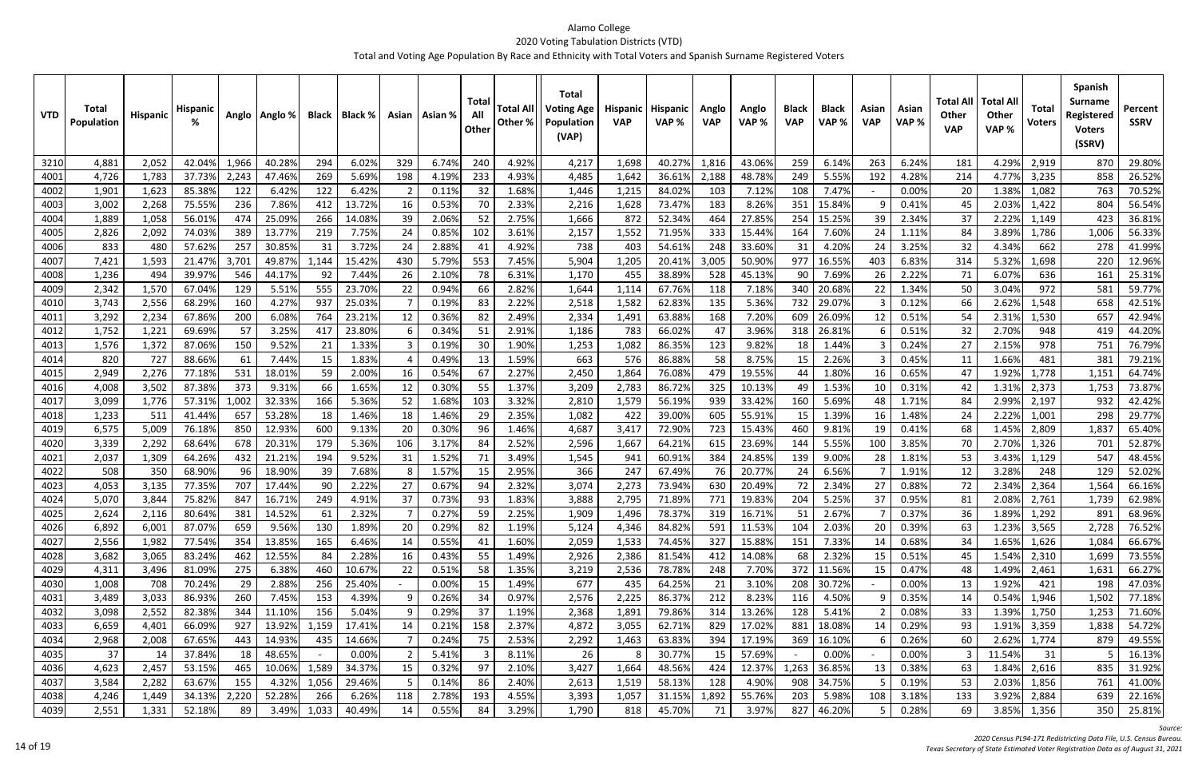| <b>VTD</b>   | Total<br>Population | <b>Hispanic</b> | <b>Hispanic</b>  |           | Anglo   Anglo %  | Black     | Black %        |     | Asian   Asian % | Tota<br>All<br>Other | <b>Total All</b><br>Other % | <b>Total</b><br>Voting Age<br>Population<br>(VAP) | Hispanic<br><b>VAP</b> | <b>Hispanic</b><br>VAP % | Anglo<br><b>VAP</b> | Anglo<br>VAP %   | <b>Black</b><br><b>VAP</b> | <b>Black</b><br>VAP% | Asian<br><b>VAP</b> | Asian<br>VAP % | Total All<br><b>Other</b><br><b>VAP</b> | <b>Total Al</b><br>Other<br>VAP% | <b>Total</b><br>Voters | Spanish<br><b>Surname</b><br>Registered<br><b>Voters</b><br>(SSRV) | Percent<br><b>SSRV</b> |
|--------------|---------------------|-----------------|------------------|-----------|------------------|-----------|----------------|-----|-----------------|----------------------|-----------------------------|---------------------------------------------------|------------------------|--------------------------|---------------------|------------------|----------------------------|----------------------|---------------------|----------------|-----------------------------------------|----------------------------------|------------------------|--------------------------------------------------------------------|------------------------|
| 3210         | 4,881               | 2,052           | 42.04%           | 1,966     | 40.28%           | 294       | 6.02%          | 329 | 6.74%           | 240                  | 4.92%                       | 4,217                                             | 1,698                  | 40.27%                   | 1,816               | 43.06%           | 259                        | 6.14%                | 263                 | 6.24%          | 181                                     | 4.29%                            | 2,919                  | 870                                                                | 29.80%                 |
| 4001         | 4,726               | 1,783           | 37.73%           | 2,243     | 47.46%           | 269       | 5.69%          | 198 | 4.19%           | 233                  | 4.93%                       | 4,485                                             | 1,642                  | 36.61%                   | 2,188               | 48.78%           | 249                        | 5.55%                | 192                 | 4.28%          | 214                                     | 4.77%                            | 3,235                  | 858                                                                | 26.52%                 |
| 4002         | 1,901               | 1,623           | 85.38%           | 122       | 6.42%            | 122       | 6.42%          |     | 0.11%           | 32                   | 1.68%                       | 1,446                                             | 1,215                  | 84.02%                   | 103                 | 7.12%            | 108                        | 7.47%                |                     | 0.00%          | 20                                      | 1.38%                            | 1,082                  | 763                                                                | 70.52%                 |
| 4003         | 3,002               | 2,268           | 75.55%           | 236       | 7.86%            | 412       | 13.72%         | 16  | 0.53%           | 70                   | 2.33%                       | 2,216                                             | 1,628                  | 73.47%                   | 183                 | 8.26%            | 351                        | 15.84%               |                     | 0.41%          | 45                                      | 2.03%                            | 1,422                  | 804                                                                | 56.54%                 |
| 4004         | 1,889               | 1,058           | 56.01%           | 474       | 25.09%           | 266       | 14.08%         | 39  | 2.06%           | 52                   | 2.75%                       | 1,666                                             | 872                    | 52.34%                   | 464                 | 27.85%           | 254                        | 15.25%               | 39                  | 2.34%          | 37                                      | 2.22%                            | 1,149                  | 423                                                                | 36.81%                 |
| 4005         | 2,826               | 2,092           | 74.03%           | 389       | 13.77%           | 219       | 7.75%          | 24  | 0.85%           | 102                  | 3.61%                       | 2,157                                             | 1,552                  | 71.95%                   | 333                 | 15.44%           | 164                        | 7.60%                | 24                  | 1.11%          | 84                                      | 3.89%                            | 1,786                  | 1,006                                                              | 56.33%                 |
| 4006         | 833                 | 480             | 57.62%           | 257       | 30.85%           | 31        | 3.72%          | 24  | 2.889           | -41                  | 4.92%                       | 738                                               | 403                    | 54.61%                   | 248                 | 33.60%           | 31                         | 4.20%                | 24                  | 3.25%          | 32                                      | 4.34%                            | 662                    | 278                                                                | 41.99%                 |
| 4007         | 7,421               | 1,593           | 21.47%           | 3,701     | 49.87%           | ,144      | 15.42%         | 430 | 5.79%           | 553                  | 7.45%                       | 5,904                                             | 1,205                  | 20.41%                   | 3,005               | 50.90%           | 977                        | 16.55%               | 403                 | 6.83%          | 314                                     | 5.32%                            | 1,698                  | 220                                                                | 12.96%                 |
| 4008         | 1,236               | 494             | 39.97%           | 546       | 44.17%           | 92        | 7.44%          | 26  | 2.10%           | 78                   | 6.31%                       | 1,170                                             | 455                    | 38.89%                   | 528                 | 45.13%           | 90                         | 7.69%                | 26                  | 2.22%          | 71                                      | 6.07%                            | 636                    | 161                                                                | 25.31%                 |
| 4009         | 2,342               | 1,570           | 67.04%           | 129       | 5.51%            | 555       | 23.70%         | 22  | 0.94%           | 66                   | 2.82%                       | 1,644                                             | 1,114                  | 67.76%                   | 118                 | 7.18%            | 340                        | 20.68%               | 22                  | 1.34%          | 50                                      | 3.04%                            | 972                    | 581                                                                | 59.77%                 |
| 4010         | 3,743               | 2,556           | 68.29%           | 160       | 4.27%            | 937       | 25.03%         |     | 0.199           | -83                  | 2.22%                       | 2,518                                             | 1,582                  | 62.83%                   | 135                 | 5.36%            | 732                        | 29.07%               |                     | 0.12%          | 66                                      | 2.62%                            | 1,548                  | 658                                                                | 42.51%                 |
| 4011         | 3,292               | 2,234           | 67.869           | 200       | 6.08%            | 764       | 23.21%         | 12  | 0.369           | 82                   | 2.49%                       | 2,334                                             | 1,491                  | 63.88%                   | 168                 | 7.20%            | 609                        | 26.09%               | 12                  | 0.51%          | 54                                      | 2.31%                            | 1,530                  | 657                                                                | 42.94%                 |
| 4012         | 1,752               | 1,221           | 69.69%           | 57        | 3.25%            | 417       | 23.80%         |     | 0.349           | 51                   | 2.91%                       | 1,186                                             | 783                    | 66.02%                   | 47                  | 3.96%            | 318                        | 26.819               |                     | 0.51%          | 32                                      | 2.70%                            | 948                    | 419                                                                | 44.20%                 |
| 4013         | 1,576               | 1,372           | 87.06%           | 150       | 9.52%            | 21        | 1.33%          |     | 0.19%           | 30                   | 1.90%                       | 1,253                                             | 1,082                  | 86.35%                   | 123                 | 9.82%            | 18                         | 1.44%                |                     | 0.24%          | 27                                      | 2.15%                            | 978                    | 751                                                                | 76.79%                 |
| 4014         | 820                 | 727             | 88.66%           | 61        | 7.44%            | 15        | 1.83%          |     | 0.49%           | 13                   | 1.59%                       | 663                                               | 576                    | 86.88%                   | 58                  | 8.75%            | 15                         | 2.26%                |                     | 0.45%          | 11                                      | 1.66%                            | 481                    | 381                                                                | 79.21%                 |
| 4015         | 2,949               | 2,276           | 77.189           | 531       | 18.01%           | 59        | 2.00%          | 16  | 0.54%           | 67                   | 2.27%                       | 2,450                                             | 1,864                  | 76.08%                   | 479                 | 19.55%           |                            | 1.80%                | 16                  | 0.65%          | 47                                      | 1.92%                            | 1,778                  | 1,151                                                              | 64.74%                 |
| 4016         | 4,008               | 3,502           | 87.38%           | 373       | 9.31%            | 66        | 1.65%          | 12  | 0.30%           | 55                   | 1.37%                       | 3,209                                             | 2,783                  | 86.72%                   | 325                 | 10.13%           | 49                         | 1.53%                | 10                  | 0.31%          | 42                                      | 1.31%                            | 2,373                  | 1,753                                                              | 73.87%                 |
| 4017         | 3,099               | 1,776           | 57.31%           | 1,002     | 32.33%           | 166       | 5.36%          | 52  | 1.68%           | 103                  | 3.32%                       | 2,810                                             | 1,579                  | 56.19%                   | 939                 | 33.42%           | 160                        | 5.69%                | 48                  | 1.71%          | 84                                      | 2.99%                            | 2,197                  | 932                                                                | 42.42%                 |
| 4018         | 1,233               | 511             | 41.44%           | 657       | 53.28%           | 18        | 1.46%          | 18  | 1.46%           | 29                   | 2.35%                       | 1,082                                             | 422                    | 39.00%                   | 605                 | 55.91%           | 15                         | 1.39%                | 16                  | 1.48%          | 24                                      | 2.22%                            | 1,001                  | 298                                                                | 29.77%                 |
| 4019         | 6,575               | 5,009           | 76.189           | 850       | 12.93%           | 600       | 9.13%          | 20  | 0.30%           | 96                   | 1.46%                       | 4,687                                             | 3,417                  | 72.90%                   | 723                 | 15.43%           | 460                        | 9.81%                | 19                  | 0.41%          | 68                                      | 1.45%                            | 2,809                  | 1,83                                                               | 65.40%                 |
| 4020         | 3,339               | 2,292           | 68.64%           | 678       | 20.31%           | 179       | 5.36%          | 106 | 3.179           | -84                  | 2.52%                       | 2,596                                             | 1,667                  | 64.21%                   | 615                 | 23.69%           | 144                        | 5.55%                | 100                 | 3.85%          | 70                                      | 2.70%                            | 1,326                  | 701<br>547                                                         | 52.87%                 |
| 4021<br>4022 | 2,037<br>508        | 1,309<br>350    | 64.26%<br>68.90% | 432       | 21.219           | 194<br>39 | 9.52%<br>7.68% | 31  | 1.52%<br>1.57%  |                      | 3.49%<br>2.95%              | 1,545<br>366                                      | 941<br>247             | 60.91%<br>67.49%         | 384<br>76           | 24.85%<br>20.77% | 139                        | 9.00%<br>6.56%       | 28                  | 1.81%<br>1.91% | 53<br>12                                | 3.43%<br>3.28%                   | 1,129<br>248           | 129                                                                | 48.45%<br>52.02%       |
| 4023         | 4,053               | 3,135           | 77.35%           | 96<br>707 | 18.90%<br>17.44% | 90        | 2.22%          | 27  | 0.67%           | 15<br>94             | 2.32%                       | 3,074                                             | 2,273                  | 73.94%                   | 630                 | 20.49%           | 24                         | 2.34%                | 27                  | 0.88%          | 72                                      | 2.34%                            | 2,364                  | 1,564                                                              | 66.16%                 |
| 4024         | 5,070               | 3,844           | 75.82%           | 847       | 16.71%           | 249       | 4.91%          | 37  | 0.73%           | 93                   | 1.83%                       | 3,888                                             | 2,795                  | 71.89%                   | 771                 | 19.83%           | 204                        | 5.25%                | 37                  | 0.95%          | 81                                      | 2.08%                            | 2,761                  | 1,739                                                              | 62.98%                 |
| 4025         | 2,624               | 2,116           | 80.64%           | 381       | 14.52%           | 61        | 2.32%          |     | 0.27%           | 59                   | 2.25%                       | 1,909                                             | 1,496                  | 78.37%                   | 319                 | 16.71%           | 51                         | 2.67%                |                     | 0.37%          | 36                                      | 1.89%                            | 1,292                  | 891                                                                | 68.96%                 |
| 4026         | 6,892               | 6,001           | 87.07%           | 659       | 9.56%            | 130       | 1.89%          | 20  | 0.29%           | 82                   | 1.19%                       | 5,124                                             | 4,346                  | 84.82%                   | 591                 | 11.53%           | 104                        | 2.03%                | 20                  | 0.39%          | 63                                      | 1.23%                            | 3,565                  | 2,728                                                              | 76.52%                 |
| 4027         | 2,556               | 1,982           | 77.54%           | 354       | 13.85%           | 165       | 6.46%          | 14  | 0.55%           | 41                   | 1.60%                       | 2,059                                             | 1,533                  | 74.45%                   | 327                 | 15.88%           | 151                        | 7.33%                | 14                  | 0.68%          | 34                                      | 1.65%                            | 1,626                  | 1,084                                                              | 66.67%                 |
| 4028         | 3,682               | 3,065           | 83.24%           | 462       | 12.55%           | 84        | 2.28%          | 16  | 0.43%           | 55                   | 1.49%                       | 2,926                                             | 2,386                  | 81.54%                   | 412                 | 14.08%           | 68                         | 2.32%                | 15                  | 0.51%          | 45                                      | 1.54%                            | 2,310                  | 1,699                                                              | 73.55%                 |
| 4029         | 4,311               | 3,496           | 81.09%           | 275       | 6.38%            | 460       | 10.67%         | 22  | 0.51%           | 58                   | 1.35%                       | 3,219                                             | 2,536                  | 78.78%                   | 248                 | 7.70%            | 372                        | 11.56%               | 15                  | 0.47%          | 48                                      | 1.49%                            | 2,461                  | 1,631                                                              | 66.27%                 |
| 4030         | 1,008               | 708             | 70.24%           | 29        | 2.88%            | 256       | 25.40%         |     | 0.00%           | 15                   | 1.49%                       | 677                                               | 435                    | 64.25%                   | 21                  | 3.10%            | 208                        | 30.72%               |                     | 0.00%          | 13                                      | 1.92%                            | 421                    | 198                                                                | 47.03%                 |
| 4031         | 3,489               | 3,033           | 86.93%           | 260       | 7.45%            | 153       | 4.39%          |     | 0.26%           | 34                   | 0.97%                       | 2,576                                             | 2,225                  | 86.37%                   | 212                 | 8.23%            | 116                        | 4.50%                |                     | 0.35%          | 14                                      | 0.54%                            | 1,946                  | 1,502                                                              | 77.18%                 |
| 4032         | 3,098               | 2,552           | 82.38%           | 344       | 11.10%           | 156       | 5.04%          |     | 0.29%           | 37                   | 1.19%                       | 2,368                                             | 1,891                  | 79.86%                   | 314                 | 13.26%           | 128                        | 5.41%                |                     | 0.08%          | 33                                      | 1.39%                            | 1,750                  | 1,253                                                              | 71.60%                 |
| 4033         | 6,659               | 4,401           | 66.09%           | 927       | 13.92%           | 1,159     | 17.41%         | 14  | 0.21%           | 158                  | 2.37%                       | 4,872                                             | 3,055                  | 62.71%                   | 829                 | 17.02%           | 881                        | 18.08%               | 14                  | 0.29%          | 93                                      | 1.91%                            | 3,359                  | 1,838                                                              | 54.72%                 |
| 4034         | 2,968               | 2,008           | 67.65%           | 443       | 14.93%           | 435       | 14.66%         |     | 0.24%           | 75                   | 2.53%                       | 2,292                                             | 1,463                  | 63.83%                   | 394                 | 17.19%           | 369                        | 16.10%               |                     | 0.26%          | 60                                      | 2.62%                            | 1,774                  | 879                                                                | 49.55%                 |
| 4035         | 37                  | 14              | 37.84%           | 18        | 48.65%           |           | 0.00%          |     | 5.41%           | 3                    | 8.11%                       | 26                                                | 8                      | 30.77%                   | 15                  | 57.69%           |                            | 0.00%                |                     | 0.00%          |                                         | 11.54%                           | 31                     |                                                                    | 16.13%                 |
| 4036         | 4,623               | 2,457           | 53.15%           | 465       | 10.06%           | 1,589     | 34.37%         | 15  | 0.32%           | 97                   | 2.10%                       | 3,427                                             | 1,664                  | 48.56%                   | 424                 | 12.37%           | 1,263                      | 36.85%               | 13                  | 0.38%          | 63                                      | 1.84%                            | 2,616                  | 835                                                                | 31.92%                 |
| 4037         | 3,584               | 2,282           | 63.67%           | 155       | 4.32%            | 1,056     | 29.46%         |     | 0.14%           | 86                   | 2.40%                       | 2,613                                             | 1,519                  | 58.13%                   | 128                 | 4.90%            | 908                        | 34.75%               |                     | 0.19%          | 53                                      | 2.03%                            | 1,856                  | 761                                                                | 41.00%                 |
| 4038         | 4,246               | 1,449           | 34.13%           | 2,220     | 52.28%           | 266       | 6.26%          | 118 | 2.78%           | 193                  | 4.55%                       | 3,393                                             | 1,057                  | 31.15%                   | 1,892               | 55.76%           | 203                        | 5.98%                | 108                 | 3.18%          | 133                                     | 3.92%                            | 2,884                  | 639                                                                | 22.16%                 |
| 4039         | 2,551               | 1,331           | 52.18%           | 89        | 3.49%            | 1,033     | 40.49%         | 14  | 0.55%           | 84                   | 3.29%                       | 1,790                                             | 818                    | 45.70%                   | 71                  | 3.97%            | 827                        | 46.20%               |                     | 0.28%          | 69                                      | 3.85%                            | 1,356                  | 350                                                                | 25.81%                 |

*Source:*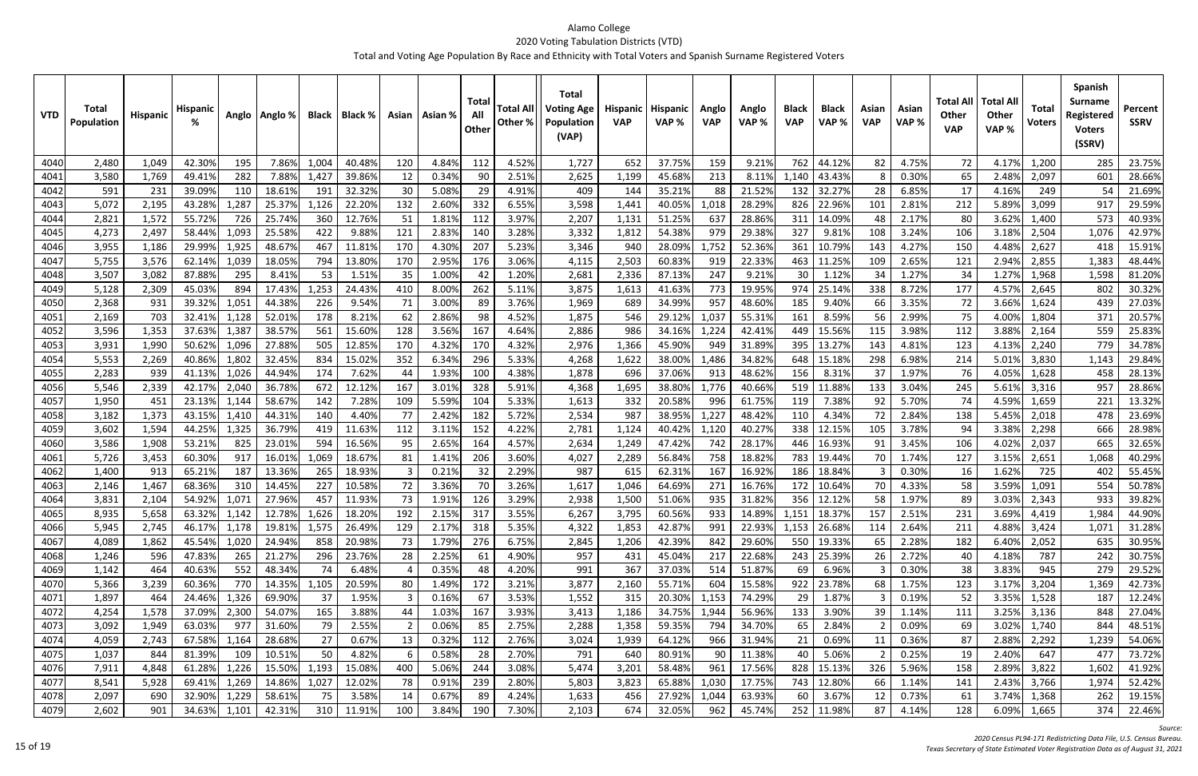| <b>VTD</b>   | Total<br><b>Population</b> | Hispanic       | Hispanic         |                | Anglo   Anglo %  | Black       | Black %          |            | Asian   Asian % | Total<br>All<br>Other | <b>Total All</b><br>Other % | <b>Total</b><br><b>Voting Age</b><br>Population<br>(VAP) | <b>Hispanic</b><br><b>VAP</b> | Hispanic<br>VAP% | Anglo<br><b>VAP</b> | Anglo<br>VAP%    | <b>Black</b><br><b>VAP</b> | <b>Black</b><br>VAP% | Asian<br><b>VAP</b> | Asian<br>VAP%  | Total All<br><b>Other</b><br><b>VAP</b> | <b>Total All</b><br><b>Other</b><br>VAP% | <b>Total</b><br>Voters | <b>Spanish</b><br><b>Surname</b><br>Registered<br><b>Voters</b><br>(SSRV) | Percent<br><b>SSRV</b> |
|--------------|----------------------------|----------------|------------------|----------------|------------------|-------------|------------------|------------|-----------------|-----------------------|-----------------------------|----------------------------------------------------------|-------------------------------|------------------|---------------------|------------------|----------------------------|----------------------|---------------------|----------------|-----------------------------------------|------------------------------------------|------------------------|---------------------------------------------------------------------------|------------------------|
| 4040         | 2,480                      | 1,049          | 42.30%           | 195            | 7.86%            | 1,004       | 40.48%           | 120        | 4.84%           | 112                   | 4.52%                       | 1,727                                                    | 652                           | 37.75%           | 159                 | 9.21%            | 762                        | 44.12%               | 82                  | 4.75%          | 72                                      | 4.17%                                    | 1,200                  | 285                                                                       | 23.75%                 |
| 4041         | 3,580                      | 1,769          | 49.41%           | 282            | 7.88%            | 1,427       | 39.86%           | 12         | 0.34%           | -90                   | 2.51%                       | 2,625                                                    | 1,199                         | 45.68%           | 213                 | 8.11%            | 1,140                      | 43.43%               |                     | 0.30%          | 65                                      | 2.48%                                    | 2,097                  | 601                                                                       | 28.66%                 |
| 4042         | 591                        | 231            | 39.09%           | 110            | 18.61%           | 191         | 32.32%           | 30         | 5.08%           | 29                    | 4.91%                       | 409                                                      | 144                           | 35.21%           | 88                  | 21.52%           | 132                        | 32.27%               | 28                  | 6.85%          | 17                                      | 4.16%                                    | 249                    | 54                                                                        | 21.69%                 |
| 4043         | 5,072                      | 2,195          | 43.28%           | 1,287          | 25.379           | 1,126       | 22.20%           | 132        | 2.60%           | 332                   | 6.55%                       | 3,598                                                    | 1,441                         | 40.05%           | 1,018               | 28.29%           | 826                        | 22.96%               | 101                 | 2.81%          | 212                                     | 5.89%                                    | 3,099                  | 917                                                                       | 29.59%                 |
| 4044         | 2,821                      | 1,572          | 55.72%           | 726            | 25.74%           | 360         | 12.76%           | 51         | 1.81%           | 112                   | 3.97%                       | 2,207                                                    | 1,131                         | 51.25%           | 637                 | 28.86%           | 311                        | 14.09%               | 48                  | 2.17%          | 80                                      | 3.62%                                    | 1,400                  | 573                                                                       | 40.93%                 |
| 4045         | 4,273                      | 2,497          | 58.44%           | 1,093          | 25.58%           | 422         | 9.88%            | 121        | 2.83%           | 140                   | 3.28%                       | 3,332                                                    | 1,812                         | 54.38%           | 979                 | 29.38%           | 327                        | 9.81%                | 108                 | 3.24%          | 106                                     | 3.18%                                    | 2,504                  | 1,076                                                                     | 42.97%                 |
| 4046         | 3,955                      | 1,186          | 29.99%           | 1,925          | 48.67%           | 467         | 11.81%           | 170        | 4.30%           | 207                   | 5.23%                       | 3,346                                                    | 940                           | 28.09%           | 1,752               | 52.36%           | 361                        | 10.79%               | 143                 | 4.27%          | 150                                     | 4.48%                                    | 2,627                  | 418                                                                       | 15.91%                 |
| 4047         | 5,755                      | 3,576          | 62.149           | 1,039          | 18.05%           | 794         | 13.80%           | 170        | 2.95%           | 176                   | 3.06%                       | 4,115                                                    | 2,503                         | 60.83%           | 919                 | 22.33%           | 463                        | 11.25%               | 109                 | 2.65%          | 121                                     | 2.94%                                    | 2,855                  | 1,383                                                                     | 48.44%                 |
| 4048         | 3,507                      | 3,082          | 87.88%           | 295            | 8.41%            | 53          | 1.51%            | 35         | 1.00%           | -42                   | 1.20%                       | 2,681                                                    | 2,336                         | 87.13%           | 247                 | 9.21%            | 30                         | 1.129                | 34                  | 1.27%          | 34                                      | 1.27%                                    | 1,968                  | 1,598                                                                     | 81.20%                 |
| 4049         | 5,128                      | 2,309          | 45.03%           | 894            | 17.43%           | 1,253       | 24.43%           | 410        | 8.00%           | 262                   | 5.11%                       | 3,875                                                    | 1,613                         | 41.63%           | 773                 | 19.95%           | 974                        | 25.149               | 338                 | 8.72%          | 177                                     | 4.57%                                    | 2,645                  | 802                                                                       | 30.32%                 |
| 4050         | 2,368                      | 931            | 39.32%           | 1,05           | 44.38%           | 226         | 9.54%            | 71         | 3.00%           | -89                   | 3.76%                       | 1,969                                                    | 689                           | 34.99%           | 957                 | 48.60%           | 185                        | 9.40%                | 66                  | 3.35%          | 72                                      | 3.66%                                    | 1,624                  | 439                                                                       | 27.03%                 |
| 4051         | 2,169                      | 703            | 32.41%           | 1,128          | 52.01%           | 178         | 8.21%            | 62         | 2.86%           | 98                    | 4.52%                       | 1,875                                                    | 546                           | 29.129           | 1,037               | 55.31%           | 161                        | 8.59%                | 56                  | 2.99%          | 75                                      | 4.00%                                    | 1,804                  | 371                                                                       | 20.57%                 |
| 4052         | 3,596                      | 1,353          | 37.63%           | 1,38           | 38.57%           | 561         | 15.60%           | 128        | 3.56%           | 167                   | 4.64%                       | 2,886                                                    | 986                           | 34.16%           | 1,224               | 42.41%           | 449                        | 15.569               | 115                 | 3.98%          | 112                                     | 3.88%                                    | 2,164                  | 559<br>779                                                                | 25.83%                 |
| 4053<br>4054 | 3,931<br>5,553             | 1,990<br>2,269 | 50.62%<br>40.86% | 1,096<br>1,802 | 27.88%<br>32.45% | 505<br>834  | 12.85%<br>15.02% | 170<br>352 | 4.32%<br>6.34%  | 170<br>296            | 4.32%<br>5.33%              | 2,976<br>4,268                                           | 1,366<br>1,622                | 45.90%<br>38.00% | 949<br>1,486        | 31.89%<br>34.82% | 395<br>648                 | 13.279<br>15.18%     | 143<br>298          | 4.81%<br>6.98% | 123<br>214                              | 4.13%<br>5.01%                           | 2,240<br>3,830         | 1,143                                                                     | 34.78%<br>29.84%       |
| 4055         | 2,283                      | 939            | 41.13%           | 1,026          | 44.94%           | 174         | 7.62%            | 44         | 1.93%           | 100                   | 4.38%                       | 1,878                                                    | 696                           | 37.06%           | 913                 | 48.62%           | 156                        | 8.31%                | 37                  | 1.97%          | 76                                      | 4.05%                                    | 1,628                  | 458                                                                       | 28.13%                 |
| 4056         | 5,546                      | 2,339          | 42.17%           | 2,040          | 36.78%           | 672         | 12.12%           | 167        | 3.01%           | 328                   | 5.91%                       | 4,368                                                    | 1,695                         | 38.80%           | 1,776               | 40.66%           | 519                        | 11.88%               | 133                 | 3.04%          | 245                                     | 5.61%                                    | 3,316                  | 957                                                                       | 28.86%                 |
| 4057         | 1,950                      | 451            | 23.13%           | 1,144          | 58.67%           | 142         | 7.28%            | 109        | 5.59%           | 104                   | 5.33%                       | 1,613                                                    | 332                           | 20.58%           | 996                 | 61.75%           | 119                        | 7.38%                | 92                  | 5.70%          | 74                                      | 4.59%                                    | 1,659                  | 221                                                                       | 13.32%                 |
| 4058         | 3,182                      | 1,373          | 43.15%           | 1,410          | 44.31%           | 140         | 4.40%            | 77         | 2.42%           | 182                   | 5.72%                       | 2,534                                                    | 987                           | 38.95%           | 1,227               | 48.42%           | 110                        | 4.34%                | 72                  | 2.84%          | 138                                     | 5.45%                                    | 2,018                  | 478                                                                       | 23.69%                 |
| 4059         | 3,602                      | 1,594          | 44.25%           | 1,325          | 36.79%           | 419         | 11.63%           | 112        | 3.11%           | 152                   | 4.22%                       | 2,781                                                    | 1,124                         | 40.42%           | 1,120               | 40.27%           | 338                        | 12.15%               | 105                 | 3.78%          | 94                                      | 3.38%                                    | 2,298                  | 666                                                                       | 28.98%                 |
| 406C         | 3,586                      | 1,908          | 53.21%           | 825            | 23.01%           | 594         | 16.56%           | 95         | 2.65%           | 164                   | 4.57%                       | 2,634                                                    | 1,249                         | 47.42%           | 742                 | 28.17%           | 446                        | 16.93%               | 91                  | 3.45%          | 106                                     | 4.02%                                    | 2,037                  | 665                                                                       | 32.65%                 |
| 4061         | 5,726                      | 3,453          | 60.30%           | 917            | 16.01%           | L,069       | 18.67%           | 81         | 1.41%           | 206                   | 3.60%                       | 4,027                                                    | 2,289                         | 56.84%           | 758                 | 18.82%           | 783                        | 19.44%               | 70                  | 1.74%          | 127                                     | 3.15%                                    | 2,651                  | 1,068                                                                     | 40.29%                 |
| 4062         | 1,400                      | 913            | 65.219           | 187            | 13.36%           | 265         | 18.93%           |            | 0.21%           | 32                    | 2.29%                       | 987                                                      | 615                           | 62.31%           | 167                 | 16.92%           | 186                        | 18.84%               |                     | 0.30%          | 16                                      | 1.62%                                    | 725                    | 402                                                                       | 55.45%                 |
| 4063         | 2,146                      | 1,467          | 68.36%           | 310            | 14.45%           | 227         | 10.58%           | 72         | 3.36%           |                       | 3.26%                       | 1,617                                                    | 1,046                         | 64.69%           | 271                 | 16.76%           | 172                        | 10.64%               | 70                  | 4.33%          | 58                                      | 3.59%                                    | 1,091                  | 554                                                                       | 50.78%                 |
| 4064         | 3,831                      | 2,104          | 54.92%           | 1,072          | 27.96%           | 457         | 11.93%           | 73         | 1.91%           | 126                   | 3.29%                       | 2,938                                                    | 1,500                         | 51.06%           | 935                 | 31.82%           | 356                        | 12.129               | 58                  | 1.97%          | 89                                      | 3.03%                                    | 2,343                  | 933                                                                       | 39.82%                 |
| 4065         | 8,935                      | 5,658          | 63.32%           | 1,142          | 12.78%           | 1,626       | 18.20%           | 192        | 2.15%           | 317                   | 3.55%                       | 6,267                                                    | 3,795                         | 60.56%           | 933                 | 14.89%           |                            | 1,151   18.37%       | 157                 | 2.51%          | 231                                     | 3.69%                                    | 4,419                  | 1,984                                                                     | 44.90%                 |
| 4066         | 5,945                      | 2,745          | 46.17%           | 1,178          | 19.81%           | 1,575       | 26.49%           | 129        | 2.17%           | 318                   | 5.35%                       | 4,322                                                    | 1,853                         | 42.87%           | 991                 | 22.93%           |                            | 1,153 26.68%         | 114                 | 2.64%          | 211                                     | 4.88%                                    | 3,424                  | 1,071                                                                     | 31.28%                 |
| 4067         | 4,089                      | 1,862          | 45.54%           | 1,020          | 24.94%           | 858         | 20.98%           | 73         | 1.79%           | 276                   | 6.75%                       | 2,845                                                    | 1,206                         | 42.39%           | 842                 | 29.60%           |                            | 550 19.33%           | 65                  | 2.28%          | 182                                     | 6.40%                                    | 2,052                  | 635                                                                       | 30.95%                 |
| 4068         | 1,246                      | 596            | 47.83%           | 265            | 21.27%           | 296         | 23.76%           | 28         | 2.25%           | 61                    | 4.90%                       | 957                                                      | 431                           | 45.04%           | 217                 | 22.68%           | 243                        | 25.39%               | 26                  | 2.72%          | 40                                      | 4.18%                                    | 787                    | 242                                                                       | 30.75%                 |
| 4069         | 1,142                      | 464            | 40.63%           | 552            | 48.34%           | 74          | 6.48%            |            | 0.35%           | 48                    | 4.20%                       | 991                                                      | 367                           | 37.03%           | 514                 | 51.87%           | 69                         | 6.96%                | 3                   | 0.30%          | 38                                      | 3.83%                                    | 945                    | 279                                                                       | 29.52%                 |
| 4070         | 5,366                      | 3,239          | 60.36%           | 770            | 14.35%           | 1,105       | 20.59%           | 80         | 1.49%           | 172                   | 3.21%                       | 3,877                                                    | 2,160                         | 55.71%           | 604                 | 15.58%           | 922                        | 23.78%               | 68                  | 1.75%          | 123                                     | 3.17%                                    | 3,204                  | 1,369                                                                     | 42.73%                 |
| 4071         | 1,897                      | 464            | 24.46%           | 1,326          | 69.90%           | 37          | 1.95%            |            | 0.16%           | 67                    | 3.53%                       | 1,552                                                    | 315                           | 20.30%           | 1,153               | 74.29%           | 29                         | 1.87%                |                     | 0.19%          | 52                                      | 3.35%                                    | 1,528                  | 187                                                                       | 12.24%                 |
| 4072         | 4,254                      | 1,578          | 37.09%           | 2,300          | 54.07%           | 165         | 3.88%            | 44         | 1.03%           | 167                   | 3.93%                       | 3,413                                                    | 1,186                         | 34.75%           | 1,944               | 56.96%           | 133                        | 3.90%                | 39                  | 1.14%          | 111                                     | 3.25%                                    | 3,136                  | 848                                                                       | 27.04%                 |
| 4073         | 3,092                      | 1,949          | 63.03%           | 977            | 31.60%           | 79          | 2.55%            |            | 0.06%           | 85                    | 2.75%                       | 2,288                                                    | 1,358                         | 59.35%           | 794                 | 34.70%           | 65                         | 2.84%                |                     | 0.09%          | 69                                      | 3.02%                                    | 1,740                  | 844                                                                       | 48.51%                 |
| 4074         | 4,059                      | 2,743          | 67.58%           | 1,164          | 28.68%           | 27          | 0.67%            | 13         | 0.32%           | 112                   | 2.76%                       | 3,024                                                    | 1,939                         | 64.12%           | 966                 | 31.94%           | 21                         | 0.69%                | 11                  | 0.36%          | 87                                      | 2.88%                                    | 2,292                  | 1,239                                                                     | 54.06%                 |
| 4075<br>4076 | 1,037<br>7,911             | 844<br>4,848   | 81.39%<br>61.28% | 109<br>1,226   | 10.51%<br>15.50% | 50<br>1,193 | 4.82%<br>15.08%  | 400        | 0.58%<br>5.06%  | 28<br>244             | 2.70%<br>3.08%              | 791<br>5,474                                             | 640<br>3,201                  | 80.91%<br>58.48% | 90<br>961           | 11.38%<br>17.56% | 40<br>828                  | 5.06%<br>15.13%      | 326                 | 0.25%<br>5.96% | 19<br>158                               | 2.40%<br>2.89%                           | 647<br>3,822           | 477<br>1,602                                                              | 73.72%<br>41.92%       |
| 4077         | 8,541                      | 5,928          | 69.41%           | 1,269          | 14.86%           | 1,027       | 12.02%           | 78         | 0.91%           | 239                   | 2.80%                       | 5,803                                                    | 3,823                         | 65.88%           | 1,030               | 17.75%           | 743                        | 12.80%               | 66                  | 1.14%          | 141                                     | 2.43%                                    | 3,766                  | 1,974                                                                     | 52.42%                 |
| 4078         | 2,097                      | 690            | 32.90%           | 1,229          | 58.61%           | 75          | 3.58%            | 14         | 0.67%           | 89                    | 4.24%                       | 1,633                                                    | 456                           | 27.92%           | 1,044               | 63.93%           | 60                         | 3.67%                | 12                  | 0.73%          | 61                                      | 3.74%                                    | 1,368                  | 262                                                                       | 19.15%                 |
| 4079         | 2,602                      | 901            | 34.63%           | 1,101          | 42.31%           | 310         | 11.91%           | 100        | 3.84%           | 190                   | 7.30%                       | 2,103                                                    | 674                           | 32.05%           | 962                 | 45.74%           | 252                        | 11.98%               | 87                  | 4.14%          | 128                                     | 6.09%                                    | 1,665                  | 374                                                                       | 22.46%                 |
|              |                            |                |                  |                |                  |             |                  |            |                 |                       |                             |                                                          |                               |                  |                     |                  |                            |                      |                     |                |                                         |                                          |                        |                                                                           |                        |

*Source:*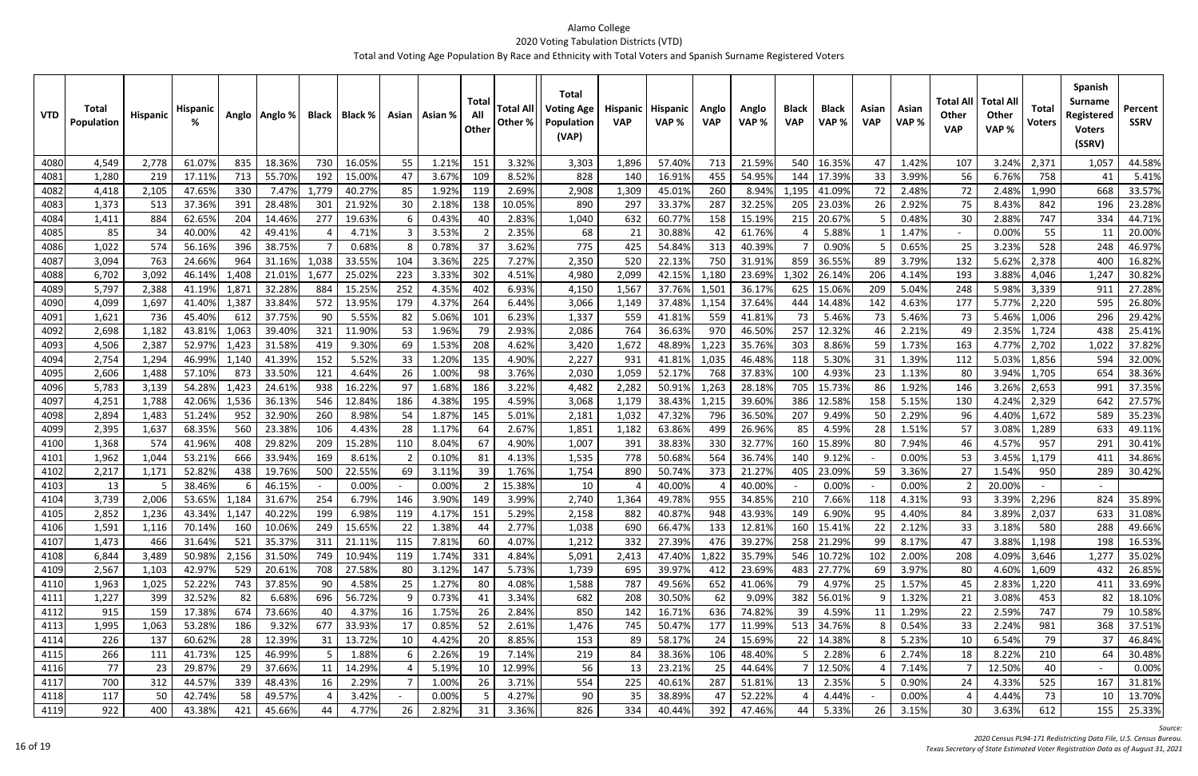| <b>VTD</b>   | <b>Total</b><br>Population | <b>Hispanic</b> | <b>Hispanic</b>  |              | Anglo   Anglo %  | <b>Black</b> | Black %         |               | Asian   Asian % | Tota<br>All<br>Other | <b>Total All</b><br>Other % | <b>Total</b><br><b>Voting Age</b><br>Population<br>(VAP) | Hispanic<br><b>VAP</b> | <b>Hispanic</b><br>VAP% | Anglo<br><b>VAP</b> | Anglo<br>VAP %   | <b>Black</b><br><b>VAP</b> | <b>Black</b><br>VAP% | Asian<br><b>VAP</b> | Asian<br>VAP%  | Total All<br><b>Other</b><br><b>VAP</b> | <b>Total Al</b><br><b>Other</b><br>VAP% | <b>Total</b><br><b>Voters</b> | <b>Spanish</b><br><b>Surname</b><br>Registered<br><b>Voters</b><br>(SSRV) | Percent<br><b>SSRV</b> |
|--------------|----------------------------|-----------------|------------------|--------------|------------------|--------------|-----------------|---------------|-----------------|----------------------|-----------------------------|----------------------------------------------------------|------------------------|-------------------------|---------------------|------------------|----------------------------|----------------------|---------------------|----------------|-----------------------------------------|-----------------------------------------|-------------------------------|---------------------------------------------------------------------------|------------------------|
| 4080         | 4,549                      | 2,778           | 61.07%           | 835          | 18.36%           | 730          | 16.05%          | 55            | 1.21%           | 151                  | 3.32%                       | 3,303                                                    | 1,896                  | 57.40%                  | 713                 | 21.59%           | 540                        | 16.35%               | 47                  | 1.42%          | 107                                     | 3.24%                                   | 2,371                         | 1,057                                                                     | 44.58%                 |
| 4081         | 1,280                      | 219             | 17.11%           | 713          | 55.70%           | 192          | 15.00%          | 47            | 3.67%           | 109                  | 8.52%                       | 828                                                      | 140                    | 16.91%                  | 455                 | 54.95%           | 144                        | 17.39%               | 33                  | 3.99%          | 56                                      | 6.76%                                   | 758                           | 41                                                                        | 5.41%                  |
| 4082         | 4,418                      | 2,105           | 47.65%           | 330          | 7.47%            | 1,779        | 40.27%          | 85            | 1.92%           | 119                  | 2.69%                       | 2,908                                                    | 1,309                  | 45.01%                  | 260                 | 8.94%            | 1,195                      | 41.09%               | 72                  | 2.48%          | 72                                      | 2.48%                                   | 1,990                         | 668                                                                       | 33.57%                 |
| 4083         | 1,373                      | 513             | 37.369           | 391          | 28.48%           | 301          | 21.92%          | 30            | 2.189           | 138                  | 10.05%                      | 890                                                      | 297                    | 33.37%                  | 287                 | 32.25%           | 205                        | 23.03%               | 26                  | 2.92%          | 75                                      | 8.43%                                   | 842                           | 196                                                                       | 23.28%                 |
| 4084         | 1,411                      | 884             | 62.659           | 204          | 14.46%           | 277          | 19.63%          |               | 0.43%           | -40                  | 2.83%                       | 1,040                                                    | 632                    | 60.77%                  | 158                 | 15.19%           | 215                        | 20.67%               |                     | 0.48%          | 30                                      | 2.88%                                   | 747                           | 334                                                                       | 44.71%                 |
| 4085         | 85                         | 34              | 40.00%           | 42           | 49.41%           |              | 4.71%           |               | 3.53%           |                      | 2.35%                       | 68                                                       | 21                     | 30.88%                  | 42                  | 61.76%           |                            | 5.88%                |                     | 1.47%          | $\sim$                                  | 0.00%                                   | 55                            | 11                                                                        | 20.00%                 |
| 4086         | 1,022                      | 574             | 56.169           | 396          | 38.75%           |              | 0.68%           |               | 0.78%           | 37                   | 3.62%                       | 775                                                      | 425                    | 54.84%                  | 313                 | 40.39%           |                            | 0.90%                |                     | 0.65%          | 25                                      | 3.23%                                   | 528                           | 248                                                                       | 46.97%                 |
| 4087         | 3,094                      | 763             | 24.669           | 964          | 31.16%           | 1,038        | 33.55%          | 104           | 3.36%           | 225                  | 7.27%                       | 2,350                                                    | 520                    | 22.13%                  | 750                 | 31.91%           | 859                        | 36.55%               | 89                  | 3.79%          | 132                                     | 5.62%                                   | 2,378                         | 400                                                                       | 16.82%                 |
| 4088         | 6,702                      | 3,092           | 46.149           | 1,408        | 21.019           | 1,677        | 25.02%          | 223           | 3.33%           | 302                  | 4.51%                       | 4,980                                                    | 2,099                  | 42.15%                  | 1,180               | 23.69%           | 1,302                      | 26.149               | 206                 | 4.14%          | 193                                     | 3.88%                                   | 4,046                         | 1,247                                                                     | 30.82%                 |
| 4089         | 5,797                      | 2,388           | 41.19%           | 1,87         | 32.28%           | 884          | 15.25%          | 252           | 4.35%           | 402                  | 6.93%                       | 4,150                                                    | 1,567                  | 37.76%                  | 1,501               | 36.17%           | 625                        | 15.069               | 209                 | 5.04%          | 248                                     | 5.98%                                   | 3,339                         | 911                                                                       | 27.28%                 |
| 4090         | 4,099                      | 1,697           | 41.40%           | 1,387        | 33.84%           | 572          | 13.95%          | 179           | 4.37%           | 264                  | 6.44%                       | 3,066                                                    | 1,149                  | 37.48%                  | 1,154               | 37.64%           | 444                        | 14.48%               | 142                 | 4.63%          | 177                                     | 5.77%                                   | 2,220                         | 595                                                                       | 26.80%                 |
| 4091         | 1,621                      | 736             | 45.40%           | -612         | 37.75%           | 90           | 5.55%           | 82            | 5.06%           | 101                  | 6.23%                       | 1,337                                                    | 559                    | 41.81%                  | 559                 | 41.81%           | 73                         | 5.46%                | 73                  | 5.46%          | 73                                      | 5.46%                                   | 1,006                         | 296                                                                       | 29.42%                 |
| 4092         | 2,698                      | 1,182           | 43.81%           | 1,063        | 39.40%           | 321          | 11.90%          | 53            | 1.96%           | 79                   | 2.93%                       | 2,086                                                    | 764                    | 36.63%                  | 970                 | 46.50%           | 257                        | 12.32%               |                     | 2.21%          | 49                                      | 2.35%                                   | 1,724                         | 438                                                                       | 25.41%                 |
| 4093         | 4,506                      | 2,387           | 52.97%           | 1,423        | 31.58%           | 419          | 9.30%           | 69            | 1.53%           | 208                  | 4.62%                       | 3,420                                                    | 1,672                  | 48.89%                  | 1,223               | 35.76%           | 303                        | 8.86%                | 59                  | 1.73%          | 163                                     | 4.77%                                   | 2,702                         | 1,022                                                                     | 37.82%                 |
| 4094         | 2,754                      | 1,294           | 46.99%           | 1,140        | 41.39%           | 152          | 5.52%           | 33            | 1.20%           | 135                  | 4.90%                       | 2,227                                                    | 931                    | 41.81%                  | 1,035               | 46.48%           | 118                        | 5.30%                | 31                  | 1.39%          | 112                                     | 5.03%                                   | 1,856                         | 594                                                                       | 32.00%                 |
| 4095         | 2,606                      | 1,488           | 57.10%           | 873          | 33.50%           | 121          | 4.64%           | 26            | 1.00%           | -98                  | 3.76%                       | 2,030                                                    | 1,059                  | 52.17%                  | 768                 | 37.83%           | 100                        | 4.93%                | 23                  | 1.13%          | 80                                      | 3.94%                                   | 1,705                         | 654                                                                       | 38.36%                 |
| 4096         | 5,783                      | 3,139           | 54.28%           | 1,423        | 24.61%           | 938          | 16.22%          | 97            | 1.68%           | 186                  | 3.22%                       | 4,482                                                    | 2,282                  | 50.91%                  | 1,263               | 28.18%           | 705                        | 15.73%               | 86                  | 1.92%          | 146                                     | 3.26%                                   | 2,653                         | 991                                                                       | 37.35%                 |
| 4097         | 4,251                      | 1,788           | 42.06%           | 1,536        | 36.13%           | 546          | 12.84%          | 186           | 4.38%           | 195                  | 4.59%                       | 3,068                                                    | 1,179                  | 38.43%                  | 1,215               | 39.60%           | 386                        | 12.58%               | 158                 | 5.15%          | 130                                     | 4.24%                                   | 2,329                         | 642                                                                       | 27.57%                 |
| 4098         | 2,894                      | 1,483           | 51.249           | 952          | 32.90%           | 260          | 8.98%           | 54            | 1.87%           | 145                  | 5.01%                       | 2,181                                                    | 1,032                  | 47.32%                  | 796                 | 36.50%           | 207                        | 9.49%                | 50                  | 2.29%          | 96                                      | 4.40%                                   | 1,672                         | 589                                                                       | 35.23%                 |
| 4099         | 2,395                      | 1,637           | 68.35%           | 560          | 23.38%           | 106          | 4.43%           | 28            | 1.17%           | -64                  | 2.67%                       | 1,851                                                    | 1,182                  | 63.86%                  | 499                 | 26.96%           | 85                         | 4.59%                | 28                  | 1.51%          | 57                                      | 3.08%                                   | 1,289                         | 633                                                                       | 49.11%                 |
| 4100         | 1,368                      | 574             | 41.96%           | 408          | 29.82%           | 209          | 15.28%          | 110           | 8.04%           | 67                   | 4.90%                       | 1,007                                                    | 391                    | 38.83%                  | 330                 | 32.77%           | 160                        | 15.89%               | 80                  | 7.94%          | 46                                      | 4.57%                                   | 957                           | 291                                                                       | 30.41%                 |
| 4101         | 1,962                      | 1,044           | 53.21%           | 666          | 33.94%           | 169          | 8.61%           |               | 0.109           | -81                  | 4.13%                       | 1,535                                                    | 778                    | 50.689                  | 564                 | 36.74%           | 140                        | 9.12%                |                     | 0.00%          | 53                                      | 3.45%                                   | 1,179                         | 411                                                                       | 34.86%                 |
| 4102         | 2,217                      | 1,171           | 52.82%           | 438          | 19.76%           | 500          | 22.55%          | 69            | 3.11%           | 39                   | 1.76%                       | 1,754                                                    | 890                    | 50.74%                  | 373                 | 21.27%           | 405                        | 23.09%               | 59                  | 3.36%          | 27                                      | 1.54%                                   | 950                           | 289                                                                       | 30.42%                 |
| 4103         | 13<br>3,739                | 2,006           | 38.46%<br>53.65% |              | 46.15%<br>31.67% | 254          | 0.00%<br>6.79%  | $\sim$<br>146 | 0.00%<br>3.90%  | 149                  | 15.38%<br>3.99%             | 10<br>2,740                                              | 1,364                  | 40.00%<br>49.78%        | 955                 | 40.00%<br>34.85% | 210                        | 0.00%<br>7.66%       |                     | 0.00%<br>4.31% | 93                                      | 20.00%<br>3.39%                         |                               | 824                                                                       | 35.89%                 |
| 4104         | $\sim$ $\sim$ $\sim$       |                 |                  | 1,184        | 40.22%           | 199          |                 |               |                 |                      | 5.29%                       |                                                          |                        | 40.87%                  | 948                 | 43.93%           |                            | 6.90%                | 118                 | 4.40%          |                                         | 3.89%                                   | 2,296                         | $\sim$ $\sim$                                                             | 31.08%                 |
| 4105<br>4106 | 2,852<br>1,591             | 1,236<br>1,116  | 43.34%<br>70.14% | 1,147<br>160 | 10.06%           | 249          | 6.98%<br>15.65% | 119<br>22     | 4.17%<br>1.38%  | 151<br>44            | 2.77%                       | 2,158<br>1,038                                           | 882<br>690             | 66.47%                  | 133                 | 12.81%           | 149<br>160                 | 15.41%               | 95<br>22            | 2.12%          | 84.<br>33                               | 3.18%                                   | 2,037<br>580                  | 633<br>288                                                                | 49.66%                 |
| 4107         | 1,473                      | 466             | 31.64%           | 521          | 35.37%           | 311          | 21.11%          | 115           | 7.81%           | 60                   | 4.07%                       | 1,212                                                    | 332                    | 27.39%                  | 476                 | 39.27%           |                            | 258 21.29%           | 99                  | 8.17%          | 47                                      | 3.88%                                   | 1,198                         | 198                                                                       | 16.53%                 |
| 4108         | 6,844                      | 3,489           | 50.98%           | 2,156        | 31.50%           | 749          | 10.94%          | 119           | 1.74%           | 331                  | 4.84%                       | 5,091                                                    | 2,413                  | 47.40%                  | 1,822               | 35.79%           |                            | 546 10.72%           | 102                 | 2.00%          | 208                                     | 4.09%                                   | 3,646                         | 1,277                                                                     | 35.02%                 |
| 4109         | 2,567                      | 1,103           | 42.97%           | 529          | 20.61%           | 708          | 27.58%          | 80            | 3.12%           | 147                  | 5.73%                       | 1,739                                                    | 695                    | 39.97%                  | 412                 | 23.69%           |                            | 483 27.77%           | 69                  | 3.97%          | 80                                      | 4.60%                                   | 1,609                         | 432                                                                       | 26.85%                 |
| 4110         | 1,963                      | 1,025           | 52.22%           | 743          | 37.85%           | 90           | 4.58%           | 25            | 1.27%           | 80                   | 4.08%                       | 1,588                                                    | 787                    | 49.56%                  | 652                 | 41.06%           | 79                         | 4.97%                | 25                  | 1.57%          | 45                                      | 2.83%                                   | 1,220                         | 411                                                                       | 33.69%                 |
| 4111         | 1,227                      | 399             | 32.52%           | 82           | 6.68%            | 696          | 56.72%          |               | 0.73%           | 41                   | 3.34%                       | 682                                                      | 208                    | 30.50%                  | 62                  | 9.09%            | 382                        | 56.01%               | -9                  | 1.32%          | 21                                      | 3.08%                                   | 453                           | 82                                                                        | 18.10%                 |
| 4112         | 915                        | 159             | 17.38%           | 674          | 73.66%           | 40           | 4.37%           | 16            | 1.75%           | 26                   | 2.84%                       | 850                                                      | 142                    | 16.71%                  | 636                 | 74.82%           | 39                         | 4.59%                | 11                  | 1.29%          | 22                                      | 2.59%                                   | 747                           | 79                                                                        | 10.58%                 |
| 4113         | 1,995                      | 1,063           | 53.28%           | 186          | 9.32%            | 677          | 33.93%          | 17            | 0.85%           | 52                   | 2.61%                       | 1,476                                                    | 745                    | 50.47%                  | 177                 | 11.99%           |                            | 513 34.76%           |                     | 0.54%          | 33                                      | 2.24%                                   | 981                           | 368                                                                       | 37.51%                 |
| 4114         | 226                        | 137             | 60.62%           | 28           | 12.39%           | 31           | 13.72%          | 10            | 4.42%           | 20                   | 8.85%                       | 153                                                      | 89                     | 58.17%                  | 24                  | 15.69%           | 22                         | 14.38%               |                     | 5.23%          | 10                                      | 6.54%                                   | 79                            | 37                                                                        | 46.84%                 |
| 4115         | 266                        | 111             | 41.73%           | 125          | 46.99%           |              | 1.88%           |               | 2.26%           | 19                   | 7.14%                       | 219                                                      | 84                     | 38.36%                  | 106                 | 48.40%           |                            | 2.28%                |                     | 2.74%          | 18                                      | 8.22%                                   | 210                           | 64                                                                        | 30.48%                 |
| 4116         | 77                         | 23              | 29.87%           | 29           | 37.66%           | 11           | 14.29%          |               | 5.19%           | 10                   | 12.99%                      | 56                                                       | 13                     | 23.21%                  | 25                  | 44.64%           |                            | 12.50%               |                     | 7.14%          |                                         | 12.50%                                  | 40                            |                                                                           | 0.00%                  |
| 4117         | 700                        | 312             | 44.57%           | 339          | 48.43%           | 16           | 2.29%           |               | 1.00%           | 26                   | 3.71%                       | 554                                                      | 225                    | 40.61%                  | 287                 | 51.81%           | 13                         | 2.35%                |                     | 0.90%          | 24                                      | 4.33%                                   | 525                           | 167                                                                       | 31.81%                 |
| 4118         | 117                        | 50              | 42.74%           | 58           | 49.57%           |              | 3.42%           | $\sim$        | 0.00%           |                      | 4.27%                       | 90                                                       | 35                     | 38.89%                  | 47                  | 52.22%           |                            | 4.44%                |                     | 0.00%          |                                         | 4.44%                                   | 73                            | 10                                                                        | 13.70%                 |
| 4119         | 922                        | 400             | 43.38%           | 421          | 45.66%           | 44           | 4.77%           | 26            | 2.82%           | 31                   | 3.36%                       | 826                                                      | 334                    | 40.44%                  | 392                 | 47.46%           | 44                         | 5.33%                | 26                  | 3.15%          | 30                                      | 3.63%                                   | 612                           | 155                                                                       | 25.33%                 |

*Source:*

*Census PL94‐171 Redistricting Data File, U.S. Census Bureau.*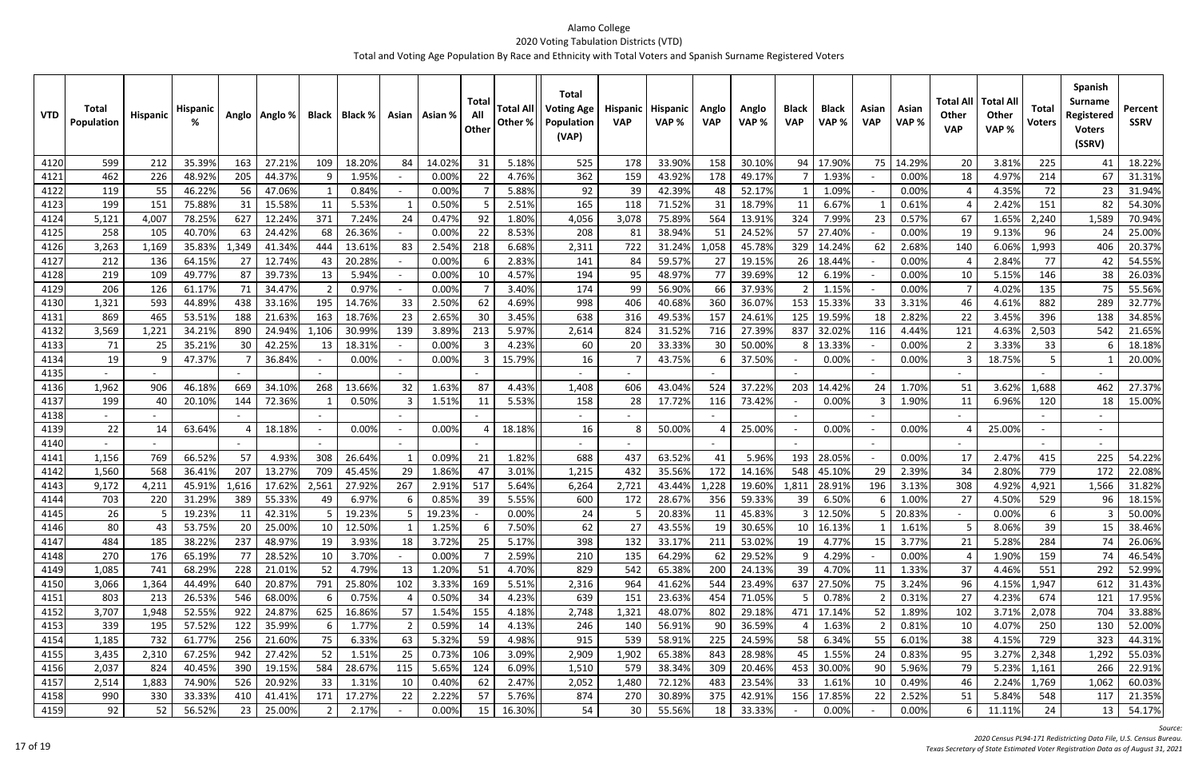| 14.29%<br>4120<br>599<br>212<br>35.399<br>163<br>27.21%<br>109<br>18.20%<br>84<br>14.02%<br>31<br>5.18%<br>525<br>178<br>33.90%<br>158<br>30.10%<br>94<br>17.90%<br>75<br>3.81%<br>20<br>225<br>48.92%<br>22<br>0.00%<br>4121<br>462<br>226<br>205<br>44.37%<br>- q<br>1.95%<br>0.00%<br>4.76%<br>362<br>159<br>43.92%<br>178<br>49.17%<br>1.93%<br>18<br>4.97%<br>214<br>46.229<br>5.88%<br>4122<br>119<br>55<br>47.06%<br>0.00%<br>92<br>39<br>42.39%<br>52.17%<br>1.09%<br>0.00%<br>4.35%<br>72<br>56<br>0.84%<br>48<br>4123<br>199<br>151<br>75.88%<br>5.53%<br>0.50%<br>165<br>71.52%<br>18.79%<br>2.42%<br>31<br>15.58%<br>11<br>2.51%<br>118<br>31<br>6.67%<br>0.61%<br>151<br>371<br>7.24%<br>0.47%<br>92<br>1.80%<br>3,078<br>564<br>324<br>7.99%<br>4124<br>5,121<br>4,007<br>78.25%<br>627<br>12.24%<br>24<br>4,056<br>75.89%<br>13.91%<br>23<br>0.57%<br>67<br>1.65%<br>2,240<br>258<br>40.70%<br>24.42%<br>68<br>26.36%<br>0.00%<br>8.53%<br>208<br>38.94%<br>51<br>24.52%<br>57<br>27.40%<br>0.00%<br>19<br>9.13%<br>4125<br>105<br>63<br>22<br>-81<br>96<br>3,263<br>1,169<br>35.83%<br>444<br>6.68%<br>722<br>1,058<br>45.78%<br>329<br>2.68%<br>1,993<br>1,349<br>41.34%<br>13.61%<br>83<br>2.54%<br>218<br>2,311<br>31.24%<br>14.24%<br>140<br>6.06%<br>4126<br>62<br>2.83%<br>4127<br>212<br>136<br>64.15%<br>12.74%<br>43<br>20.28%<br>0.00%<br>59.57%<br>27<br>19.15%<br>0.00%<br>2.84%<br>77<br>27<br>141<br>84<br>26<br>18.449 | <b>Surname</b><br>Percent<br>Registered<br><b>SSRV</b><br><b>Voters</b><br>(SSRV) |
|-------------------------------------------------------------------------------------------------------------------------------------------------------------------------------------------------------------------------------------------------------------------------------------------------------------------------------------------------------------------------------------------------------------------------------------------------------------------------------------------------------------------------------------------------------------------------------------------------------------------------------------------------------------------------------------------------------------------------------------------------------------------------------------------------------------------------------------------------------------------------------------------------------------------------------------------------------------------------------------------------------------------------------------------------------------------------------------------------------------------------------------------------------------------------------------------------------------------------------------------------------------------------------------------------------------------------------------------------------------------------------------------------------------------------------------------------------|-----------------------------------------------------------------------------------|
|                                                                                                                                                                                                                                                                                                                                                                                                                                                                                                                                                                                                                                                                                                                                                                                                                                                                                                                                                                                                                                                                                                                                                                                                                                                                                                                                                                                                                                                       | 18.22%<br>41                                                                      |
|                                                                                                                                                                                                                                                                                                                                                                                                                                                                                                                                                                                                                                                                                                                                                                                                                                                                                                                                                                                                                                                                                                                                                                                                                                                                                                                                                                                                                                                       | 67<br>31.31%                                                                      |
|                                                                                                                                                                                                                                                                                                                                                                                                                                                                                                                                                                                                                                                                                                                                                                                                                                                                                                                                                                                                                                                                                                                                                                                                                                                                                                                                                                                                                                                       | 31.94%<br>23                                                                      |
|                                                                                                                                                                                                                                                                                                                                                                                                                                                                                                                                                                                                                                                                                                                                                                                                                                                                                                                                                                                                                                                                                                                                                                                                                                                                                                                                                                                                                                                       | 82<br>54.30%                                                                      |
|                                                                                                                                                                                                                                                                                                                                                                                                                                                                                                                                                                                                                                                                                                                                                                                                                                                                                                                                                                                                                                                                                                                                                                                                                                                                                                                                                                                                                                                       | 1,589<br>70.94%                                                                   |
|                                                                                                                                                                                                                                                                                                                                                                                                                                                                                                                                                                                                                                                                                                                                                                                                                                                                                                                                                                                                                                                                                                                                                                                                                                                                                                                                                                                                                                                       | 24<br>25.00%                                                                      |
|                                                                                                                                                                                                                                                                                                                                                                                                                                                                                                                                                                                                                                                                                                                                                                                                                                                                                                                                                                                                                                                                                                                                                                                                                                                                                                                                                                                                                                                       | 20.37%<br>406                                                                     |
|                                                                                                                                                                                                                                                                                                                                                                                                                                                                                                                                                                                                                                                                                                                                                                                                                                                                                                                                                                                                                                                                                                                                                                                                                                                                                                                                                                                                                                                       | 54.55%<br>42                                                                      |
| 109<br>49.77%<br>87<br>4.57%<br>95<br>77<br>146<br>4128<br>219<br>39.73%<br>13<br>5.94%<br>0.00%<br>194<br>48.97%<br>39.69%<br>6.19%<br>0.00%<br>5.15%<br>10<br>12<br>10                                                                                                                                                                                                                                                                                                                                                                                                                                                                                                                                                                                                                                                                                                                                                                                                                                                                                                                                                                                                                                                                                                                                                                                                                                                                              | 38<br>26.03%                                                                      |
| 0.97%<br>4129<br>206<br>126<br>61.17%<br>71<br>34.47%<br>0.00%<br>3.40%<br>174<br>99<br>56.90%<br>66<br>37.93%<br>1.15%<br>0.00%<br>4.02%<br>135<br>$\overline{2}$<br>$\mathcal{P}$                                                                                                                                                                                                                                                                                                                                                                                                                                                                                                                                                                                                                                                                                                                                                                                                                                                                                                                                                                                                                                                                                                                                                                                                                                                                   | 75<br>55.56%                                                                      |
| 593<br>44.89%<br>195<br>33<br>2.50%<br>998<br>360<br>153<br>882<br>4130<br>1,321<br>438<br>33.16%<br>14.76%<br>62<br>4.69%<br>406<br>40.68%<br>36.07%<br>15.339<br>33<br>3.31%<br>46<br>4.61%                                                                                                                                                                                                                                                                                                                                                                                                                                                                                                                                                                                                                                                                                                                                                                                                                                                                                                                                                                                                                                                                                                                                                                                                                                                         | 289<br>32.77%                                                                     |
| 163<br>2.65%<br>157<br>869<br>465<br>53.51%<br>188<br>21.63%<br>18.76%<br>23<br>30<br>3.45%<br>638<br>316<br>49.53%<br>24.61%<br>125<br>19.59%<br>2.82%<br>22<br>3.45%<br>396<br>4131<br>18                                                                                                                                                                                                                                                                                                                                                                                                                                                                                                                                                                                                                                                                                                                                                                                                                                                                                                                                                                                                                                                                                                                                                                                                                                                           | 34.85%<br>138                                                                     |
| 4132<br>3,569<br>1,221<br>34.21%<br>24.949<br>1,106<br>30.99%<br>3.89%<br>5.97%<br>2,614<br>824<br>27.39%<br>837<br>4.44%<br>4.63%<br>890<br>139<br>213<br>31.52%<br>716<br>32.029<br>121<br>2,503<br>116                                                                                                                                                                                                                                                                                                                                                                                                                                                                                                                                                                                                                                                                                                                                                                                                                                                                                                                                                                                                                                                                                                                                                                                                                                             | 542<br>21.65%                                                                     |
| 42.259<br>0.00%<br>4.23%<br>50.00%<br>4133<br>71<br>25<br>35.21%<br>30<br>18.31%<br>60<br>20<br>33.33%<br>30<br>13.33%<br>0.00%<br>3.33%<br>33<br>13<br>3                                                                                                                                                                                                                                                                                                                                                                                                                                                                                                                                                                                                                                                                                                                                                                                                                                                                                                                                                                                                                                                                                                                                                                                                                                                                                             | 18.18%                                                                            |
| 4134<br>19<br>47.37%<br>0.00%<br>15.79%<br>16<br>0.00%<br>0.00%<br>18.75%<br>5<br>-9<br>36.84%<br>0.00%<br>3<br>43.75%<br>37.50%<br>-6                                                                                                                                                                                                                                                                                                                                                                                                                                                                                                                                                                                                                                                                                                                                                                                                                                                                                                                                                                                                                                                                                                                                                                                                                                                                                                                | 20.00%                                                                            |
| 4135                                                                                                                                                                                                                                                                                                                                                                                                                                                                                                                                                                                                                                                                                                                                                                                                                                                                                                                                                                                                                                                                                                                                                                                                                                                                                                                                                                                                                                                  |                                                                                   |
| 1,962<br>1.63%<br>203<br>4136<br>906<br>46.189<br>669<br>34.10%<br>268<br>13.66%<br>32<br>87<br>4.43%<br>1,408<br>606<br>43.04%<br>524<br>37.22%<br>14.42%<br>1.70%<br>3.62%<br>1,688<br>24<br>51                                                                                                                                                                                                                                                                                                                                                                                                                                                                                                                                                                                                                                                                                                                                                                                                                                                                                                                                                                                                                                                                                                                                                                                                                                                     | 462<br>27.37%                                                                     |
| 199<br>1.51%<br>5.53%<br>17.729<br>73.42%<br>4137<br>40<br>20.109<br>72.36%<br>0.50%<br>3<br>11<br>158<br>28<br>116<br>0.00%<br>1.90%<br>6.96%<br>120<br>144<br>11                                                                                                                                                                                                                                                                                                                                                                                                                                                                                                                                                                                                                                                                                                                                                                                                                                                                                                                                                                                                                                                                                                                                                                                                                                                                                    | 15.00%<br>18                                                                      |
| 4138<br>$\sim$                                                                                                                                                                                                                                                                                                                                                                                                                                                                                                                                                                                                                                                                                                                                                                                                                                                                                                                                                                                                                                                                                                                                                                                                                                                                                                                                                                                                                                        |                                                                                   |
| 22<br>0.00%<br>0.00%<br>4139<br>63.64%<br>0.00%<br>18.18%<br>16<br>50.00%<br>25.00%<br>0.00%<br>25.00%<br>14<br>18.18%<br>$\sim$                                                                                                                                                                                                                                                                                                                                                                                                                                                                                                                                                                                                                                                                                                                                                                                                                                                                                                                                                                                                                                                                                                                                                                                                                                                                                                                      |                                                                                   |
| 4140                                                                                                                                                                                                                                                                                                                                                                                                                                                                                                                                                                                                                                                                                                                                                                                                                                                                                                                                                                                                                                                                                                                                                                                                                                                                                                                                                                                                                                                  |                                                                                   |
| 1,156<br>769<br>66.52%<br>57<br>4.93%<br>0.09%<br>1.82%<br>688<br>63.52%<br>5.96%<br>4141<br>308<br>26.64%<br>21<br>437<br>41<br>193<br>28.059<br>0.00%<br>17<br>2.47%<br>415                                                                                                                                                                                                                                                                                                                                                                                                                                                                                                                                                                                                                                                                                                                                                                                                                                                                                                                                                                                                                                                                                                                                                                                                                                                                         | 225<br>54.22%                                                                     |
| 568<br>36.41%<br>207<br>13.27%<br>709<br>45.45%<br>1.86%<br>3.01%<br>172<br>14.16%<br>548<br>29<br>2.39%<br>779<br>4142<br>1,560<br>29<br>1,215<br>432<br>35.56%<br>45.109<br>34<br>2.80%<br>47                                                                                                                                                                                                                                                                                                                                                                                                                                                                                                                                                                                                                                                                                                                                                                                                                                                                                                                                                                                                                                                                                                                                                                                                                                                       | 22.08%<br>172                                                                     |
| 9,172<br>45.91%<br>17.629<br>2,561<br>27.92%<br>267<br>2.91%<br>517<br>5.64%<br>6,264<br>2,721<br>1,228<br>19.60%<br>1,811<br>28.91%<br>196<br>3.13%<br>308<br>4.92%<br>4143<br>4,211<br>1,616<br>43.449<br>4,921                                                                                                                                                                                                                                                                                                                                                                                                                                                                                                                                                                                                                                                                                                                                                                                                                                                                                                                                                                                                                                                                                                                                                                                                                                     | 1,566<br>31.82%                                                                   |
| 703<br>220<br>31.29%<br>55.33%<br>6.97%<br>0.85%<br>5.55%<br>28.67%<br>356<br>6.50%<br>1.00%<br>4.50%<br>4144<br>39<br>600<br>172<br>59.33%<br>27<br>529<br>389<br>49<br>39<br>6                                                                                                                                                                                                                                                                                                                                                                                                                                                                                                                                                                                                                                                                                                                                                                                                                                                                                                                                                                                                                                                                                                                                                                                                                                                                      | 18.15%<br>96                                                                      |
| 20.83%<br>0.00%<br>4145<br>19.23%<br>42.31%<br>19.23%<br>$0.00\%$<br>45.83%<br>12.50%<br>19.23%<br>5 20.83%<br>11 <sub>1</sub><br>11<br>24<br>b<br>כ<br>Zb.<br>5<br>כ<br>C                                                                                                                                                                                                                                                                                                                                                                                                                                                                                                                                                                                                                                                                                                                                                                                                                                                                                                                                                                                                                                                                                                                                                                                                                                                                            | 50.00%<br>з                                                                       |
| 27<br>39<br>4146<br>80<br>43<br>53.75%<br>20 <sup>1</sup><br>12.50%<br>1.25%<br>7.50%<br>62<br>43.55%<br>19<br>30.65%<br>25.00%<br>10<br>10 <sup>1</sup><br>16.13%<br>1.61%<br>8.06%<br>6<br>484<br>237<br>3.72%<br>5.17%<br>132<br>33.17%<br>211<br>4.77%<br>15<br>3.77%<br>284                                                                                                                                                                                                                                                                                                                                                                                                                                                                                                                                                                                                                                                                                                                                                                                                                                                                                                                                                                                                                                                                                                                                                                      | 38.46%<br>15<br>74                                                                |
| 4147<br>185<br>38.22%<br>48.97%<br>3.93%<br>18<br>25<br>398<br>53.02%<br>19<br>19<br>21<br>5.28%<br>0.00%<br>210<br>0.00%<br>4148<br>270<br>176<br>65.19%<br>77<br>28.52%<br>10<br>3.70%<br>2.59%<br>135<br>64.29%<br>62<br>29.52%<br>4.29%<br>1.90%<br>159<br>$\sim$                                                                                                                                                                                                                                                                                                                                                                                                                                                                                                                                                                                                                                                                                                                                                                                                                                                                                                                                                                                                                                                                                                                                                                                 | 26.06%<br>46.54%<br>74                                                            |
| 829<br>4.70%<br>1,085<br>68.29%<br>228<br>52<br>4.79%<br>1.20%<br>51<br>4.70%<br>65.38%<br>200<br>24.13%<br>39<br>1.33%<br>4149<br>741<br>21.01%<br>13<br>542<br>37<br>4.46%<br>551<br>11                                                                                                                                                                                                                                                                                                                                                                                                                                                                                                                                                                                                                                                                                                                                                                                                                                                                                                                                                                                                                                                                                                                                                                                                                                                             | 292<br>52.99%                                                                     |
| 2,316<br>4150<br>3,066<br>1,364<br>44.49%<br>20.87%<br>791<br>25.80%<br>102<br>3.33%<br>5.51%<br>964<br>41.62%<br>544<br>23.49%<br>637<br>27.50%<br>3.24%<br>1,947<br>640<br>169<br>75<br>96<br>4.15%                                                                                                                                                                                                                                                                                                                                                                                                                                                                                                                                                                                                                                                                                                                                                                                                                                                                                                                                                                                                                                                                                                                                                                                                                                                 | 31.43%<br>612                                                                     |
| 803<br>0.50%<br>4.23%<br>639<br>4151<br>26.53%<br>546<br>68.00%<br>0.75%<br>151<br>23.63%<br>454<br>71.05%<br>0.78%<br>0.31%<br>27<br>4.23%<br>674<br>213<br>34                                                                                                                                                                                                                                                                                                                                                                                                                                                                                                                                                                                                                                                                                                                                                                                                                                                                                                                                                                                                                                                                                                                                                                                                                                                                                       | 121<br>17.95%                                                                     |
| 4152<br>3,707<br>52.55%<br>625<br>16.86%<br>57<br>4.18%<br>802<br>29.18%<br>471<br>52<br>1.89%<br>1,948<br>922<br>24.87%<br>1.54%<br>155<br>2,748<br>1,321<br>48.07%<br>17.14%<br>102<br>3.71%<br>2,078                                                                                                                                                                                                                                                                                                                                                                                                                                                                                                                                                                                                                                                                                                                                                                                                                                                                                                                                                                                                                                                                                                                                                                                                                                               | 33.88%<br>704                                                                     |
| 57.52%<br>4.13%<br>4153<br>339<br>122<br>35.99%<br>1.77%<br>0.59%<br>246<br>140<br>56.91%<br>90<br>36.59%<br>1.63%<br>0.81%<br>4.07%<br>250<br>195<br>14<br>10<br>-6                                                                                                                                                                                                                                                                                                                                                                                                                                                                                                                                                                                                                                                                                                                                                                                                                                                                                                                                                                                                                                                                                                                                                                                                                                                                                  | 130<br>52.00%                                                                     |
| 6.33%<br>5.32%<br>4.98%<br>915<br>729<br>4154<br>1,185<br>732<br>61.77%<br>256<br>21.60%<br>75<br>63<br>59<br>539<br>58.91%<br>225<br>24.59%<br>58<br>6.34%<br>55<br>6.01%<br>4.15%<br>38                                                                                                                                                                                                                                                                                                                                                                                                                                                                                                                                                                                                                                                                                                                                                                                                                                                                                                                                                                                                                                                                                                                                                                                                                                                             | 323<br>44.31%                                                                     |
| 3.09%<br>4155<br>3,435<br>67.25%<br>27.42%<br>52<br>1.51%<br>25<br>0.73%<br>106<br>2,909<br>1,902<br>65.38%<br>28.98%<br>1.55%<br>24<br>0.83%<br>3.27%<br>2,348<br>2,310<br>942<br>843<br>45<br>95                                                                                                                                                                                                                                                                                                                                                                                                                                                                                                                                                                                                                                                                                                                                                                                                                                                                                                                                                                                                                                                                                                                                                                                                                                                    | 1,292<br>55.03%                                                                   |
| 4156<br>2,037<br>824<br>40.45%<br>584<br>28.67%<br>5.65%<br>6.09%<br>579<br>38.34%<br>309<br>20.46%<br>453<br>30.00%<br>90<br>5.96%<br>390<br>19.15%<br>115<br>124<br>1,510<br>79<br>5.23%<br>1,161                                                                                                                                                                                                                                                                                                                                                                                                                                                                                                                                                                                                                                                                                                                                                                                                                                                                                                                                                                                                                                                                                                                                                                                                                                                   | 266<br>22.91%                                                                     |
| 4157<br>1,883<br>74.90%<br>33<br>1.31%<br>0.40%<br>2.47%<br>2,052<br>72.12%<br>483<br>23.54%<br>0.49%<br>2.24%<br>2,514<br>526<br>20.92%<br>62<br>1,480<br>33<br>1.61%<br>10<br>1,769<br>46<br>-10                                                                                                                                                                                                                                                                                                                                                                                                                                                                                                                                                                                                                                                                                                                                                                                                                                                                                                                                                                                                                                                                                                                                                                                                                                                    | 1,062<br>60.03%                                                                   |
| 4158<br>33.33%<br>171<br>17.27%<br>5.76%<br>874<br>2.52%<br>990<br>330<br>22<br>2.22%<br>57<br>270<br>30.89%<br>375<br>156<br>17.85%<br>22<br>5.84%<br>548<br>410<br>41.41%<br>42.91%<br>51                                                                                                                                                                                                                                                                                                                                                                                                                                                                                                                                                                                                                                                                                                                                                                                                                                                                                                                                                                                                                                                                                                                                                                                                                                                           | 21.35%<br>117                                                                     |
| 92<br>56.52%<br>2.17%<br>0.00%<br>16.30%<br>54<br>33.33%<br>0.00%<br>24<br>4159<br>52<br>23<br>25.00%<br>15<br>55.56%<br>18<br>0.00%<br>11.11%<br>$\overline{2}$<br>30<br>6                                                                                                                                                                                                                                                                                                                                                                                                                                                                                                                                                                                                                                                                                                                                                                                                                                                                                                                                                                                                                                                                                                                                                                                                                                                                           | 13<br>54.17%                                                                      |

*Source:*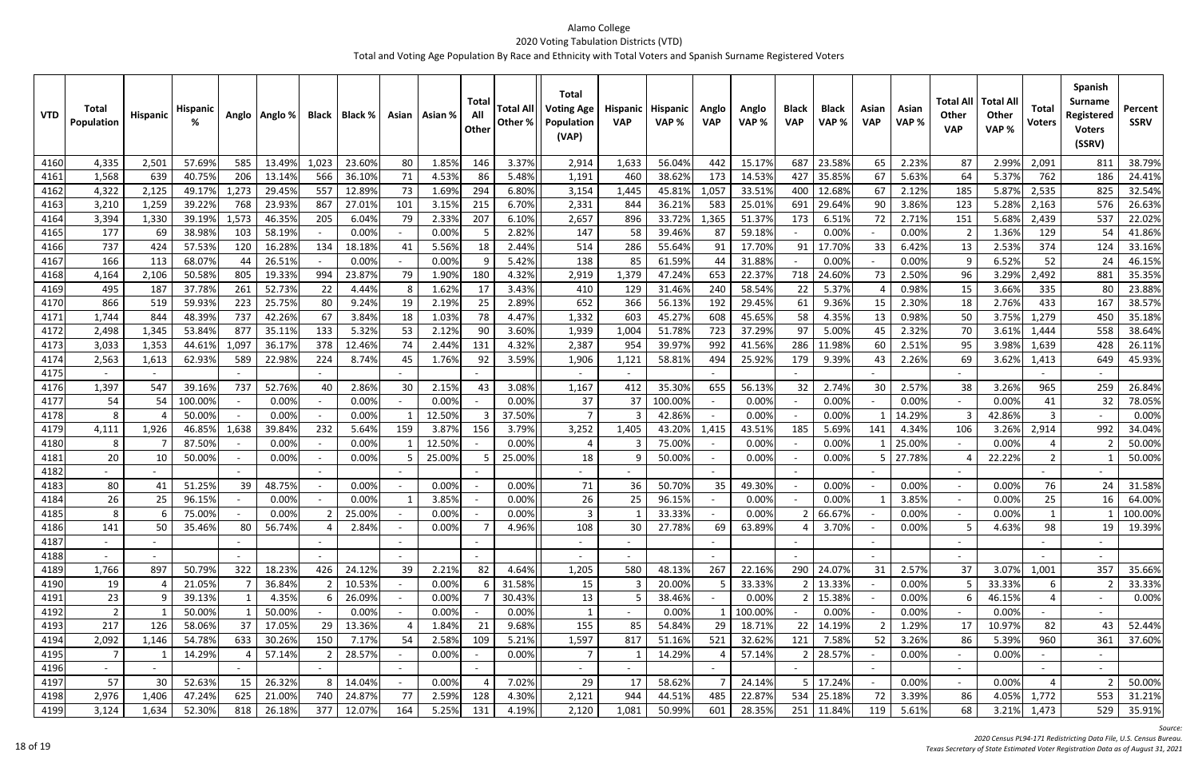| <b>VTD</b>   | <b>Total</b><br>Population | Hispanic | <b>Hispani</b> |                          | Anglo   Anglo % |       | <b>Black   Black %</b> |        | Asian   Asian % | Total<br>All<br>Other    | <b>Total Al</b><br>Other % | <b>Total</b><br><b>Voting Age</b><br>Population<br>(VAP) | <b>Hispanic</b><br><b>VAP</b> | <b>Hispanic</b><br>VAP% | Anglo<br><b>VAP</b> | Anglo<br>VAP % | <b>Black</b><br><b>VAP</b> | <b>Black</b><br>VAP% | Asian<br><b>VAP</b> | Asian<br>VAP% | <b>Total All</b><br>Other<br><b>VAP</b> | <b>Total Al</b><br>Other<br>VAP% | Total<br><b>Voters</b> | Spanish<br><b>Surname</b><br>Registered<br><b>Voters</b><br>(SSRV) | Percent<br><b>SSRV</b> |
|--------------|----------------------------|----------|----------------|--------------------------|-----------------|-------|------------------------|--------|-----------------|--------------------------|----------------------------|----------------------------------------------------------|-------------------------------|-------------------------|---------------------|----------------|----------------------------|----------------------|---------------------|---------------|-----------------------------------------|----------------------------------|------------------------|--------------------------------------------------------------------|------------------------|
| 4160         | 4,335                      | 2,501    | 57.69%         | 585                      | 13.49%          | 1,023 | 23.60%                 | 80     | 1.85%           | 146                      | 3.37%                      | 2,914                                                    | 1,633                         | 56.04%                  | 442                 | 15.17%         | 687                        | 23.58%               | 65                  | 2.23%         | 87                                      | 2.99%                            | 2,091                  | 811                                                                | 38.79%                 |
| 4161         | 1,568                      | 639      | 40.75%         | 206                      | 13.14%          | 566   | 36.10%                 | 71     | 4.53%           | 86                       | 5.48%                      | 1,191                                                    | 460                           | 38.62%                  | 173                 | 14.53%         | 427                        | 35.85%               | 67                  | 5.63%         | 64                                      | 5.37%                            | 762                    | 186                                                                | 24.41%                 |
| 4162         | 4,322                      | 2,125    | 49.17%         | 1,273                    | 29.45%          | 557   | 12.89%                 | 73     | 1.69%           | 294                      | 6.80%                      | 3,154                                                    | 1,445                         | 45.81%                  | 1,057               | 33.51%         | 400                        | 12.689               | 67                  | 2.12%         | 185                                     | 5.87%                            | 2,535                  | 825                                                                | 32.54%                 |
| 4163         | 3,210                      | 1,259    | 39.22%         | 768                      | 23.93%          | 867   | 27.01%                 | 101    | 3.159           | 215                      | 6.70%                      | 2,331                                                    | 844                           | 36.219                  | 583                 | 25.01%         | 691                        | 29.64%               | 90                  | 3.86%         | 123                                     | 5.28%                            | 2,163                  | 576                                                                | 26.63%                 |
| 4164         | 3,394                      | 1,330    | 39.19%         | 1,573                    | 46.35%          | 205   | 6.04%                  | 79     | 2.33%           | 207                      | 6.10%                      | 2,657                                                    | 896                           | 33.72%                  | 1,365               | 51.37%         | 173                        | 6.51%                | 72                  | 2.71%         | 151                                     | 5.68%                            | 2,439                  | 537                                                                | 22.02%                 |
| 4165         | 177                        | 69       | 38.989         | 103                      | 58.19%          |       | 0.00%                  |        | 0.00%           |                          | 2.82%                      | 147                                                      | 58                            | 39.46%                  | 87                  | 59.18%         |                            | 0.00%                |                     | 0.00%         |                                         | 1.36%                            | 129                    | 54                                                                 | 41.86%                 |
| 4166         | 737                        | 424      | 57.53%         | 120                      | 16.28%          | 134   | 18.18%                 | 41     | 5.56%           | 18                       | 2.44%                      | 514                                                      | 286                           | 55.64%                  | 91                  | 17.70%         | 91                         | 17.70%               | 33                  | 6.42%         | 13                                      | 2.53%                            | 374                    | 124                                                                | 33.16%                 |
| 4167         | 166                        | 113      | 68.07%         | 44                       | 26.51%          |       | 0.00%                  |        | 0.00%           |                          | 5.42%                      | 138                                                      | 85                            | 61.59%                  | 44                  | 31.88%         |                            | 0.00%                |                     | 0.00%         |                                         | 6.52%                            | 52                     | 24                                                                 | 46.15%                 |
| 4168         | 4,164                      | 2,106    | 50.589         | 805                      | 19.33%          | 994   | 23.87%                 | 79     | 1.90%           | 180                      | 4.32%                      | 2,919                                                    | 1,379                         | 47.249                  | 653                 | 22.37%         | 718                        | 24.609               | 73                  | 2.50%         | 96                                      | 3.29%                            | 2,492                  | 881                                                                | 35.35%                 |
| 4169         | 495                        | 187      | 37.78%         | 261                      | 52.73%          | 22    | 4.44%                  | 8      | 1.62%           | 17                       | 3.43%                      | 410                                                      | 129                           | 31.46%                  | 240                 | 58.54%         | 22                         | 5.37%                |                     | 0.98%         | 15                                      | 3.66%                            | 335                    | 80                                                                 | 23.88%                 |
| 417C         | 866                        | 519      | 59.939         | 223                      | 25.75%          | 80    | 9.24%                  | 19     | 2.199           | 25                       | 2.89%                      | 652                                                      | 366                           | 56.13%                  | 192                 | 29.45%         | 61                         | 9.36%                |                     | 2.30%         | 18                                      | 2.76%                            | 433                    | 167                                                                | 38.57%                 |
| 4171         | 1,744                      | 844      | 48.399         | 737                      | 42.26%          | 67    | 3.84%                  | 18     | 1.03%           | 78                       | 4.47%                      | 1,332                                                    | 603                           | 45.27%                  | 608                 | 45.65%         | 58                         | 4.35%                | 13                  | 0.98%         | 50                                      | 3.75%                            | 1,279                  | 450                                                                | 35.18%                 |
| 4172         | 2,498                      | 1,345    | 53.84%         | 877                      | 35.11%          | 133   | 5.32%                  | 53     | 2.129           | 90                       | 3.60%                      | 1,939                                                    | 1,004                         | 51.78%                  | 723                 | 37.29%         | 97                         | 5.00%                | 45                  | 2.32%         | 70                                      | 3.61%                            | 1,444                  | 558                                                                | 38.64%                 |
| 4173         | 3,033                      | 1,353    | 44.61%         | 1,097                    | 36.17%          | 378   | 12.46%                 | 74     | 2.449           | 131                      | 4.32%                      | 2,387                                                    | 954                           | 39.97%                  | 992                 | 41.56%         | 286                        | 11.98%               | 60                  | 2.51%         | 95                                      | 3.98%                            | 1,639                  | 428                                                                | 26.11%                 |
| 4174         | 2,563                      | 1,613    | 62.93%         | 589                      | 22.98%          | 224   | 8.74%                  | 45     | 1.76%           | 92                       | 3.59%                      | 1,906                                                    | 1,121                         | 58.81%                  | 494                 | 25.92%         | 179                        | 9.39%                | 43                  | 2.26%         | 69                                      | 3.62%                            | 1,413                  | 649                                                                | 45.93%                 |
| 4175         |                            |          |                |                          |                 |       |                        |        |                 |                          |                            |                                                          |                               |                         |                     |                |                            |                      |                     |               |                                         |                                  |                        |                                                                    |                        |
| 4176         | 1,397                      | 547      | 39.169         | 737                      | 52.76%          | 40    | 2.86%                  | 30     | 2.15%           | 43                       | 3.08%                      | 1,167                                                    | 412                           | 35.30%                  | 655                 | 56.13%         | 32                         | 2.74%                | 30                  | 2.57%         | 38                                      | 3.26%                            | 965                    | 259                                                                | 26.84%                 |
| 4177         | 54                         | 54       | 100.00%        |                          | 0.00%           |       | 0.00%                  |        | 0.00%           |                          | 0.00%                      | 37                                                       | 37                            | 100.00%                 |                     | 0.00%          |                            | 0.00%                |                     | 0.00%         |                                         | 0.00%                            | 41                     | 32                                                                 | 78.05%                 |
| 4178         | 8                          |          | 50.00%         |                          | 0.00%           |       | 0.00%                  |        | 12.50%          | 3                        | 37.50%                     |                                                          |                               | 42.86%                  |                     | 0.00%          |                            | 0.00%                |                     | 14.29%        |                                         | 42.86%                           | 3                      |                                                                    | 0.00%                  |
| 4179         | 4,111                      | 1,926    | 46.85%         | 1,638                    | 39.84%          | 232   | 5.64%                  | 159    | 3.87%           | 156                      | 3.79%                      | 3,252                                                    | 1,405                         | 43.20%                  | 1,415               | 43.51%         | 185                        | 5.69%                | 141                 | 4.34%         | 106                                     | 3.26%                            | 2,914                  | 992                                                                | 34.04%                 |
| 4180         | 8                          |          | 87.50%         |                          | 0.00%           |       | 0.00%                  |        | 12.50%          |                          | 0.00%                      |                                                          |                               | 75.00%                  |                     | 0.00%          |                            | 0.00%                |                     | 25.009        |                                         | 0.00%                            |                        |                                                                    | 50.00%                 |
| 4181<br>4182 | 20                         | 10       | 50.009         |                          | 0.00%           |       | 0.00%                  |        | 25.009          |                          | 25.00%                     | 18                                                       |                               | 50.00%                  |                     | 0.00%          |                            | 0.00%                |                     | 27.789        |                                         | 22.22%                           | $\overline{2}$         |                                                                    | 50.00%                 |
| 4183         | 80                         | 41       | 51.25%         | 39                       | 48.75%          |       | 0.00%                  |        | 0.00%           |                          | 0.00%                      | 71                                                       | 36                            | 50.70%                  | 35                  | 49.30%         |                            | 0.00%                |                     | 0.00%         | $\sim$                                  | 0.00%                            | 76                     | 24                                                                 | 31.58%                 |
| 4184         | 26                         | 25       | 96.15%         |                          | 0.00%           |       | 0.00%                  |        | 3.85%           |                          | 0.00%                      | 26                                                       | 25                            | 96.15%                  |                     | 0.00%          |                            | 0.00%                |                     | 3.85%         |                                         | 0.00%                            | 25                     | 16                                                                 | 64.00%                 |
| 4185         | 8                          | b        | 75.00%         |                          | 0.00%           |       | 25.00%                 |        | 0.00%           |                          | 0.00%                      | 3                                                        |                               | 33.33%                  |                     | 0.00%          |                            | 66.67%               |                     | 0.00%         | $\sim$                                  | 0.00%                            |                        |                                                                    | 100.00%                |
| 4186         | 141                        | 50       | 35.46%         | 80                       | 56.74%          |       | 2.84%                  |        | 0.00%           |                          | 4.96%                      | 108                                                      | 30                            | 27.78%                  | 69                  | 63.89%         |                            | 3.70%                |                     | 0.00%         |                                         | 4.63%                            | 98                     | 19                                                                 | 19.39%                 |
| 4187         |                            |          |                |                          |                 |       |                        | $\sim$ |                 |                          |                            |                                                          |                               |                         |                     |                | $\overline{\phantom{a}}$   |                      |                     |               | $\sim$                                  |                                  |                        |                                                                    |                        |
| 4188         |                            |          |                |                          |                 |       |                        | $\sim$ |                 |                          |                            | $\overline{\phantom{a}}$                                 | $\overline{\phantom{a}}$      |                         |                     |                |                            |                      |                     |               | $\overline{\phantom{a}}$                |                                  |                        |                                                                    |                        |
| 4189         | 1,766                      | 897      | 50.79%         | 322                      | 18.23%          | 426   | 24.12%                 | 39     | 2.21%           | 82                       | 4.64%                      | 1,205                                                    | 580                           | 48.13%                  | 267                 | 22.16%         |                            | 290 24.07%           | 31                  | 2.57%         | 37                                      | 3.07%                            | 1,001                  | 357                                                                | 35.66%                 |
| 4190         | 19                         | -4       | 21.05%         |                          | 36.84%          |       | 10.53%                 |        | 0.00%           |                          | 31.58%                     | 15                                                       |                               | 20.00%                  |                     | 33.33%         | 2 <sup>1</sup>             | 13.33%               |                     | 0.00%         |                                         | 33.33%                           | 6                      |                                                                    | 33.33%                 |
| 4191         | 23                         | - 9      | 39.13%         | 1                        | 4.35%           | -6    | 26.09%                 |        | 0.00%           |                          | 30.43%                     | 13                                                       | 5                             | 38.46%                  |                     | 0.00%          |                            | 2 15.38%             |                     | 0.00%         |                                         | 46.15%                           | $\overline{4}$         |                                                                    | 0.00%                  |
| 4192         | $\overline{2}$             |          | 50.00%         |                          | 50.00%          |       | 0.00%                  |        | 0.00%           |                          | 0.00%                      |                                                          |                               | 0.00%                   |                     | 100.00%        |                            | 0.00%                |                     | 0.00%         | $\sim$                                  | 0.00%                            |                        |                                                                    |                        |
| 4193         | 217                        | 126      | 58.06%         | 37                       | 17.05%          | 29    | 13.36%                 |        | 1.84%           | 21                       | 9.68%                      | 155                                                      | 85                            | 54.84%                  | 29                  | 18.71%         | 22                         | 14.19%               |                     | 1.29%         | 17                                      | 10.97%                           | 82                     | 43                                                                 | 52.44%                 |
| 4194         | 2,092                      | 1,146    | 54.78%         | 633                      | 30.26%          | 150   | 7.17%                  | 54     | 2.58%           | 109                      | 5.21%                      | 1,597                                                    | 817                           | 51.16%                  | 521                 | 32.62%         | 121                        | 7.58%                | 52                  | 3.26%         | 86                                      | 5.39%                            | 960                    | 361                                                                | 37.60%                 |
| 4195         | $\overline{7}$             |          | 14.29%         |                          | 57.14%          |       | 28.57%                 |        | 0.00%           |                          | 0.00%                      |                                                          |                               | 14.29%                  |                     | 57.14%         | $\overline{2}$             | 28.57%               |                     | 0.00%         |                                         | 0.00%                            |                        |                                                                    |                        |
| 4196         |                            |          |                | $\overline{\phantom{a}}$ |                 |       |                        | $\sim$ |                 | $\overline{\phantom{a}}$ |                            | $\sim$                                                   | $\overline{\phantom{a}}$      |                         |                     |                | $\overline{\phantom{a}}$   |                      |                     |               | $\sim$                                  |                                  |                        |                                                                    |                        |
| 4197         | 57                         | 30       | 52.63%         | 15                       | 26.32%          |       | 14.04%                 |        | 0.00%           |                          | 7.02%                      | 29                                                       | 17                            | 58.62%                  |                     | 24.14%         |                            | 5 17.24%             |                     | 0.00%         |                                         | 0.00%                            |                        |                                                                    | 50.00%                 |
| 4198         | 2,976                      | 1,406    | 47.24%         | 625                      | 21.00%          | 740   | 24.87%                 | 77     | 2.59%           | 128                      | 4.30%                      | 2,121                                                    | 944                           | 44.51%                  | 485                 | 22.87%         |                            | 534 25.18%           | 72                  | 3.39%         | 86                                      | 4.05%                            | 1,772                  | 553                                                                | 31.21%                 |
| 4199         | 3,124                      | 1,634    | 52.30%         | 818                      | 26.18%          | 377   | 12.07%                 | 164    | 5.25%           | 131                      | 4.19%                      | 2,120                                                    | 1,081                         | 50.99%                  | 601                 | 28.35%         | 251                        | 11.84%               | 119                 | 5.61%         | 68                                      | 3.21%                            | 1,473                  | 529                                                                | 35.91%                 |

*Source:*